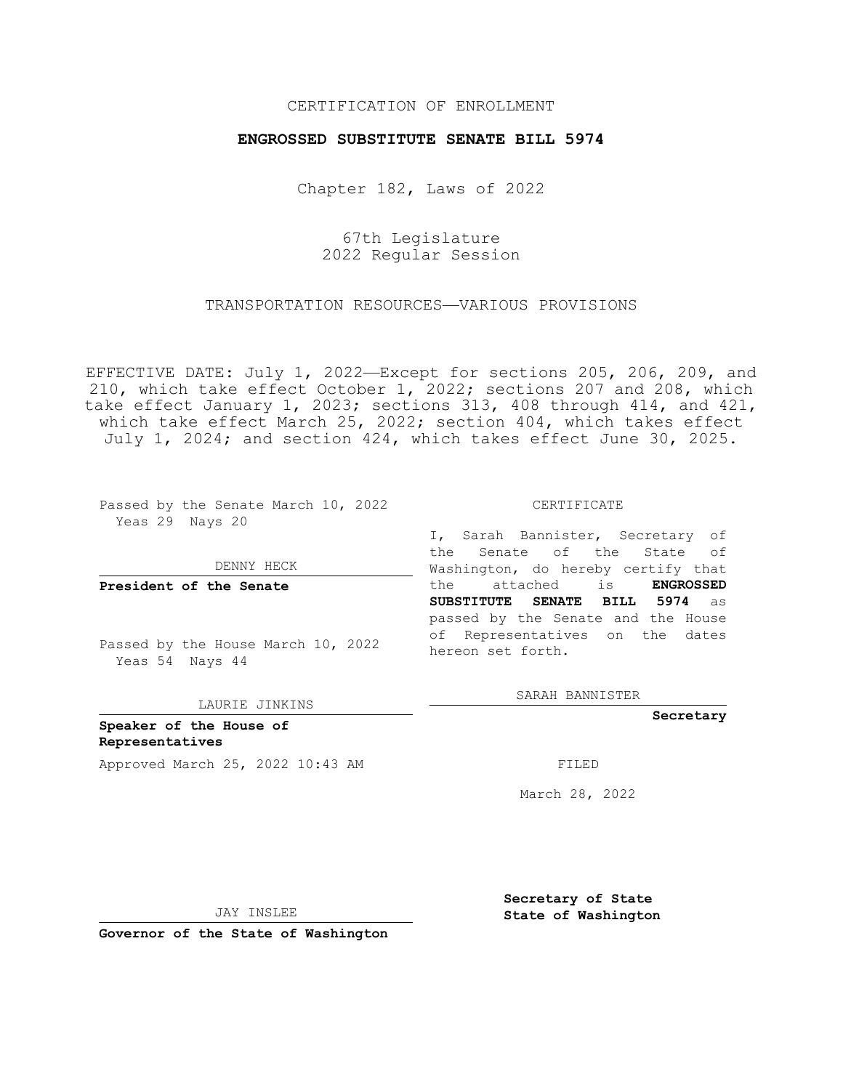### CERTIFICATION OF ENROLLMENT

### **ENGROSSED SUBSTITUTE SENATE BILL 5974**

Chapter 182, Laws of 2022

67th Legislature 2022 Regular Session

### TRANSPORTATION RESOURCES—VARIOUS PROVISIONS

EFFECTIVE DATE: July 1, 2022—Except for sections 205, 206, 209, and 210, which take effect October 1, 2022; sections 207 and 208, which take effect January 1, 2023; sections 313, 408 through 414, and 421, which take effect March 25, 2022; section 404, which takes effect July 1, 2024; and section 424, which takes effect June 30, 2025.

Passed by the Senate March 10, 2022 Yeas 29 Nays 20

DENNY HECK

**President of the Senate**

Passed by the House March 10, 2022 Yeas 54 Nays 44

LAURIE JINKINS

**Speaker of the House of Representatives** Approved March 25, 2022 10:43 AM FILED

CERTIFICATE

I, Sarah Bannister, Secretary of the Senate of the State of Washington, do hereby certify that the attached is **ENGROSSED SUBSTITUTE SENATE BILL 5974** as passed by the Senate and the House of Representatives on the dates hereon set forth.

SARAH BANNISTER

**Secretary**

March 28, 2022

JAY INSLEE

**Governor of the State of Washington**

**Secretary of State**

 **State of Washington**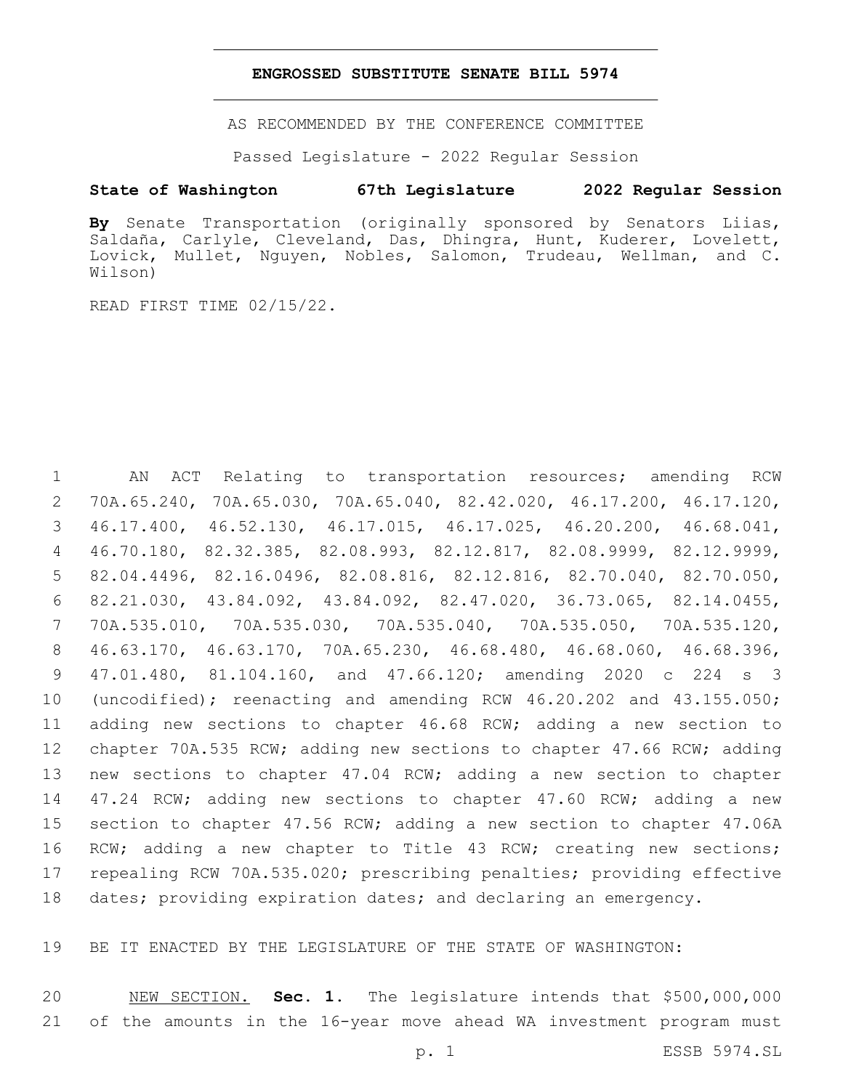### **ENGROSSED SUBSTITUTE SENATE BILL 5974**

AS RECOMMENDED BY THE CONFERENCE COMMITTEE

Passed Legislature - 2022 Regular Session

## **State of Washington 67th Legislature 2022 Regular Session**

**By** Senate Transportation (originally sponsored by Senators Liias, Saldaña, Carlyle, Cleveland, Das, Dhingra, Hunt, Kuderer, Lovelett, Lovick, Mullet, Nguyen, Nobles, Salomon, Trudeau, Wellman, and C. Wilson)

READ FIRST TIME 02/15/22.

 AN ACT Relating to transportation resources; amending RCW 70A.65.240, 70A.65.030, 70A.65.040, 82.42.020, 46.17.200, 46.17.120, 46.17.400, 46.52.130, 46.17.015, 46.17.025, 46.20.200, 46.68.041, 46.70.180, 82.32.385, 82.08.993, 82.12.817, 82.08.9999, 82.12.9999, 82.04.4496, 82.16.0496, 82.08.816, 82.12.816, 82.70.040, 82.70.050, 82.21.030, 43.84.092, 43.84.092, 82.47.020, 36.73.065, 82.14.0455, 70A.535.010, 70A.535.030, 70A.535.040, 70A.535.050, 70A.535.120, 46.63.170, 46.63.170, 70A.65.230, 46.68.480, 46.68.060, 46.68.396, 47.01.480, 81.104.160, and 47.66.120; amending 2020 c 224 s 3 (uncodified); reenacting and amending RCW 46.20.202 and 43.155.050; adding new sections to chapter 46.68 RCW; adding a new section to chapter 70A.535 RCW; adding new sections to chapter 47.66 RCW; adding new sections to chapter 47.04 RCW; adding a new section to chapter 14 47.24 RCW; adding new sections to chapter 47.60 RCW; adding a new section to chapter 47.56 RCW; adding a new section to chapter 47.06A RCW; adding a new chapter to Title 43 RCW; creating new sections; repealing RCW 70A.535.020; prescribing penalties; providing effective 18 dates; providing expiration dates; and declaring an emergency.

BE IT ENACTED BY THE LEGISLATURE OF THE STATE OF WASHINGTON:

 NEW SECTION. **Sec. 1.** The legislature intends that \$500,000,000 of the amounts in the 16-year move ahead WA investment program must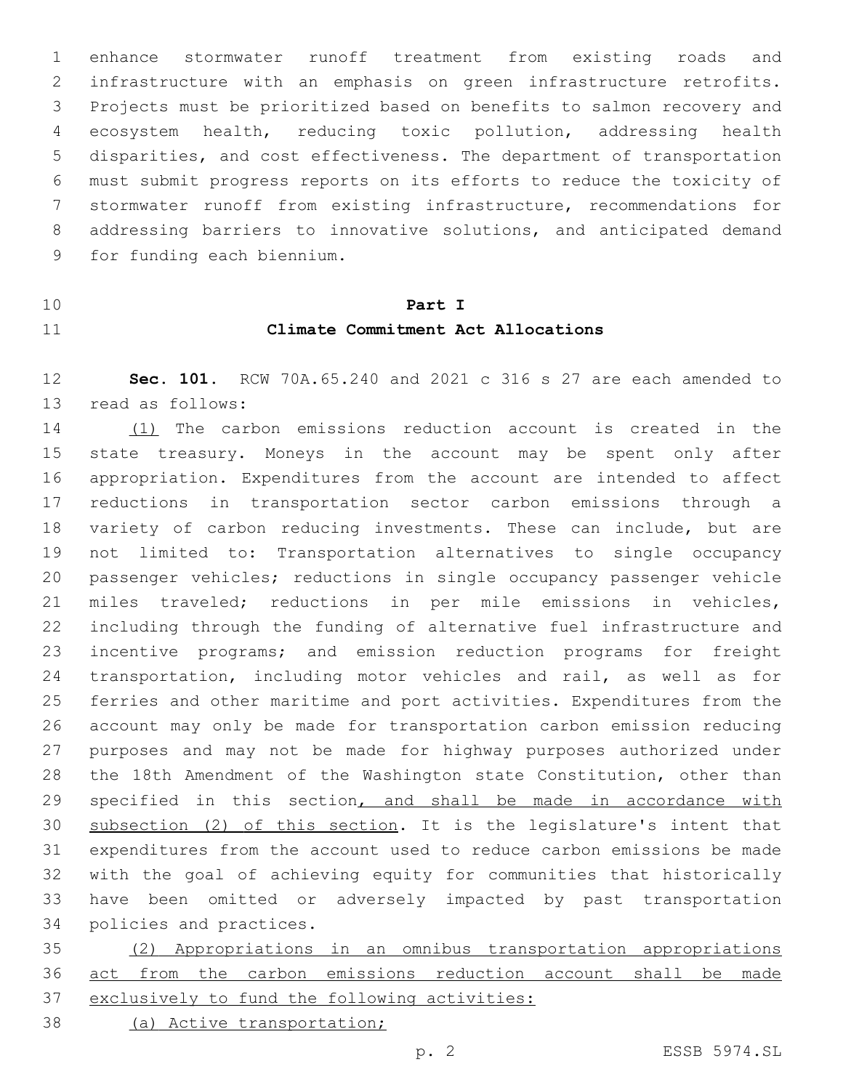enhance stormwater runoff treatment from existing roads and infrastructure with an emphasis on green infrastructure retrofits. Projects must be prioritized based on benefits to salmon recovery and ecosystem health, reducing toxic pollution, addressing health disparities, and cost effectiveness. The department of transportation must submit progress reports on its efforts to reduce the toxicity of stormwater runoff from existing infrastructure, recommendations for addressing barriers to innovative solutions, and anticipated demand 9 for funding each biennium.

# **Part I Climate Commitment Act Allocations**

 **Sec. 101.** RCW 70A.65.240 and 2021 c 316 s 27 are each amended to 13 read as follows:

 (1) The carbon emissions reduction account is created in the state treasury. Moneys in the account may be spent only after appropriation. Expenditures from the account are intended to affect reductions in transportation sector carbon emissions through a variety of carbon reducing investments. These can include, but are not limited to: Transportation alternatives to single occupancy passenger vehicles; reductions in single occupancy passenger vehicle miles traveled; reductions in per mile emissions in vehicles, including through the funding of alternative fuel infrastructure and incentive programs; and emission reduction programs for freight transportation, including motor vehicles and rail, as well as for ferries and other maritime and port activities. Expenditures from the account may only be made for transportation carbon emission reducing purposes and may not be made for highway purposes authorized under the 18th Amendment of the Washington state Constitution, other than 29 specified in this section, and shall be made in accordance with subsection (2) of this section. It is the legislature's intent that expenditures from the account used to reduce carbon emissions be made with the goal of achieving equity for communities that historically have been omitted or adversely impacted by past transportation 34 policies and practices.

 (2) Appropriations in an omnibus transportation appropriations act from the carbon emissions reduction account shall be made exclusively to fund the following activities:

(a) Active transportation;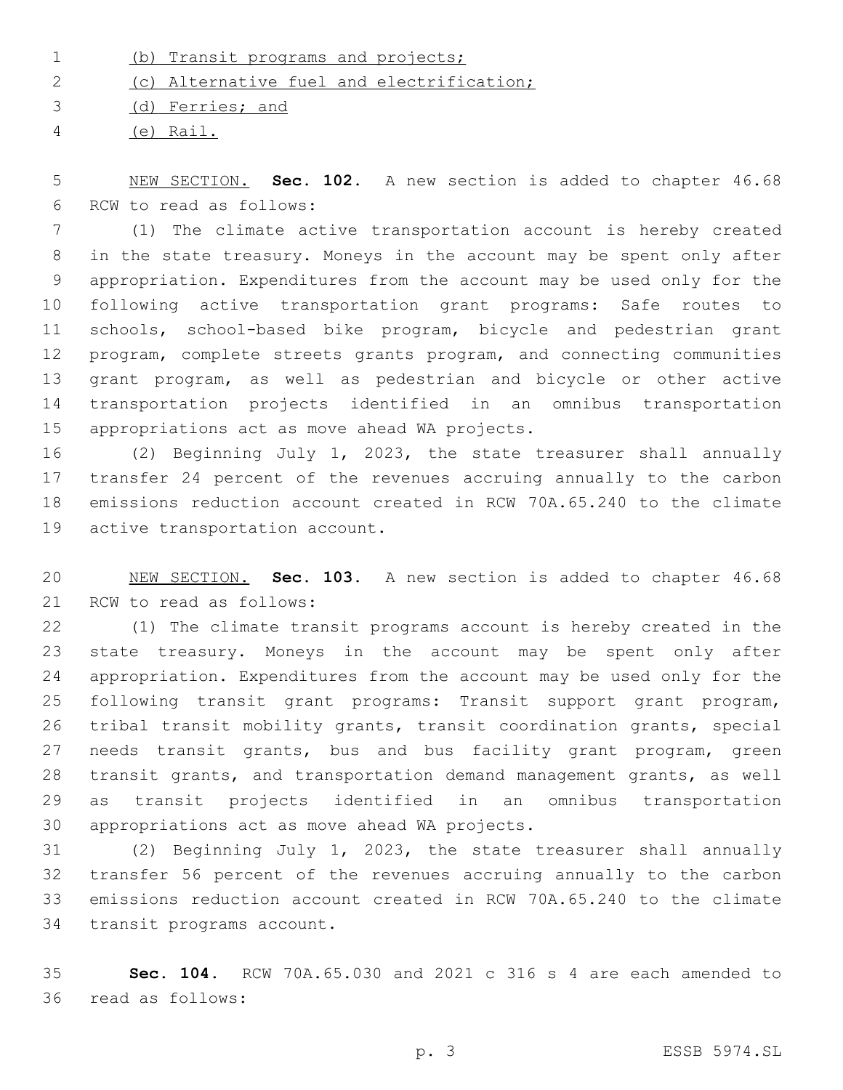(b) Transit programs and projects;

(c) Alternative fuel and electrification;

(d) Ferries; and

(e) Rail.

 NEW SECTION. **Sec. 102.** A new section is added to chapter 46.68 6 RCW to read as follows:

 (1) The climate active transportation account is hereby created in the state treasury. Moneys in the account may be spent only after appropriation. Expenditures from the account may be used only for the following active transportation grant programs: Safe routes to schools, school-based bike program, bicycle and pedestrian grant program, complete streets grants program, and connecting communities grant program, as well as pedestrian and bicycle or other active transportation projects identified in an omnibus transportation 15 appropriations act as move ahead WA projects.

 (2) Beginning July 1, 2023, the state treasurer shall annually transfer 24 percent of the revenues accruing annually to the carbon emissions reduction account created in RCW 70A.65.240 to the climate 19 active transportation account.

 NEW SECTION. **Sec. 103.** A new section is added to chapter 46.68 21 RCW to read as follows:

 (1) The climate transit programs account is hereby created in the state treasury. Moneys in the account may be spent only after appropriation. Expenditures from the account may be used only for the following transit grant programs: Transit support grant program, tribal transit mobility grants, transit coordination grants, special needs transit grants, bus and bus facility grant program, green transit grants, and transportation demand management grants, as well as transit projects identified in an omnibus transportation 30 appropriations act as move ahead WA projects.

 (2) Beginning July 1, 2023, the state treasurer shall annually transfer 56 percent of the revenues accruing annually to the carbon emissions reduction account created in RCW 70A.65.240 to the climate 34 transit programs account.

 **Sec. 104.** RCW 70A.65.030 and 2021 c 316 s 4 are each amended to read as follows:36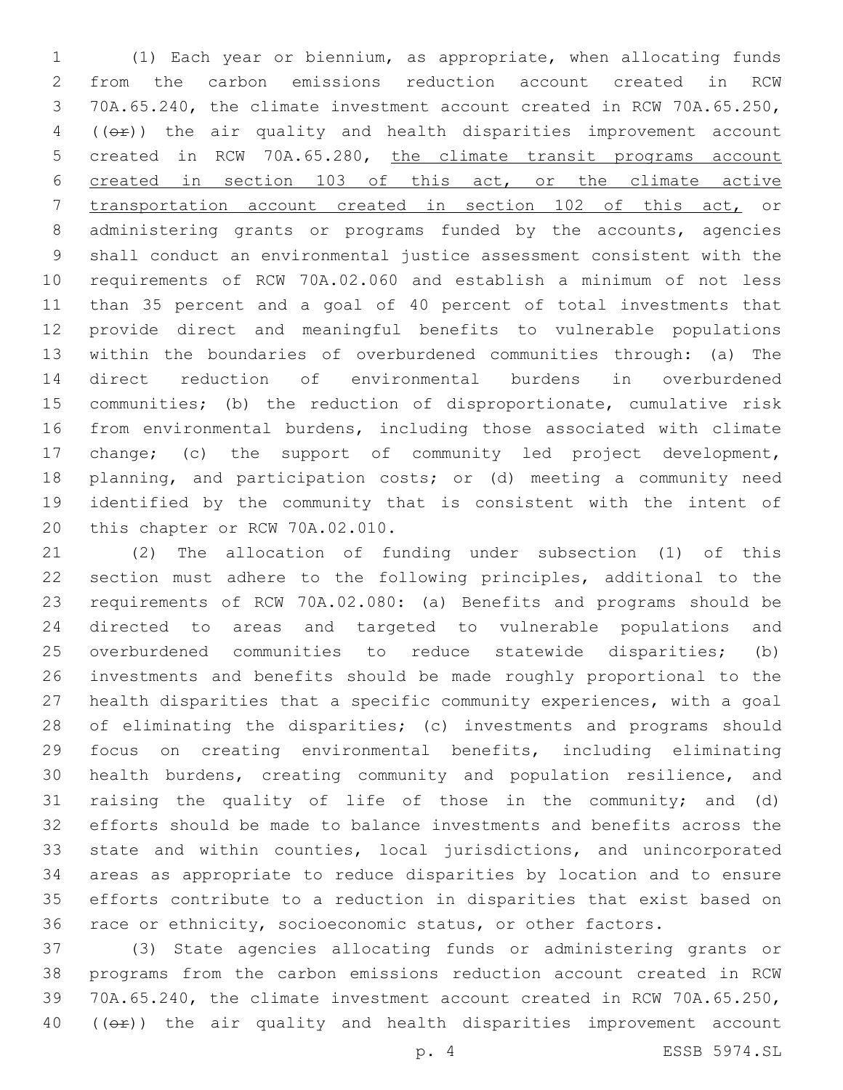(1) Each year or biennium, as appropriate, when allocating funds from the carbon emissions reduction account created in RCW 70A.65.240, the climate investment account created in RCW 70A.65.250, ( $(\theta \hat{r})$ ) the air quality and health disparities improvement account created in RCW 70A.65.280, the climate transit programs account created in section 103 of this act, or the climate active transportation account created in section 102 of this act, or administering grants or programs funded by the accounts, agencies shall conduct an environmental justice assessment consistent with the requirements of RCW 70A.02.060 and establish a minimum of not less than 35 percent and a goal of 40 percent of total investments that provide direct and meaningful benefits to vulnerable populations within the boundaries of overburdened communities through: (a) The direct reduction of environmental burdens in overburdened communities; (b) the reduction of disproportionate, cumulative risk from environmental burdens, including those associated with climate change; (c) the support of community led project development, planning, and participation costs; or (d) meeting a community need identified by the community that is consistent with the intent of 20 this chapter or RCW 70A.02.010.

 (2) The allocation of funding under subsection (1) of this section must adhere to the following principles, additional to the requirements of RCW 70A.02.080: (a) Benefits and programs should be directed to areas and targeted to vulnerable populations and overburdened communities to reduce statewide disparities; (b) investments and benefits should be made roughly proportional to the health disparities that a specific community experiences, with a goal of eliminating the disparities; (c) investments and programs should focus on creating environmental benefits, including eliminating health burdens, creating community and population resilience, and raising the quality of life of those in the community; and (d) efforts should be made to balance investments and benefits across the state and within counties, local jurisdictions, and unincorporated areas as appropriate to reduce disparities by location and to ensure efforts contribute to a reduction in disparities that exist based on race or ethnicity, socioeconomic status, or other factors.

 (3) State agencies allocating funds or administering grants or programs from the carbon emissions reduction account created in RCW 70A.65.240, the climate investment account created in RCW 70A.65.250, (( $\Theta$ )) the air quality and health disparities improvement account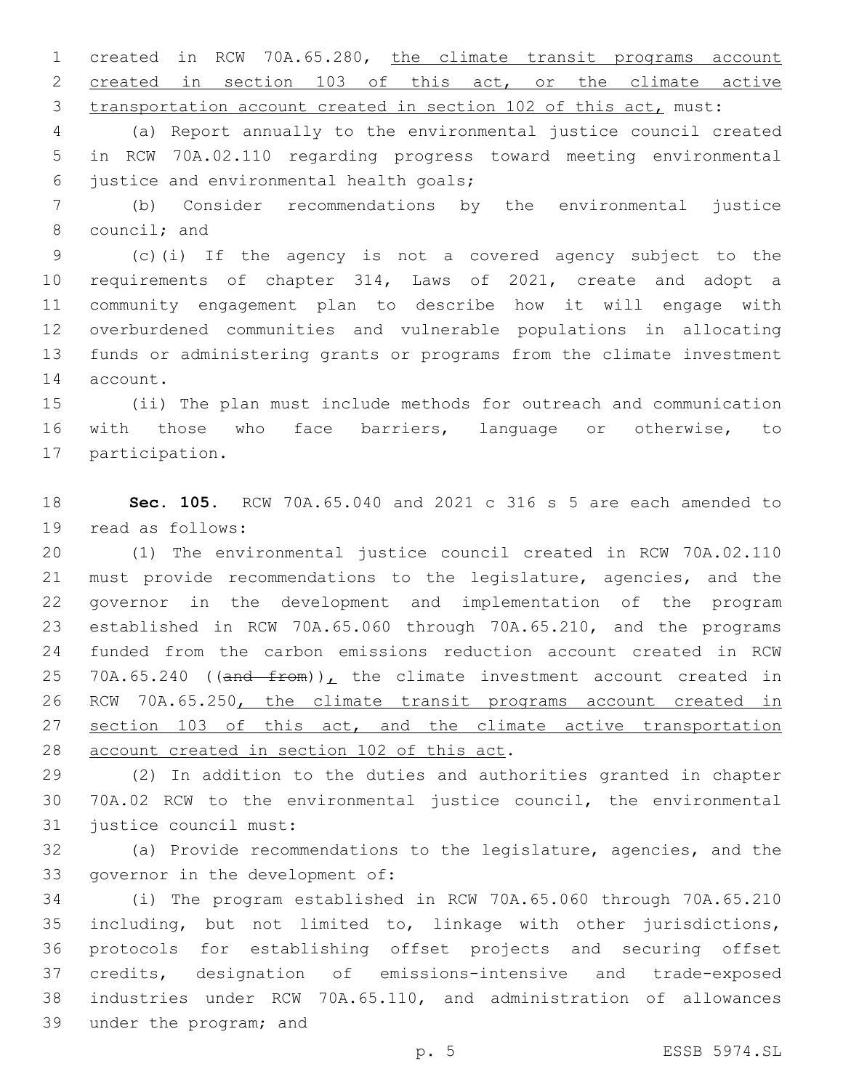created in RCW 70A.65.280, the climate transit programs account created in section 103 of this act, or the climate active transportation account created in section 102 of this act, must:

 (a) Report annually to the environmental justice council created in RCW 70A.02.110 regarding progress toward meeting environmental 6 justice and environmental health goals;

 (b) Consider recommendations by the environmental justice 8 council; and

 (c)(i) If the agency is not a covered agency subject to the requirements of chapter 314, Laws of 2021, create and adopt a community engagement plan to describe how it will engage with overburdened communities and vulnerable populations in allocating funds or administering grants or programs from the climate investment 14 account.

 (ii) The plan must include methods for outreach and communication with those who face barriers, language or otherwise, to 17 participation.

 **Sec. 105.** RCW 70A.65.040 and 2021 c 316 s 5 are each amended to 19 read as follows:

 (1) The environmental justice council created in RCW 70A.02.110 must provide recommendations to the legislature, agencies, and the governor in the development and implementation of the program established in RCW 70A.65.060 through 70A.65.210, and the programs funded from the carbon emissions reduction account created in RCW 25 70A.65.240 (( $\overline{and}$  from)), the climate investment account created in RCW 70A.65.250, the climate transit programs account created in 27 section 103 of this act, and the climate active transportation 28 account created in section 102 of this act.

 (2) In addition to the duties and authorities granted in chapter 70A.02 RCW to the environmental justice council, the environmental 31 justice council must:

 (a) Provide recommendations to the legislature, agencies, and the 33 governor in the development of:

 (i) The program established in RCW 70A.65.060 through 70A.65.210 including, but not limited to, linkage with other jurisdictions, protocols for establishing offset projects and securing offset credits, designation of emissions-intensive and trade-exposed industries under RCW 70A.65.110, and administration of allowances 39 under the program; and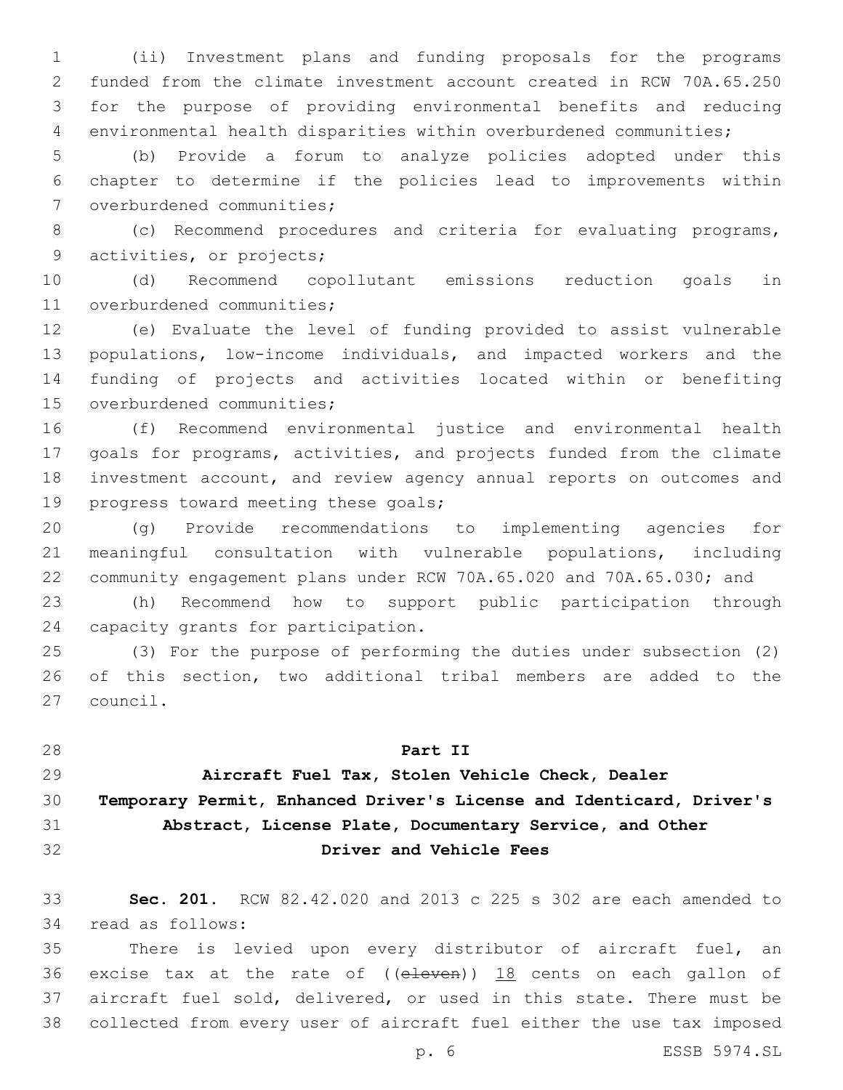(ii) Investment plans and funding proposals for the programs funded from the climate investment account created in RCW 70A.65.250 for the purpose of providing environmental benefits and reducing environmental health disparities within overburdened communities;

 (b) Provide a forum to analyze policies adopted under this chapter to determine if the policies lead to improvements within 7 overburdened communities;

 (c) Recommend procedures and criteria for evaluating programs, 9 activities, or projects;

 (d) Recommend copollutant emissions reduction goals in 11 overburdened communities;

 (e) Evaluate the level of funding provided to assist vulnerable populations, low-income individuals, and impacted workers and the funding of projects and activities located within or benefiting 15 overburdened communities;

 (f) Recommend environmental justice and environmental health goals for programs, activities, and projects funded from the climate investment account, and review agency annual reports on outcomes and 19 progress toward meeting these goals;

 (g) Provide recommendations to implementing agencies for meaningful consultation with vulnerable populations, including community engagement plans under RCW 70A.65.020 and 70A.65.030; and

 (h) Recommend how to support public participation through 24 capacity grants for participation.

 (3) For the purpose of performing the duties under subsection (2) of this section, two additional tribal members are added to the 27 council.

**Part II**

**Aircraft Fuel Tax, Stolen Vehicle Check, Dealer**

### **Temporary Permit, Enhanced Driver's License and Identicard, Driver's**

# **Abstract, License Plate, Documentary Service, and Other**

**Driver and Vehicle Fees**

 **Sec. 201.** RCW 82.42.020 and 2013 c 225 s 302 are each amended to 34 read as follows:

 There is levied upon every distributor of aircraft fuel, an 36 excise tax at the rate of  $($  (eleven))  $18$  cents on each gallon of aircraft fuel sold, delivered, or used in this state. There must be collected from every user of aircraft fuel either the use tax imposed

p. 6 ESSB 5974.SL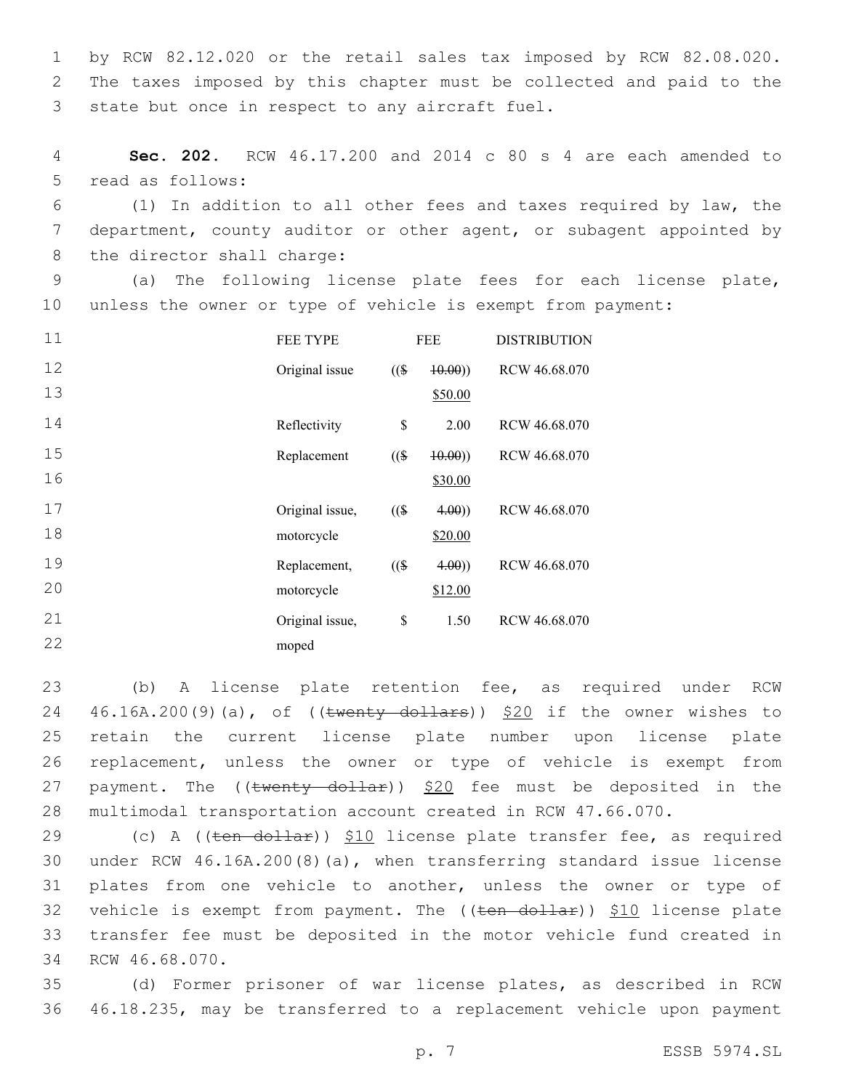1 by RCW 82.12.020 or the retail sales tax imposed by RCW 82.08.020. 2 The taxes imposed by this chapter must be collected and paid to the 3 state but once in respect to any aircraft fuel.

4 **Sec. 202.** RCW 46.17.200 and 2014 c 80 s 4 are each amended to 5 read as follows:

6 (1) In addition to all other fees and taxes required by law, the 7 department, county auditor or other agent, or subagent appointed by 8 the director shall charge:

9 (a) The following license plate fees for each license plate, 10 unless the owner or type of vehicle is exempt from payment:

| 11 | <b>FEE TYPE</b> | <b>FEE</b> |         | <b>DISTRIBUTION</b> |
|----|-----------------|------------|---------|---------------------|
| 12 | Original issue  | $($ (\$    | (10.00) | RCW 46.68.070       |
| 13 |                 |            | \$50.00 |                     |
| 14 | Reflectivity    | \$         | 2.00    | RCW 46.68.070       |
| 15 | Replacement     | $($ (\$)   | (10.00) | RCW 46.68.070       |
| 16 |                 |            | \$30.00 |                     |
| 17 | Original issue, | $($ (\$    | 4.00)   | RCW 46.68.070       |
| 18 | motorcycle      |            | \$20.00 |                     |
| 19 | Replacement,    | $($ (\$)   | 4.00)   | RCW 46.68.070       |
| 20 | motorcycle      |            | \$12.00 |                     |
| 21 | Original issue, | \$         | 1.50    | RCW 46.68.070       |
| 22 | moped           |            |         |                     |
|    |                 |            |         |                     |

 (b) A license plate retention fee, as required under RCW 24 46.16A.200(9)(a), of ((twenty dollars)) \$20 if the owner wishes to retain the current license plate number upon license plate replacement, unless the owner or type of vehicle is exempt from 27 payment. The  $((\text{twenty dollar}))$  \$20 fee must be deposited in the multimodal transportation account created in RCW 47.66.070.

29 (c) A ((ten dollar)) \$10 license plate transfer fee, as required 30 under RCW 46.16A.200(8)(a), when transferring standard issue license 31 plates from one vehicle to another, unless the owner or type of 32 vehicle is exempt from payment. The ((ten dollar)) \$10 license plate 33 transfer fee must be deposited in the motor vehicle fund created in 34 RCW 46.68.070.

35 (d) Former prisoner of war license plates, as described in RCW 36 46.18.235, may be transferred to a replacement vehicle upon payment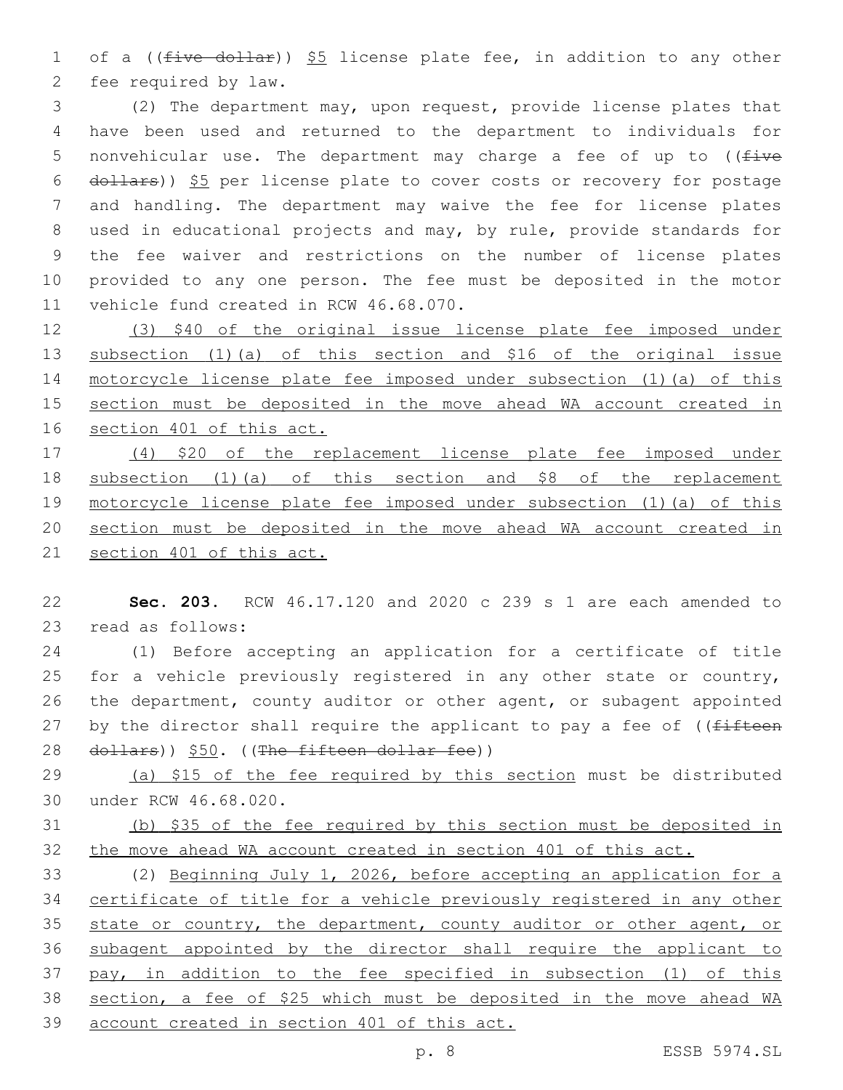1 of a ((five dollar)) \$5 license plate fee, in addition to any other 2 fee required by law.

 (2) The department may, upon request, provide license plates that have been used and returned to the department to individuals for 5 nonvehicular use. The department may charge a fee of up to  $($  ( $\pm i$ ve dollars)) \$5 per license plate to cover costs or recovery for postage and handling. The department may waive the fee for license plates used in educational projects and may, by rule, provide standards for the fee waiver and restrictions on the number of license plates provided to any one person. The fee must be deposited in the motor 11 vehicle fund created in RCW 46.68.070.

 (3) \$40 of the original issue license plate fee imposed under subsection (1)(a) of this section and \$16 of the original issue motorcycle license plate fee imposed under subsection (1)(a) of this section must be deposited in the move ahead WA account created in section 401 of this act.

 (4) \$20 of the replacement license plate fee imposed under subsection (1)(a) of this section and \$8 of the replacement motorcycle license plate fee imposed under subsection (1)(a) of this section must be deposited in the move ahead WA account created in 21 section 401 of this act.

 **Sec. 203.** RCW 46.17.120 and 2020 c 239 s 1 are each amended to 23 read as follows:

 (1) Before accepting an application for a certificate of title 25 for a vehicle previously registered in any other state or country, the department, county auditor or other agent, or subagent appointed 27 by the director shall require the applicant to pay a fee of ((fifteen 28 dollars)) \$50. ((The fifteen dollar fee))

29 (a) \$15 of the fee required by this section must be distributed 30 under RCW 46.68.020.

 (b) \$35 of the fee required by this section must be deposited in the move ahead WA account created in section 401 of this act.

 (2) Beginning July 1, 2026, before accepting an application for a certificate of title for a vehicle previously registered in any other 35 state or country, the department, county auditor or other agent, or subagent appointed by the director shall require the applicant to pay, in addition to the fee specified in subsection (1) of this section, a fee of \$25 which must be deposited in the move ahead WA account created in section 401 of this act.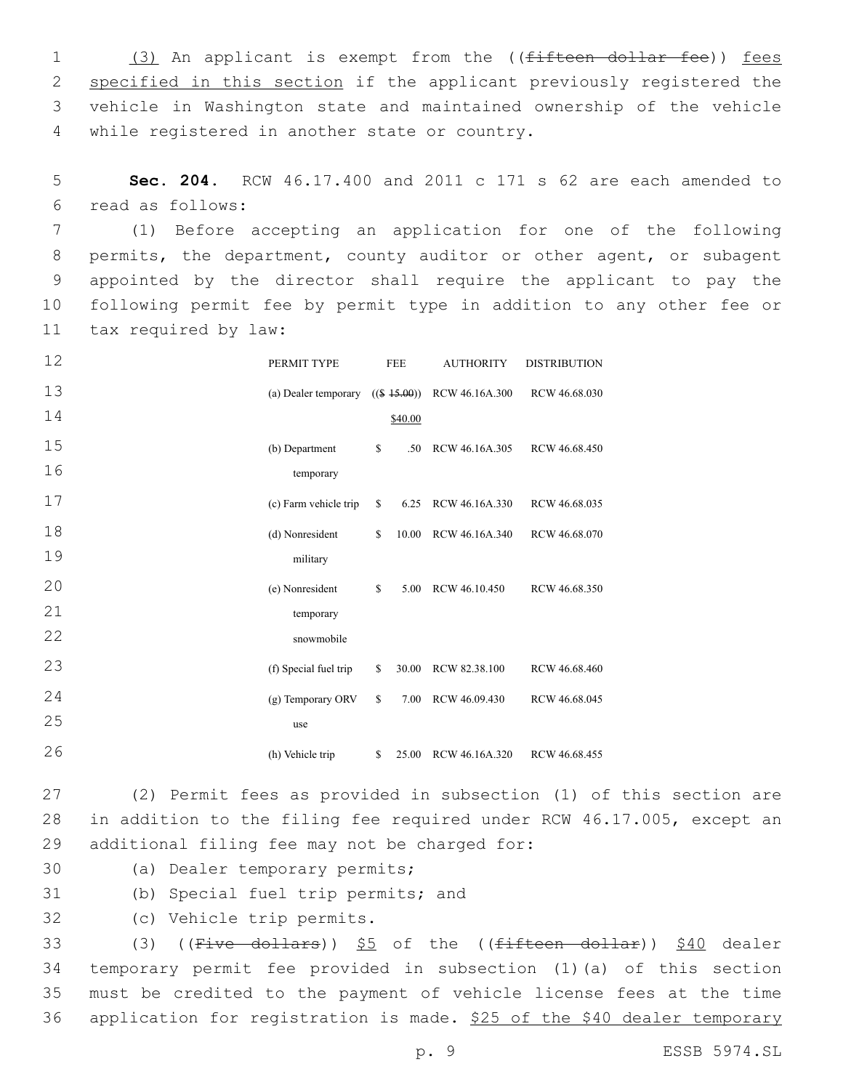1 (3) An applicant is exempt from the ((fifteen dollar fee)) fees 2 specified in this section if the applicant previously registered the 3 vehicle in Washington state and maintained ownership of the vehicle 4 while registered in another state or country.

5 **Sec. 204.** RCW 46.17.400 and 2011 c 171 s 62 are each amended to read as follows:6

 (1) Before accepting an application for one of the following permits, the department, county auditor or other agent, or subagent appointed by the director shall require the applicant to pay the following permit fee by permit type in addition to any other fee or 11 tax required by law:

| 12 | PERMIT TYPE           | <b>FEE</b> |         | <b>AUTHORITY</b>              | <b>DISTRIBUTION</b> |  |
|----|-----------------------|------------|---------|-------------------------------|---------------------|--|
| 13 | (a) Dealer temporary  |            |         | $((\$ 45.00))$ RCW 46.16A.300 | RCW 46.68.030       |  |
| 14 |                       |            | \$40.00 |                               |                     |  |
| 15 | (b) Department        | \$         | .50     | RCW 46.16A.305                | RCW 46.68.450       |  |
| 16 | temporary             |            |         |                               |                     |  |
| 17 | (c) Farm vehicle trip | \$         | 6.25    | RCW 46.16A.330                | RCW 46.68.035       |  |
| 18 | (d) Nonresident       | \$         | 10.00   | RCW 46.16A.340                | RCW 46.68.070       |  |
| 19 | military              |            |         |                               |                     |  |
| 20 | (e) Nonresident       | \$         | 5.00    | RCW 46.10.450                 | RCW 46.68.350       |  |
| 21 | temporary             |            |         |                               |                     |  |
| 22 | snowmobile            |            |         |                               |                     |  |
| 23 | (f) Special fuel trip | \$         | 30.00   | RCW 82.38.100                 | RCW 46.68.460       |  |
| 24 | (g) Temporary ORV     | \$         | 7.00    | RCW 46.09.430                 | RCW 46.68.045       |  |
| 25 | use                   |            |         |                               |                     |  |
| 26 | (h) Vehicle trip      | \$         | 25.00   | RCW 46.16A.320                | RCW 46.68.455       |  |

27 (2) Permit fees as provided in subsection (1) of this section are 28 in addition to the filing fee required under RCW 46.17.005, except an 29 additional filing fee may not be charged for:

- 30 (a) Dealer temporary permits;
- 31 (b) Special fuel trip permits; and

32 (c) Vehicle trip permits.

33 (3) ((Five dollars))  $$5$  of the ((fifteen dollar))  $$40$  dealer 34 temporary permit fee provided in subsection (1)(a) of this section 35 must be credited to the payment of vehicle license fees at the time 36 application for registration is made. \$25 of the \$40 dealer temporary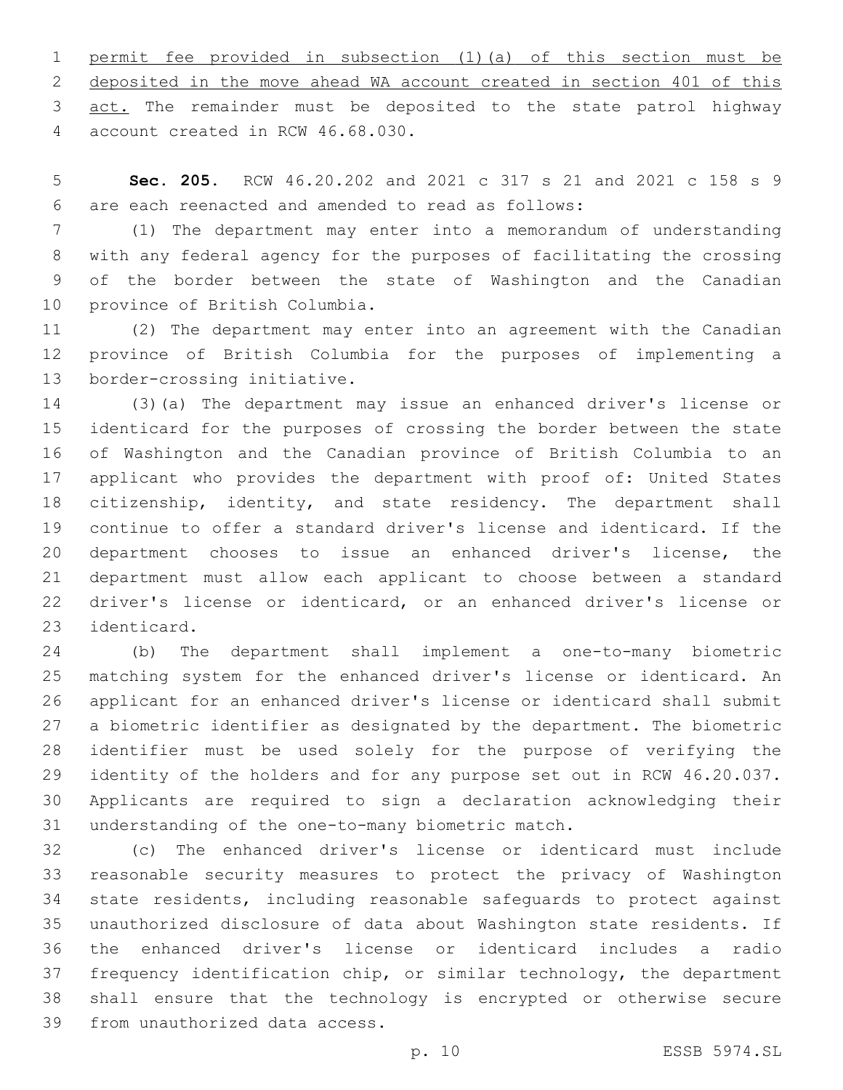permit fee provided in subsection (1)(a) of this section must be deposited in the move ahead WA account created in section 401 of this 3 act. The remainder must be deposited to the state patrol highway account created in RCW 46.68.030.4

 **Sec. 205.** RCW 46.20.202 and 2021 c 317 s 21 and 2021 c 158 s 9 are each reenacted and amended to read as follows:6

 (1) The department may enter into a memorandum of understanding with any federal agency for the purposes of facilitating the crossing of the border between the state of Washington and the Canadian 10 province of British Columbia.

 (2) The department may enter into an agreement with the Canadian province of British Columbia for the purposes of implementing a 13 border-crossing initiative.

 (3)(a) The department may issue an enhanced driver's license or identicard for the purposes of crossing the border between the state of Washington and the Canadian province of British Columbia to an applicant who provides the department with proof of: United States citizenship, identity, and state residency. The department shall continue to offer a standard driver's license and identicard. If the department chooses to issue an enhanced driver's license, the department must allow each applicant to choose between a standard driver's license or identicard, or an enhanced driver's license or 23 identicard.

 (b) The department shall implement a one-to-many biometric matching system for the enhanced driver's license or identicard. An applicant for an enhanced driver's license or identicard shall submit a biometric identifier as designated by the department. The biometric identifier must be used solely for the purpose of verifying the identity of the holders and for any purpose set out in RCW 46.20.037. Applicants are required to sign a declaration acknowledging their 31 understanding of the one-to-many biometric match.

 (c) The enhanced driver's license or identicard must include reasonable security measures to protect the privacy of Washington state residents, including reasonable safeguards to protect against unauthorized disclosure of data about Washington state residents. If the enhanced driver's license or identicard includes a radio frequency identification chip, or similar technology, the department shall ensure that the technology is encrypted or otherwise secure 39 from unauthorized data access.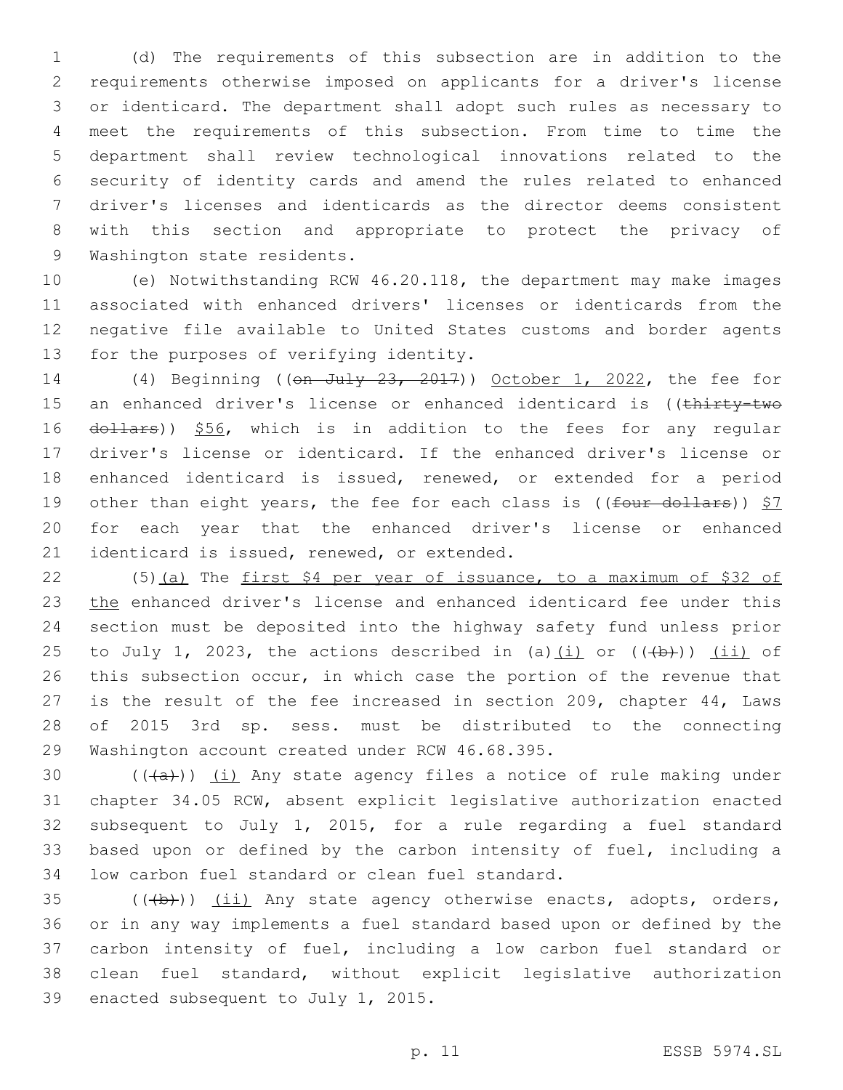(d) The requirements of this subsection are in addition to the requirements otherwise imposed on applicants for a driver's license or identicard. The department shall adopt such rules as necessary to meet the requirements of this subsection. From time to time the department shall review technological innovations related to the security of identity cards and amend the rules related to enhanced driver's licenses and identicards as the director deems consistent with this section and appropriate to protect the privacy of 9 Washington state residents.

 (e) Notwithstanding RCW 46.20.118, the department may make images associated with enhanced drivers' licenses or identicards from the negative file available to United States customs and border agents 13 for the purposes of verifying identity.

 (4) Beginning ((on July 23, 2017)) October 1, 2022, the fee for 15 an enhanced driver's license or enhanced identicard is ((thirty-two 16 dollars)) \$56, which is in addition to the fees for any regular driver's license or identicard. If the enhanced driver's license or enhanced identicard is issued, renewed, or extended for a period 19 other than eight years, the fee for each class is ((four dollars)) \$7 for each year that the enhanced driver's license or enhanced 21 identicard is issued, renewed, or extended.

 (5)(a) The first \$4 per year of issuance, to a maximum of \$32 of the enhanced driver's license and enhanced identicard fee under this section must be deposited into the highway safety fund unless prior 25 to July 1, 2023, the actions described in (a) $(i)$  or  $((+b))$   $(ii)$  of this subsection occur, in which case the portion of the revenue that is the result of the fee increased in section 209, chapter 44, Laws of 2015 3rd sp. sess. must be distributed to the connecting 29 Washington account created under RCW 46.68.395.

 $((+a))$   $(i)$  Any state agency files a notice of rule making under chapter 34.05 RCW, absent explicit legislative authorization enacted subsequent to July 1, 2015, for a rule regarding a fuel standard based upon or defined by the carbon intensity of fuel, including a 34 low carbon fuel standard or clean fuel standard.

 (( $\left(\frac{1}{12}\right)$ ) (ii) Any state agency otherwise enacts, adopts, orders, or in any way implements a fuel standard based upon or defined by the carbon intensity of fuel, including a low carbon fuel standard or clean fuel standard, without explicit legislative authorization 39 enacted subsequent to July 1, 2015.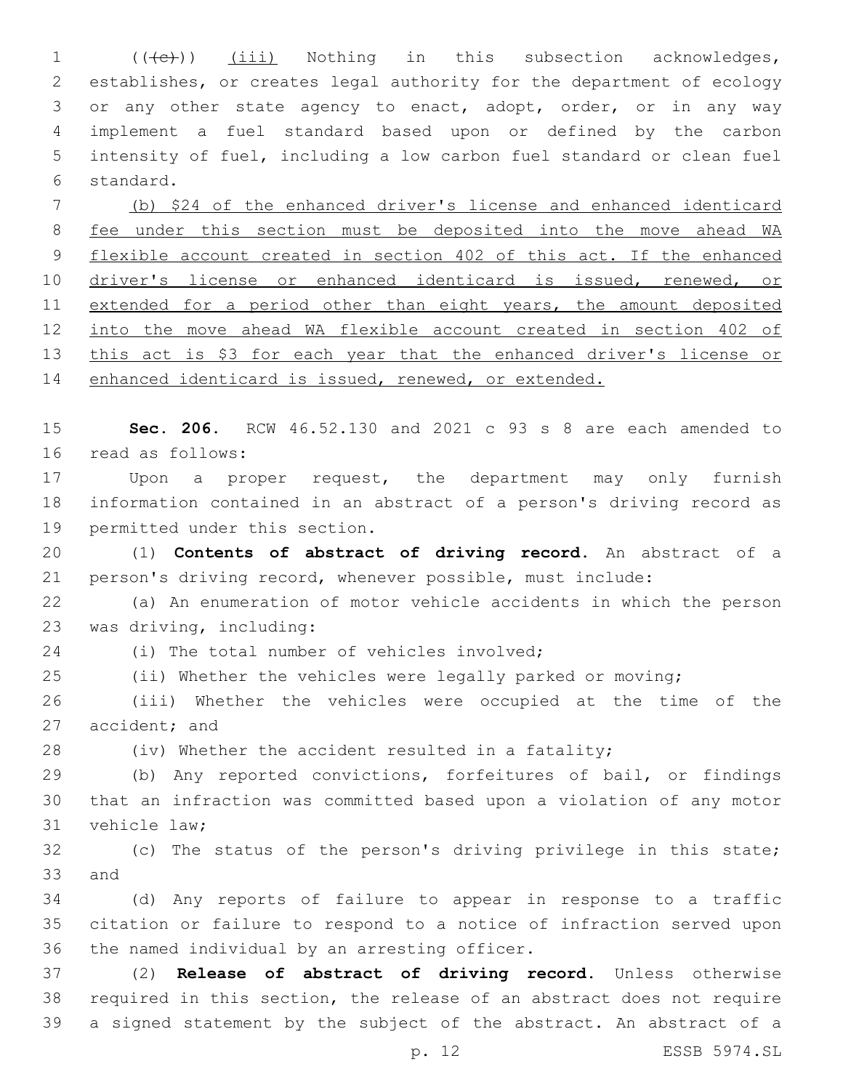1 (((e)) (iii) Nothing in this subsection acknowledges, establishes, or creates legal authority for the department of ecology or any other state agency to enact, adopt, order, or in any way implement a fuel standard based upon or defined by the carbon intensity of fuel, including a low carbon fuel standard or clean fuel 6 standard.

 (b) \$24 of the enhanced driver's license and enhanced identicard fee under this section must be deposited into the move ahead WA flexible account created in section 402 of this act. If the enhanced 10 driver's license or enhanced identicard is issued, renewed, or 11 extended for a period other than eight years, the amount deposited into the move ahead WA flexible account created in section 402 of 13 this act is \$3 for each year that the enhanced driver's license or 14 enhanced identicard is issued, renewed, or extended.

 **Sec. 206.** RCW 46.52.130 and 2021 c 93 s 8 are each amended to 16 read as follows:

 Upon a proper request, the department may only furnish information contained in an abstract of a person's driving record as 19 permitted under this section.

 (1) **Contents of abstract of driving record.** An abstract of a person's driving record, whenever possible, must include:

 (a) An enumeration of motor vehicle accidents in which the person 23 was driving, including:

24 (i) The total number of vehicles involved;

(ii) Whether the vehicles were legally parked or moving;

 (iii) Whether the vehicles were occupied at the time of the 27 accident; and

(iv) Whether the accident resulted in a fatality;

 (b) Any reported convictions, forfeitures of bail, or findings that an infraction was committed based upon a violation of any motor 31 vehicle law;

 (c) The status of the person's driving privilege in this state; 33 and

 (d) Any reports of failure to appear in response to a traffic citation or failure to respond to a notice of infraction served upon 36 the named individual by an arresting officer.

 (2) **Release of abstract of driving record.** Unless otherwise required in this section, the release of an abstract does not require a signed statement by the subject of the abstract. An abstract of a

p. 12 ESSB 5974.SL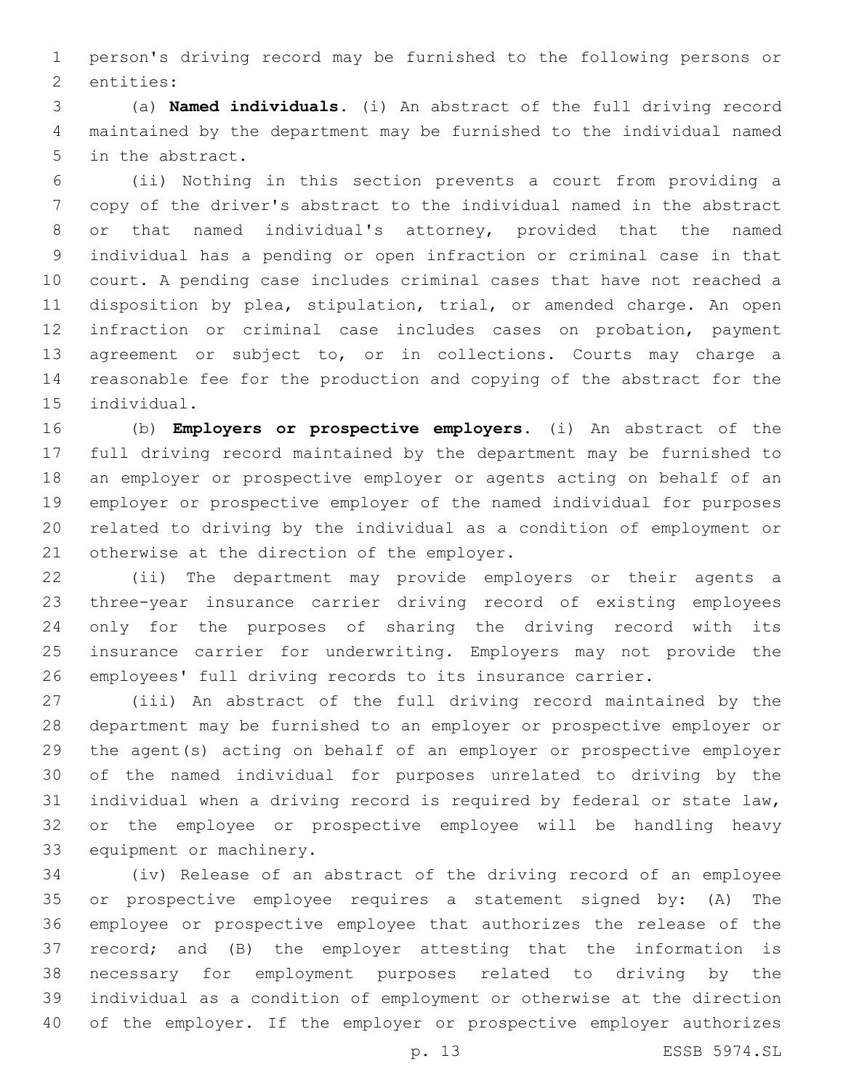person's driving record may be furnished to the following persons or 2 entities:

 (a) **Named individuals.** (i) An abstract of the full driving record maintained by the department may be furnished to the individual named 5 in the abstract.

 (ii) Nothing in this section prevents a court from providing a copy of the driver's abstract to the individual named in the abstract or that named individual's attorney, provided that the named individual has a pending or open infraction or criminal case in that court. A pending case includes criminal cases that have not reached a disposition by plea, stipulation, trial, or amended charge. An open infraction or criminal case includes cases on probation, payment agreement or subject to, or in collections. Courts may charge a reasonable fee for the production and copying of the abstract for the 15 individual.

 (b) **Employers or prospective employers.** (i) An abstract of the full driving record maintained by the department may be furnished to an employer or prospective employer or agents acting on behalf of an employer or prospective employer of the named individual for purposes related to driving by the individual as a condition of employment or 21 otherwise at the direction of the employer.

 (ii) The department may provide employers or their agents a three-year insurance carrier driving record of existing employees only for the purposes of sharing the driving record with its insurance carrier for underwriting. Employers may not provide the employees' full driving records to its insurance carrier.

 (iii) An abstract of the full driving record maintained by the department may be furnished to an employer or prospective employer or the agent(s) acting on behalf of an employer or prospective employer of the named individual for purposes unrelated to driving by the individual when a driving record is required by federal or state law, or the employee or prospective employee will be handling heavy 33 equipment or machinery.

 (iv) Release of an abstract of the driving record of an employee or prospective employee requires a statement signed by: (A) The employee or prospective employee that authorizes the release of the record; and (B) the employer attesting that the information is necessary for employment purposes related to driving by the individual as a condition of employment or otherwise at the direction of the employer. If the employer or prospective employer authorizes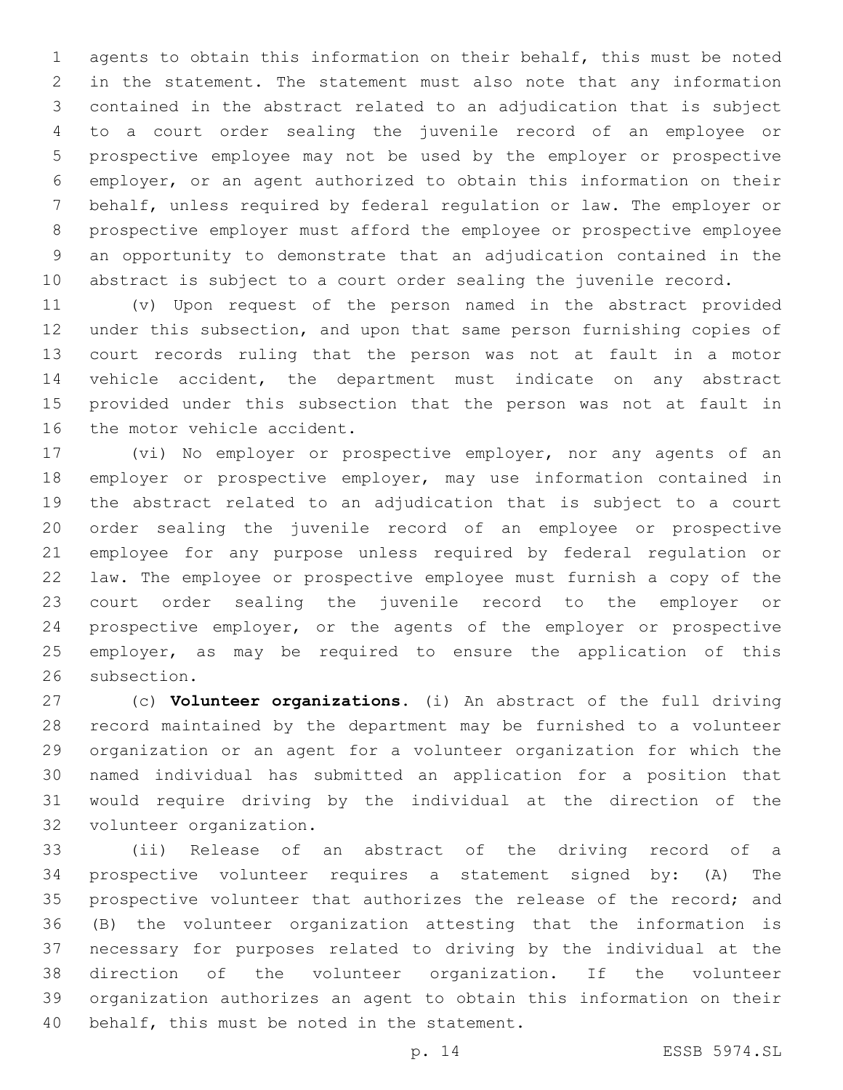agents to obtain this information on their behalf, this must be noted in the statement. The statement must also note that any information contained in the abstract related to an adjudication that is subject to a court order sealing the juvenile record of an employee or prospective employee may not be used by the employer or prospective employer, or an agent authorized to obtain this information on their behalf, unless required by federal regulation or law. The employer or prospective employer must afford the employee or prospective employee an opportunity to demonstrate that an adjudication contained in the abstract is subject to a court order sealing the juvenile record.

 (v) Upon request of the person named in the abstract provided under this subsection, and upon that same person furnishing copies of court records ruling that the person was not at fault in a motor vehicle accident, the department must indicate on any abstract provided under this subsection that the person was not at fault in 16 the motor vehicle accident.

 (vi) No employer or prospective employer, nor any agents of an employer or prospective employer, may use information contained in the abstract related to an adjudication that is subject to a court order sealing the juvenile record of an employee or prospective employee for any purpose unless required by federal regulation or law. The employee or prospective employee must furnish a copy of the court order sealing the juvenile record to the employer or prospective employer, or the agents of the employer or prospective employer, as may be required to ensure the application of this 26 subsection.

 (c) **Volunteer organizations.** (i) An abstract of the full driving record maintained by the department may be furnished to a volunteer organization or an agent for a volunteer organization for which the named individual has submitted an application for a position that would require driving by the individual at the direction of the 32 volunteer organization.

 (ii) Release of an abstract of the driving record of a prospective volunteer requires a statement signed by: (A) The prospective volunteer that authorizes the release of the record; and (B) the volunteer organization attesting that the information is necessary for purposes related to driving by the individual at the direction of the volunteer organization. If the volunteer organization authorizes an agent to obtain this information on their 40 behalf, this must be noted in the statement.

p. 14 ESSB 5974.SL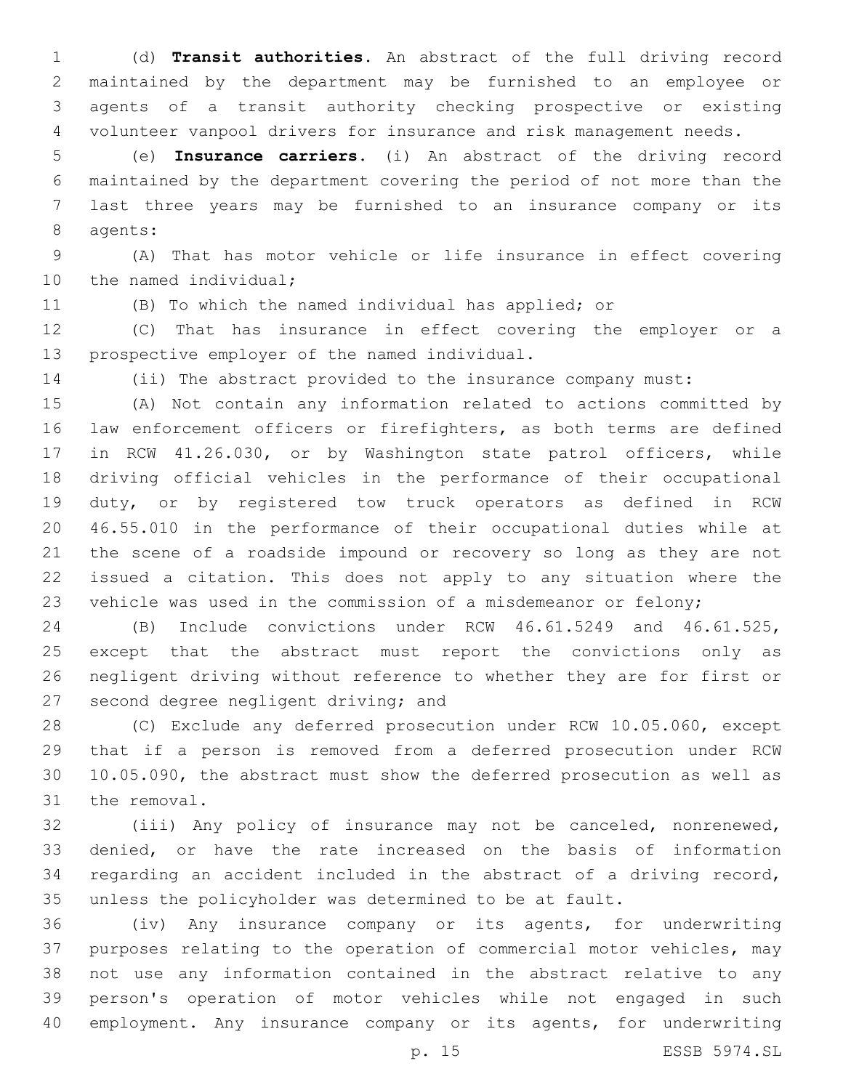(d) **Transit authorities.** An abstract of the full driving record maintained by the department may be furnished to an employee or agents of a transit authority checking prospective or existing volunteer vanpool drivers for insurance and risk management needs.

 (e) **Insurance carriers.** (i) An abstract of the driving record maintained by the department covering the period of not more than the last three years may be furnished to an insurance company or its 8 agents:

 (A) That has motor vehicle or life insurance in effect covering 10 the named individual;

(B) To which the named individual has applied; or

 (C) That has insurance in effect covering the employer or a 13 prospective employer of the named individual.

(ii) The abstract provided to the insurance company must:

 (A) Not contain any information related to actions committed by law enforcement officers or firefighters, as both terms are defined in RCW 41.26.030, or by Washington state patrol officers, while driving official vehicles in the performance of their occupational duty, or by registered tow truck operators as defined in RCW 46.55.010 in the performance of their occupational duties while at the scene of a roadside impound or recovery so long as they are not issued a citation. This does not apply to any situation where the vehicle was used in the commission of a misdemeanor or felony;

 (B) Include convictions under RCW 46.61.5249 and 46.61.525, except that the abstract must report the convictions only as negligent driving without reference to whether they are for first or 27 second degree negligent driving; and

 (C) Exclude any deferred prosecution under RCW 10.05.060, except that if a person is removed from a deferred prosecution under RCW 10.05.090, the abstract must show the deferred prosecution as well as 31 the removal.

 (iii) Any policy of insurance may not be canceled, nonrenewed, denied, or have the rate increased on the basis of information regarding an accident included in the abstract of a driving record, unless the policyholder was determined to be at fault.

 (iv) Any insurance company or its agents, for underwriting purposes relating to the operation of commercial motor vehicles, may not use any information contained in the abstract relative to any person's operation of motor vehicles while not engaged in such employment. Any insurance company or its agents, for underwriting

p. 15 ESSB 5974.SL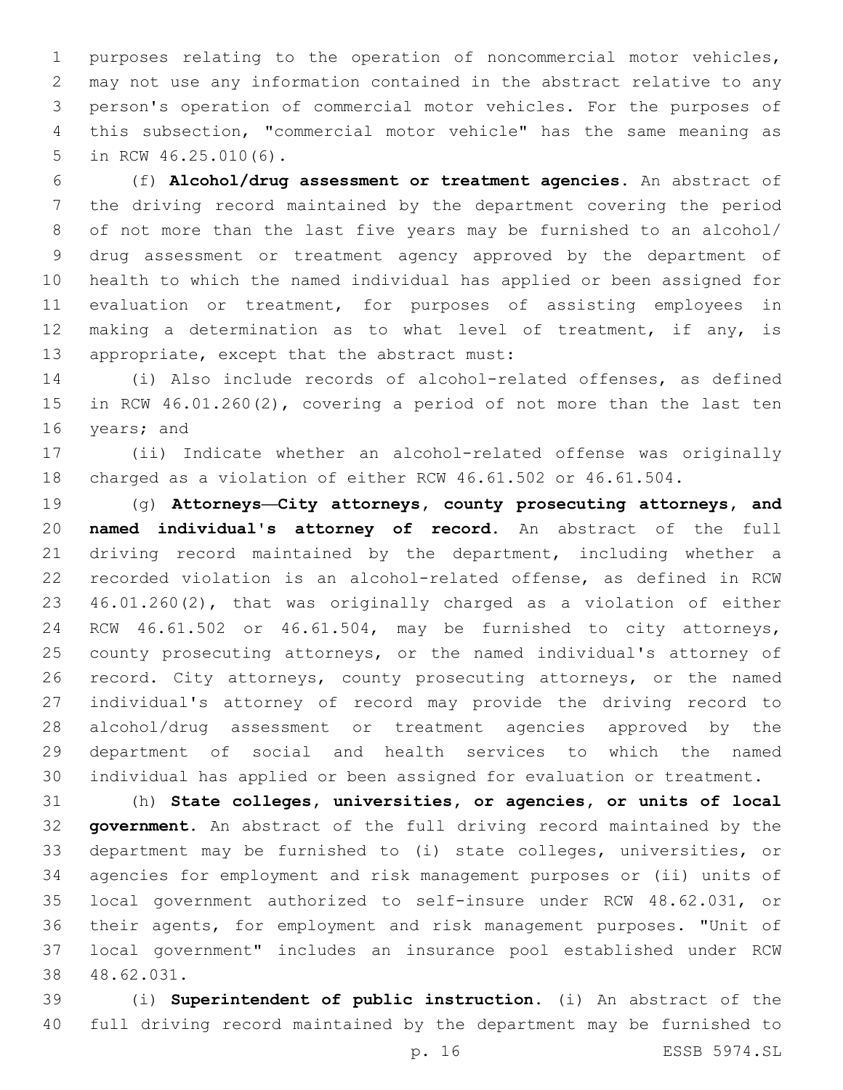purposes relating to the operation of noncommercial motor vehicles, may not use any information contained in the abstract relative to any person's operation of commercial motor vehicles. For the purposes of this subsection, "commercial motor vehicle" has the same meaning as 5 in RCW 46.25.010(6).

 (f) **Alcohol/drug assessment or treatment agencies.** An abstract of the driving record maintained by the department covering the period of not more than the last five years may be furnished to an alcohol/ drug assessment or treatment agency approved by the department of health to which the named individual has applied or been assigned for evaluation or treatment, for purposes of assisting employees in 12 making a determination as to what level of treatment, if any, is 13 appropriate, except that the abstract must:

 (i) Also include records of alcohol-related offenses, as defined in RCW 46.01.260(2), covering a period of not more than the last ten 16 years; and

 (ii) Indicate whether an alcohol-related offense was originally charged as a violation of either RCW 46.61.502 or 46.61.504.

 (g) **Attorneys—City attorneys, county prosecuting attorneys, and named individual's attorney of record.** An abstract of the full driving record maintained by the department, including whether a recorded violation is an alcohol-related offense, as defined in RCW 46.01.260(2), that was originally charged as a violation of either RCW 46.61.502 or 46.61.504, may be furnished to city attorneys, county prosecuting attorneys, or the named individual's attorney of 26 record. City attorneys, county prosecuting attorneys, or the named individual's attorney of record may provide the driving record to alcohol/drug assessment or treatment agencies approved by the department of social and health services to which the named individual has applied or been assigned for evaluation or treatment.

 (h) **State colleges, universities, or agencies, or units of local government.** An abstract of the full driving record maintained by the department may be furnished to (i) state colleges, universities, or agencies for employment and risk management purposes or (ii) units of local government authorized to self-insure under RCW 48.62.031, or their agents, for employment and risk management purposes. "Unit of local government" includes an insurance pool established under RCW 48.62.031.38

 (i) **Superintendent of public instruction.** (i) An abstract of the full driving record maintained by the department may be furnished to

p. 16 ESSB 5974.SL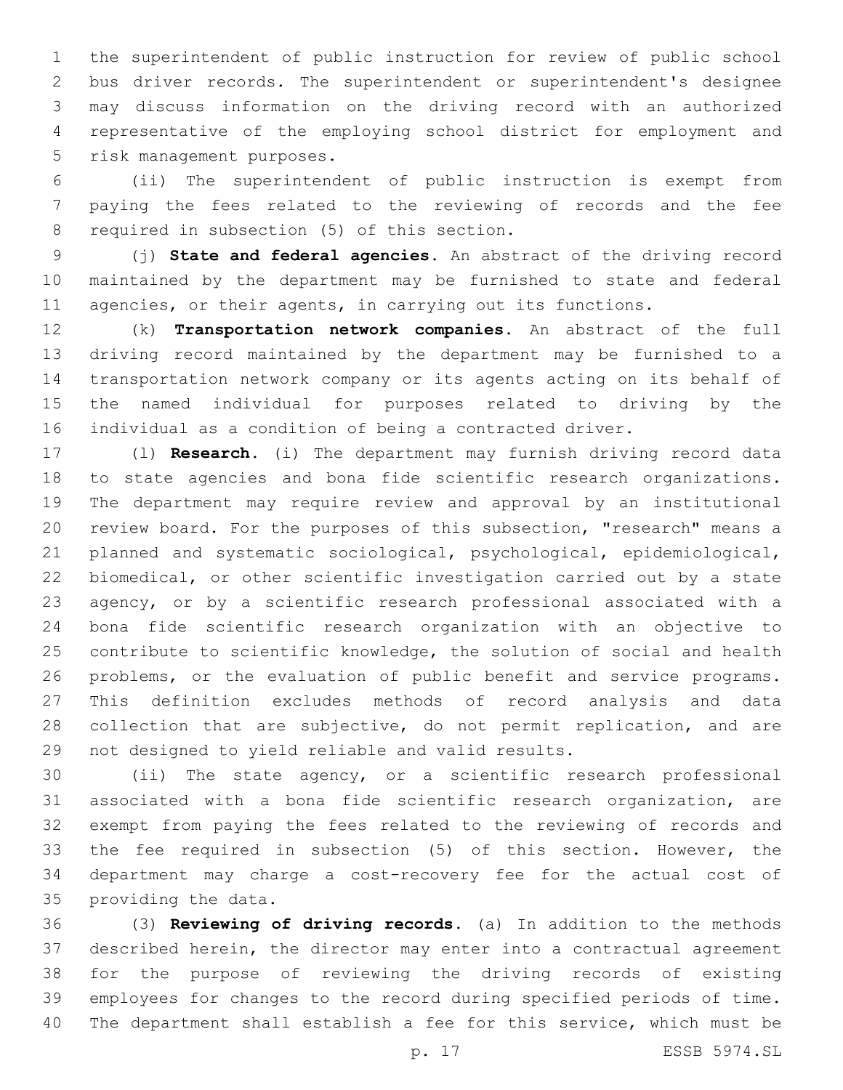the superintendent of public instruction for review of public school bus driver records. The superintendent or superintendent's designee may discuss information on the driving record with an authorized representative of the employing school district for employment and 5 risk management purposes.

 (ii) The superintendent of public instruction is exempt from paying the fees related to the reviewing of records and the fee 8 required in subsection (5) of this section.

 (j) **State and federal agencies.** An abstract of the driving record maintained by the department may be furnished to state and federal 11 agencies, or their agents, in carrying out its functions.

 (k) **Transportation network companies.** An abstract of the full driving record maintained by the department may be furnished to a transportation network company or its agents acting on its behalf of the named individual for purposes related to driving by the individual as a condition of being a contracted driver.

 (l) **Research.** (i) The department may furnish driving record data to state agencies and bona fide scientific research organizations. The department may require review and approval by an institutional review board. For the purposes of this subsection, "research" means a planned and systematic sociological, psychological, epidemiological, biomedical, or other scientific investigation carried out by a state agency, or by a scientific research professional associated with a bona fide scientific research organization with an objective to contribute to scientific knowledge, the solution of social and health problems, or the evaluation of public benefit and service programs. This definition excludes methods of record analysis and data collection that are subjective, do not permit replication, and are 29 not designed to yield reliable and valid results.

 (ii) The state agency, or a scientific research professional associated with a bona fide scientific research organization, are exempt from paying the fees related to the reviewing of records and the fee required in subsection (5) of this section. However, the department may charge a cost-recovery fee for the actual cost of 35 providing the data.

 (3) **Reviewing of driving records.** (a) In addition to the methods described herein, the director may enter into a contractual agreement for the purpose of reviewing the driving records of existing employees for changes to the record during specified periods of time. The department shall establish a fee for this service, which must be

p. 17 ESSB 5974.SL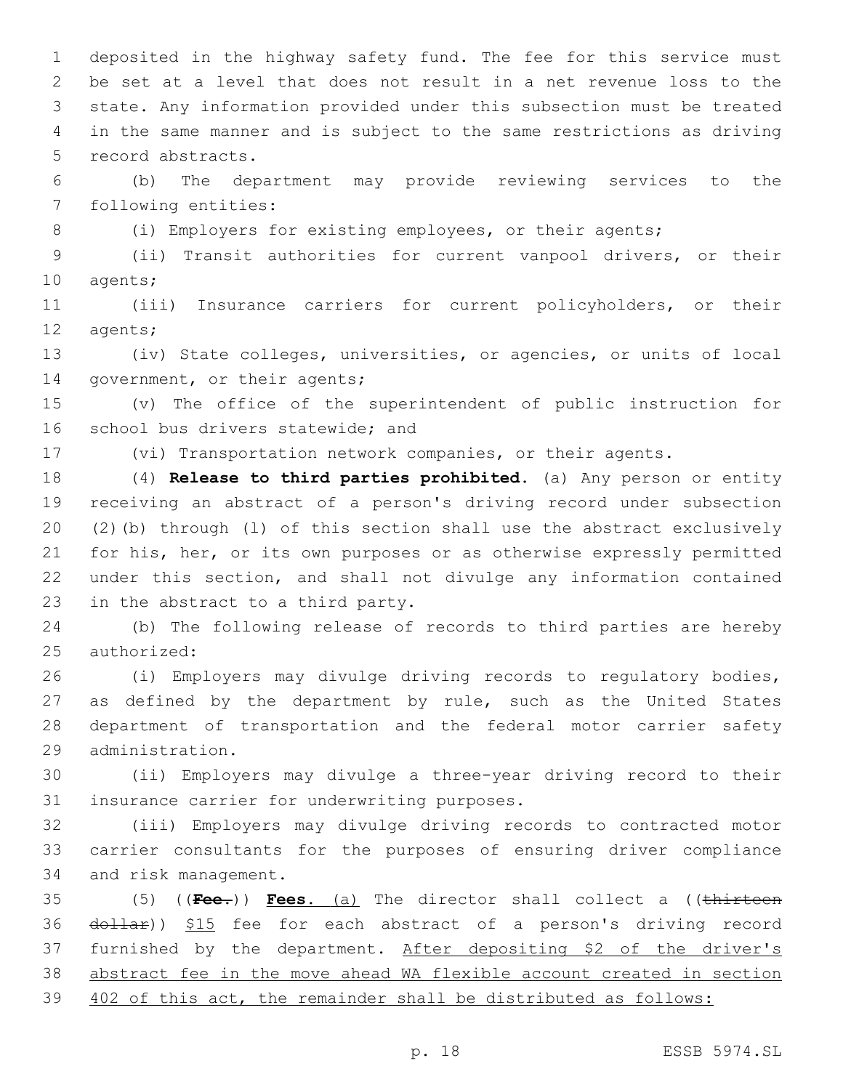deposited in the highway safety fund. The fee for this service must be set at a level that does not result in a net revenue loss to the state. Any information provided under this subsection must be treated in the same manner and is subject to the same restrictions as driving 5 record abstracts.

 (b) The department may provide reviewing services to the 7 following entities:

8 (i) Employers for existing employees, or their agents;

 (ii) Transit authorities for current vanpool drivers, or their 10 agents;

 (iii) Insurance carriers for current policyholders, or their 12 agents;

 (iv) State colleges, universities, or agencies, or units of local 14 government, or their agents;

 (v) The office of the superintendent of public instruction for 16 school bus drivers statewide; and

(vi) Transportation network companies, or their agents.

 (4) **Release to third parties prohibited.** (a) Any person or entity receiving an abstract of a person's driving record under subsection (2)(b) through (l) of this section shall use the abstract exclusively for his, her, or its own purposes or as otherwise expressly permitted under this section, and shall not divulge any information contained 23 in the abstract to a third party.

 (b) The following release of records to third parties are hereby 25 authorized:

 (i) Employers may divulge driving records to regulatory bodies, as defined by the department by rule, such as the United States department of transportation and the federal motor carrier safety administration.29

 (ii) Employers may divulge a three-year driving record to their 31 insurance carrier for underwriting purposes.

 (iii) Employers may divulge driving records to contracted motor carrier consultants for the purposes of ensuring driver compliance 34 and risk management.

 (5) ((**Fee.**)) **Fees.** (a) The director shall collect a ((thirteen 36 dollar)) \$15 fee for each abstract of a person's driving record furnished by the department. After depositing \$2 of the driver's abstract fee in the move ahead WA flexible account created in section 402 of this act, the remainder shall be distributed as follows: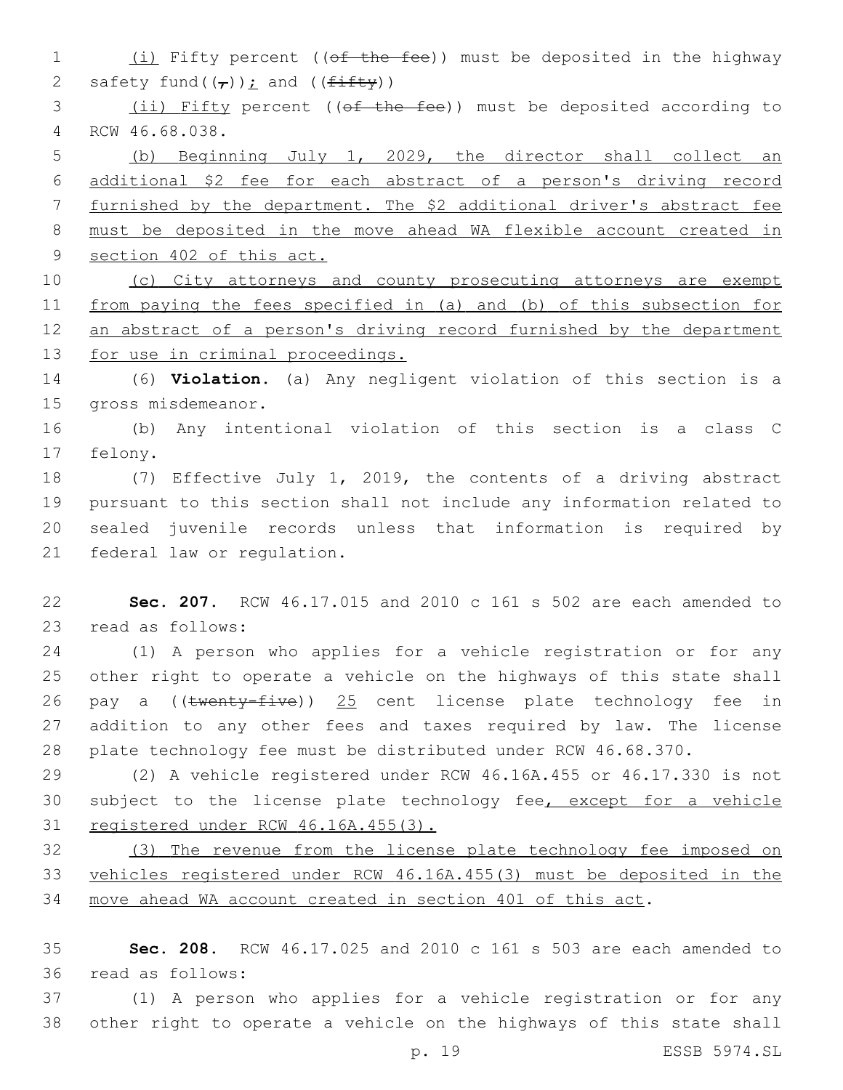1 (i) Fifty percent ((of the fee)) must be deposited in the highway 2 safety fund( $(\tau)$ ); and ( $(f \pm f \pm f \pm y)$ )

 (ii) Fifty percent ((of the fee)) must be deposited according to RCW 46.68.038.4

 (b) Beginning July 1, 2029, the director shall collect an additional \$2 fee for each abstract of a person's driving record furnished by the department. The \$2 additional driver's abstract fee must be deposited in the move ahead WA flexible account created in section 402 of this act.

 (c) City attorneys and county prosecuting attorneys are exempt from paying the fees specified in (a) and (b) of this subsection for 12 an abstract of a person's driving record furnished by the department for use in criminal proceedings.

 (6) **Violation.** (a) Any negligent violation of this section is a 15 gross misdemeanor.

 (b) Any intentional violation of this section is a class C 17 felony.

 (7) Effective July 1, 2019, the contents of a driving abstract pursuant to this section shall not include any information related to sealed juvenile records unless that information is required by 21 federal law or regulation.

 **Sec. 207.** RCW 46.17.015 and 2010 c 161 s 502 are each amended to 23 read as follows:

 (1) A person who applies for a vehicle registration or for any other right to operate a vehicle on the highways of this state shall 26 pay a ((twenty-five)) 25 cent license plate technology fee in addition to any other fees and taxes required by law. The license plate technology fee must be distributed under RCW 46.68.370.

 (2) A vehicle registered under RCW 46.16A.455 or 46.17.330 is not 30 subject to the license plate technology fee, except for a vehicle registered under RCW 46.16A.455(3).

 (3) The revenue from the license plate technology fee imposed on vehicles registered under RCW 46.16A.455(3) must be deposited in the move ahead WA account created in section 401 of this act.

 **Sec. 208.** RCW 46.17.025 and 2010 c 161 s 503 are each amended to read as follows:36

 (1) A person who applies for a vehicle registration or for any other right to operate a vehicle on the highways of this state shall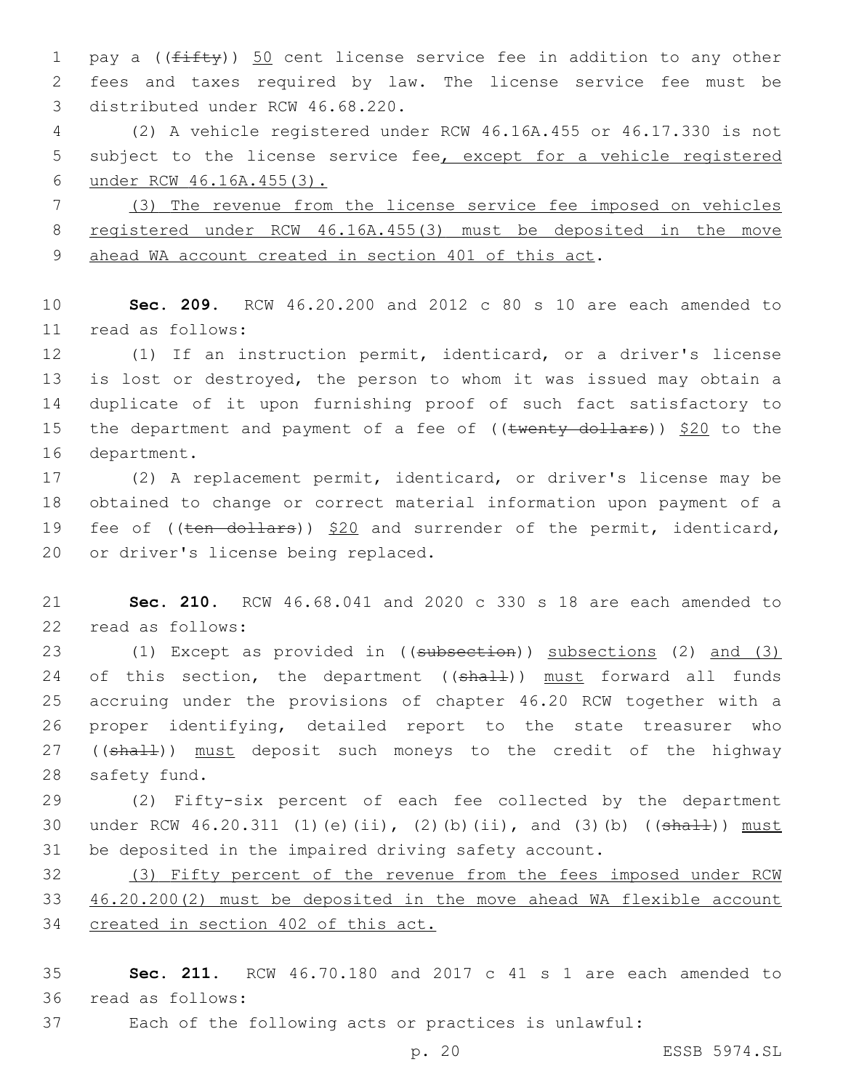1 pay a (( $f$ ifty)) 50 cent license service fee in addition to any other 2 fees and taxes required by law. The license service fee must be 3 distributed under RCW 46.68.220.

4 (2) A vehicle registered under RCW 46.16A.455 or 46.17.330 is not 5 subject to the license service fee, except for a vehicle registered 6 under RCW 46.16A.455(3).

7 (3) The revenue from the license service fee imposed on vehicles 8 registered under RCW 46.16A.455(3) must be deposited in the move 9 ahead WA account created in section 401 of this act.

10 **Sec. 209.** RCW 46.20.200 and 2012 c 80 s 10 are each amended to read as follows:11

12 (1) If an instruction permit, identicard, or a driver's license 13 is lost or destroyed, the person to whom it was issued may obtain a 14 duplicate of it upon furnishing proof of such fact satisfactory to 15 the department and payment of a fee of  $((\text{twenty-dollars}))$  \$20 to the 16 department.

17 (2) A replacement permit, identicard, or driver's license may be 18 obtained to change or correct material information upon payment of a 19 fee of ((ten dollars)) \$20 and surrender of the permit, identicard, 20 or driver's license being replaced.

21 **Sec. 210.** RCW 46.68.041 and 2020 c 330 s 18 are each amended to 22 read as follows:

23 (1) Except as provided in ((subsection)) subsections (2) and (3) 24 of this section, the department ((shall)) must forward all funds 25 accruing under the provisions of chapter 46.20 RCW together with a 26 proper identifying, detailed report to the state treasurer who 27 ((shall)) must deposit such moneys to the credit of the highway 28 safety fund.

29 (2) Fifty-six percent of each fee collected by the department 30 under RCW 46.20.311 (1)(e)(ii), (2)(b)(ii), and (3)(b) ((shall)) must 31 be deposited in the impaired driving safety account.

32 (3) Fifty percent of the revenue from the fees imposed under RCW 33 46.20.200(2) must be deposited in the move ahead WA flexible account 34 created in section 402 of this act.

35 **Sec. 211.** RCW 46.70.180 and 2017 c 41 s 1 are each amended to 36 read as follows:

37 Each of the following acts or practices is unlawful: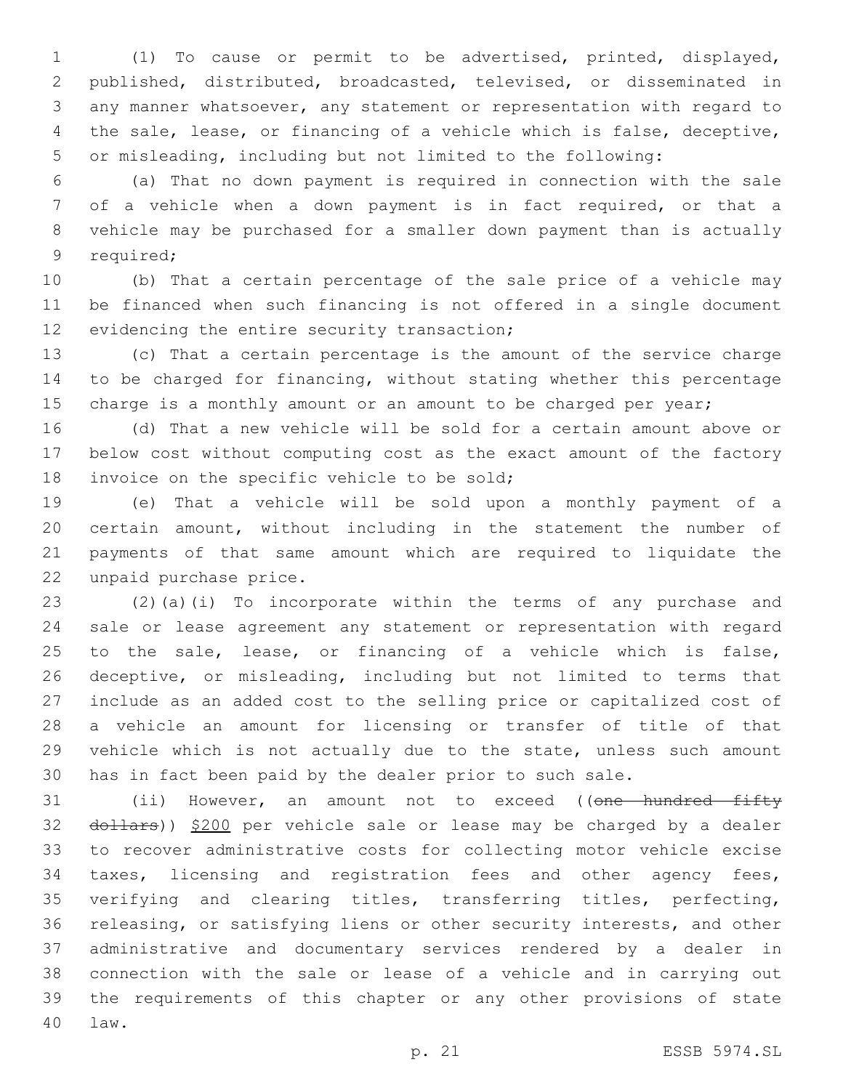(1) To cause or permit to be advertised, printed, displayed, published, distributed, broadcasted, televised, or disseminated in any manner whatsoever, any statement or representation with regard to the sale, lease, or financing of a vehicle which is false, deceptive, or misleading, including but not limited to the following:

 (a) That no down payment is required in connection with the sale of a vehicle when a down payment is in fact required, or that a vehicle may be purchased for a smaller down payment than is actually 9 required;

 (b) That a certain percentage of the sale price of a vehicle may be financed when such financing is not offered in a single document 12 evidencing the entire security transaction;

 (c) That a certain percentage is the amount of the service charge to be charged for financing, without stating whether this percentage 15 charge is a monthly amount or an amount to be charged per year;

 (d) That a new vehicle will be sold for a certain amount above or below cost without computing cost as the exact amount of the factory 18 invoice on the specific vehicle to be sold;

 (e) That a vehicle will be sold upon a monthly payment of a certain amount, without including in the statement the number of payments of that same amount which are required to liquidate the 22 unpaid purchase price.

 (2)(a)(i) To incorporate within the terms of any purchase and sale or lease agreement any statement or representation with regard to the sale, lease, or financing of a vehicle which is false, deceptive, or misleading, including but not limited to terms that include as an added cost to the selling price or capitalized cost of a vehicle an amount for licensing or transfer of title of that vehicle which is not actually due to the state, unless such amount has in fact been paid by the dealer prior to such sale.

31 (ii) However, an amount not to exceed ((<del>one hundred fifty</del> 32 dollars)) \$200 per vehicle sale or lease may be charged by a dealer to recover administrative costs for collecting motor vehicle excise taxes, licensing and registration fees and other agency fees, verifying and clearing titles, transferring titles, perfecting, releasing, or satisfying liens or other security interests, and other administrative and documentary services rendered by a dealer in connection with the sale or lease of a vehicle and in carrying out the requirements of this chapter or any other provisions of state law.40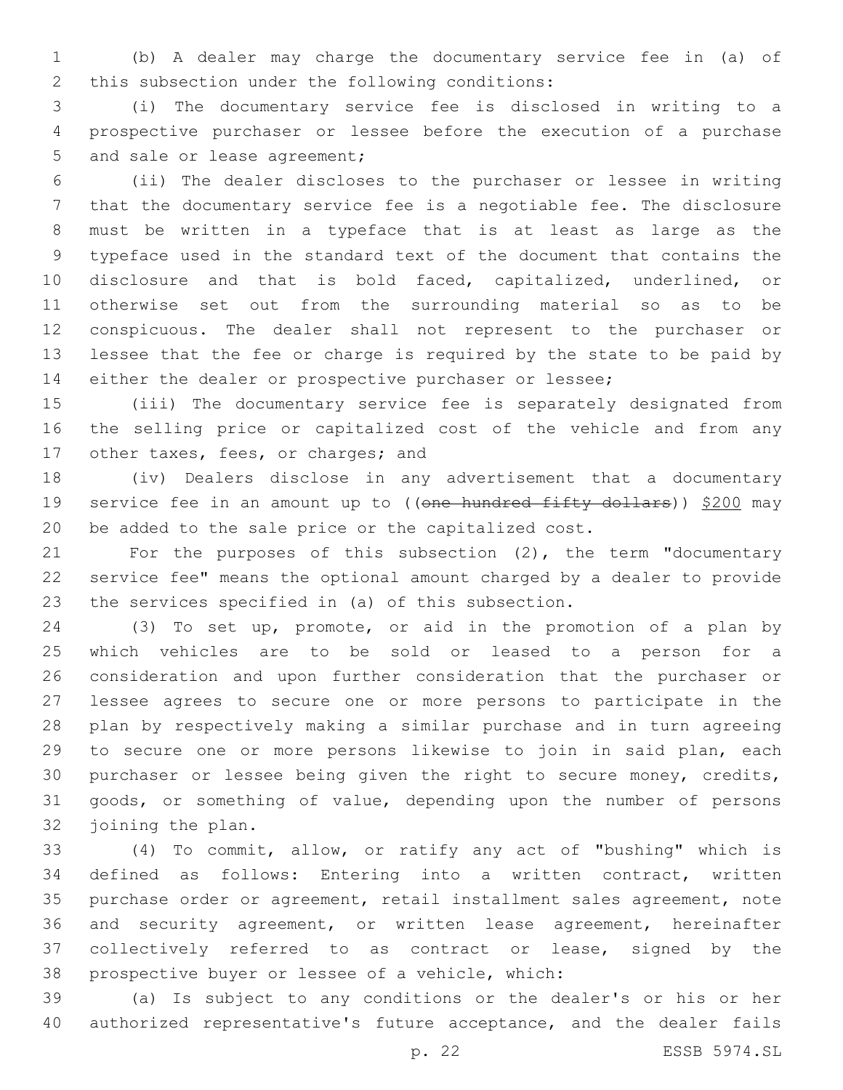(b) A dealer may charge the documentary service fee in (a) of 2 this subsection under the following conditions:

 (i) The documentary service fee is disclosed in writing to a prospective purchaser or lessee before the execution of a purchase 5 and sale or lease agreement;

 (ii) The dealer discloses to the purchaser or lessee in writing that the documentary service fee is a negotiable fee. The disclosure must be written in a typeface that is at least as large as the typeface used in the standard text of the document that contains the disclosure and that is bold faced, capitalized, underlined, or otherwise set out from the surrounding material so as to be conspicuous. The dealer shall not represent to the purchaser or lessee that the fee or charge is required by the state to be paid by either the dealer or prospective purchaser or lessee;

 (iii) The documentary service fee is separately designated from the selling price or capitalized cost of the vehicle and from any 17 other taxes, fees, or charges; and

 (iv) Dealers disclose in any advertisement that a documentary 19 service fee in an amount up to ((one hundred fifty dollars)) \$200 may be added to the sale price or the capitalized cost.

 For the purposes of this subsection (2), the term "documentary service fee" means the optional amount charged by a dealer to provide 23 the services specified in (a) of this subsection.

 (3) To set up, promote, or aid in the promotion of a plan by which vehicles are to be sold or leased to a person for a consideration and upon further consideration that the purchaser or lessee agrees to secure one or more persons to participate in the plan by respectively making a similar purchase and in turn agreeing to secure one or more persons likewise to join in said plan, each purchaser or lessee being given the right to secure money, credits, goods, or something of value, depending upon the number of persons 32 joining the plan.

 (4) To commit, allow, or ratify any act of "bushing" which is defined as follows: Entering into a written contract, written purchase order or agreement, retail installment sales agreement, note and security agreement, or written lease agreement, hereinafter collectively referred to as contract or lease, signed by the 38 prospective buyer or lessee of a vehicle, which:

 (a) Is subject to any conditions or the dealer's or his or her authorized representative's future acceptance, and the dealer fails

p. 22 ESSB 5974.SL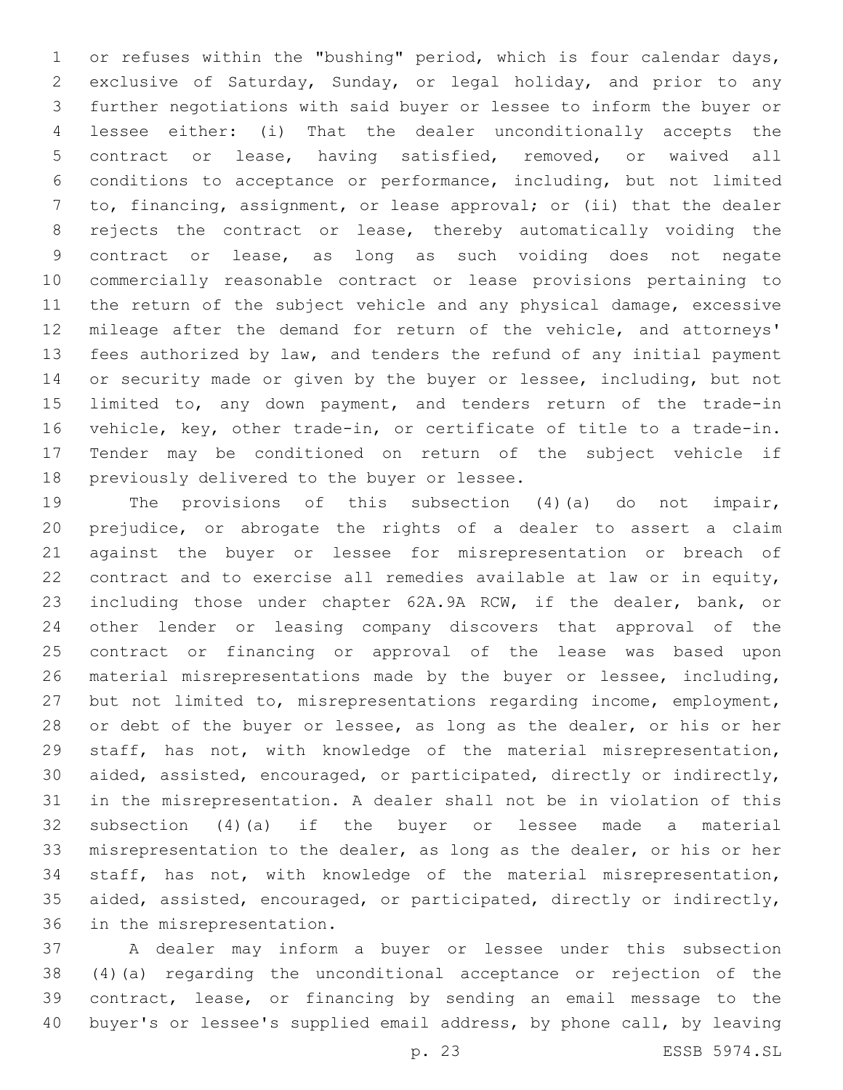or refuses within the "bushing" period, which is four calendar days, exclusive of Saturday, Sunday, or legal holiday, and prior to any further negotiations with said buyer or lessee to inform the buyer or lessee either: (i) That the dealer unconditionally accepts the contract or lease, having satisfied, removed, or waived all conditions to acceptance or performance, including, but not limited to, financing, assignment, or lease approval; or (ii) that the dealer rejects the contract or lease, thereby automatically voiding the contract or lease, as long as such voiding does not negate commercially reasonable contract or lease provisions pertaining to the return of the subject vehicle and any physical damage, excessive mileage after the demand for return of the vehicle, and attorneys' fees authorized by law, and tenders the refund of any initial payment or security made or given by the buyer or lessee, including, but not 15 limited to, any down payment, and tenders return of the trade-in vehicle, key, other trade-in, or certificate of title to a trade-in. Tender may be conditioned on return of the subject vehicle if 18 previously delivered to the buyer or lessee.

 The provisions of this subsection (4)(a) do not impair, prejudice, or abrogate the rights of a dealer to assert a claim against the buyer or lessee for misrepresentation or breach of contract and to exercise all remedies available at law or in equity, including those under chapter 62A.9A RCW, if the dealer, bank, or other lender or leasing company discovers that approval of the contract or financing or approval of the lease was based upon material misrepresentations made by the buyer or lessee, including, but not limited to, misrepresentations regarding income, employment, 28 or debt of the buyer or lessee, as long as the dealer, or his or her staff, has not, with knowledge of the material misrepresentation, aided, assisted, encouraged, or participated, directly or indirectly, in the misrepresentation. A dealer shall not be in violation of this subsection (4)(a) if the buyer or lessee made a material misrepresentation to the dealer, as long as the dealer, or his or her staff, has not, with knowledge of the material misrepresentation, aided, assisted, encouraged, or participated, directly or indirectly, 36 in the misrepresentation.

 A dealer may inform a buyer or lessee under this subsection (4)(a) regarding the unconditional acceptance or rejection of the contract, lease, or financing by sending an email message to the buyer's or lessee's supplied email address, by phone call, by leaving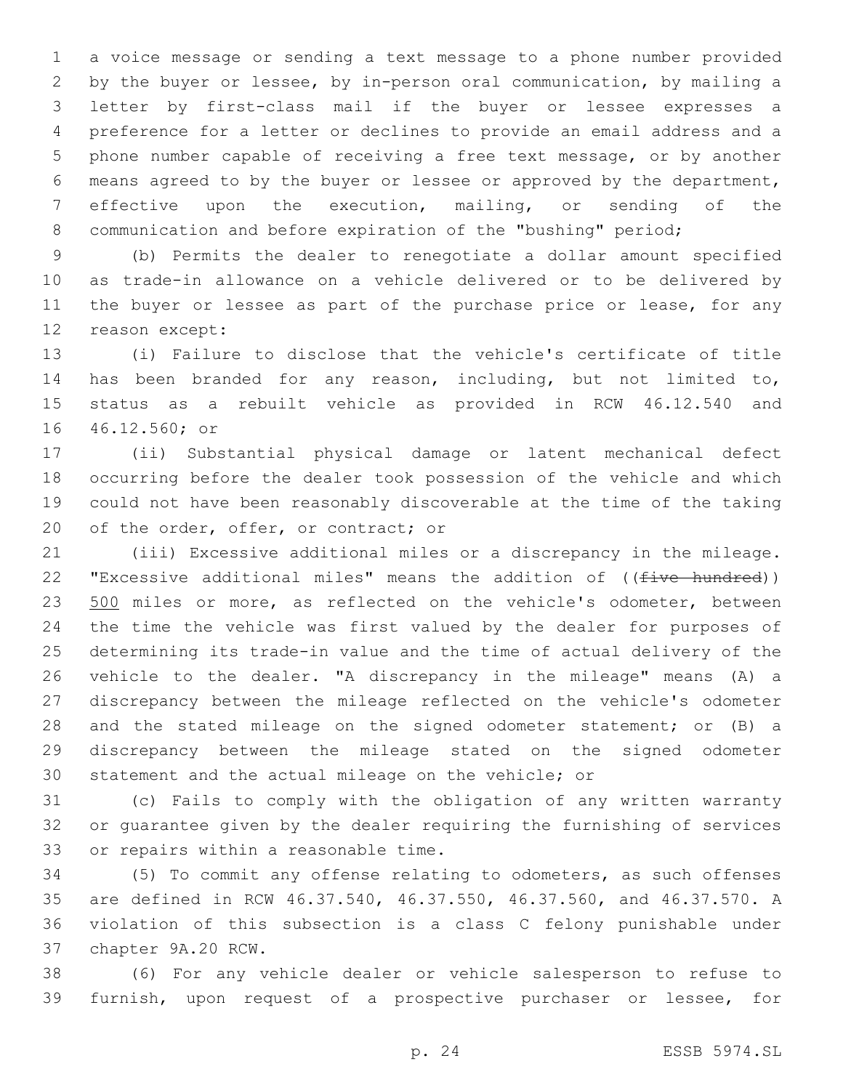a voice message or sending a text message to a phone number provided by the buyer or lessee, by in-person oral communication, by mailing a letter by first-class mail if the buyer or lessee expresses a preference for a letter or declines to provide an email address and a phone number capable of receiving a free text message, or by another means agreed to by the buyer or lessee or approved by the department, effective upon the execution, mailing, or sending of the communication and before expiration of the "bushing" period;

 (b) Permits the dealer to renegotiate a dollar amount specified as trade-in allowance on a vehicle delivered or to be delivered by 11 the buyer or lessee as part of the purchase price or lease, for any 12 reason except:

 (i) Failure to disclose that the vehicle's certificate of title has been branded for any reason, including, but not limited to, status as a rebuilt vehicle as provided in RCW 46.12.540 and 16 46.12.560; or

 (ii) Substantial physical damage or latent mechanical defect occurring before the dealer took possession of the vehicle and which could not have been reasonably discoverable at the time of the taking 20 of the order, offer, or contract; or

 (iii) Excessive additional miles or a discrepancy in the mileage. 22 "Excessive additional miles" means the addition of ((five hundred)) 23 500 miles or more, as reflected on the vehicle's odometer, between the time the vehicle was first valued by the dealer for purposes of determining its trade-in value and the time of actual delivery of the vehicle to the dealer. "A discrepancy in the mileage" means (A) a discrepancy between the mileage reflected on the vehicle's odometer 28 and the stated mileage on the signed odometer statement; or (B) a discrepancy between the mileage stated on the signed odometer statement and the actual mileage on the vehicle; or

 (c) Fails to comply with the obligation of any written warranty or guarantee given by the dealer requiring the furnishing of services 33 or repairs within a reasonable time.

 (5) To commit any offense relating to odometers, as such offenses are defined in RCW 46.37.540, 46.37.550, 46.37.560, and 46.37.570. A violation of this subsection is a class C felony punishable under 37 chapter 9A.20 RCW.

 (6) For any vehicle dealer or vehicle salesperson to refuse to furnish, upon request of a prospective purchaser or lessee, for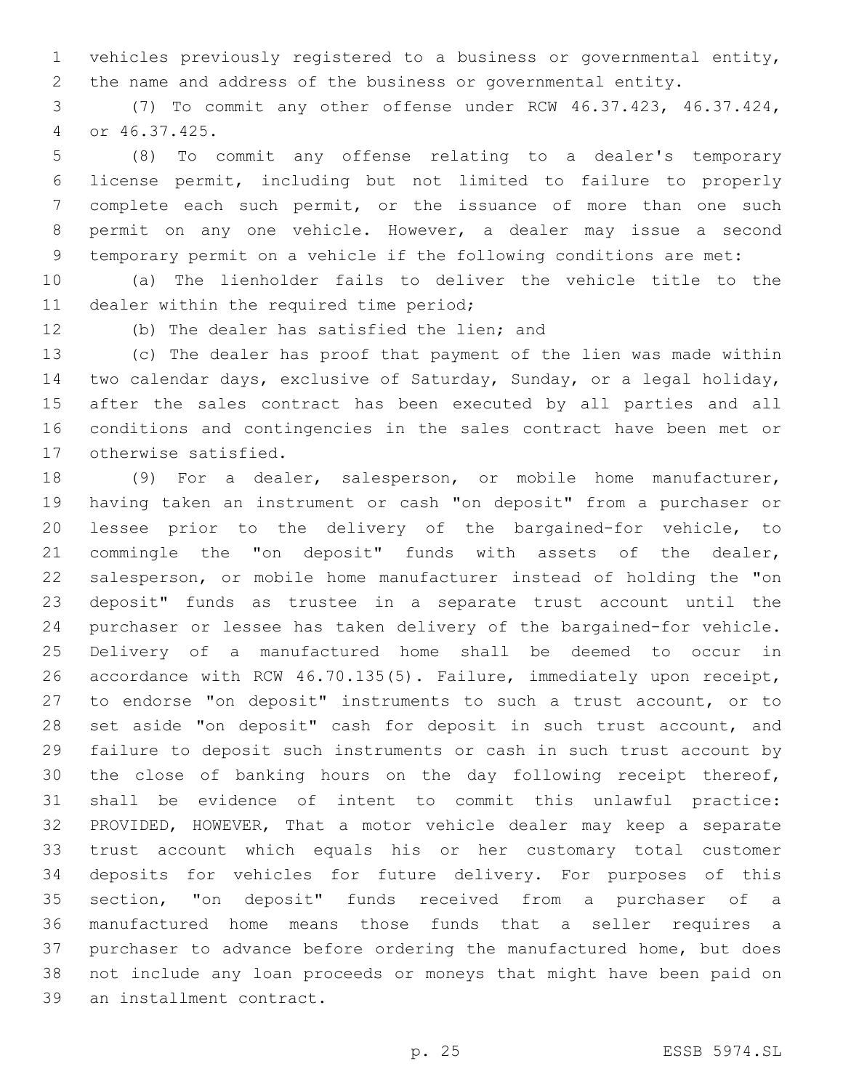vehicles previously registered to a business or governmental entity, the name and address of the business or governmental entity.

 (7) To commit any other offense under RCW 46.37.423, 46.37.424, or 46.37.425.4

 (8) To commit any offense relating to a dealer's temporary license permit, including but not limited to failure to properly complete each such permit, or the issuance of more than one such permit on any one vehicle. However, a dealer may issue a second temporary permit on a vehicle if the following conditions are met:

 (a) The lienholder fails to deliver the vehicle title to the 11 dealer within the required time period;

12 (b) The dealer has satisfied the lien; and

 (c) The dealer has proof that payment of the lien was made within two calendar days, exclusive of Saturday, Sunday, or a legal holiday, after the sales contract has been executed by all parties and all conditions and contingencies in the sales contract have been met or 17 otherwise satisfied.

 (9) For a dealer, salesperson, or mobile home manufacturer, having taken an instrument or cash "on deposit" from a purchaser or lessee prior to the delivery of the bargained-for vehicle, to commingle the "on deposit" funds with assets of the dealer, salesperson, or mobile home manufacturer instead of holding the "on deposit" funds as trustee in a separate trust account until the purchaser or lessee has taken delivery of the bargained-for vehicle. Delivery of a manufactured home shall be deemed to occur in accordance with RCW 46.70.135(5). Failure, immediately upon receipt, to endorse "on deposit" instruments to such a trust account, or to 28 set aside "on deposit" cash for deposit in such trust account, and failure to deposit such instruments or cash in such trust account by the close of banking hours on the day following receipt thereof, shall be evidence of intent to commit this unlawful practice: PROVIDED, HOWEVER, That a motor vehicle dealer may keep a separate trust account which equals his or her customary total customer deposits for vehicles for future delivery. For purposes of this section, "on deposit" funds received from a purchaser of a manufactured home means those funds that a seller requires a purchaser to advance before ordering the manufactured home, but does not include any loan proceeds or moneys that might have been paid on 39 an installment contract.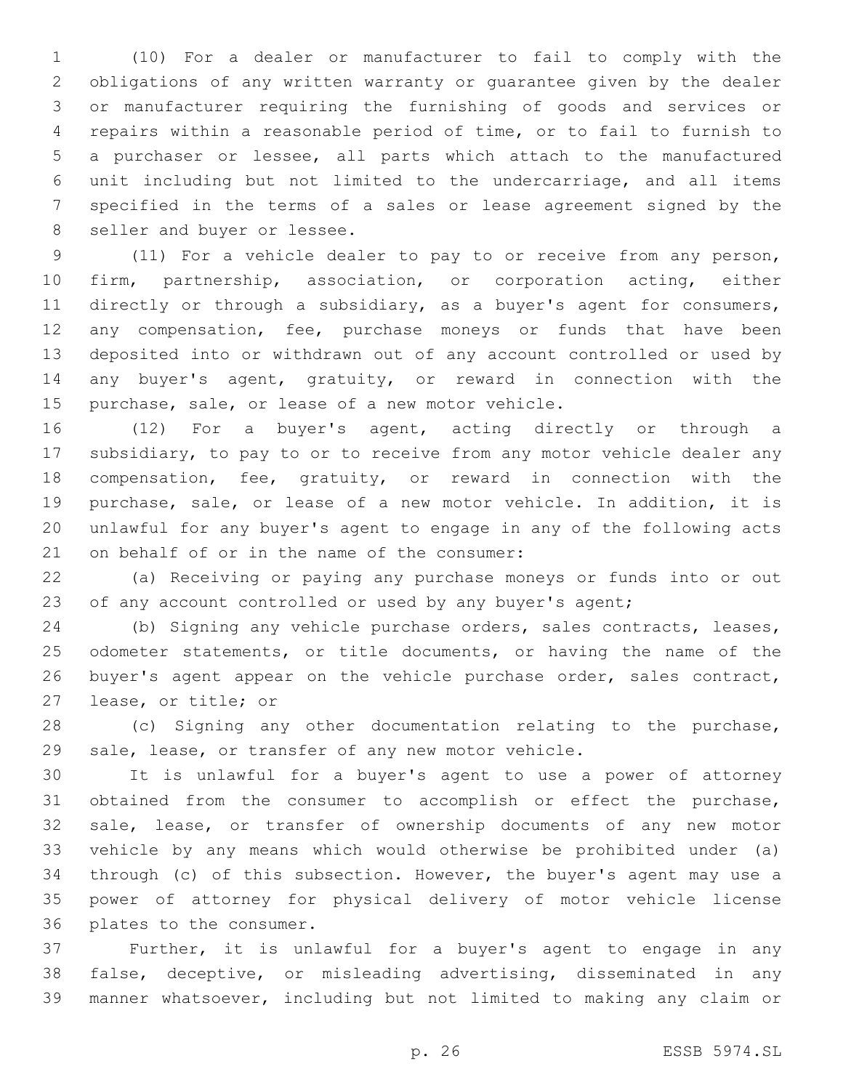(10) For a dealer or manufacturer to fail to comply with the obligations of any written warranty or guarantee given by the dealer or manufacturer requiring the furnishing of goods and services or repairs within a reasonable period of time, or to fail to furnish to a purchaser or lessee, all parts which attach to the manufactured unit including but not limited to the undercarriage, and all items specified in the terms of a sales or lease agreement signed by the 8 seller and buyer or lessee.

 (11) For a vehicle dealer to pay to or receive from any person, firm, partnership, association, or corporation acting, either directly or through a subsidiary, as a buyer's agent for consumers, any compensation, fee, purchase moneys or funds that have been deposited into or withdrawn out of any account controlled or used by any buyer's agent, gratuity, or reward in connection with the 15 purchase, sale, or lease of a new motor vehicle.

 (12) For a buyer's agent, acting directly or through a subsidiary, to pay to or to receive from any motor vehicle dealer any compensation, fee, gratuity, or reward in connection with the purchase, sale, or lease of a new motor vehicle. In addition, it is unlawful for any buyer's agent to engage in any of the following acts 21 on behalf of or in the name of the consumer:

 (a) Receiving or paying any purchase moneys or funds into or out 23 of any account controlled or used by any buyer's agent;

 (b) Signing any vehicle purchase orders, sales contracts, leases, odometer statements, or title documents, or having the name of the 26 buyer's agent appear on the vehicle purchase order, sales contract, 27 lease, or title; or

 (c) Signing any other documentation relating to the purchase, sale, lease, or transfer of any new motor vehicle.

 It is unlawful for a buyer's agent to use a power of attorney obtained from the consumer to accomplish or effect the purchase, sale, lease, or transfer of ownership documents of any new motor vehicle by any means which would otherwise be prohibited under (a) through (c) of this subsection. However, the buyer's agent may use a power of attorney for physical delivery of motor vehicle license 36 plates to the consumer.

 Further, it is unlawful for a buyer's agent to engage in any false, deceptive, or misleading advertising, disseminated in any manner whatsoever, including but not limited to making any claim or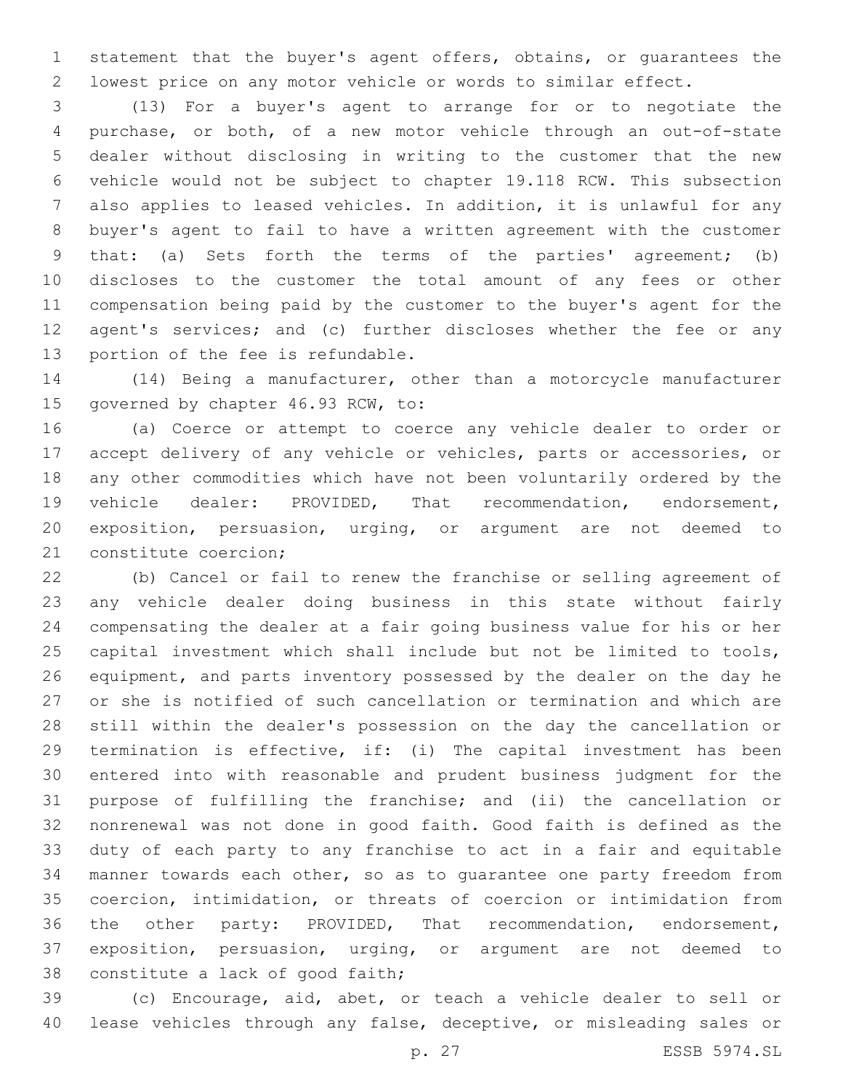statement that the buyer's agent offers, obtains, or guarantees the lowest price on any motor vehicle or words to similar effect.

 (13) For a buyer's agent to arrange for or to negotiate the purchase, or both, of a new motor vehicle through an out-of-state dealer without disclosing in writing to the customer that the new vehicle would not be subject to chapter 19.118 RCW. This subsection also applies to leased vehicles. In addition, it is unlawful for any buyer's agent to fail to have a written agreement with the customer that: (a) Sets forth the terms of the parties' agreement; (b) discloses to the customer the total amount of any fees or other compensation being paid by the customer to the buyer's agent for the agent's services; and (c) further discloses whether the fee or any 13 portion of the fee is refundable.

 (14) Being a manufacturer, other than a motorcycle manufacturer 15 governed by chapter 46.93 RCW, to:

 (a) Coerce or attempt to coerce any vehicle dealer to order or accept delivery of any vehicle or vehicles, parts or accessories, or any other commodities which have not been voluntarily ordered by the vehicle dealer: PROVIDED, That recommendation, endorsement, exposition, persuasion, urging, or argument are not deemed to 21 constitute coercion;

 (b) Cancel or fail to renew the franchise or selling agreement of any vehicle dealer doing business in this state without fairly compensating the dealer at a fair going business value for his or her capital investment which shall include but not be limited to tools, equipment, and parts inventory possessed by the dealer on the day he or she is notified of such cancellation or termination and which are still within the dealer's possession on the day the cancellation or termination is effective, if: (i) The capital investment has been entered into with reasonable and prudent business judgment for the purpose of fulfilling the franchise; and (ii) the cancellation or nonrenewal was not done in good faith. Good faith is defined as the duty of each party to any franchise to act in a fair and equitable manner towards each other, so as to guarantee one party freedom from coercion, intimidation, or threats of coercion or intimidation from the other party: PROVIDED, That recommendation, endorsement, exposition, persuasion, urging, or argument are not deemed to 38 constitute a lack of good faith;

 (c) Encourage, aid, abet, or teach a vehicle dealer to sell or lease vehicles through any false, deceptive, or misleading sales or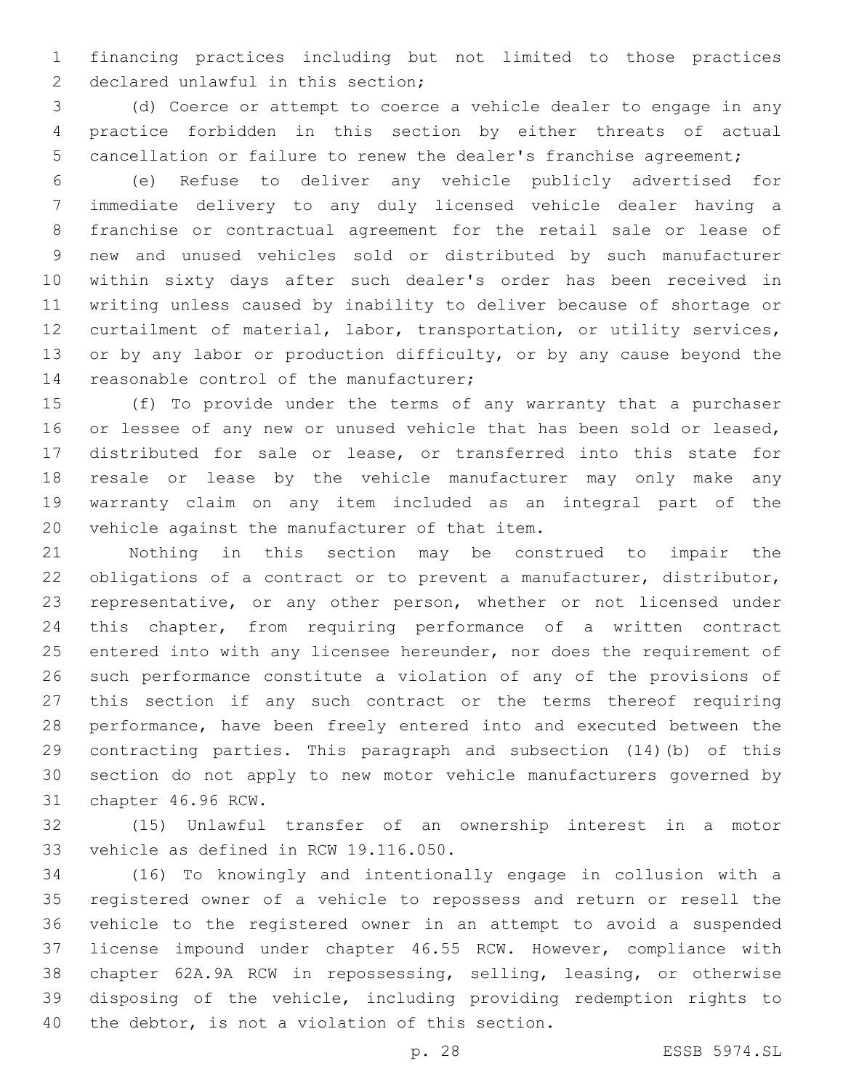financing practices including but not limited to those practices 2 declared unlawful in this section;

 (d) Coerce or attempt to coerce a vehicle dealer to engage in any practice forbidden in this section by either threats of actual cancellation or failure to renew the dealer's franchise agreement;

 (e) Refuse to deliver any vehicle publicly advertised for immediate delivery to any duly licensed vehicle dealer having a franchise or contractual agreement for the retail sale or lease of new and unused vehicles sold or distributed by such manufacturer within sixty days after such dealer's order has been received in writing unless caused by inability to deliver because of shortage or curtailment of material, labor, transportation, or utility services, 13 or by any labor or production difficulty, or by any cause beyond the 14 reasonable control of the manufacturer;

 (f) To provide under the terms of any warranty that a purchaser or lessee of any new or unused vehicle that has been sold or leased, distributed for sale or lease, or transferred into this state for resale or lease by the vehicle manufacturer may only make any warranty claim on any item included as an integral part of the 20 vehicle against the manufacturer of that item.

 Nothing in this section may be construed to impair the obligations of a contract or to prevent a manufacturer, distributor, representative, or any other person, whether or not licensed under this chapter, from requiring performance of a written contract 25 entered into with any licensee hereunder, nor does the requirement of such performance constitute a violation of any of the provisions of this section if any such contract or the terms thereof requiring performance, have been freely entered into and executed between the contracting parties. This paragraph and subsection (14)(b) of this section do not apply to new motor vehicle manufacturers governed by 31 chapter 46.96 RCW.

 (15) Unlawful transfer of an ownership interest in a motor 33 vehicle as defined in RCW 19.116.050.

 (16) To knowingly and intentionally engage in collusion with a registered owner of a vehicle to repossess and return or resell the vehicle to the registered owner in an attempt to avoid a suspended license impound under chapter 46.55 RCW. However, compliance with chapter 62A.9A RCW in repossessing, selling, leasing, or otherwise disposing of the vehicle, including providing redemption rights to 40 the debtor, is not a violation of this section.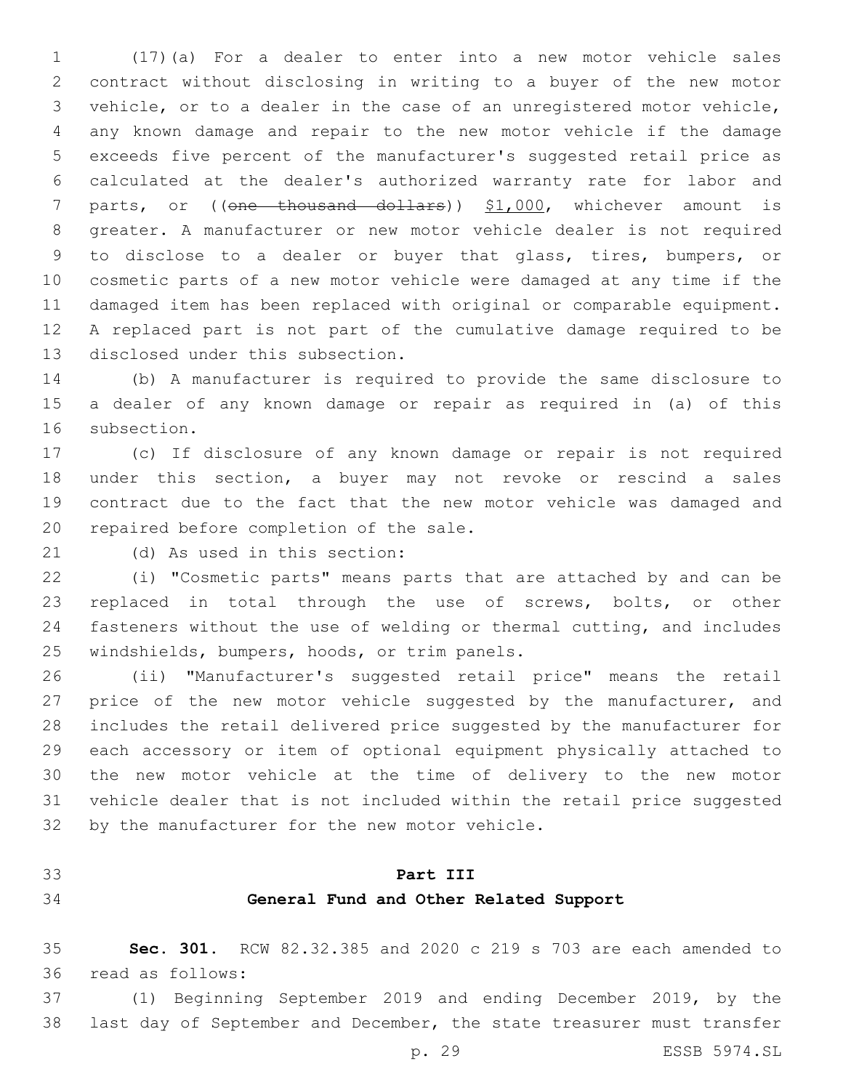(17)(a) For a dealer to enter into a new motor vehicle sales contract without disclosing in writing to a buyer of the new motor vehicle, or to a dealer in the case of an unregistered motor vehicle, any known damage and repair to the new motor vehicle if the damage exceeds five percent of the manufacturer's suggested retail price as calculated at the dealer's authorized warranty rate for labor and 7 parts, or ((one thousand dollars)) \$1,000, whichever amount is greater. A manufacturer or new motor vehicle dealer is not required to disclose to a dealer or buyer that glass, tires, bumpers, or cosmetic parts of a new motor vehicle were damaged at any time if the damaged item has been replaced with original or comparable equipment. A replaced part is not part of the cumulative damage required to be 13 disclosed under this subsection.

 (b) A manufacturer is required to provide the same disclosure to a dealer of any known damage or repair as required in (a) of this 16 subsection.

 (c) If disclosure of any known damage or repair is not required under this section, a buyer may not revoke or rescind a sales contract due to the fact that the new motor vehicle was damaged and 20 repaired before completion of the sale.

21 (d) As used in this section:

 (i) "Cosmetic parts" means parts that are attached by and can be replaced in total through the use of screws, bolts, or other fasteners without the use of welding or thermal cutting, and includes 25 windshields, bumpers, hoods, or trim panels.

 (ii) "Manufacturer's suggested retail price" means the retail 27 price of the new motor vehicle suggested by the manufacturer, and includes the retail delivered price suggested by the manufacturer for each accessory or item of optional equipment physically attached to the new motor vehicle at the time of delivery to the new motor vehicle dealer that is not included within the retail price suggested 32 by the manufacturer for the new motor vehicle.

### **Part III**

## **General Fund and Other Related Support**

 **Sec. 301.** RCW 82.32.385 and 2020 c 219 s 703 are each amended to 36 read as follows:

 (1) Beginning September 2019 and ending December 2019, by the last day of September and December, the state treasurer must transfer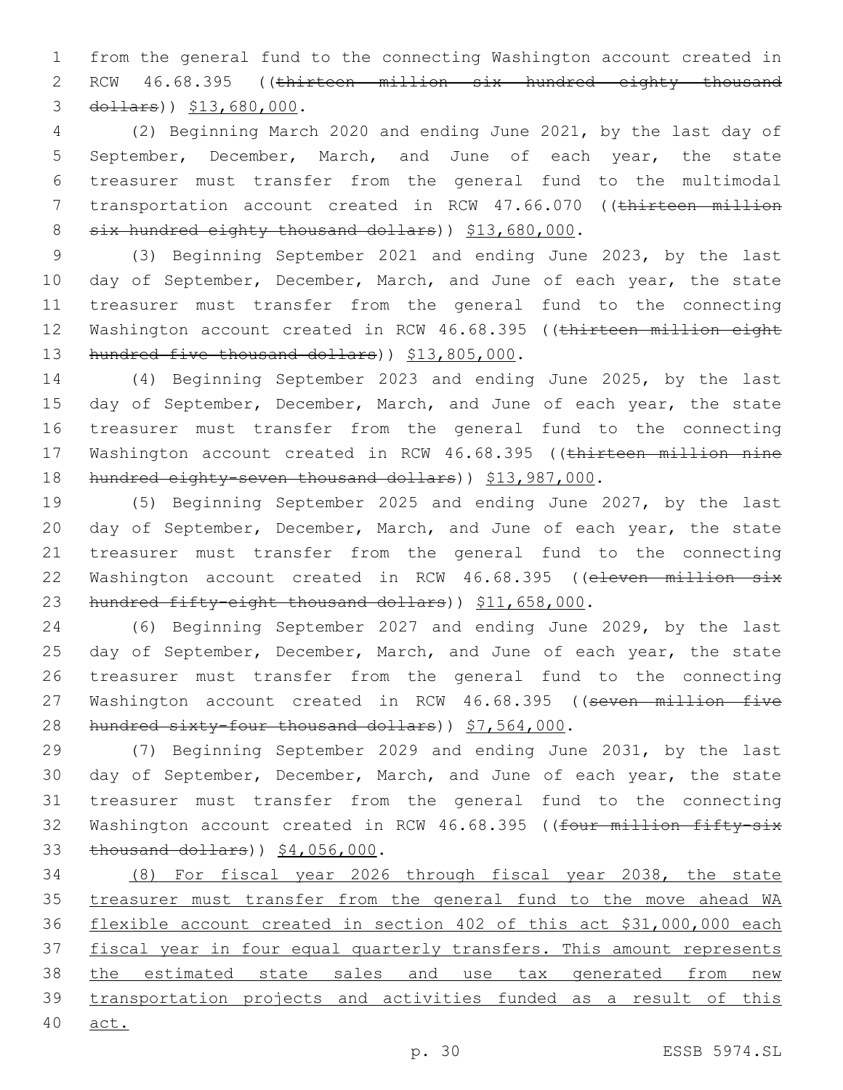1 from the general fund to the connecting Washington account created in 2 RCW 46.68.395 ((thirteen million six hundred eighty thousand 3 dollars)  $$13,680,000$ .

4 (2) Beginning March 2020 and ending June 2021, by the last day of 5 September, December, March, and June of each year, the state 6 treasurer must transfer from the general fund to the multimodal 7 transportation account created in RCW 47.66.070 ((thirteen million 8 six hundred eighty thousand dollars) ) \$13,680,000.

9 (3) Beginning September 2021 and ending June 2023, by the last 10 day of September, December, March, and June of each year, the state 11 treasurer must transfer from the general fund to the connecting 12 Washington account created in RCW 46.68.395 ((thirteen million eight 13 hundred five thousand dollars) ) \$13,805,000.

14 (4) Beginning September 2023 and ending June 2025, by the last 15 day of September, December, March, and June of each year, the state 16 treasurer must transfer from the general fund to the connecting 17 Washington account created in RCW 46.68.395 ((thirteen million nine 18 hundred eighty-seven thousand dollars)) \$13,987,000.

19 (5) Beginning September 2025 and ending June 2027, by the last 20 day of September, December, March, and June of each year, the state 21 treasurer must transfer from the general fund to the connecting 22 Washington account created in RCW 46.68.395 ((eleven million six 23 hundred fifty-eight thousand dollars)) \$11,658,000.

24 (6) Beginning September 2027 and ending June 2029, by the last 25 day of September, December, March, and June of each year, the state 26 treasurer must transfer from the general fund to the connecting 27 Washington account created in RCW 46.68.395 ((seven million five 28 hundred sixty-four thousand dollars) ) \$7,564,000.

29 (7) Beginning September 2029 and ending June 2031, by the last 30 day of September, December, March, and June of each year, the state 31 treasurer must transfer from the general fund to the connecting 32 Washington account created in RCW 46.68.395 ((four million fifty-six 33 thousand dollars) ) \$4,056,000.

 (8) For fiscal year 2026 through fiscal year 2038, the state treasurer must transfer from the general fund to the move ahead WA flexible account created in section 402 of this act \$31,000,000 each fiscal year in four equal quarterly transfers. This amount represents 38 the estimated state sales and use tax generated from new transportation projects and activities funded as a result of this 40 act.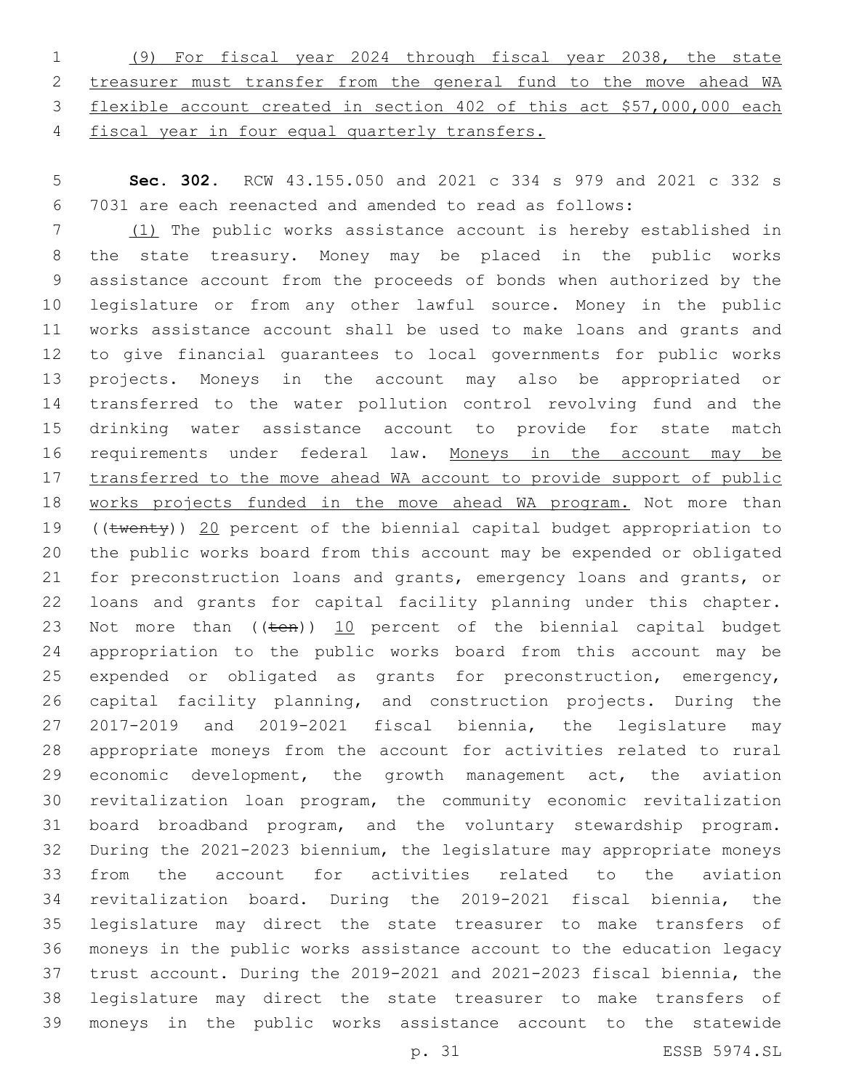(9) For fiscal year 2024 through fiscal year 2038, the state treasurer must transfer from the general fund to the move ahead WA flexible account created in section 402 of this act \$57,000,000 each fiscal year in four equal quarterly transfers.

 **Sec. 302.** RCW 43.155.050 and 2021 c 334 s 979 and 2021 c 332 s 7031 are each reenacted and amended to read as follows:

 (1) The public works assistance account is hereby established in the state treasury. Money may be placed in the public works assistance account from the proceeds of bonds when authorized by the legislature or from any other lawful source. Money in the public works assistance account shall be used to make loans and grants and to give financial guarantees to local governments for public works projects. Moneys in the account may also be appropriated or transferred to the water pollution control revolving fund and the drinking water assistance account to provide for state match requirements under federal law. Moneys in the account may be 17 transferred to the move ahead WA account to provide support of public works projects funded in the move ahead WA program. Not more than 19 ((twenty)) 20 percent of the biennial capital budget appropriation to the public works board from this account may be expended or obligated for preconstruction loans and grants, emergency loans and grants, or loans and grants for capital facility planning under this chapter. 23 Not more than  $((\text{ten}))$  10 percent of the biennial capital budget appropriation to the public works board from this account may be expended or obligated as grants for preconstruction, emergency, capital facility planning, and construction projects. During the 2017-2019 and 2019-2021 fiscal biennia, the legislature may appropriate moneys from the account for activities related to rural economic development, the growth management act, the aviation revitalization loan program, the community economic revitalization board broadband program, and the voluntary stewardship program. During the 2021-2023 biennium, the legislature may appropriate moneys from the account for activities related to the aviation revitalization board. During the 2019-2021 fiscal biennia, the legislature may direct the state treasurer to make transfers of moneys in the public works assistance account to the education legacy trust account. During the 2019-2021 and 2021-2023 fiscal biennia, the legislature may direct the state treasurer to make transfers of moneys in the public works assistance account to the statewide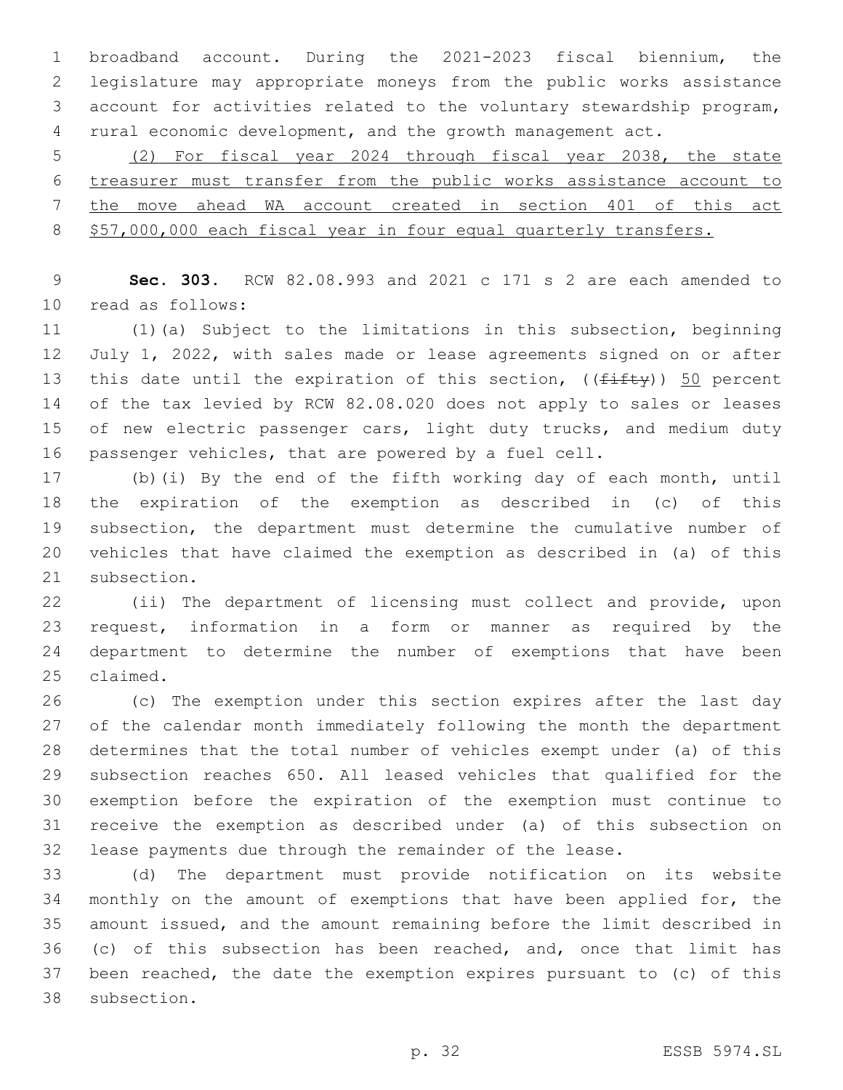broadband account. During the 2021-2023 fiscal biennium, the legislature may appropriate moneys from the public works assistance account for activities related to the voluntary stewardship program, rural economic development, and the growth management act.

 (2) For fiscal year 2024 through fiscal year 2038, the state treasurer must transfer from the public works assistance account to the move ahead WA account created in section 401 of this act 8 \$57,000,000 each fiscal year in four equal quarterly transfers.

 **Sec. 303.** RCW 82.08.993 and 2021 c 171 s 2 are each amended to read as follows:10

 (1)(a) Subject to the limitations in this subsection, beginning July 1, 2022, with sales made or lease agreements signed on or after 13 this date until the expiration of this section,  $((f\text{-}if\text{t}y))$  50 percent of the tax levied by RCW 82.08.020 does not apply to sales or leases 15 of new electric passenger cars, light duty trucks, and medium duty passenger vehicles, that are powered by a fuel cell.

 (b)(i) By the end of the fifth working day of each month, until the expiration of the exemption as described in (c) of this subsection, the department must determine the cumulative number of vehicles that have claimed the exemption as described in (a) of this 21 subsection.

 (ii) The department of licensing must collect and provide, upon request, information in a form or manner as required by the department to determine the number of exemptions that have been 25 claimed.

 (c) The exemption under this section expires after the last day of the calendar month immediately following the month the department determines that the total number of vehicles exempt under (a) of this subsection reaches 650. All leased vehicles that qualified for the exemption before the expiration of the exemption must continue to receive the exemption as described under (a) of this subsection on lease payments due through the remainder of the lease.

 (d) The department must provide notification on its website monthly on the amount of exemptions that have been applied for, the amount issued, and the amount remaining before the limit described in (c) of this subsection has been reached, and, once that limit has been reached, the date the exemption expires pursuant to (c) of this 38 subsection.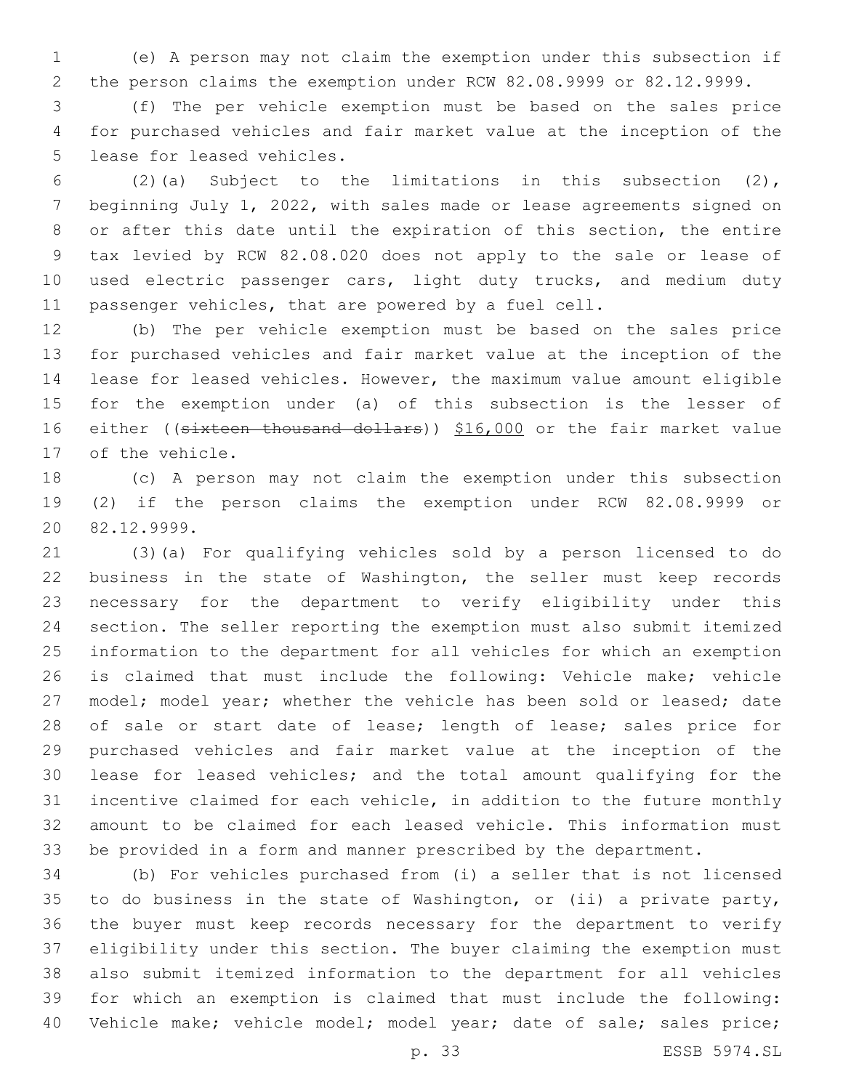(e) A person may not claim the exemption under this subsection if the person claims the exemption under RCW 82.08.9999 or 82.12.9999.

 (f) The per vehicle exemption must be based on the sales price for purchased vehicles and fair market value at the inception of the 5 lease for leased vehicles.

 (2)(a) Subject to the limitations in this subsection (2), beginning July 1, 2022, with sales made or lease agreements signed on or after this date until the expiration of this section, the entire tax levied by RCW 82.08.020 does not apply to the sale or lease of 10 used electric passenger cars, light duty trucks, and medium duty passenger vehicles, that are powered by a fuel cell.

 (b) The per vehicle exemption must be based on the sales price for purchased vehicles and fair market value at the inception of the lease for leased vehicles. However, the maximum value amount eligible for the exemption under (a) of this subsection is the lesser of 16 either ((sixteen thousand dollars)) \$16,000 or the fair market value 17 of the vehicle.

 (c) A person may not claim the exemption under this subsection (2) if the person claims the exemption under RCW 82.08.9999 or 82.12.9999.20

 (3)(a) For qualifying vehicles sold by a person licensed to do business in the state of Washington, the seller must keep records necessary for the department to verify eligibility under this section. The seller reporting the exemption must also submit itemized information to the department for all vehicles for which an exemption is claimed that must include the following: Vehicle make; vehicle 27 model; model year; whether the vehicle has been sold or leased; date 28 of sale or start date of lease; length of lease; sales price for purchased vehicles and fair market value at the inception of the lease for leased vehicles; and the total amount qualifying for the incentive claimed for each vehicle, in addition to the future monthly amount to be claimed for each leased vehicle. This information must be provided in a form and manner prescribed by the department.

 (b) For vehicles purchased from (i) a seller that is not licensed to do business in the state of Washington, or (ii) a private party, the buyer must keep records necessary for the department to verify eligibility under this section. The buyer claiming the exemption must also submit itemized information to the department for all vehicles for which an exemption is claimed that must include the following: 40 Vehicle make; vehicle model; model year; date of sale; sales price;

p. 33 ESSB 5974.SL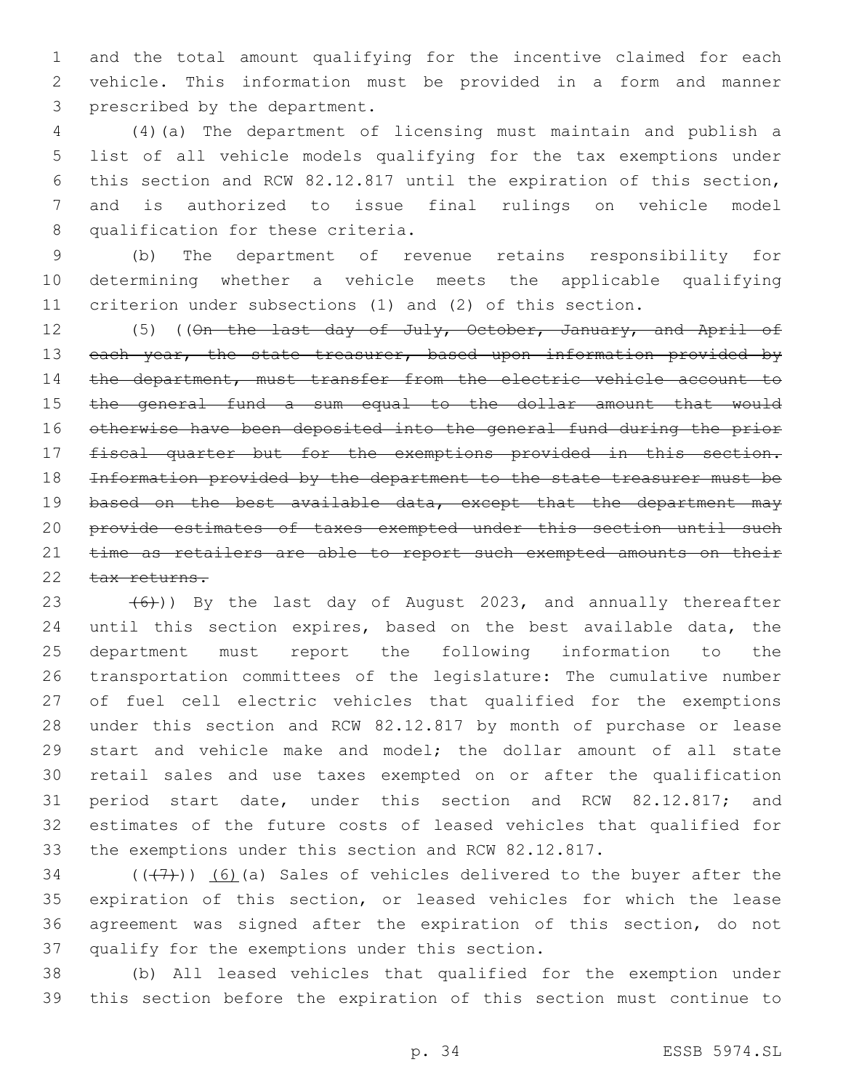and the total amount qualifying for the incentive claimed for each vehicle. This information must be provided in a form and manner 3 prescribed by the department.

 (4)(a) The department of licensing must maintain and publish a list of all vehicle models qualifying for the tax exemptions under this section and RCW 82.12.817 until the expiration of this section, and is authorized to issue final rulings on vehicle model 8 qualification for these criteria.

 (b) The department of revenue retains responsibility for determining whether a vehicle meets the applicable qualifying criterion under subsections (1) and (2) of this section.

12 (5) ((On the last day of July, October, January, and April of 13 each year, the state treasurer, based upon information provided by 14 the department, must transfer from the electric vehicle account to the general fund a sum equal to the dollar amount that would otherwise have been deposited into the general fund during the prior fiscal quarter but for the exemptions provided in this section. Information provided by the department to the state treasurer must be 19 based on the best available data, except that the department may provide estimates of taxes exempted under this section until such 21 time as retailers are able to report such exempted amounts on their 22 tax returns.

 $(6)$ )) By the last day of August 2023, and annually thereafter until this section expires, based on the best available data, the department must report the following information to the transportation committees of the legislature: The cumulative number of fuel cell electric vehicles that qualified for the exemptions under this section and RCW 82.12.817 by month of purchase or lease start and vehicle make and model; the dollar amount of all state retail sales and use taxes exempted on or after the qualification period start date, under this section and RCW 82.12.817; and estimates of the future costs of leased vehicles that qualified for the exemptions under this section and RCW 82.12.817.

 $(1, 7)$  (( $(1, 7)$ )) (6)(a) Sales of vehicles delivered to the buyer after the expiration of this section, or leased vehicles for which the lease agreement was signed after the expiration of this section, do not 37 qualify for the exemptions under this section.

 (b) All leased vehicles that qualified for the exemption under this section before the expiration of this section must continue to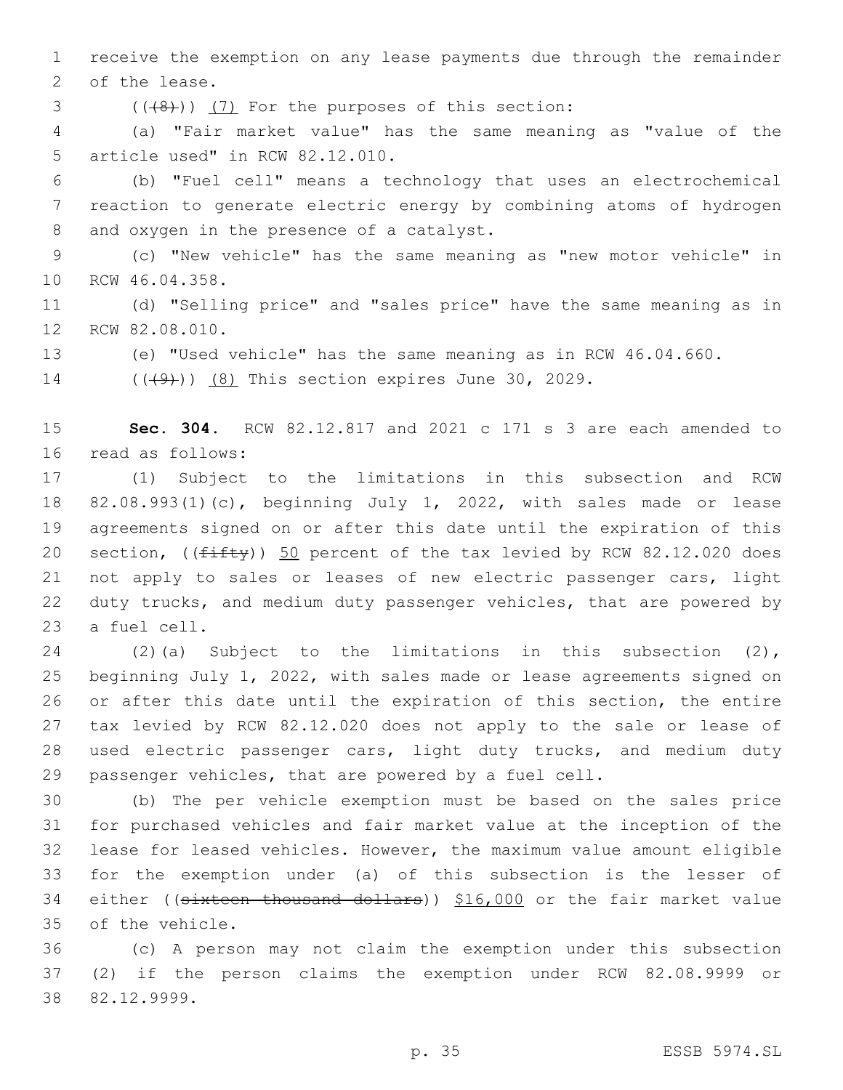receive the exemption on any lease payments due through the remainder 2 of the lease.

 $($   $((+8) )$   $(7)$  For the purposes of this section:

 (a) "Fair market value" has the same meaning as "value of the 5 article used" in RCW 82.12.010.

 (b) "Fuel cell" means a technology that uses an electrochemical reaction to generate electric energy by combining atoms of hydrogen 8 and oxygen in the presence of a catalyst.

 (c) "New vehicle" has the same meaning as "new motor vehicle" in 10 RCW 46.04.358.

 (d) "Selling price" and "sales price" have the same meaning as in 12 RCW 82.08.010.

(e) "Used vehicle" has the same meaning as in RCW 46.04.660.

14 (((49)) (8) This section expires June 30, 2029.

 **Sec. 304.** RCW 82.12.817 and 2021 c 171 s 3 are each amended to 16 read as follows:

 (1) Subject to the limitations in this subsection and RCW 82.08.993(1)(c), beginning July 1, 2022, with sales made or lease agreements signed on or after this date until the expiration of this 20 section,  $(\sqrt{f\text{ifty}})$  50 percent of the tax levied by RCW 82.12.020 does not apply to sales or leases of new electric passenger cars, light duty trucks, and medium duty passenger vehicles, that are powered by 23 a fuel cell.

 (2)(a) Subject to the limitations in this subsection (2), beginning July 1, 2022, with sales made or lease agreements signed on or after this date until the expiration of this section, the entire tax levied by RCW 82.12.020 does not apply to the sale or lease of used electric passenger cars, light duty trucks, and medium duty passenger vehicles, that are powered by a fuel cell.

 (b) The per vehicle exemption must be based on the sales price for purchased vehicles and fair market value at the inception of the lease for leased vehicles. However, the maximum value amount eligible for the exemption under (a) of this subsection is the lesser of 34 either ((sixteen thousand dollars)) \$16,000 or the fair market value 35 of the vehicle.

 (c) A person may not claim the exemption under this subsection (2) if the person claims the exemption under RCW 82.08.9999 or 82.12.9999.38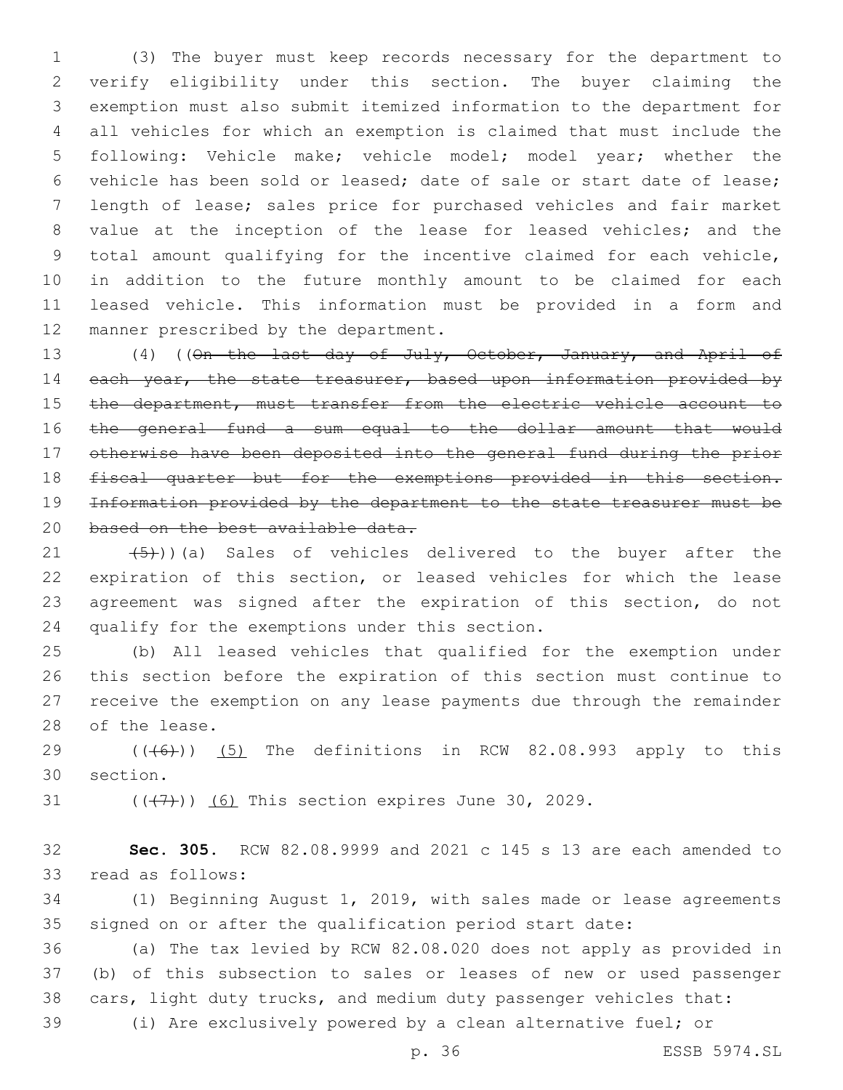(3) The buyer must keep records necessary for the department to verify eligibility under this section. The buyer claiming the exemption must also submit itemized information to the department for all vehicles for which an exemption is claimed that must include the following: Vehicle make; vehicle model; model year; whether the vehicle has been sold or leased; date of sale or start date of lease; length of lease; sales price for purchased vehicles and fair market value at the inception of the lease for leased vehicles; and the total amount qualifying for the incentive claimed for each vehicle, in addition to the future monthly amount to be claimed for each leased vehicle. This information must be provided in a form and 12 manner prescribed by the department.

 (4) ((On the last day of July, October, January, and April of 14 each year, the state treasurer, based upon information provided by 15 the department, must transfer from the electric vehicle account to the general fund a sum equal to the dollar amount that would otherwise have been deposited into the general fund during the prior fiscal quarter but for the exemptions provided in this section. Information provided by the department to the state treasurer must be 20 based on the best available data.

 $(5)$ ))(a) Sales of vehicles delivered to the buyer after the expiration of this section, or leased vehicles for which the lease agreement was signed after the expiration of this section, do not 24 qualify for the exemptions under this section.

 (b) All leased vehicles that qualified for the exemption under this section before the expiration of this section must continue to receive the exemption on any lease payments due through the remainder 28 of the lease.

29  $((+6+))$   $(5)$  The definitions in RCW 82.08.993 apply to this 30 section.

31  $((\langle 7 \rangle)(6)$  This section expires June 30, 2029.

 **Sec. 305.** RCW 82.08.9999 and 2021 c 145 s 13 are each amended to 33 read as follows:

 (1) Beginning August 1, 2019, with sales made or lease agreements signed on or after the qualification period start date:

 (a) The tax levied by RCW 82.08.020 does not apply as provided in (b) of this subsection to sales or leases of new or used passenger cars, light duty trucks, and medium duty passenger vehicles that:

(i) Are exclusively powered by a clean alternative fuel; or

p. 36 ESSB 5974.SL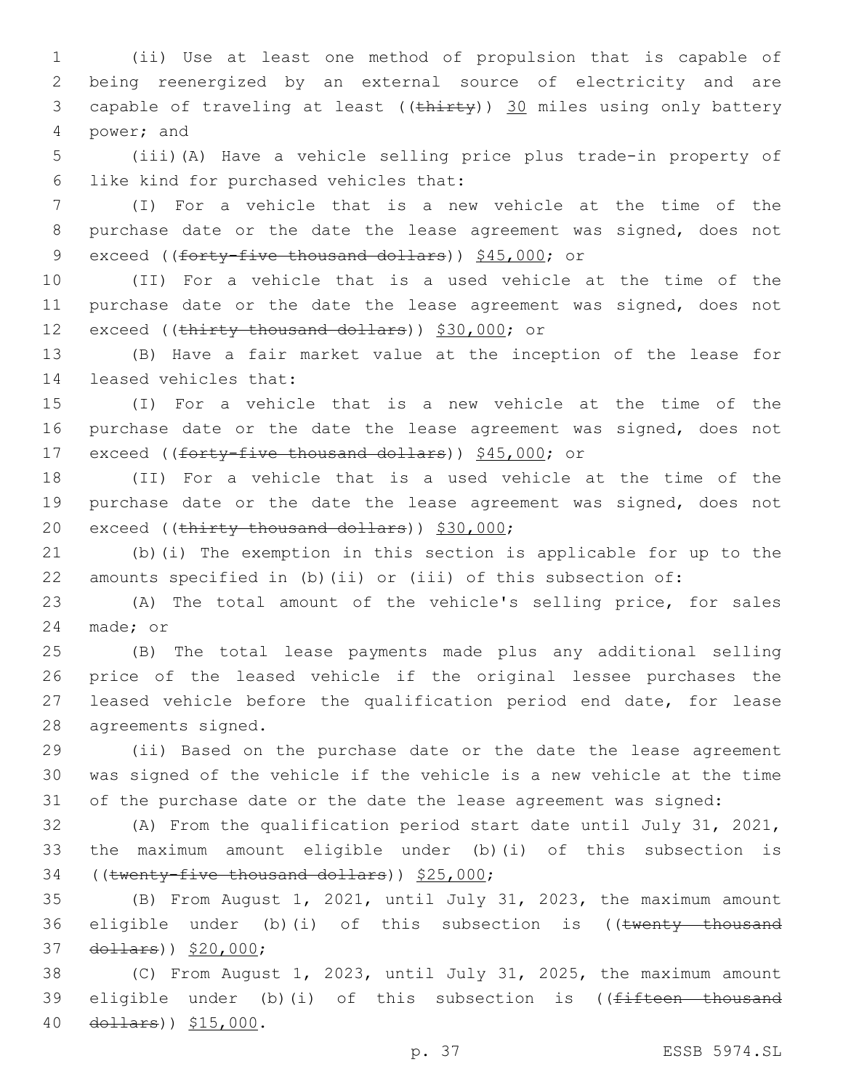(ii) Use at least one method of propulsion that is capable of being reenergized by an external source of electricity and are 3 capable of traveling at least ((thirty)) 30 miles using only battery 4 power; and

 (iii)(A) Have a vehicle selling price plus trade-in property of 6 like kind for purchased vehicles that:

 (I) For a vehicle that is a new vehicle at the time of the purchase date or the date the lease agreement was signed, does not 9 exceed ((forty-five thousand dollars)) \$45,000; or

 (II) For a vehicle that is a used vehicle at the time of the purchase date or the date the lease agreement was signed, does not 12 exceed ((thirty thousand dollars)) \$30,000; or

 (B) Have a fair market value at the inception of the lease for 14 leased vehicles that:

 (I) For a vehicle that is a new vehicle at the time of the purchase date or the date the lease agreement was signed, does not 17 exceed ((forty-five thousand dollars)) \$45,000; or

 (II) For a vehicle that is a used vehicle at the time of the purchase date or the date the lease agreement was signed, does not 20 exceed ((thirty thousand dollars)) \$30,000;

 (b)(i) The exemption in this section is applicable for up to the amounts specified in (b)(ii) or (iii) of this subsection of:

 (A) The total amount of the vehicle's selling price, for sales 24 made; or

 (B) The total lease payments made plus any additional selling price of the leased vehicle if the original lessee purchases the leased vehicle before the qualification period end date, for lease 28 agreements signed.

 (ii) Based on the purchase date or the date the lease agreement was signed of the vehicle if the vehicle is a new vehicle at the time of the purchase date or the date the lease agreement was signed:

 (A) From the qualification period start date until July 31, 2021, the maximum amount eligible under (b)(i) of this subsection is 34 ((twenty-five thousand dollars)) \$25,000;

 (B) From August 1, 2021, until July 31, 2023, the maximum amount 36 eligible under (b)(i) of this subsection is ((twenty thousand 37 dollars)) \$20,000;

 (C) From August 1, 2023, until July 31, 2025, the maximum amount 39 eligible under (b)(i) of this subsection is ((fifteen thousand 40 dollars)) \$15,000.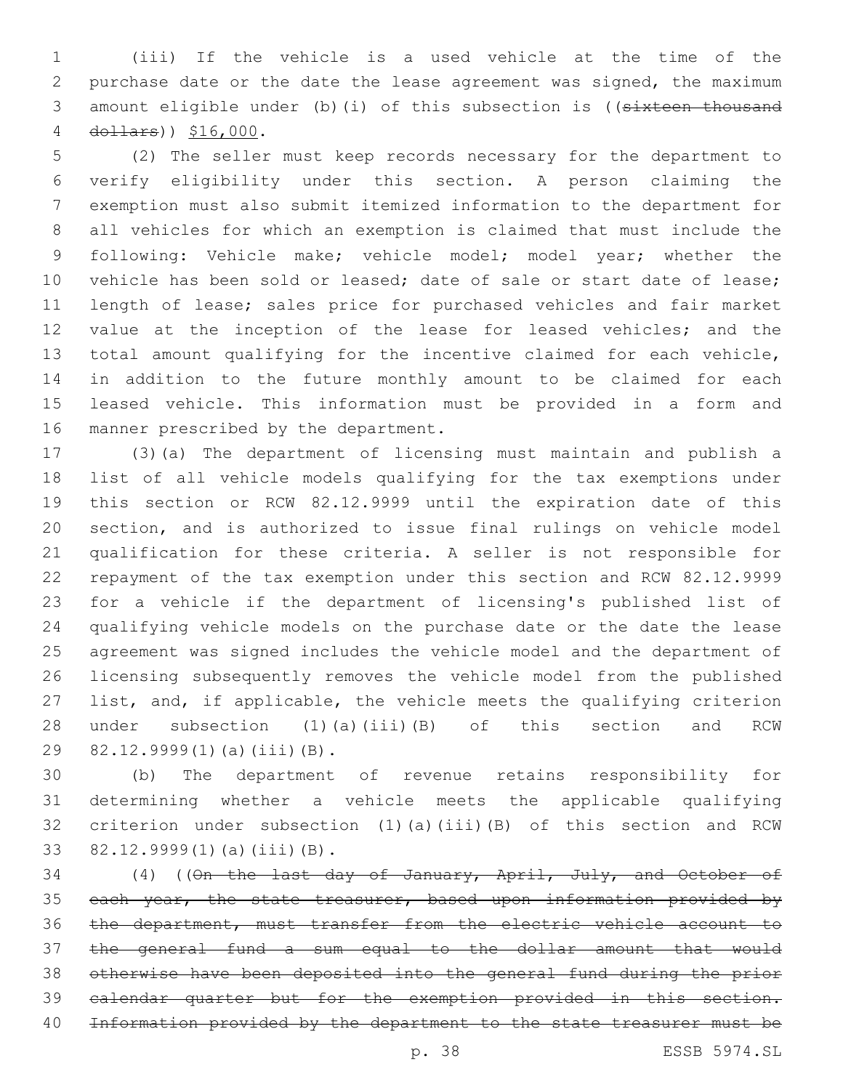(iii) If the vehicle is a used vehicle at the time of the purchase date or the date the lease agreement was signed, the maximum 3 amount eligible under (b)(i) of this subsection is ((sixteen thousand 4 dollars)  $$16,000$ .

 (2) The seller must keep records necessary for the department to verify eligibility under this section. A person claiming the exemption must also submit itemized information to the department for all vehicles for which an exemption is claimed that must include the 9 following: Vehicle make; vehicle model; model year; whether the 10 vehicle has been sold or leased; date of sale or start date of lease; length of lease; sales price for purchased vehicles and fair market value at the inception of the lease for leased vehicles; and the total amount qualifying for the incentive claimed for each vehicle, in addition to the future monthly amount to be claimed for each leased vehicle. This information must be provided in a form and 16 manner prescribed by the department.

 (3)(a) The department of licensing must maintain and publish a list of all vehicle models qualifying for the tax exemptions under this section or RCW 82.12.9999 until the expiration date of this section, and is authorized to issue final rulings on vehicle model qualification for these criteria. A seller is not responsible for repayment of the tax exemption under this section and RCW 82.12.9999 for a vehicle if the department of licensing's published list of qualifying vehicle models on the purchase date or the date the lease agreement was signed includes the vehicle model and the department of licensing subsequently removes the vehicle model from the published list, and, if applicable, the vehicle meets the qualifying criterion under subsection (1)(a)(iii)(B) of this section and RCW 29 82.12.9999(1)(a)(iii)(B).

 (b) The department of revenue retains responsibility for determining whether a vehicle meets the applicable qualifying criterion under subsection (1)(a)(iii)(B) of this section and RCW 33 82.12.9999(1)(a)(iii)(B).

 (4) ((On the last day of January, April, July, and October of 35 each year, the state treasurer, based upon information provided by the department, must transfer from the electric vehicle account to the general fund a sum equal to the dollar amount that would otherwise have been deposited into the general fund during the prior calendar quarter but for the exemption provided in this section. Information provided by the department to the state treasurer must be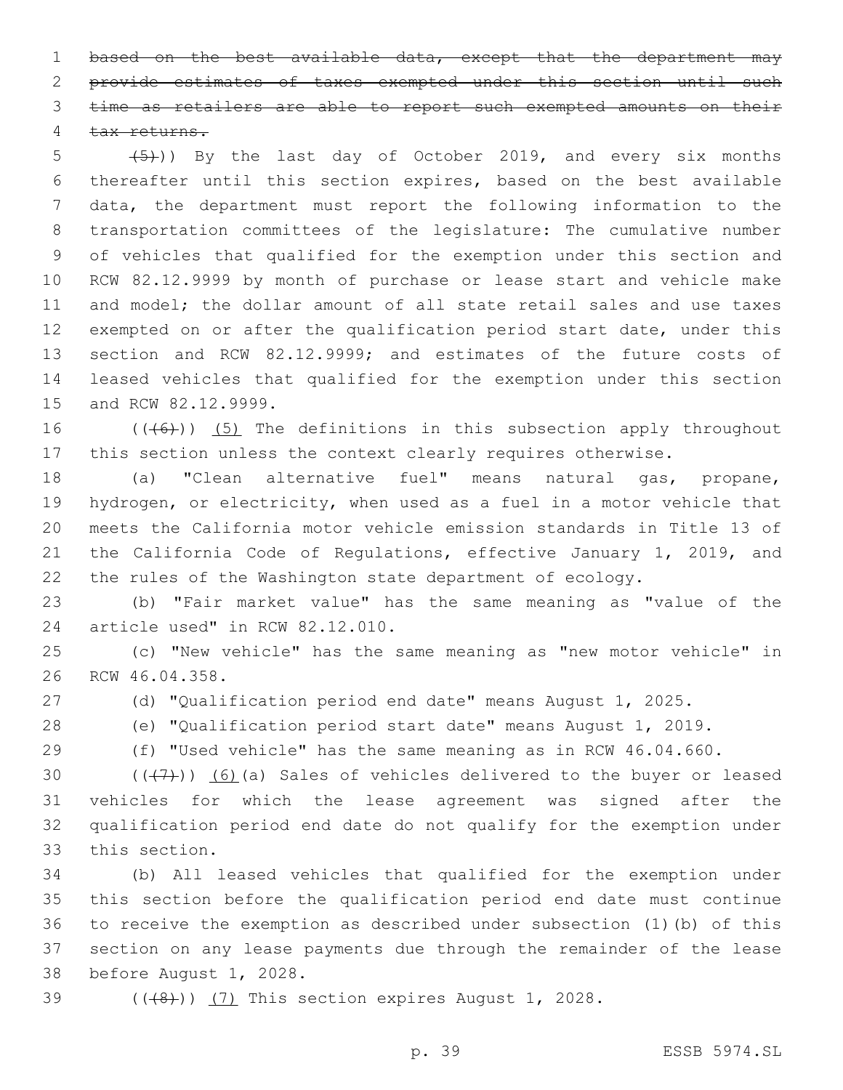1 based on the best available data, except that the department may provide estimates of taxes exempted under this section until such time as retailers are able to report such exempted amounts on their 4 tax returns.

5 (5)) By the last day of October 2019, and every six months thereafter until this section expires, based on the best available data, the department must report the following information to the transportation committees of the legislature: The cumulative number of vehicles that qualified for the exemption under this section and RCW 82.12.9999 by month of purchase or lease start and vehicle make and model; the dollar amount of all state retail sales and use taxes exempted on or after the qualification period start date, under this section and RCW 82.12.9999; and estimates of the future costs of leased vehicles that qualified for the exemption under this section 15 and RCW 82.12.9999.

16  $((\left\langle 6 \right\rangle))$  (5) The definitions in this subsection apply throughout this section unless the context clearly requires otherwise.

 (a) "Clean alternative fuel" means natural gas, propane, hydrogen, or electricity, when used as a fuel in a motor vehicle that meets the California motor vehicle emission standards in Title 13 of the California Code of Regulations, effective January 1, 2019, and the rules of the Washington state department of ecology.

 (b) "Fair market value" has the same meaning as "value of the 24 article used" in RCW 82.12.010.

 (c) "New vehicle" has the same meaning as "new motor vehicle" in 26 RCW 46.04.358.

(d) "Qualification period end date" means August 1, 2025.

(e) "Qualification period start date" means August 1, 2019.

(f) "Used vehicle" has the same meaning as in RCW 46.04.660.

 $((+7+))$  (6)(a) Sales of vehicles delivered to the buyer or leased vehicles for which the lease agreement was signed after the qualification period end date do not qualify for the exemption under 33 this section.

 (b) All leased vehicles that qualified for the exemption under this section before the qualification period end date must continue to receive the exemption as described under subsection (1)(b) of this section on any lease payments due through the remainder of the lease 38 before August 1, 2028.

 $(1, 4)$  (( $(4, 8)$ )) (7) This section expires August 1, 2028.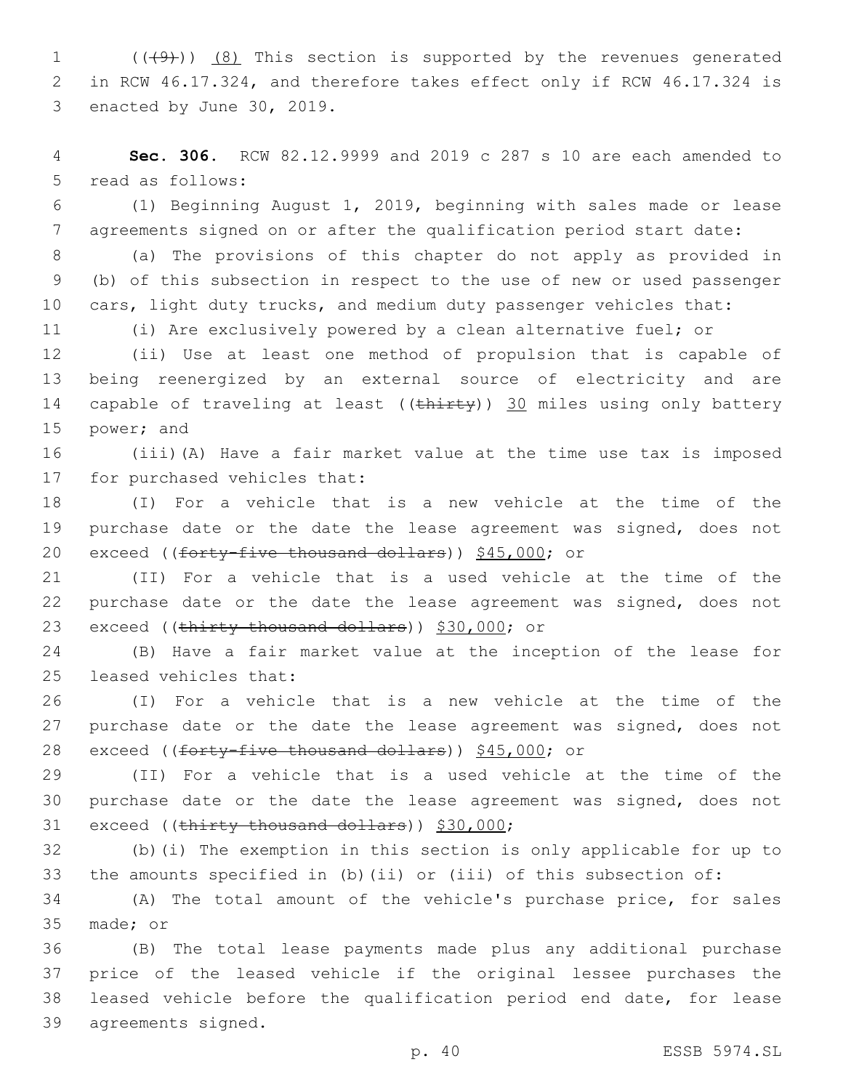1  $((\text{(+9)})$   $(8)$  This section is supported by the revenues generated 2 in RCW 46.17.324, and therefore takes effect only if RCW 46.17.324 is 3 enacted by June 30, 2019.

4 **Sec. 306.** RCW 82.12.9999 and 2019 c 287 s 10 are each amended to 5 read as follows:

6 (1) Beginning August 1, 2019, beginning with sales made or lease 7 agreements signed on or after the qualification period start date:

8 (a) The provisions of this chapter do not apply as provided in 9 (b) of this subsection in respect to the use of new or used passenger 10 cars, light duty trucks, and medium duty passenger vehicles that:

11 (i) Are exclusively powered by a clean alternative fuel; or

12 (ii) Use at least one method of propulsion that is capable of 13 being reenergized by an external source of electricity and are 14 capable of traveling at least ((thirty)) 30 miles using only battery 15 power; and

16 (iii)(A) Have a fair market value at the time use tax is imposed 17 for purchased vehicles that:

18 (I) For a vehicle that is a new vehicle at the time of the 19 purchase date or the date the lease agreement was signed, does not 20 exceed ((forty-five thousand dollars)) \$45,000; or

21 (II) For a vehicle that is a used vehicle at the time of the 22 purchase date or the date the lease agreement was signed, does not 23 exceed ((thirty thousand dollars)) \$30,000; or

24 (B) Have a fair market value at the inception of the lease for 25 leased vehicles that:

26 (I) For a vehicle that is a new vehicle at the time of the 27 purchase date or the date the lease agreement was signed, does not 28 exceed ((forty-five thousand dollars)) \$45,000; or

29 (II) For a vehicle that is a used vehicle at the time of the 30 purchase date or the date the lease agreement was signed, does not 31 exceed ((thirty thousand dollars)) \$30,000;

32 (b)(i) The exemption in this section is only applicable for up to 33 the amounts specified in (b)(ii) or (iii) of this subsection of:

34 (A) The total amount of the vehicle's purchase price, for sales 35 made; or

 (B) The total lease payments made plus any additional purchase price of the leased vehicle if the original lessee purchases the leased vehicle before the qualification period end date, for lease 39 agreements signed.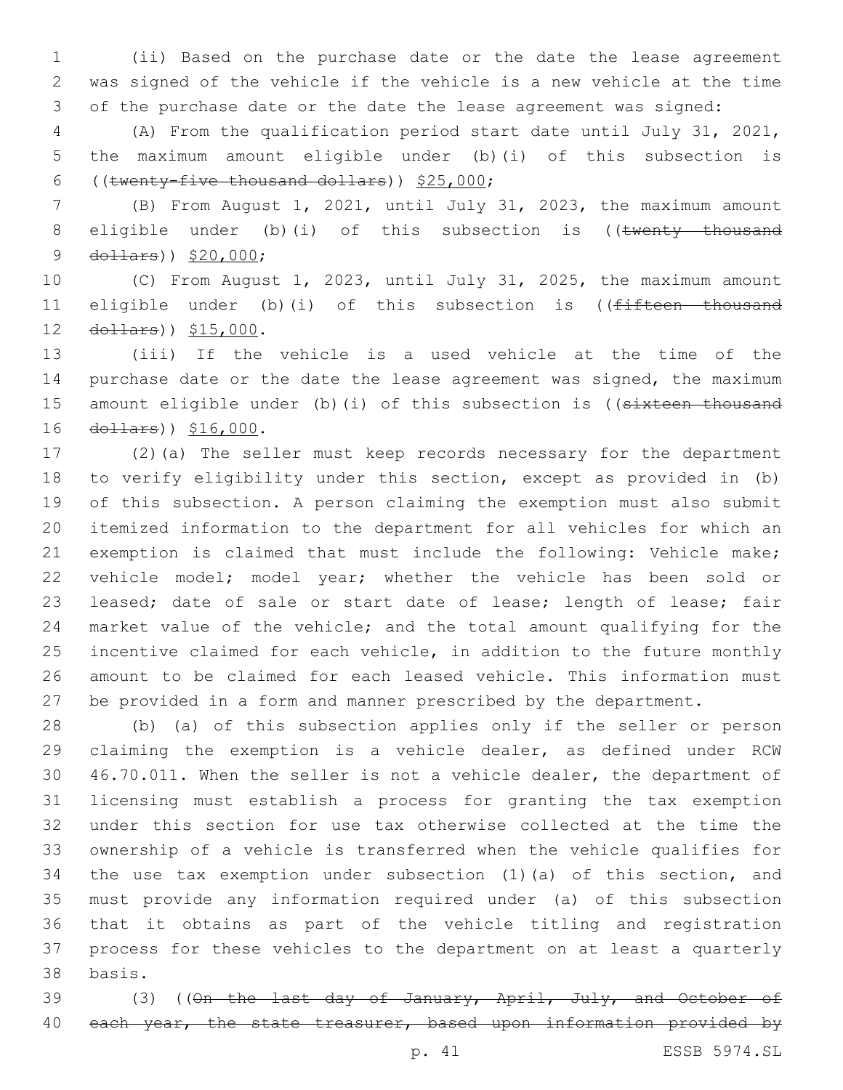(ii) Based on the purchase date or the date the lease agreement was signed of the vehicle if the vehicle is a new vehicle at the time of the purchase date or the date the lease agreement was signed:

 (A) From the qualification period start date until July 31, 2021, the maximum amount eligible under (b)(i) of this subsection is 6 ((twenty-five thousand dollars))  $$25,000;$ 

 (B) From August 1, 2021, until July 31, 2023, the maximum amount 8 eligible under (b)(i) of this subsection is ((twenty thousand 9 dollars)) \$20,000;

 (C) From August 1, 2023, until July 31, 2025, the maximum amount 11 eligible under (b)(i) of this subsection is ((fifteen thousand 12 dollars)) \$15,000.

 (iii) If the vehicle is a used vehicle at the time of the purchase date or the date the lease agreement was signed, the maximum 15 amount eligible under (b) (i) of this subsection is ((sixteen thousand 16 dollars)) \$16,000.

 (2)(a) The seller must keep records necessary for the department to verify eligibility under this section, except as provided in (b) of this subsection. A person claiming the exemption must also submit itemized information to the department for all vehicles for which an exemption is claimed that must include the following: Vehicle make; vehicle model; model year; whether the vehicle has been sold or 23 leased; date of sale or start date of lease; length of lease; fair market value of the vehicle; and the total amount qualifying for the incentive claimed for each vehicle, in addition to the future monthly amount to be claimed for each leased vehicle. This information must be provided in a form and manner prescribed by the department.

 (b) (a) of this subsection applies only if the seller or person claiming the exemption is a vehicle dealer, as defined under RCW 46.70.011. When the seller is not a vehicle dealer, the department of licensing must establish a process for granting the tax exemption under this section for use tax otherwise collected at the time the ownership of a vehicle is transferred when the vehicle qualifies for the use tax exemption under subsection (1)(a) of this section, and must provide any information required under (a) of this subsection that it obtains as part of the vehicle titling and registration process for these vehicles to the department on at least a quarterly basis.38

39 (3) ((On the last day of January, April, July, and October of 40 each year, the state treasurer, based upon information provided by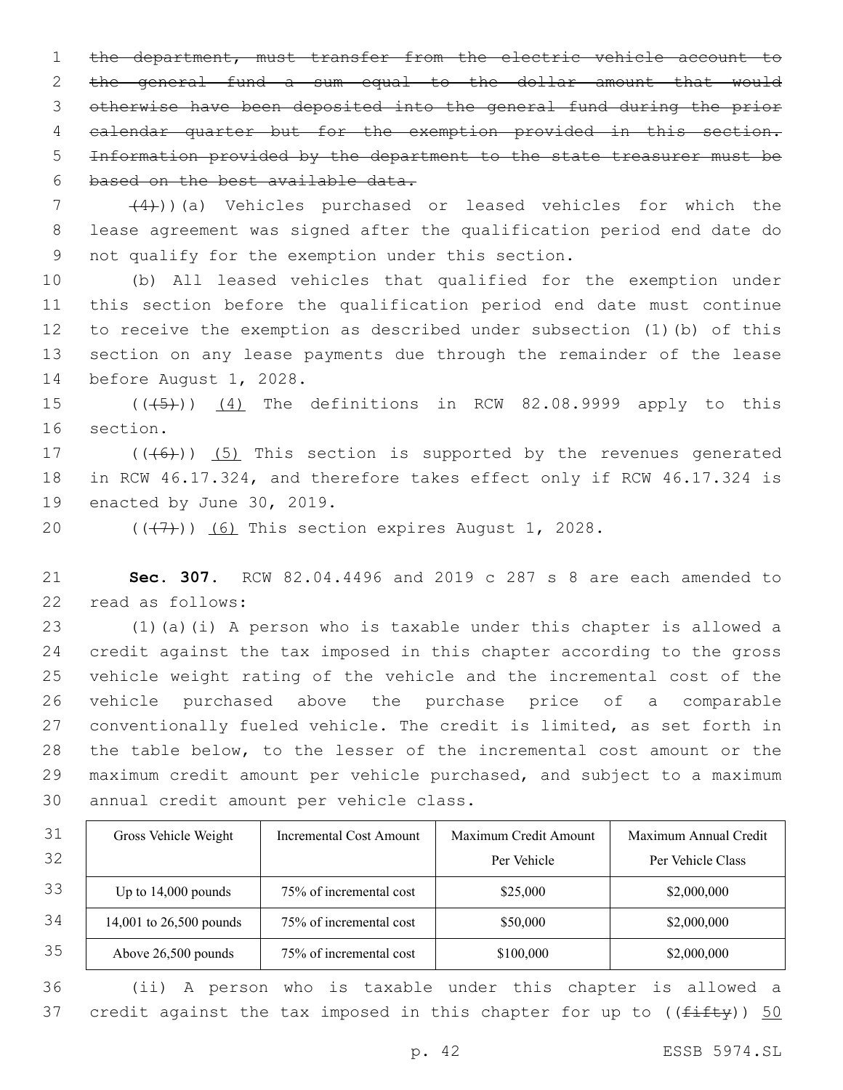1 the department, must transfer from the electric vehicle account to the general fund a sum equal to the dollar amount that would otherwise have been deposited into the general fund during the prior calendar quarter but for the exemption provided in this section. Information provided by the department to the state treasurer must be 6 based on the best available data.

  $(4)$ ))(a) Vehicles purchased or leased vehicles for which the lease agreement was signed after the qualification period end date do 9 not qualify for the exemption under this section.

 (b) All leased vehicles that qualified for the exemption under this section before the qualification period end date must continue to receive the exemption as described under subsection (1)(b) of this section on any lease payments due through the remainder of the lease 14 before August 1, 2028.

 $((\overline{5})$   $(4)$  The definitions in RCW 82.08.9999 apply to this 16 section.

17 (((6)) (5) This section is supported by the revenues generated in RCW 46.17.324, and therefore takes effect only if RCW 46.17.324 is 19 enacted by June 30, 2019.

 $((\langle 7 \rangle)(6)$  This section expires August 1, 2028.

 **Sec. 307.** RCW 82.04.4496 and 2019 c 287 s 8 are each amended to 22 read as follows:

 (1)(a)(i) A person who is taxable under this chapter is allowed a credit against the tax imposed in this chapter according to the gross vehicle weight rating of the vehicle and the incremental cost of the vehicle purchased above the purchase price of a comparable conventionally fueled vehicle. The credit is limited, as set forth in the table below, to the lesser of the incremental cost amount or the maximum credit amount per vehicle purchased, and subject to a maximum 30 annual credit amount per vehicle class.

| 31 | Gross Vehicle Weight    | Incremental Cost Amount | Maximum Credit Amount | Maximum Annual Credit |
|----|-------------------------|-------------------------|-----------------------|-----------------------|
| 32 |                         |                         | Per Vehicle           | Per Vehicle Class     |
| 33 | Up to $14,000$ pounds   | 75% of incremental cost | \$25,000              | \$2,000,000           |
| 34 | 14,001 to 26,500 pounds | 75% of incremental cost | \$50,000              | \$2,000,000           |
| 35 | Above 26,500 pounds     | 75% of incremental cost | \$100,000             | \$2,000,000           |

 (ii) A person who is taxable under this chapter is allowed a 37 credit against the tax imposed in this chapter for up to  $((f\text{iff}\ y))$  50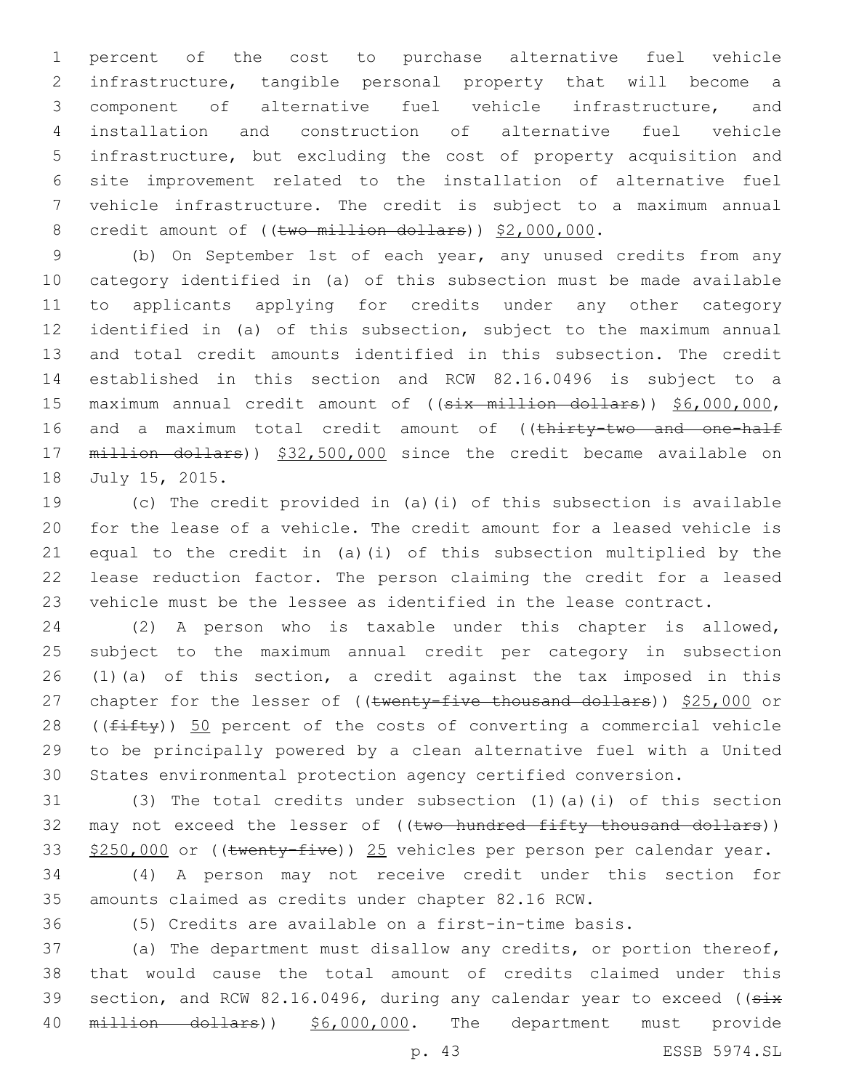percent of the cost to purchase alternative fuel vehicle infrastructure, tangible personal property that will become a component of alternative fuel vehicle infrastructure, and installation and construction of alternative fuel vehicle infrastructure, but excluding the cost of property acquisition and site improvement related to the installation of alternative fuel vehicle infrastructure. The credit is subject to a maximum annual 8 credit amount of ((two million dollars)) \$2,000,000.

 (b) On September 1st of each year, any unused credits from any category identified in (a) of this subsection must be made available to applicants applying for credits under any other category identified in (a) of this subsection, subject to the maximum annual and total credit amounts identified in this subsection. The credit established in this section and RCW 82.16.0496 is subject to a 15 maximum annual credit amount of ((six million dollars)) \$6,000,000, 16 and a maximum total credit amount of ((thirty-two and one-half million dollars)) \$32,500,000 since the credit became available on 18 July 15, 2015.

 (c) The credit provided in (a)(i) of this subsection is available for the lease of a vehicle. The credit amount for a leased vehicle is equal to the credit in (a)(i) of this subsection multiplied by the lease reduction factor. The person claiming the credit for a leased vehicle must be the lessee as identified in the lease contract.

 (2) A person who is taxable under this chapter is allowed, subject to the maximum annual credit per category in subsection (1)(a) of this section, a credit against the tax imposed in this 27 chapter for the lesser of ((twenty-five thousand dollars)) \$25,000 or 28 ((fifty)) 50 percent of the costs of converting a commercial vehicle to be principally powered by a clean alternative fuel with a United States environmental protection agency certified conversion.

 (3) The total credits under subsection (1)(a)(i) of this section 32 may not exceed the lesser of ((two hundred fifty thousand dollars)) 33 \$250,000 or ((twenty-five)) 25 vehicles per person per calendar year.

 (4) A person may not receive credit under this section for amounts claimed as credits under chapter 82.16 RCW.

(5) Credits are available on a first-in-time basis.

 (a) The department must disallow any credits, or portion thereof, that would cause the total amount of credits claimed under this 39 section, and RCW 82.16.0496, during any calendar year to exceed ((six 40 million dollars)) \$6,000,000. The department must provide

p. 43 ESSB 5974.SL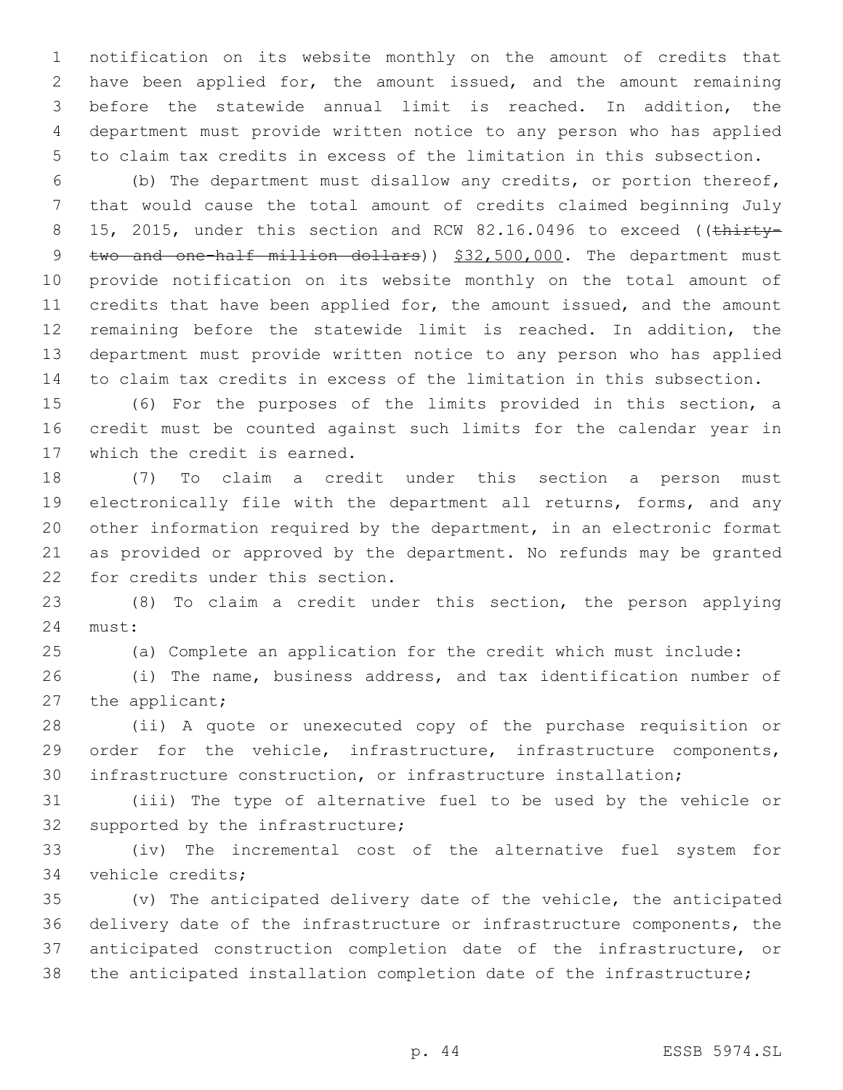notification on its website monthly on the amount of credits that have been applied for, the amount issued, and the amount remaining before the statewide annual limit is reached. In addition, the department must provide written notice to any person who has applied to claim tax credits in excess of the limitation in this subsection.

 (b) The department must disallow any credits, or portion thereof, that would cause the total amount of credits claimed beginning July 8 15, 2015, under this section and RCW 82.16.0496 to exceed ((thirty-9 two and one-half million dollars)) \$32,500,000. The department must provide notification on its website monthly on the total amount of credits that have been applied for, the amount issued, and the amount remaining before the statewide limit is reached. In addition, the department must provide written notice to any person who has applied to claim tax credits in excess of the limitation in this subsection.

 (6) For the purposes of the limits provided in this section, a credit must be counted against such limits for the calendar year in 17 which the credit is earned.

 (7) To claim a credit under this section a person must electronically file with the department all returns, forms, and any other information required by the department, in an electronic format as provided or approved by the department. No refunds may be granted 22 for credits under this section.

 (8) To claim a credit under this section, the person applying 24 must:

(a) Complete an application for the credit which must include:

 (i) The name, business address, and tax identification number of 27 the applicant;

 (ii) A quote or unexecuted copy of the purchase requisition or order for the vehicle, infrastructure, infrastructure components, infrastructure construction, or infrastructure installation;

 (iii) The type of alternative fuel to be used by the vehicle or 32 supported by the infrastructure;

 (iv) The incremental cost of the alternative fuel system for 34 vehicle credits;

 (v) The anticipated delivery date of the vehicle, the anticipated delivery date of the infrastructure or infrastructure components, the anticipated construction completion date of the infrastructure, or the anticipated installation completion date of the infrastructure;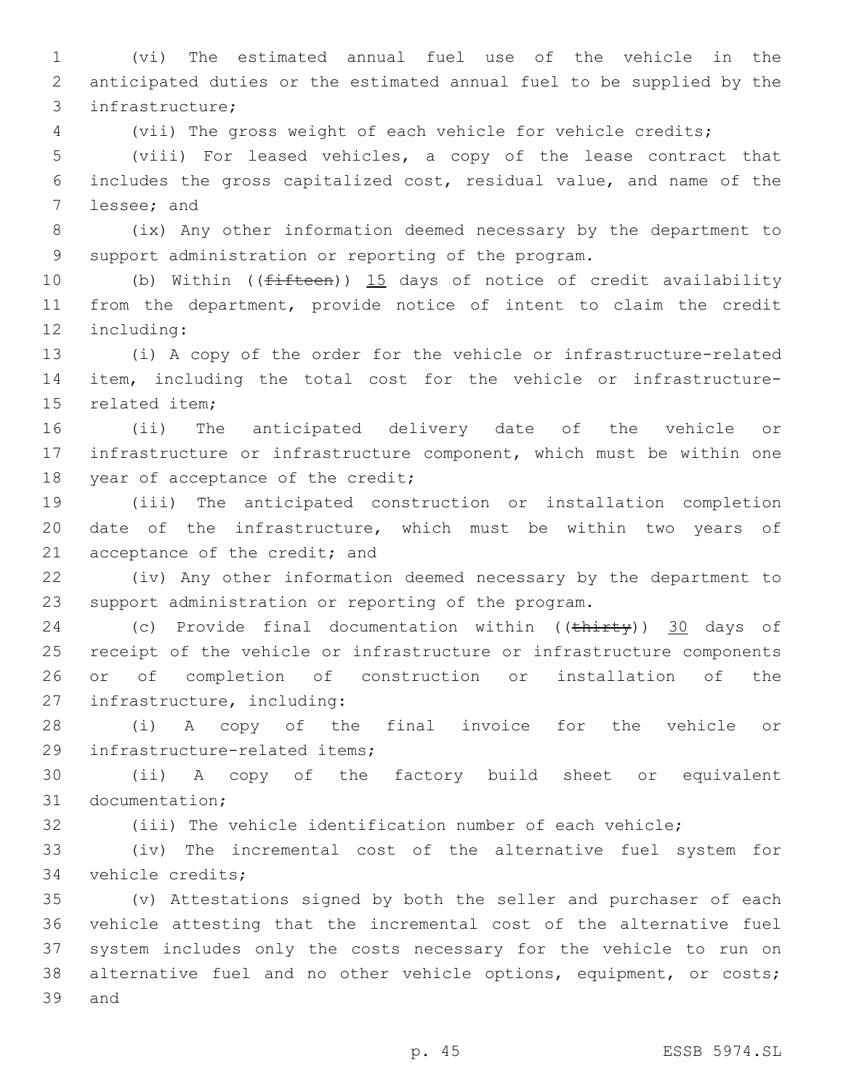(vi) The estimated annual fuel use of the vehicle in the anticipated duties or the estimated annual fuel to be supplied by the infrastructure;3

(vii) The gross weight of each vehicle for vehicle credits;

 (viii) For leased vehicles, a copy of the lease contract that includes the gross capitalized cost, residual value, and name of the 7 lessee; and

 (ix) Any other information deemed necessary by the department to support administration or reporting of the program.

10 (b) Within ((<del>fifteen</del>)) 15 days of notice of credit availability from the department, provide notice of intent to claim the credit 12 including:

 (i) A copy of the order for the vehicle or infrastructure-related item, including the total cost for the vehicle or infrastructure-15 related item:

 (ii) The anticipated delivery date of the vehicle or infrastructure or infrastructure component, which must be within one 18 year of acceptance of the credit;

 (iii) The anticipated construction or installation completion date of the infrastructure, which must be within two years of 21 acceptance of the credit; and

 (iv) Any other information deemed necessary by the department to support administration or reporting of the program.

24 (c) Provide final documentation within ((thirty)) 30 days of receipt of the vehicle or infrastructure or infrastructure components or of completion of construction or installation of the 27 infrastructure, including:

 (i) A copy of the final invoice for the vehicle or 29 infrastructure-related items;

 (ii) A copy of the factory build sheet or equivalent 31 documentation;

(iii) The vehicle identification number of each vehicle;

 (iv) The incremental cost of the alternative fuel system for 34 vehicle credits;

 (v) Attestations signed by both the seller and purchaser of each vehicle attesting that the incremental cost of the alternative fuel system includes only the costs necessary for the vehicle to run on alternative fuel and no other vehicle options, equipment, or costs; 39 and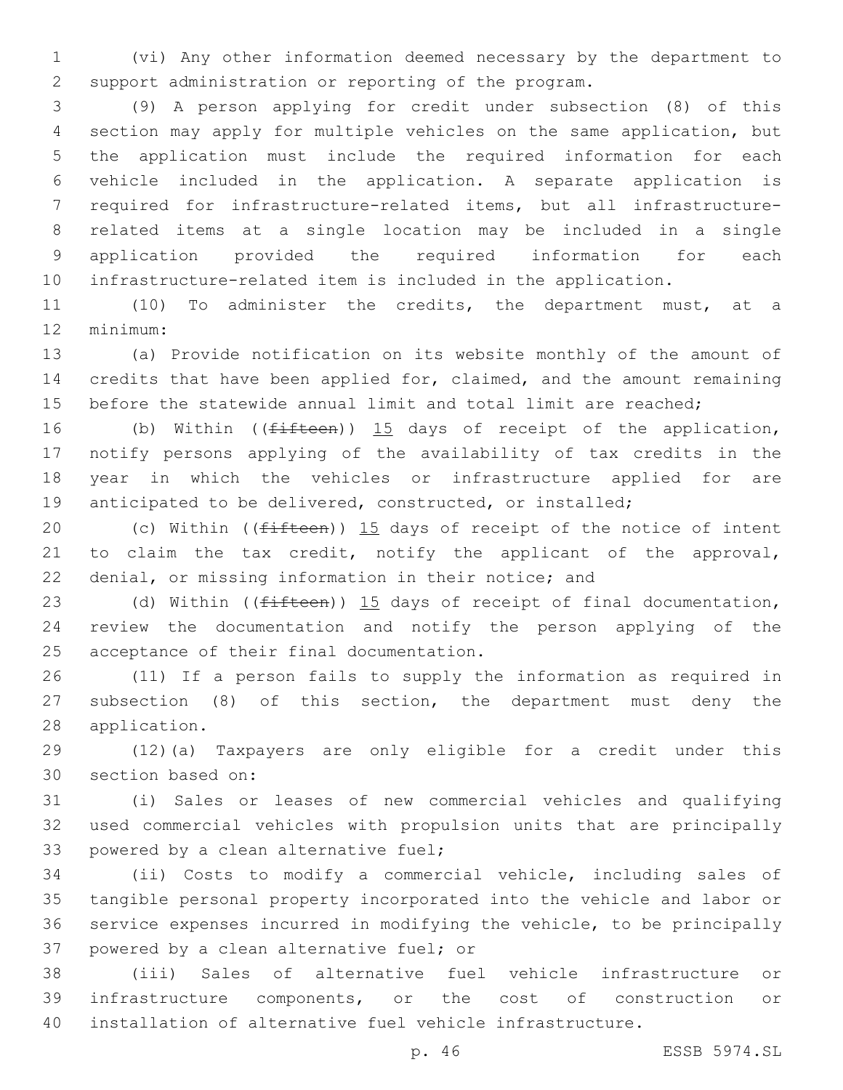(vi) Any other information deemed necessary by the department to support administration or reporting of the program.

 (9) A person applying for credit under subsection (8) of this section may apply for multiple vehicles on the same application, but the application must include the required information for each vehicle included in the application. A separate application is required for infrastructure-related items, but all infrastructure- related items at a single location may be included in a single application provided the required information for each infrastructure-related item is included in the application.

 (10) To administer the credits, the department must, at a 12 minimum:

 (a) Provide notification on its website monthly of the amount of credits that have been applied for, claimed, and the amount remaining 15 before the statewide annual limit and total limit are reached;

16 (b) Within ((fifteen)) 15 days of receipt of the application, notify persons applying of the availability of tax credits in the year in which the vehicles or infrastructure applied for are anticipated to be delivered, constructed, or installed;

20 (c) Within ( $(fifteen)$ ) 15 days of receipt of the notice of intent 21 to claim the tax credit, notify the applicant of the approval, denial, or missing information in their notice; and

23 (d) Within ((<del>fifteen</del>)) 15 days of receipt of final documentation, review the documentation and notify the person applying of the 25 acceptance of their final documentation.

 (11) If a person fails to supply the information as required in subsection (8) of this section, the department must deny the 28 application.

 (12)(a) Taxpayers are only eligible for a credit under this 30 section based on:

 (i) Sales or leases of new commercial vehicles and qualifying used commercial vehicles with propulsion units that are principally 33 powered by a clean alternative fuel;

 (ii) Costs to modify a commercial vehicle, including sales of tangible personal property incorporated into the vehicle and labor or service expenses incurred in modifying the vehicle, to be principally 37 powered by a clean alternative fuel; or

 (iii) Sales of alternative fuel vehicle infrastructure or infrastructure components, or the cost of construction or installation of alternative fuel vehicle infrastructure.

p. 46 ESSB 5974.SL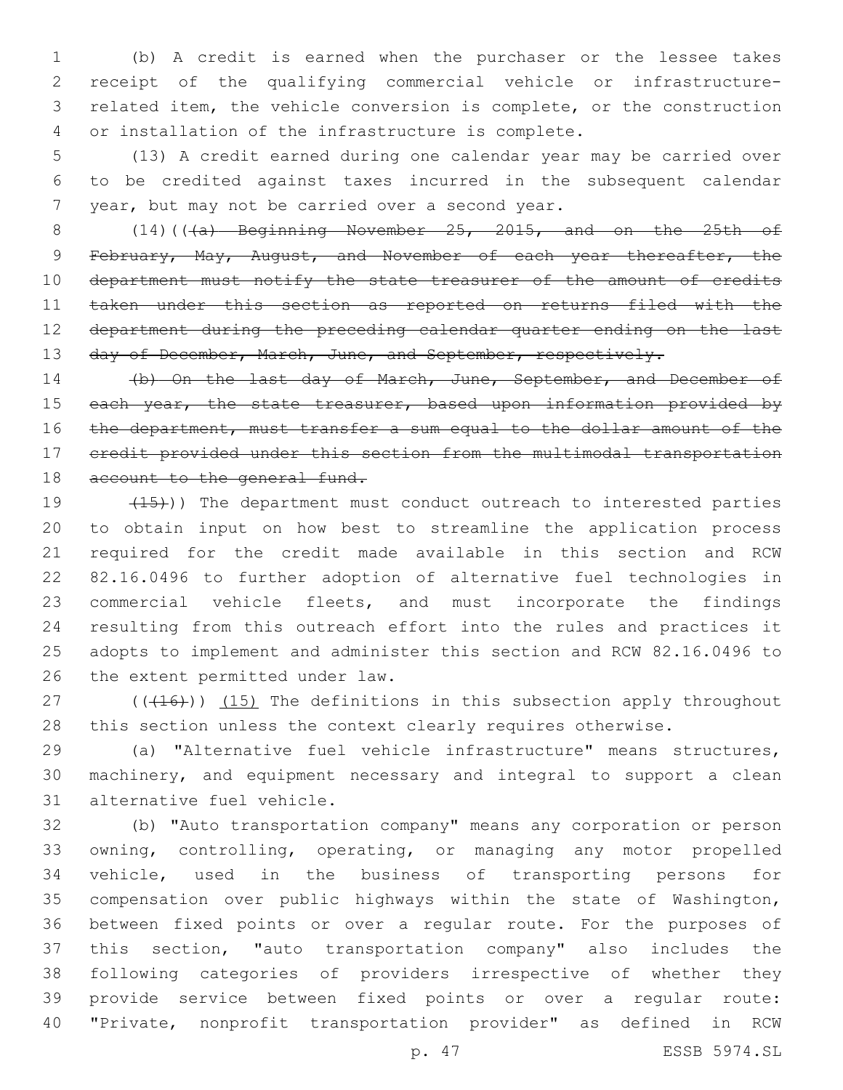(b) A credit is earned when the purchaser or the lessee takes receipt of the qualifying commercial vehicle or infrastructure- related item, the vehicle conversion is complete, or the construction 4 or installation of the infrastructure is complete.

 (13) A credit earned during one calendar year may be carried over to be credited against taxes incurred in the subsequent calendar 7 year, but may not be carried over a second year.

 $(14)((4a)$  Beginning November 25, 2015, and on the 25th of February, May, August, and November of each year thereafter, the 10 department must notify the state treasurer of the amount of credits taken under this section as reported on returns filed with the department during the preceding calendar quarter ending on the last 13 day of December, March, June, and September, respectively.

14 (b) On the last day of March, June, September, and December of 15 each year, the state treasurer, based upon information provided by 16 the department, must transfer a sum equal to the dollar amount of the credit provided under this section from the multimodal transportation 18 account to the general fund.

19 (15)) The department must conduct outreach to interested parties to obtain input on how best to streamline the application process required for the credit made available in this section and RCW 82.16.0496 to further adoption of alternative fuel technologies in commercial vehicle fleets, and must incorporate the findings resulting from this outreach effort into the rules and practices it adopts to implement and administer this section and RCW 82.16.0496 to 26 the extent permitted under law.

27 (((416))) (15) The definitions in this subsection apply throughout this section unless the context clearly requires otherwise.

 (a) "Alternative fuel vehicle infrastructure" means structures, machinery, and equipment necessary and integral to support a clean 31 alternative fuel vehicle.

 (b) "Auto transportation company" means any corporation or person owning, controlling, operating, or managing any motor propelled vehicle, used in the business of transporting persons for compensation over public highways within the state of Washington, between fixed points or over a regular route. For the purposes of this section, "auto transportation company" also includes the following categories of providers irrespective of whether they provide service between fixed points or over a regular route: "Private, nonprofit transportation provider" as defined in RCW

p. 47 ESSB 5974.SL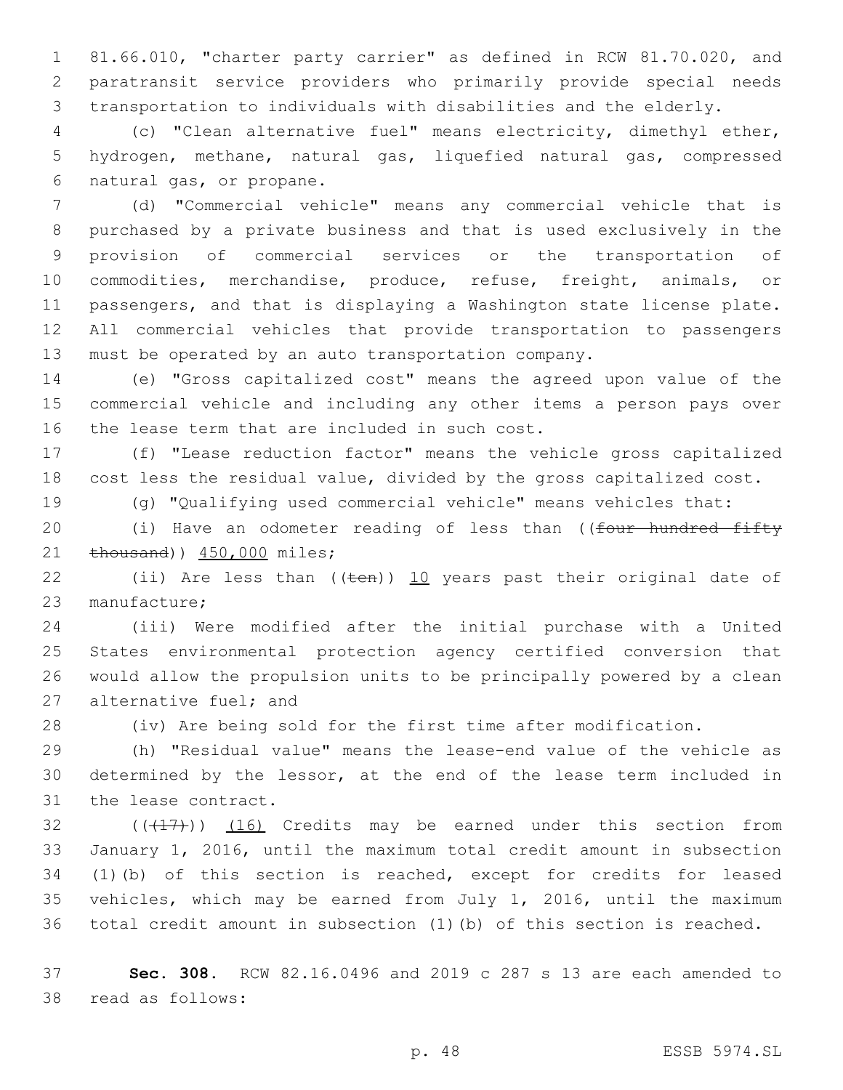81.66.010, "charter party carrier" as defined in RCW 81.70.020, and paratransit service providers who primarily provide special needs transportation to individuals with disabilities and the elderly.

 (c) "Clean alternative fuel" means electricity, dimethyl ether, hydrogen, methane, natural gas, liquefied natural gas, compressed 6 natural gas, or propane.

 (d) "Commercial vehicle" means any commercial vehicle that is purchased by a private business and that is used exclusively in the provision of commercial services or the transportation of commodities, merchandise, produce, refuse, freight, animals, or passengers, and that is displaying a Washington state license plate. All commercial vehicles that provide transportation to passengers must be operated by an auto transportation company.

 (e) "Gross capitalized cost" means the agreed upon value of the commercial vehicle and including any other items a person pays over 16 the lease term that are included in such cost.

 (f) "Lease reduction factor" means the vehicle gross capitalized cost less the residual value, divided by the gross capitalized cost.

(g) "Qualifying used commercial vehicle" means vehicles that:

20 (i) Have an odometer reading of less than ((four hundred fifty 21  $\text{thousand}$ )  $450,000 \text{ miles}$ ;

22 (ii) Are less than  $((\text{ten}))$  10 years past their original date of 23 manufacture;

 (iii) Were modified after the initial purchase with a United States environmental protection agency certified conversion that would allow the propulsion units to be principally powered by a clean 27 alternative fuel; and

(iv) Are being sold for the first time after modification.

 (h) "Residual value" means the lease-end value of the vehicle as determined by the lessor, at the end of the lease term included in 31 the lease contract.

 (( $(17)$ )) (16) Credits may be earned under this section from January 1, 2016, until the maximum total credit amount in subsection (1)(b) of this section is reached, except for credits for leased vehicles, which may be earned from July 1, 2016, until the maximum total credit amount in subsection (1)(b) of this section is reached.

 **Sec. 308.** RCW 82.16.0496 and 2019 c 287 s 13 are each amended to 38 read as follows: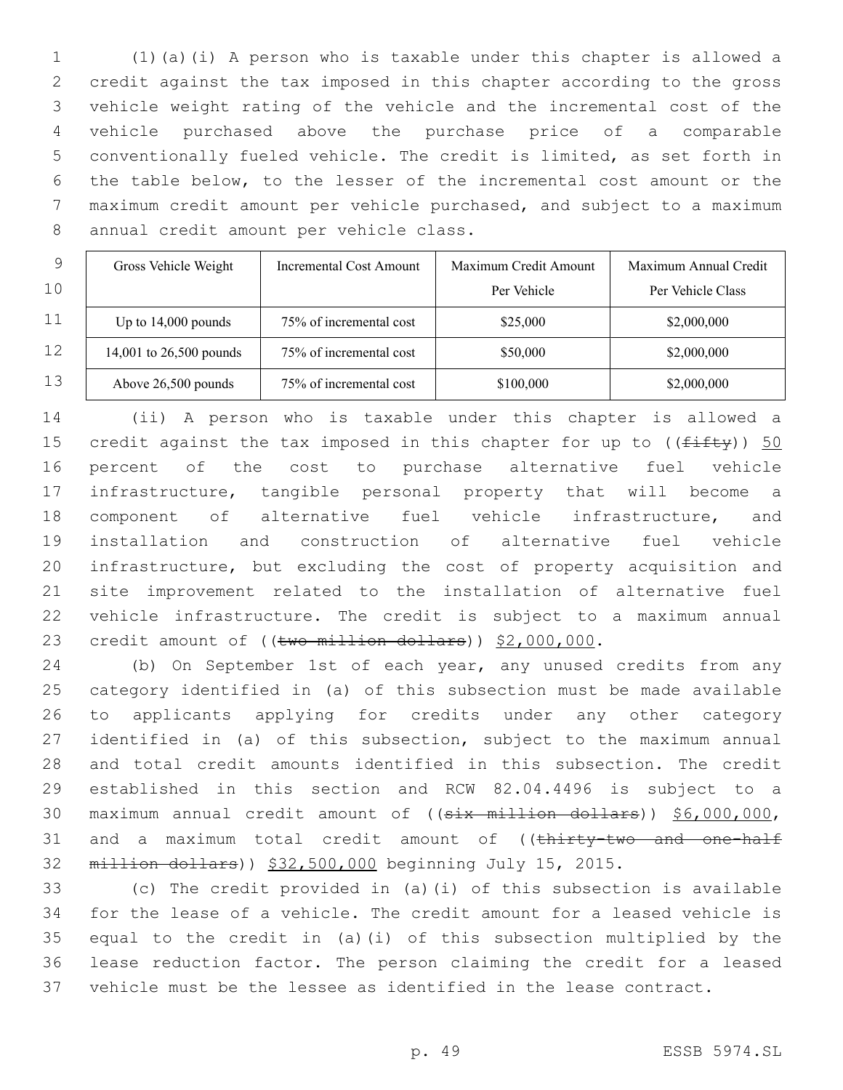(1)(a)(i) A person who is taxable under this chapter is allowed a credit against the tax imposed in this chapter according to the gross vehicle weight rating of the vehicle and the incremental cost of the vehicle purchased above the purchase price of a comparable conventionally fueled vehicle. The credit is limited, as set forth in the table below, to the lesser of the incremental cost amount or the maximum credit amount per vehicle purchased, and subject to a maximum 8 annual credit amount per vehicle class.

| 9  | Gross Vehicle Weight    | Incremental Cost Amount | Maximum Credit Amount | Maximum Annual Credit |
|----|-------------------------|-------------------------|-----------------------|-----------------------|
| 10 |                         |                         | Per Vehicle           | Per Vehicle Class     |
| 11 | Up to $14,000$ pounds   | 75% of incremental cost | \$25,000              | \$2,000,000           |
| 12 | 14,001 to 26,500 pounds | 75% of incremental cost | \$50,000              | \$2,000,000           |
| 13 | Above 26,500 pounds     | 75% of incremental cost | \$100,000             | \$2,000,000           |

 (ii) A person who is taxable under this chapter is allowed a 15 credit against the tax imposed in this chapter for up to  $((f\text{iff}\psi))$  50 percent of the cost to purchase alternative fuel vehicle infrastructure, tangible personal property that will become a component of alternative fuel vehicle infrastructure, and installation and construction of alternative fuel vehicle infrastructure, but excluding the cost of property acquisition and site improvement related to the installation of alternative fuel vehicle infrastructure. The credit is subject to a maximum annual 23 credit amount of ((two million dollars)) \$2,000,000.

 (b) On September 1st of each year, any unused credits from any category identified in (a) of this subsection must be made available to applicants applying for credits under any other category identified in (a) of this subsection, subject to the maximum annual and total credit amounts identified in this subsection. The credit established in this section and RCW 82.04.4496 is subject to a maximum annual credit amount of ((six million dollars)) \$6,000,000, 31 and a maximum total credit amount of ((thirty-two and one-half million dollars)) \$32,500,000 beginning July 15, 2015.

 (c) The credit provided in (a)(i) of this subsection is available for the lease of a vehicle. The credit amount for a leased vehicle is equal to the credit in (a)(i) of this subsection multiplied by the lease reduction factor. The person claiming the credit for a leased vehicle must be the lessee as identified in the lease contract.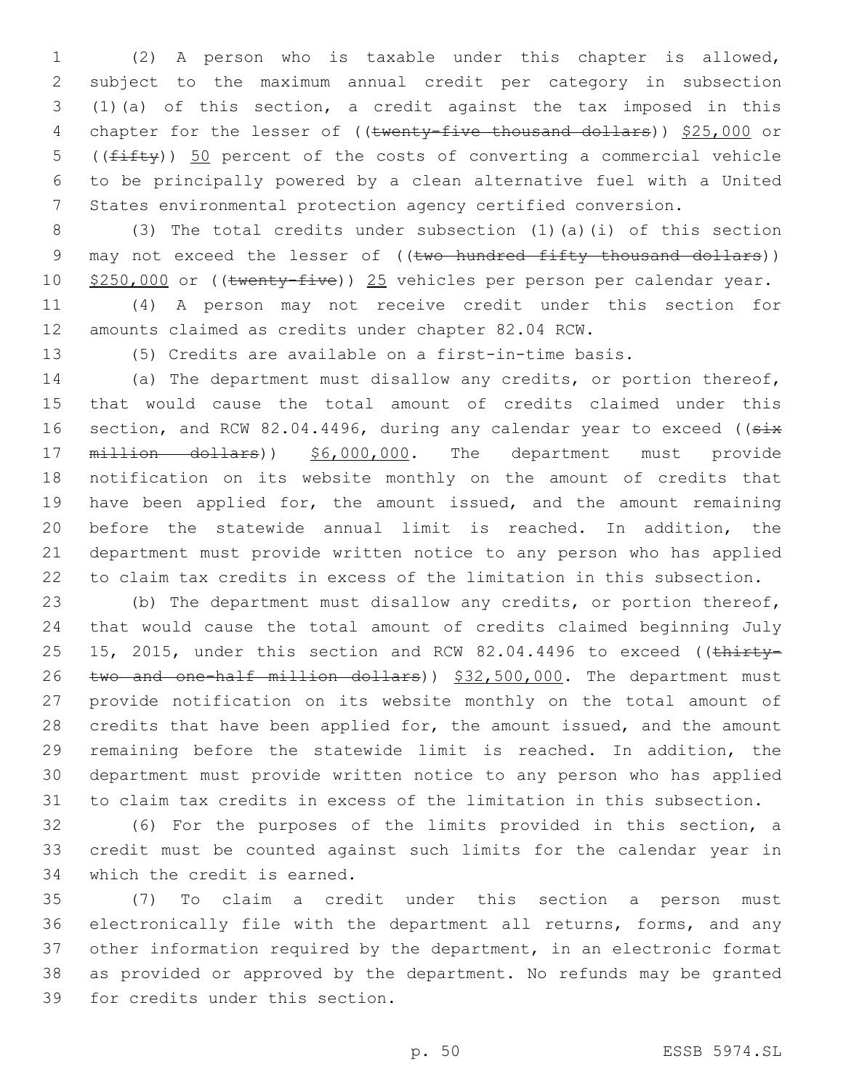(2) A person who is taxable under this chapter is allowed, subject to the maximum annual credit per category in subsection (1)(a) of this section, a credit against the tax imposed in this 4 chapter for the lesser of ((twenty-five thousand dollars)) \$25,000 or 5 ( $(f\text{iff}$ )) 50 percent of the costs of converting a commercial vehicle to be principally powered by a clean alternative fuel with a United States environmental protection agency certified conversion.

 (3) The total credits under subsection (1)(a)(i) of this section 9 may not exceed the lesser of ((two hundred fifty thousand dollars)) 10 \$250,000 or ((twenty-five)) 25 vehicles per person per calendar year.

 (4) A person may not receive credit under this section for amounts claimed as credits under chapter 82.04 RCW.

(5) Credits are available on a first-in-time basis.

 (a) The department must disallow any credits, or portion thereof, that would cause the total amount of credits claimed under this 16 section, and RCW 82.04.4496, during any calendar year to exceed ((six 17 million dollars)) \$6,000,000. The department must provide notification on its website monthly on the amount of credits that 19 have been applied for, the amount issued, and the amount remaining before the statewide annual limit is reached. In addition, the department must provide written notice to any person who has applied to claim tax credits in excess of the limitation in this subsection.

 (b) The department must disallow any credits, or portion thereof, that would cause the total amount of credits claimed beginning July 25 15, 2015, under this section and RCW 82.04.4496 to exceed ((thirty-26 two and one-half million dollars)) \$32,500,000. The department must provide notification on its website monthly on the total amount of 28 credits that have been applied for, the amount issued, and the amount remaining before the statewide limit is reached. In addition, the department must provide written notice to any person who has applied to claim tax credits in excess of the limitation in this subsection.

 (6) For the purposes of the limits provided in this section, a credit must be counted against such limits for the calendar year in 34 which the credit is earned.

 (7) To claim a credit under this section a person must electronically file with the department all returns, forms, and any other information required by the department, in an electronic format as provided or approved by the department. No refunds may be granted 39 for credits under this section.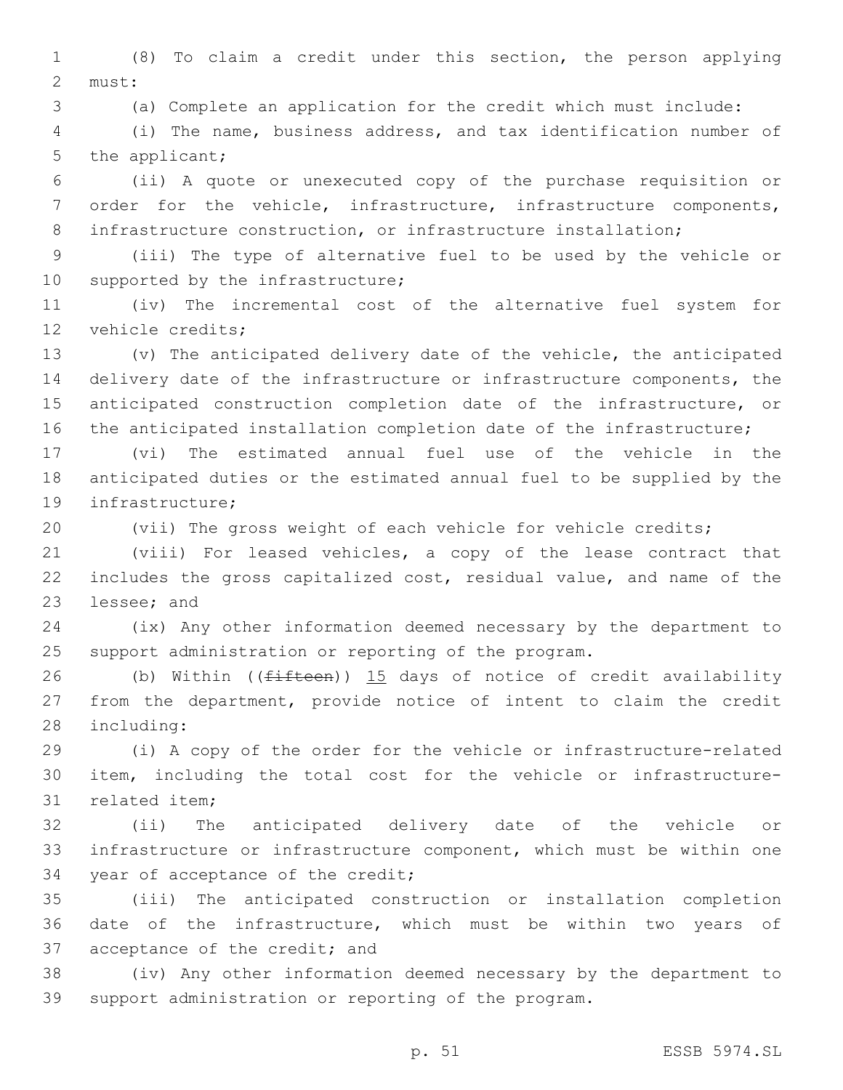(8) To claim a credit under this section, the person applying 2 must:

(a) Complete an application for the credit which must include:

 (i) The name, business address, and tax identification number of 5 the applicant;

 (ii) A quote or unexecuted copy of the purchase requisition or order for the vehicle, infrastructure, infrastructure components, 8 infrastructure construction, or infrastructure installation;

 (iii) The type of alternative fuel to be used by the vehicle or 10 supported by the infrastructure;

 (iv) The incremental cost of the alternative fuel system for 12 vehicle credits;

 (v) The anticipated delivery date of the vehicle, the anticipated delivery date of the infrastructure or infrastructure components, the anticipated construction completion date of the infrastructure, or the anticipated installation completion date of the infrastructure;

 (vi) The estimated annual fuel use of the vehicle in the anticipated duties or the estimated annual fuel to be supplied by the 19 infrastructure;

(vii) The gross weight of each vehicle for vehicle credits;

 (viii) For leased vehicles, a copy of the lease contract that includes the gross capitalized cost, residual value, and name of the 23 lessee; and

 (ix) Any other information deemed necessary by the department to support administration or reporting of the program.

26 (b) Within (( $f$ ifteen)) 15 days of notice of credit availability from the department, provide notice of intent to claim the credit 28 including:

 (i) A copy of the order for the vehicle or infrastructure-related item, including the total cost for the vehicle or infrastructure-31 related item;

 (ii) The anticipated delivery date of the vehicle or infrastructure or infrastructure component, which must be within one 34 year of acceptance of the credit;

 (iii) The anticipated construction or installation completion date of the infrastructure, which must be within two years of 37 acceptance of the credit; and

 (iv) Any other information deemed necessary by the department to support administration or reporting of the program.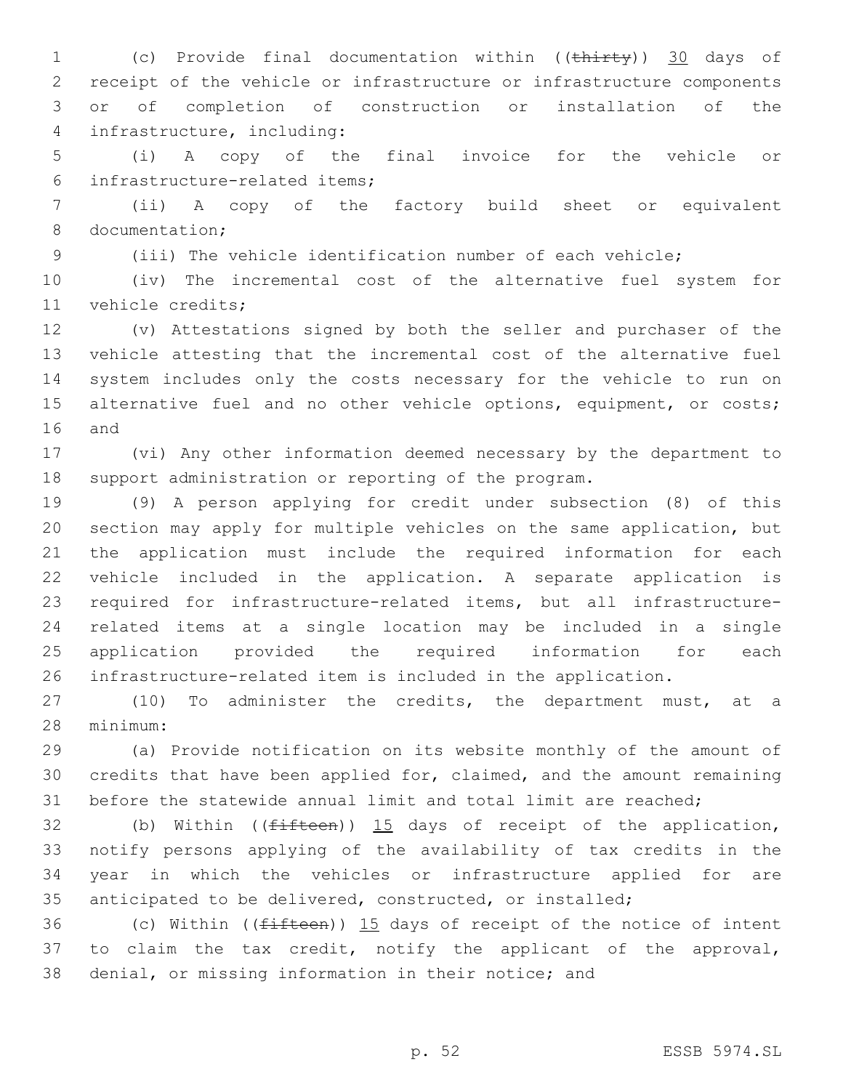1 (c) Provide final documentation within ((thirty)) 30 days of receipt of the vehicle or infrastructure or infrastructure components or of completion of construction or installation of the infrastructure, including:4

 (i) A copy of the final invoice for the vehicle or infrastructure-related items;6

 (ii) A copy of the factory build sheet or equivalent 8 documentation;

(iii) The vehicle identification number of each vehicle;

 (iv) The incremental cost of the alternative fuel system for 11 vehicle credits;

 (v) Attestations signed by both the seller and purchaser of the vehicle attesting that the incremental cost of the alternative fuel system includes only the costs necessary for the vehicle to run on 15 alternative fuel and no other vehicle options, equipment, or costs; 16 and

 (vi) Any other information deemed necessary by the department to support administration or reporting of the program.

 (9) A person applying for credit under subsection (8) of this section may apply for multiple vehicles on the same application, but the application must include the required information for each vehicle included in the application. A separate application is required for infrastructure-related items, but all infrastructure- related items at a single location may be included in a single application provided the required information for each infrastructure-related item is included in the application.

 (10) To administer the credits, the department must, at a minimum:28

 (a) Provide notification on its website monthly of the amount of credits that have been applied for, claimed, and the amount remaining before the statewide annual limit and total limit are reached;

32 (b) Within ( $(f$ ifteen)) 15 days of receipt of the application, notify persons applying of the availability of tax credits in the year in which the vehicles or infrastructure applied for are anticipated to be delivered, constructed, or installed;

36 (c) Within ( $(f$ ifteen)) 15 days of receipt of the notice of intent to claim the tax credit, notify the applicant of the approval, denial, or missing information in their notice; and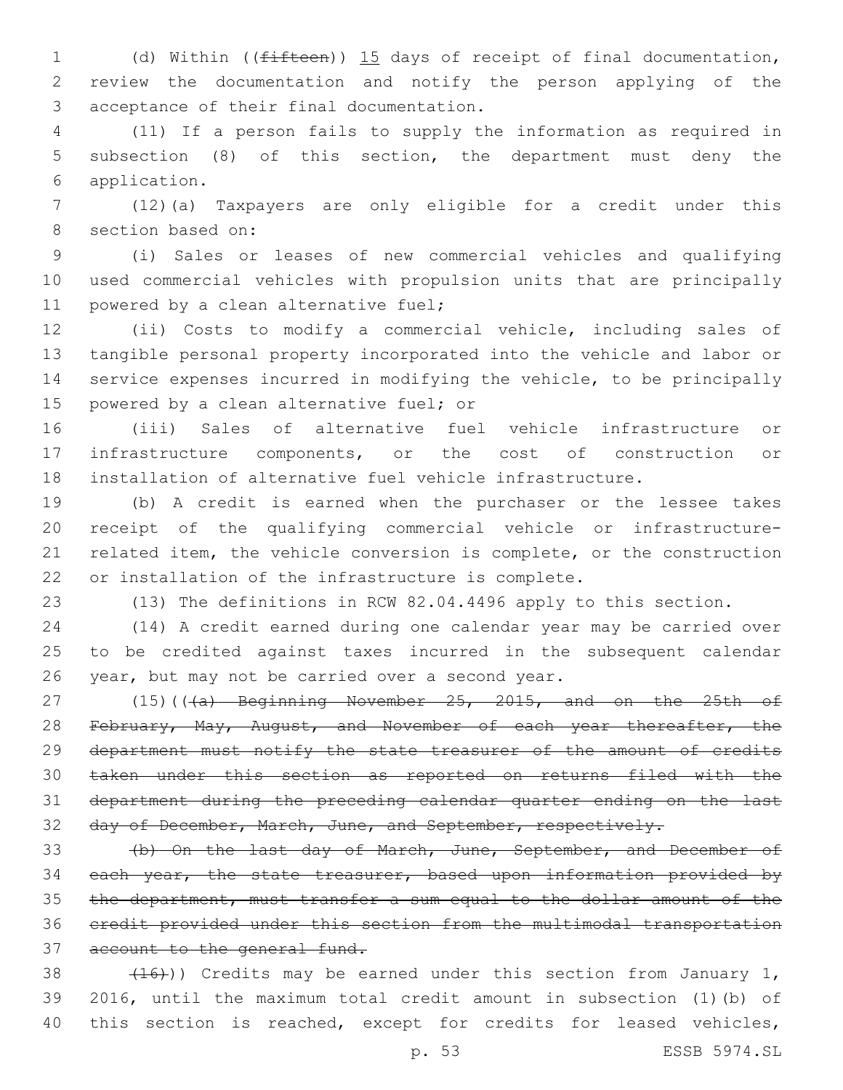1 (d) Within ((<del>fifteen</del>)) 15 days of receipt of final documentation, review the documentation and notify the person applying of the acceptance of their final documentation.3

 (11) If a person fails to supply the information as required in subsection (8) of this section, the department must deny the application.6

 (12)(a) Taxpayers are only eligible for a credit under this 8 section based on:

 (i) Sales or leases of new commercial vehicles and qualifying used commercial vehicles with propulsion units that are principally 11 powered by a clean alternative fuel;

 (ii) Costs to modify a commercial vehicle, including sales of tangible personal property incorporated into the vehicle and labor or service expenses incurred in modifying the vehicle, to be principally 15 powered by a clean alternative fuel; or

 (iii) Sales of alternative fuel vehicle infrastructure or infrastructure components, or the cost of construction or installation of alternative fuel vehicle infrastructure.

 (b) A credit is earned when the purchaser or the lessee takes receipt of the qualifying commercial vehicle or infrastructure- related item, the vehicle conversion is complete, or the construction or installation of the infrastructure is complete.

(13) The definitions in RCW 82.04.4496 apply to this section.

 (14) A credit earned during one calendar year may be carried over to be credited against taxes incurred in the subsequent calendar 26 year, but may not be carried over a second year.

27 (15)( $(\overline{a})$  Beginning November 25, 2015, and on the 25th of 28 February, May, August, and November of each year thereafter, the department must notify the state treasurer of the amount of credits taken under this section as reported on returns filed with the department during the preceding calendar quarter ending on the last 32 day of December, March, June, and September, respectively.

 (b) On the last day of March, June, September, and December of 34 each year, the state treasurer, based upon information provided by the department, must transfer a sum equal to the dollar amount of the credit provided under this section from the multimodal transportation 37 account to the general fund.

38  $(16)$ ) Credits may be earned under this section from January 1, 2016, until the maximum total credit amount in subsection (1)(b) of 40 this section is reached, except for credits for leased vehicles,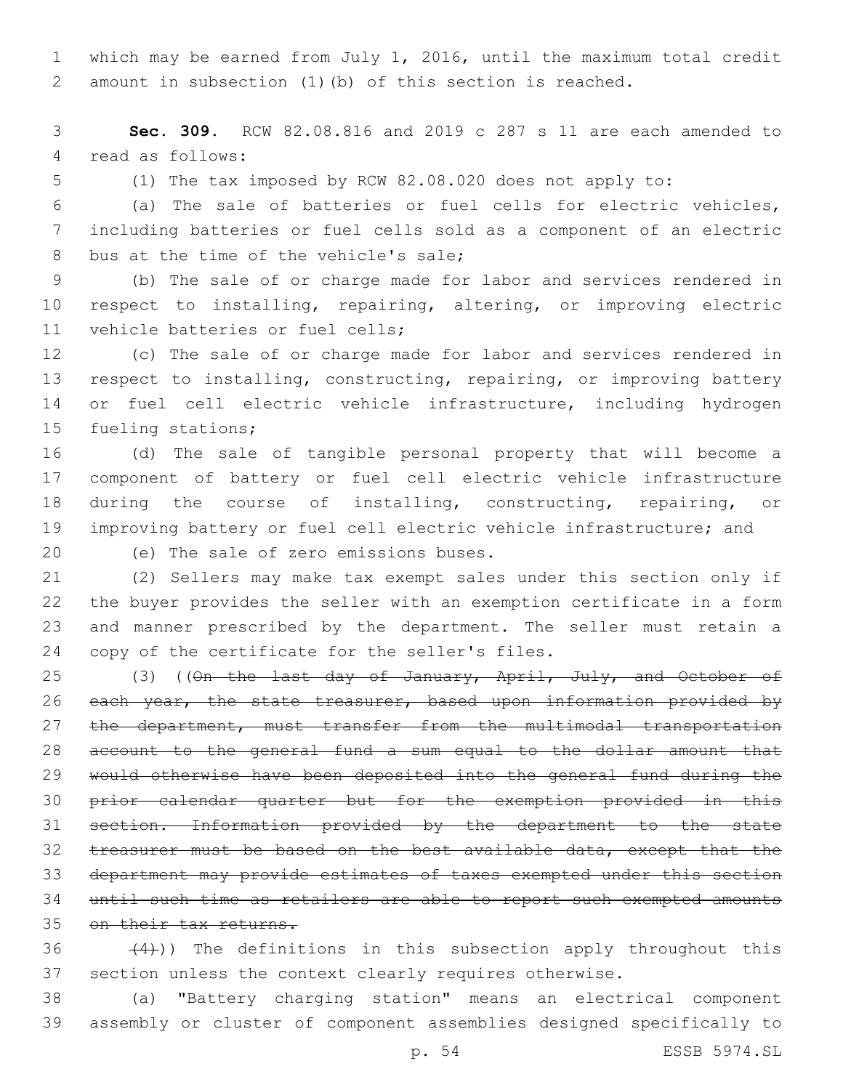which may be earned from July 1, 2016, until the maximum total credit amount in subsection (1)(b) of this section is reached.

 **Sec. 309.** RCW 82.08.816 and 2019 c 287 s 11 are each amended to 4 read as follows:

(1) The tax imposed by RCW 82.08.020 does not apply to:

 (a) The sale of batteries or fuel cells for electric vehicles, including batteries or fuel cells sold as a component of an electric 8 bus at the time of the vehicle's sale;

 (b) The sale of or charge made for labor and services rendered in respect to installing, repairing, altering, or improving electric 11 vehicle batteries or fuel cells;

 (c) The sale of or charge made for labor and services rendered in 13 respect to installing, constructing, repairing, or improving battery 14 or fuel cell electric vehicle infrastructure, including hydrogen 15 fueling stations;

 (d) The sale of tangible personal property that will become a component of battery or fuel cell electric vehicle infrastructure during the course of installing, constructing, repairing, or improving battery or fuel cell electric vehicle infrastructure; and

20 (e) The sale of zero emissions buses.

 (2) Sellers may make tax exempt sales under this section only if the buyer provides the seller with an exemption certificate in a form and manner prescribed by the department. The seller must retain a 24 copy of the certificate for the seller's files.

25 (3) ((On the last day of January, April, July, and October of 26 each year, the state treasurer, based upon information provided by 27 the department, must transfer from the multimodal transportation account to the general fund a sum equal to the dollar amount that would otherwise have been deposited into the general fund during the prior calendar quarter but for the exemption provided in this section. Information provided by the department to the state treasurer must be based on the best available data, except that the department may provide estimates of taxes exempted under this section until such time as retailers are able to report such exempted amounts 35 on their tax returns.

36  $(4)$ )) The definitions in this subsection apply throughout this section unless the context clearly requires otherwise.

 (a) "Battery charging station" means an electrical component assembly or cluster of component assemblies designed specifically to

p. 54 ESSB 5974.SL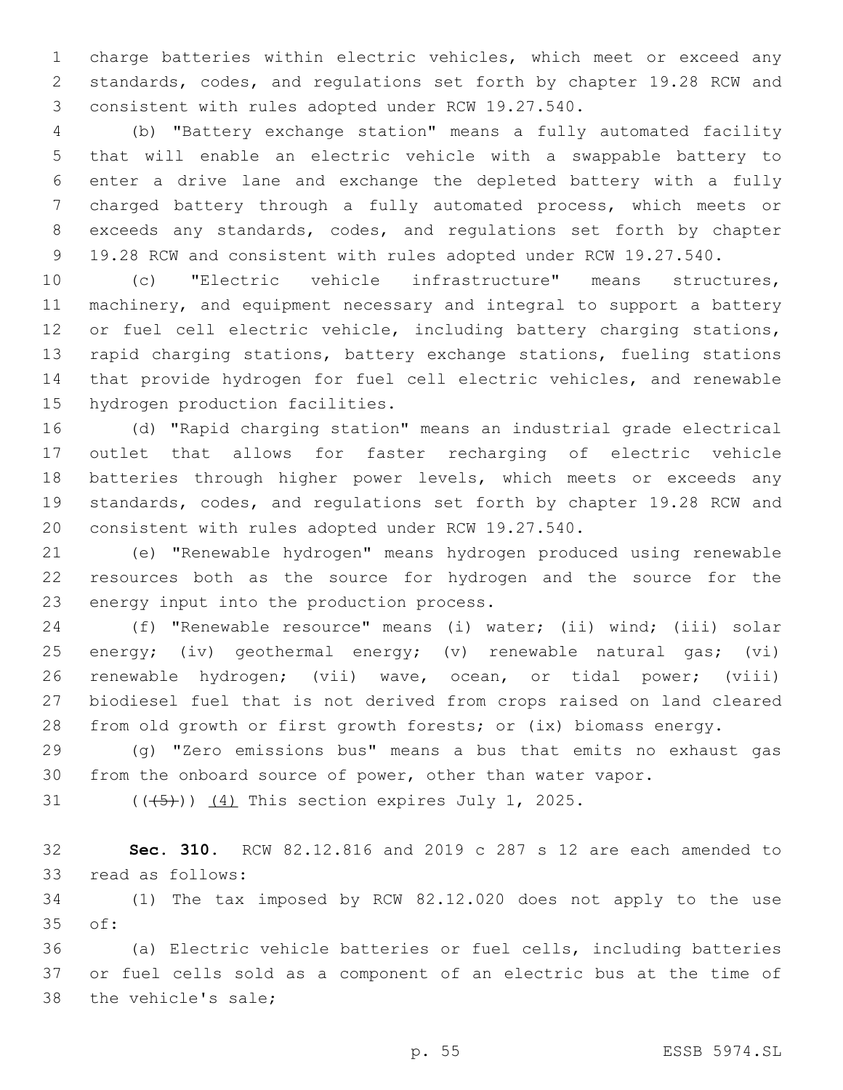charge batteries within electric vehicles, which meet or exceed any standards, codes, and regulations set forth by chapter 19.28 RCW and 3 consistent with rules adopted under RCW 19.27.540.

 (b) "Battery exchange station" means a fully automated facility that will enable an electric vehicle with a swappable battery to enter a drive lane and exchange the depleted battery with a fully charged battery through a fully automated process, which meets or exceeds any standards, codes, and regulations set forth by chapter 19.28 RCW and consistent with rules adopted under RCW 19.27.540.

 (c) "Electric vehicle infrastructure" means structures, machinery, and equipment necessary and integral to support a battery 12 or fuel cell electric vehicle, including battery charging stations, rapid charging stations, battery exchange stations, fueling stations that provide hydrogen for fuel cell electric vehicles, and renewable 15 hydrogen production facilities.

 (d) "Rapid charging station" means an industrial grade electrical outlet that allows for faster recharging of electric vehicle batteries through higher power levels, which meets or exceeds any standards, codes, and regulations set forth by chapter 19.28 RCW and consistent with rules adopted under RCW 19.27.540.

 (e) "Renewable hydrogen" means hydrogen produced using renewable resources both as the source for hydrogen and the source for the 23 energy input into the production process.

 (f) "Renewable resource" means (i) water; (ii) wind; (iii) solar energy; (iv) geothermal energy; (v) renewable natural gas; (vi) renewable hydrogen; (vii) wave, ocean, or tidal power; (viii) biodiesel fuel that is not derived from crops raised on land cleared from old growth or first growth forests; or (ix) biomass energy.

 (g) "Zero emissions bus" means a bus that emits no exhaust gas from the onboard source of power, other than water vapor.

31  $((+5+))$   $(4)$  This section expires July 1, 2025.

 **Sec. 310.** RCW 82.12.816 and 2019 c 287 s 12 are each amended to 33 read as follows:

 (1) The tax imposed by RCW 82.12.020 does not apply to the use 35 of:

 (a) Electric vehicle batteries or fuel cells, including batteries or fuel cells sold as a component of an electric bus at the time of 38 the vehicle's sale;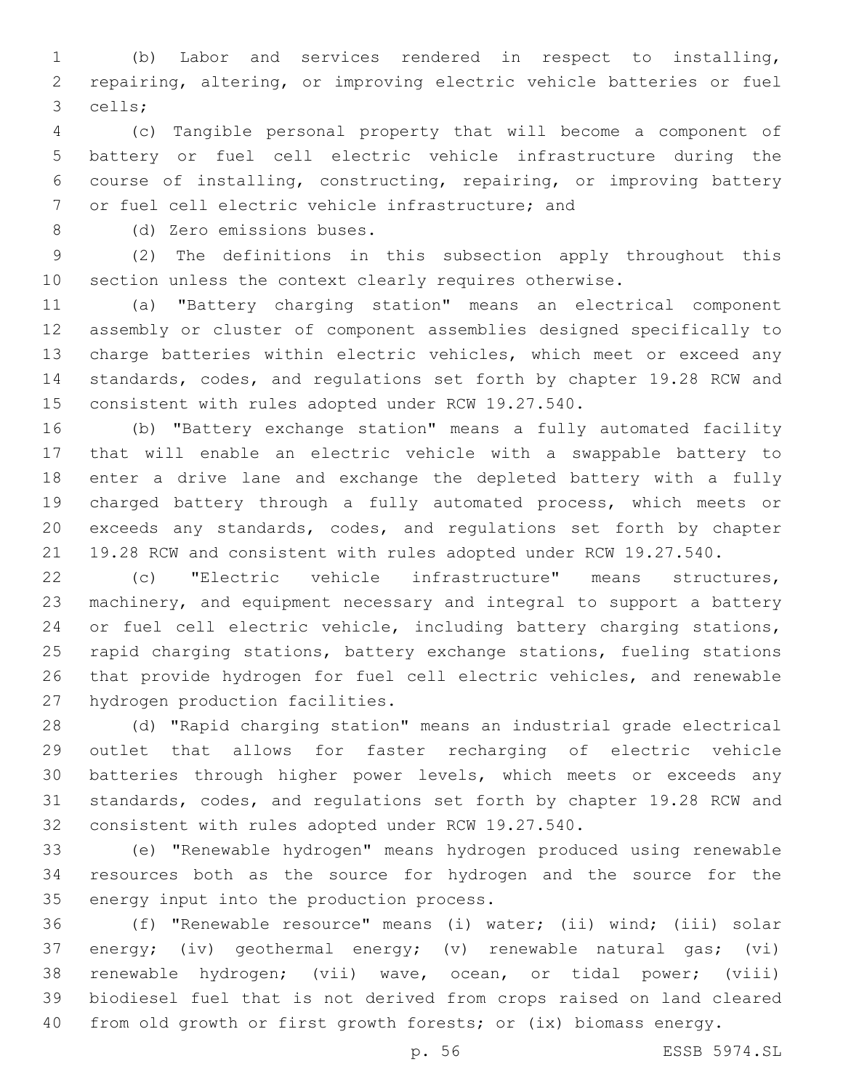(b) Labor and services rendered in respect to installing, repairing, altering, or improving electric vehicle batteries or fuel cells;3

 (c) Tangible personal property that will become a component of battery or fuel cell electric vehicle infrastructure during the course of installing, constructing, repairing, or improving battery 7 or fuel cell electric vehicle infrastructure; and

8 (d) Zero emissions buses.

 (2) The definitions in this subsection apply throughout this section unless the context clearly requires otherwise.

 (a) "Battery charging station" means an electrical component assembly or cluster of component assemblies designed specifically to charge batteries within electric vehicles, which meet or exceed any standards, codes, and regulations set forth by chapter 19.28 RCW and consistent with rules adopted under RCW 19.27.540.

 (b) "Battery exchange station" means a fully automated facility that will enable an electric vehicle with a swappable battery to enter a drive lane and exchange the depleted battery with a fully charged battery through a fully automated process, which meets or exceeds any standards, codes, and regulations set forth by chapter 19.28 RCW and consistent with rules adopted under RCW 19.27.540.

 (c) "Electric vehicle infrastructure" means structures, machinery, and equipment necessary and integral to support a battery 24 or fuel cell electric vehicle, including battery charging stations, rapid charging stations, battery exchange stations, fueling stations that provide hydrogen for fuel cell electric vehicles, and renewable 27 hydrogen production facilities.

 (d) "Rapid charging station" means an industrial grade electrical outlet that allows for faster recharging of electric vehicle batteries through higher power levels, which meets or exceeds any standards, codes, and regulations set forth by chapter 19.28 RCW and consistent with rules adopted under RCW 19.27.540.

 (e) "Renewable hydrogen" means hydrogen produced using renewable resources both as the source for hydrogen and the source for the 35 energy input into the production process.

 (f) "Renewable resource" means (i) water; (ii) wind; (iii) solar energy; (iv) geothermal energy; (v) renewable natural gas; (vi) renewable hydrogen; (vii) wave, ocean, or tidal power; (viii) biodiesel fuel that is not derived from crops raised on land cleared from old growth or first growth forests; or (ix) biomass energy.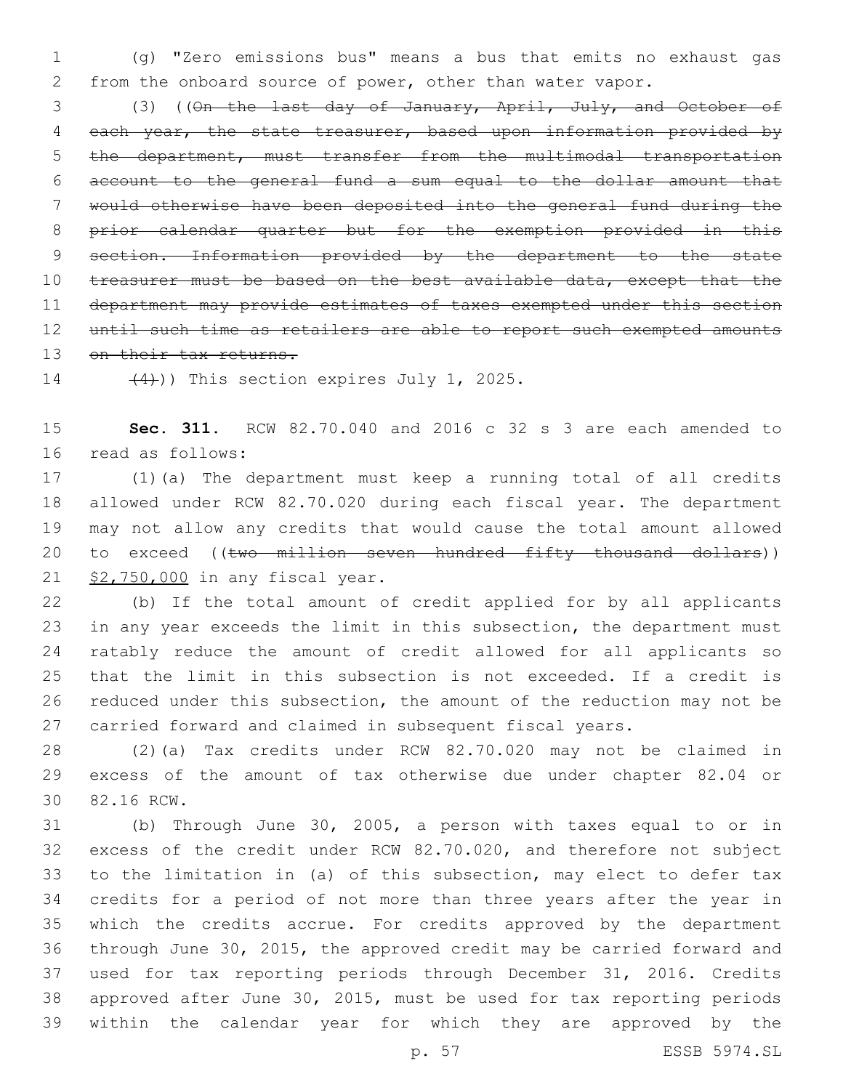(g) "Zero emissions bus" means a bus that emits no exhaust gas from the onboard source of power, other than water vapor.

 (3) ((On the last day of January, April, July, and October of 4 each year, the state treasurer, based upon information provided by the department, must transfer from the multimodal transportation account to the general fund a sum equal to the dollar amount that would otherwise have been deposited into the general fund during the prior calendar quarter but for the exemption provided in this 9 section. Information provided by the department to the state 10 treasurer must be based on the best available data, except that the department may provide estimates of taxes exempted under this section until such time as retailers are able to report such exempted amounts 13 on their tax returns.

 $(4)$ )) This section expires July 1, 2025.

 **Sec. 311.** RCW 82.70.040 and 2016 c 32 s 3 are each amended to 16 read as follows:

 (1)(a) The department must keep a running total of all credits allowed under RCW 82.70.020 during each fiscal year. The department may not allow any credits that would cause the total amount allowed 20 to exceed ((two million seven hundred fifty thousand dollars)) 21 \$2,750,000 in any fiscal year.

 (b) If the total amount of credit applied for by all applicants in any year exceeds the limit in this subsection, the department must ratably reduce the amount of credit allowed for all applicants so that the limit in this subsection is not exceeded. If a credit is reduced under this subsection, the amount of the reduction may not be carried forward and claimed in subsequent fiscal years.

 (2)(a) Tax credits under RCW 82.70.020 may not be claimed in excess of the amount of tax otherwise due under chapter 82.04 or 30 82.16 RCW.

 (b) Through June 30, 2005, a person with taxes equal to or in excess of the credit under RCW 82.70.020, and therefore not subject to the limitation in (a) of this subsection, may elect to defer tax credits for a period of not more than three years after the year in which the credits accrue. For credits approved by the department through June 30, 2015, the approved credit may be carried forward and used for tax reporting periods through December 31, 2016. Credits approved after June 30, 2015, must be used for tax reporting periods within the calendar year for which they are approved by the

p. 57 ESSB 5974.SL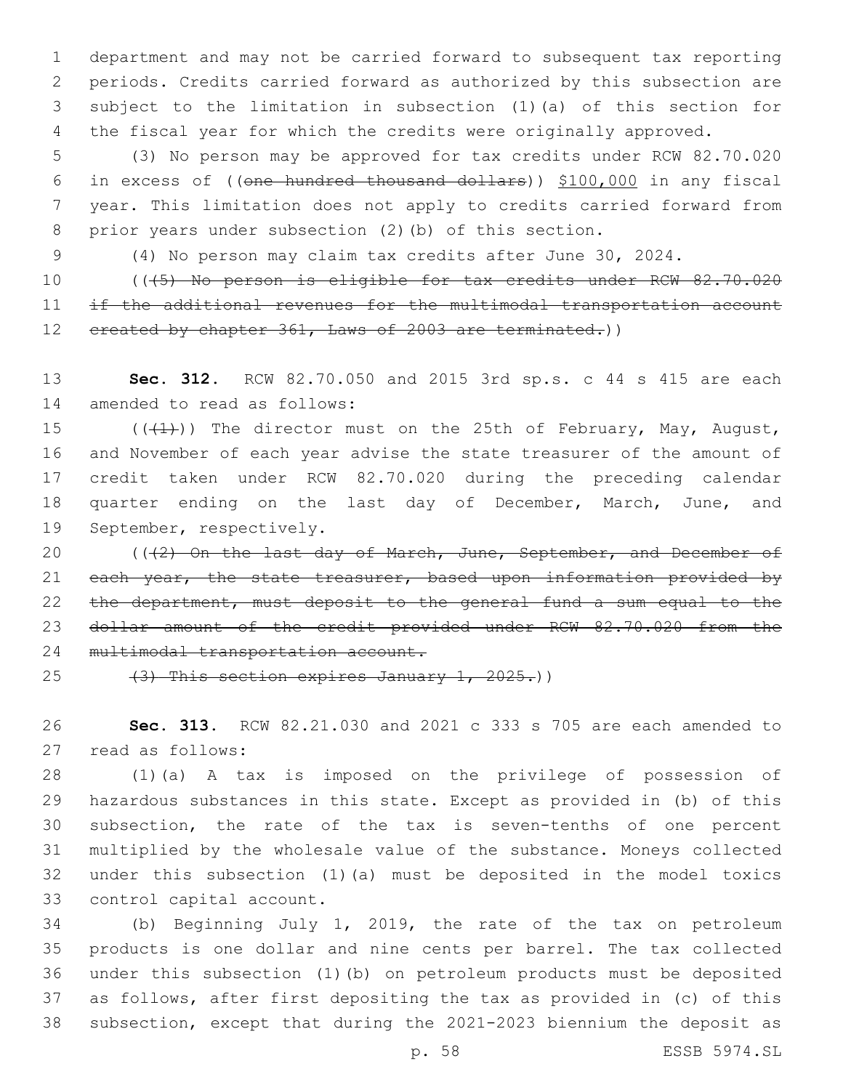department and may not be carried forward to subsequent tax reporting periods. Credits carried forward as authorized by this subsection are subject to the limitation in subsection (1)(a) of this section for the fiscal year for which the credits were originally approved.

 (3) No person may be approved for tax credits under RCW 82.70.020 in excess of ((one hundred thousand dollars)) \$100,000 in any fiscal year. This limitation does not apply to credits carried forward from prior years under subsection (2)(b) of this section.

(4) No person may claim tax credits after June 30, 2024.

 (((5) No person is eligible for tax credits under RCW 82.70.020 11 if the additional revenues for the multimodal transportation account 12 ereated by chapter 361, Laws of 2003 are terminated.))

 **Sec. 312.** RCW 82.70.050 and 2015 3rd sp.s. c 44 s 415 are each 14 amended to read as follows:

15  $((+1))$  The director must on the 25th of February, May, August, and November of each year advise the state treasurer of the amount of credit taken under RCW 82.70.020 during the preceding calendar 18 quarter ending on the last day of December, March, June, and 19 September, respectively.

20 (((2) On the last day of March, June, September, and December of 21 each year, the state treasurer, based upon information provided by the department, must deposit to the general fund a sum equal to the dollar amount of the credit provided under RCW 82.70.020 from the 24 multimodal transportation account.

25  $(3)$  This section expires January 1, 2025.)

 **Sec. 313.** RCW 82.21.030 and 2021 c 333 s 705 are each amended to read as follows:27

 (1)(a) A tax is imposed on the privilege of possession of hazardous substances in this state. Except as provided in (b) of this subsection, the rate of the tax is seven-tenths of one percent multiplied by the wholesale value of the substance. Moneys collected under this subsection (1)(a) must be deposited in the model toxics 33 control capital account.

 (b) Beginning July 1, 2019, the rate of the tax on petroleum products is one dollar and nine cents per barrel. The tax collected under this subsection (1)(b) on petroleum products must be deposited as follows, after first depositing the tax as provided in (c) of this subsection, except that during the 2021-2023 biennium the deposit as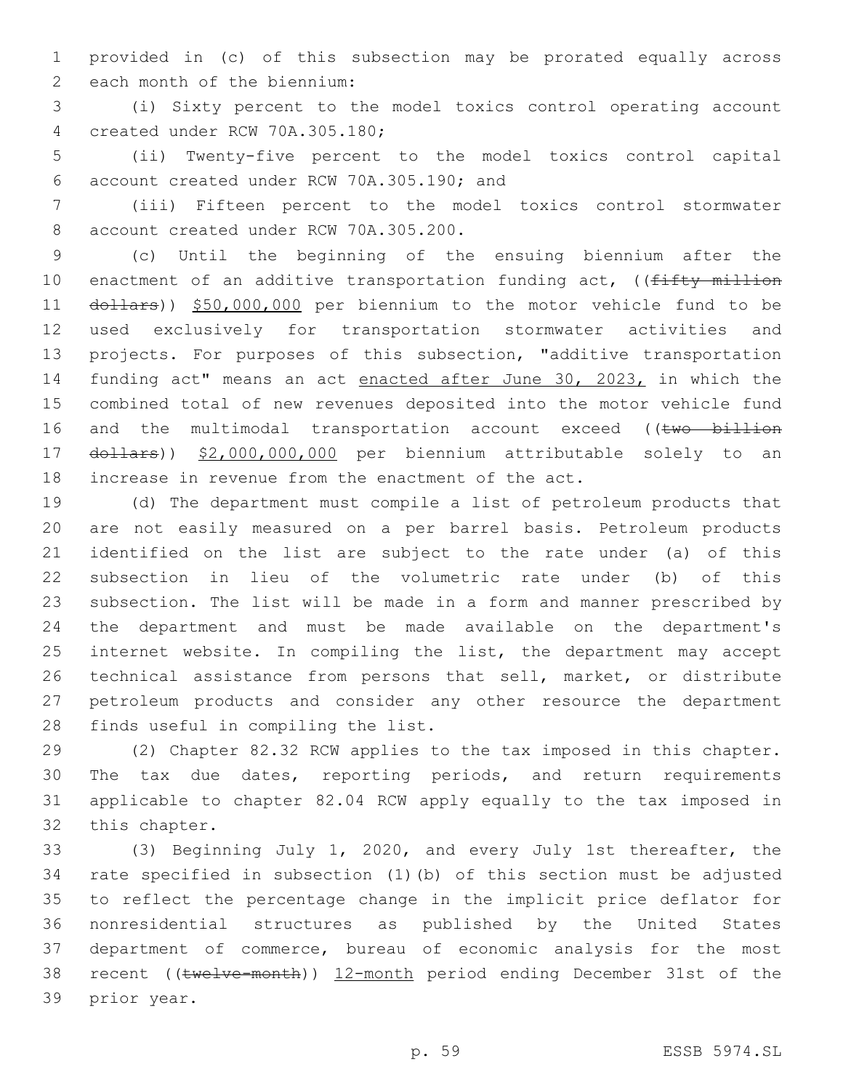provided in (c) of this subsection may be prorated equally across 2 each month of the biennium:

 (i) Sixty percent to the model toxics control operating account 4 created under RCW 70A.305.180;

 (ii) Twenty-five percent to the model toxics control capital account created under RCW 70A.305.190; and6

 (iii) Fifteen percent to the model toxics control stormwater 8 account created under RCW 70A.305.200.

 (c) Until the beginning of the ensuing biennium after the 10 enactment of an additive transportation funding act, ((fifty million 11 dollars)) \$50,000,000 per biennium to the motor vehicle fund to be used exclusively for transportation stormwater activities and projects. For purposes of this subsection, "additive transportation 14 funding act" means an act enacted after June 30, 2023, in which the combined total of new revenues deposited into the motor vehicle fund 16 and the multimodal transportation account exceed ((two billion dollars)) \$2,000,000,000 per biennium attributable solely to an increase in revenue from the enactment of the act.

 (d) The department must compile a list of petroleum products that are not easily measured on a per barrel basis. Petroleum products identified on the list are subject to the rate under (a) of this subsection in lieu of the volumetric rate under (b) of this subsection. The list will be made in a form and manner prescribed by the department and must be made available on the department's 25 internet website. In compiling the list, the department may accept technical assistance from persons that sell, market, or distribute petroleum products and consider any other resource the department 28 finds useful in compiling the list.

 (2) Chapter 82.32 RCW applies to the tax imposed in this chapter. The tax due dates, reporting periods, and return requirements applicable to chapter 82.04 RCW apply equally to the tax imposed in 32 this chapter.

 (3) Beginning July 1, 2020, and every July 1st thereafter, the rate specified in subsection (1)(b) of this section must be adjusted to reflect the percentage change in the implicit price deflator for nonresidential structures as published by the United States department of commerce, bureau of economic analysis for the most recent ((twelve-month)) 12-month period ending December 31st of the 39 prior year.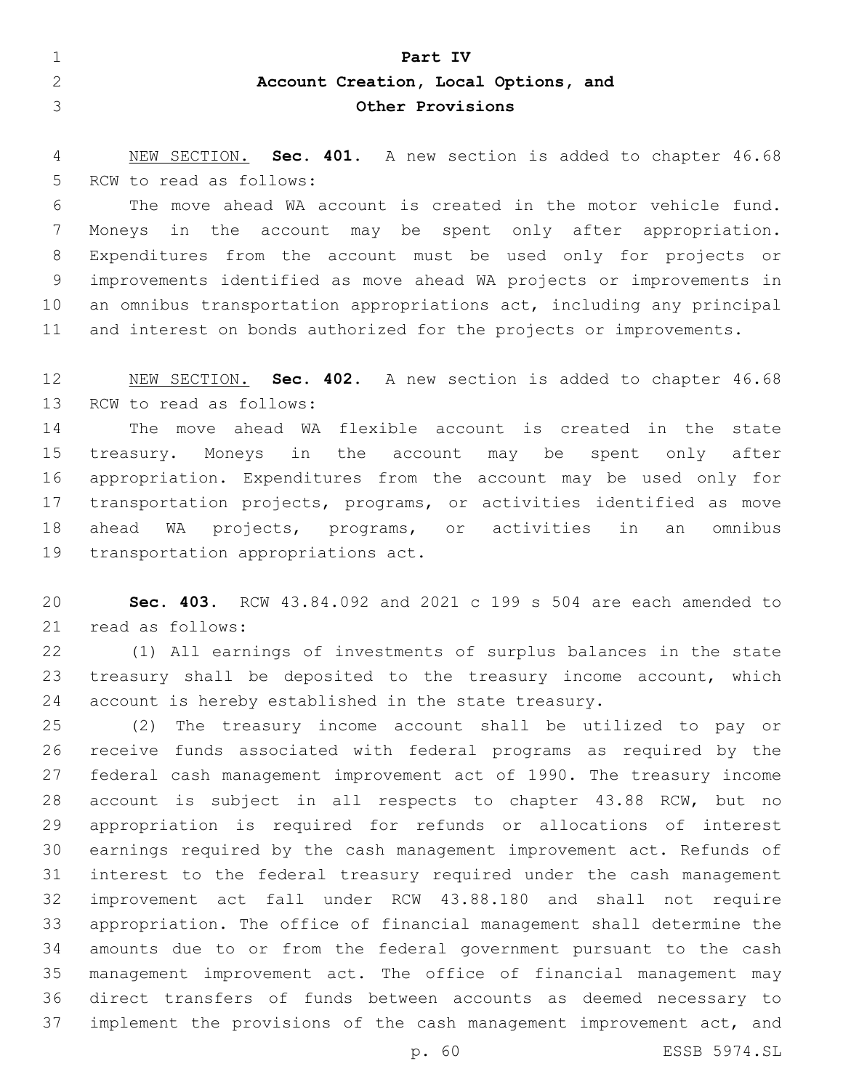| Part IV                              |
|--------------------------------------|
| Account Creation, Local Options, and |
| Other Provisions                     |

 NEW SECTION. **Sec. 401.** A new section is added to chapter 46.68 5 RCW to read as follows:

 The move ahead WA account is created in the motor vehicle fund. Moneys in the account may be spent only after appropriation. Expenditures from the account must be used only for projects or improvements identified as move ahead WA projects or improvements in an omnibus transportation appropriations act, including any principal and interest on bonds authorized for the projects or improvements.

 NEW SECTION. **Sec. 402.** A new section is added to chapter 46.68 13 RCW to read as follows:

 The move ahead WA flexible account is created in the state treasury. Moneys in the account may be spent only after appropriation. Expenditures from the account may be used only for transportation projects, programs, or activities identified as move ahead WA projects, programs, or activities in an omnibus 19 transportation appropriations act.

 **Sec. 403.** RCW 43.84.092 and 2021 c 199 s 504 are each amended to 21 read as follows:

 (1) All earnings of investments of surplus balances in the state 23 treasury shall be deposited to the treasury income account, which account is hereby established in the state treasury.

 (2) The treasury income account shall be utilized to pay or receive funds associated with federal programs as required by the federal cash management improvement act of 1990. The treasury income account is subject in all respects to chapter 43.88 RCW, but no appropriation is required for refunds or allocations of interest earnings required by the cash management improvement act. Refunds of interest to the federal treasury required under the cash management improvement act fall under RCW 43.88.180 and shall not require appropriation. The office of financial management shall determine the amounts due to or from the federal government pursuant to the cash management improvement act. The office of financial management may direct transfers of funds between accounts as deemed necessary to implement the provisions of the cash management improvement act, and

p. 60 ESSB 5974.SL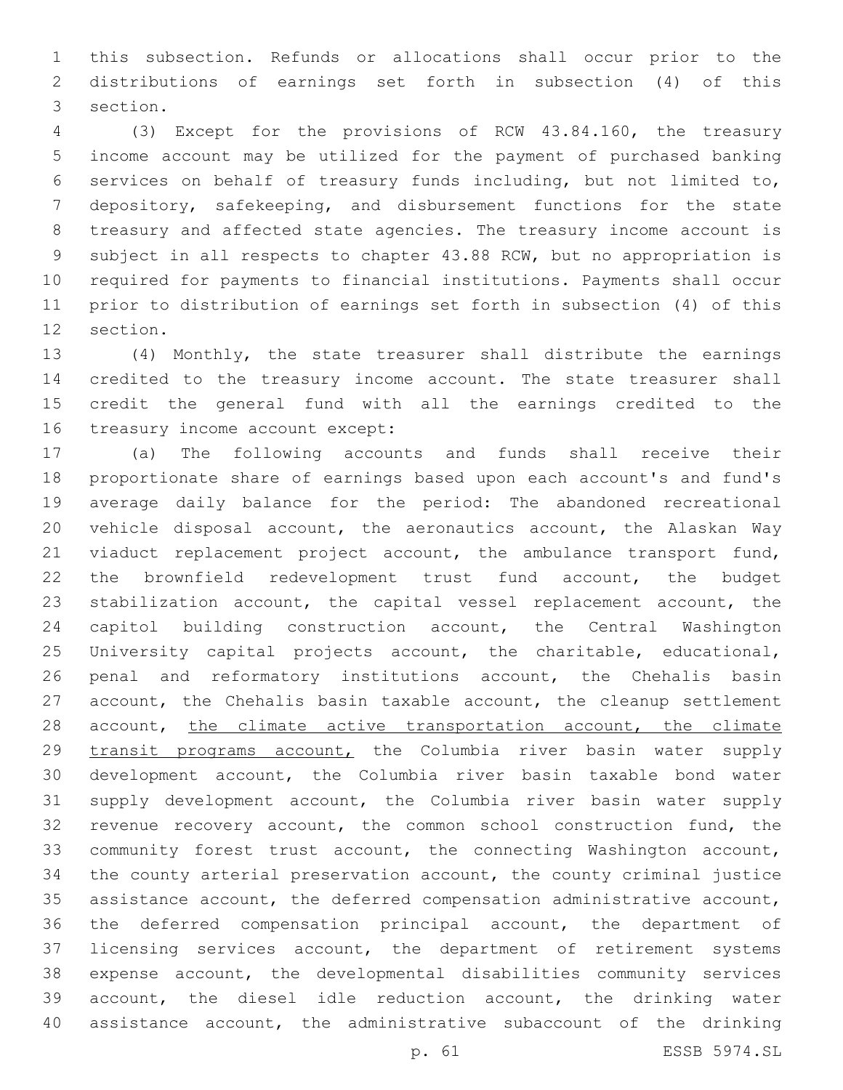this subsection. Refunds or allocations shall occur prior to the distributions of earnings set forth in subsection (4) of this 3 section.

 (3) Except for the provisions of RCW 43.84.160, the treasury income account may be utilized for the payment of purchased banking services on behalf of treasury funds including, but not limited to, depository, safekeeping, and disbursement functions for the state treasury and affected state agencies. The treasury income account is subject in all respects to chapter 43.88 RCW, but no appropriation is required for payments to financial institutions. Payments shall occur prior to distribution of earnings set forth in subsection (4) of this 12 section.

 (4) Monthly, the state treasurer shall distribute the earnings credited to the treasury income account. The state treasurer shall credit the general fund with all the earnings credited to the 16 treasury income account except:

 (a) The following accounts and funds shall receive their proportionate share of earnings based upon each account's and fund's average daily balance for the period: The abandoned recreational vehicle disposal account, the aeronautics account, the Alaskan Way 21 viaduct replacement project account, the ambulance transport fund, the brownfield redevelopment trust fund account, the budget stabilization account, the capital vessel replacement account, the capitol building construction account, the Central Washington University capital projects account, the charitable, educational, penal and reformatory institutions account, the Chehalis basin account, the Chehalis basin taxable account, the cleanup settlement 28 account, the climate active transportation account, the climate transit programs account, the Columbia river basin water supply development account, the Columbia river basin taxable bond water supply development account, the Columbia river basin water supply revenue recovery account, the common school construction fund, the community forest trust account, the connecting Washington account, the county arterial preservation account, the county criminal justice assistance account, the deferred compensation administrative account, the deferred compensation principal account, the department of licensing services account, the department of retirement systems expense account, the developmental disabilities community services account, the diesel idle reduction account, the drinking water assistance account, the administrative subaccount of the drinking

p. 61 ESSB 5974.SL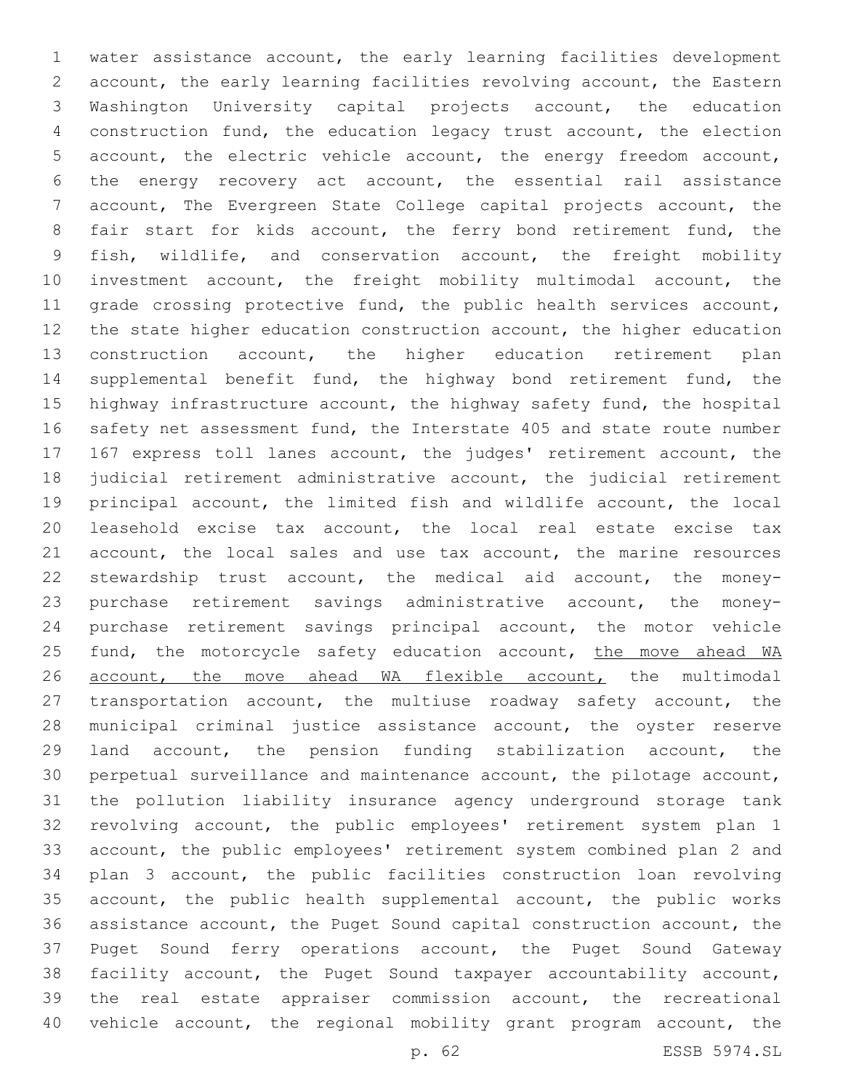water assistance account, the early learning facilities development account, the early learning facilities revolving account, the Eastern Washington University capital projects account, the education construction fund, the education legacy trust account, the election account, the electric vehicle account, the energy freedom account, the energy recovery act account, the essential rail assistance account, The Evergreen State College capital projects account, the fair start for kids account, the ferry bond retirement fund, the fish, wildlife, and conservation account, the freight mobility investment account, the freight mobility multimodal account, the 11 grade crossing protective fund, the public health services account, the state higher education construction account, the higher education construction account, the higher education retirement plan 14 supplemental benefit fund, the highway bond retirement fund, the highway infrastructure account, the highway safety fund, the hospital 16 safety net assessment fund, the Interstate 405 and state route number 167 express toll lanes account, the judges' retirement account, the judicial retirement administrative account, the judicial retirement principal account, the limited fish and wildlife account, the local leasehold excise tax account, the local real estate excise tax account, the local sales and use tax account, the marine resources stewardship trust account, the medical aid account, the money- purchase retirement savings administrative account, the money- purchase retirement savings principal account, the motor vehicle 25 fund, the motorcycle safety education account, the move ahead WA 26 account, the move ahead WA flexible account, the multimodal transportation account, the multiuse roadway safety account, the municipal criminal justice assistance account, the oyster reserve land account, the pension funding stabilization account, the perpetual surveillance and maintenance account, the pilotage account, the pollution liability insurance agency underground storage tank revolving account, the public employees' retirement system plan 1 account, the public employees' retirement system combined plan 2 and plan 3 account, the public facilities construction loan revolving account, the public health supplemental account, the public works assistance account, the Puget Sound capital construction account, the Puget Sound ferry operations account, the Puget Sound Gateway facility account, the Puget Sound taxpayer accountability account, the real estate appraiser commission account, the recreational vehicle account, the regional mobility grant program account, the

p. 62 ESSB 5974.SL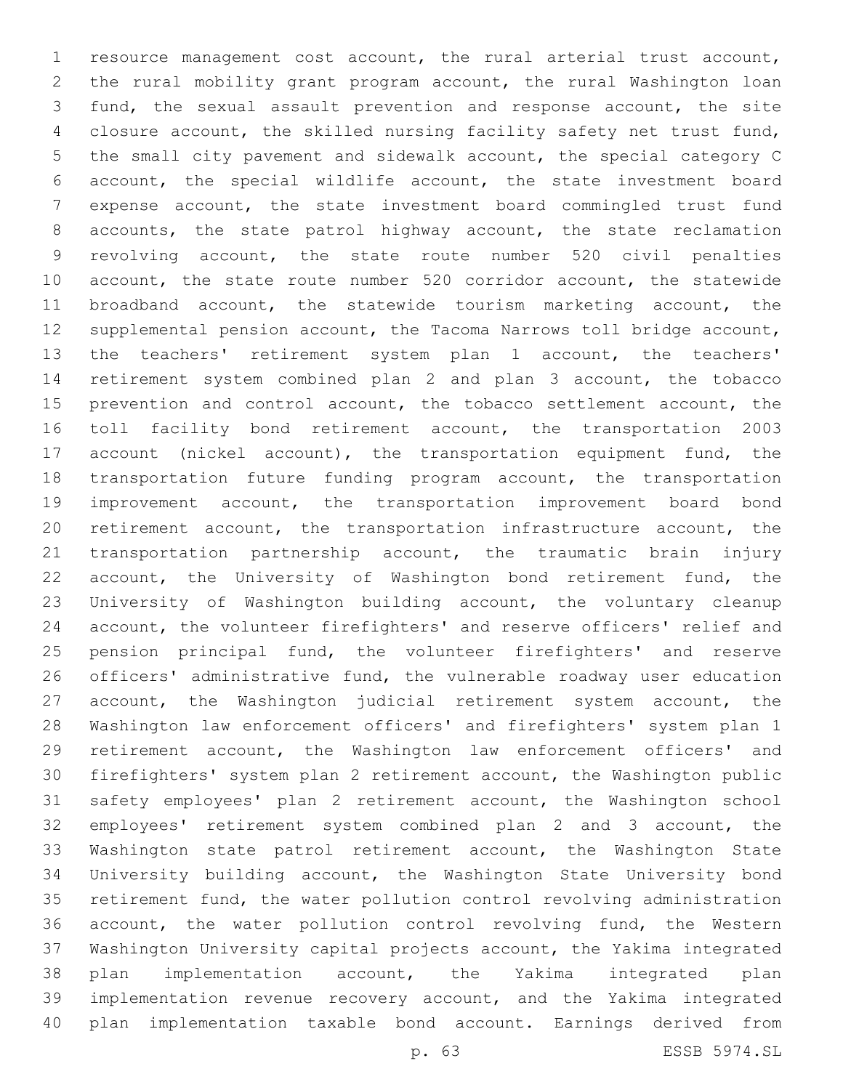resource management cost account, the rural arterial trust account, the rural mobility grant program account, the rural Washington loan fund, the sexual assault prevention and response account, the site closure account, the skilled nursing facility safety net trust fund, the small city pavement and sidewalk account, the special category C account, the special wildlife account, the state investment board expense account, the state investment board commingled trust fund accounts, the state patrol highway account, the state reclamation revolving account, the state route number 520 civil penalties account, the state route number 520 corridor account, the statewide broadband account, the statewide tourism marketing account, the supplemental pension account, the Tacoma Narrows toll bridge account, the teachers' retirement system plan 1 account, the teachers' retirement system combined plan 2 and plan 3 account, the tobacco prevention and control account, the tobacco settlement account, the toll facility bond retirement account, the transportation 2003 17 account (nickel account), the transportation equipment fund, the transportation future funding program account, the transportation improvement account, the transportation improvement board bond retirement account, the transportation infrastructure account, the transportation partnership account, the traumatic brain injury account, the University of Washington bond retirement fund, the University of Washington building account, the voluntary cleanup account, the volunteer firefighters' and reserve officers' relief and 25 pension principal fund, the volunteer firefighters' and reserve officers' administrative fund, the vulnerable roadway user education account, the Washington judicial retirement system account, the Washington law enforcement officers' and firefighters' system plan 1 retirement account, the Washington law enforcement officers' and firefighters' system plan 2 retirement account, the Washington public safety employees' plan 2 retirement account, the Washington school employees' retirement system combined plan 2 and 3 account, the Washington state patrol retirement account, the Washington State University building account, the Washington State University bond retirement fund, the water pollution control revolving administration account, the water pollution control revolving fund, the Western Washington University capital projects account, the Yakima integrated plan implementation account, the Yakima integrated plan implementation revenue recovery account, and the Yakima integrated plan implementation taxable bond account. Earnings derived from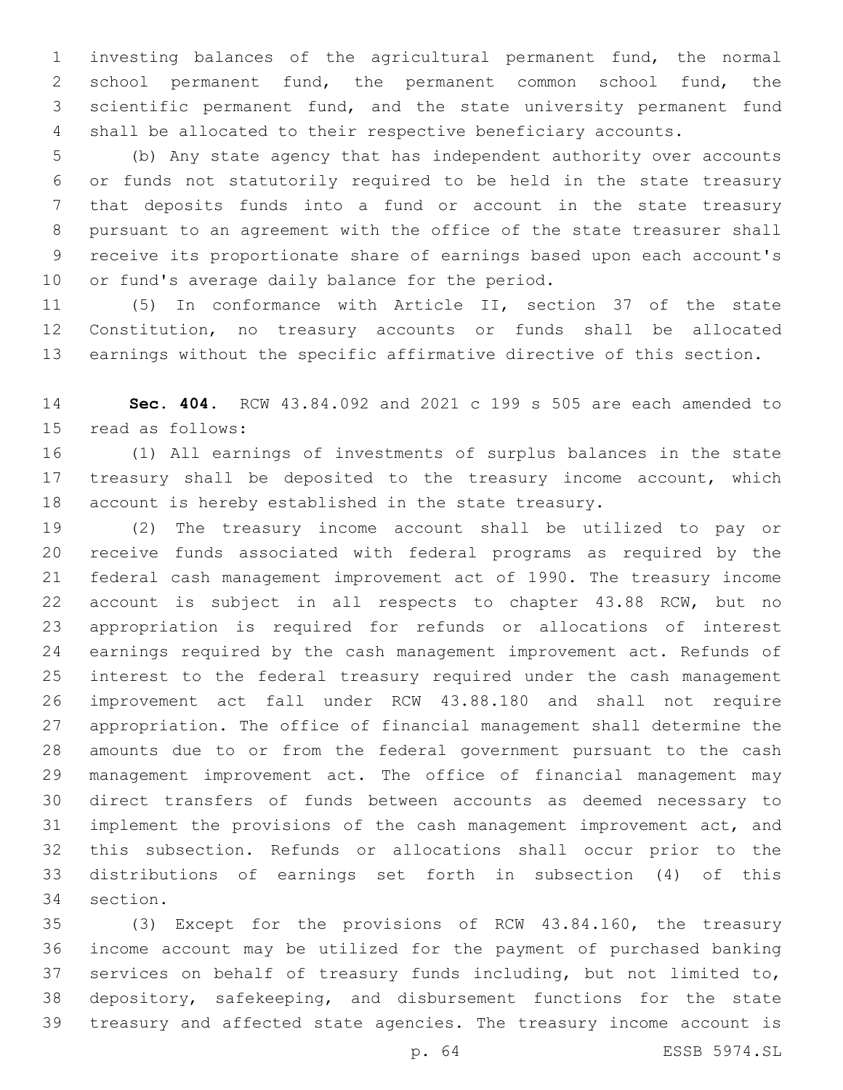investing balances of the agricultural permanent fund, the normal 2 school permanent fund, the permanent common school fund, the scientific permanent fund, and the state university permanent fund shall be allocated to their respective beneficiary accounts.

 (b) Any state agency that has independent authority over accounts or funds not statutorily required to be held in the state treasury that deposits funds into a fund or account in the state treasury pursuant to an agreement with the office of the state treasurer shall receive its proportionate share of earnings based upon each account's 10 or fund's average daily balance for the period.

 (5) In conformance with Article II, section 37 of the state Constitution, no treasury accounts or funds shall be allocated earnings without the specific affirmative directive of this section.

 **Sec. 404.** RCW 43.84.092 and 2021 c 199 s 505 are each amended to 15 read as follows:

 (1) All earnings of investments of surplus balances in the state 17 treasury shall be deposited to the treasury income account, which account is hereby established in the state treasury.

 (2) The treasury income account shall be utilized to pay or receive funds associated with federal programs as required by the federal cash management improvement act of 1990. The treasury income account is subject in all respects to chapter 43.88 RCW, but no appropriation is required for refunds or allocations of interest earnings required by the cash management improvement act. Refunds of interest to the federal treasury required under the cash management improvement act fall under RCW 43.88.180 and shall not require appropriation. The office of financial management shall determine the amounts due to or from the federal government pursuant to the cash management improvement act. The office of financial management may direct transfers of funds between accounts as deemed necessary to implement the provisions of the cash management improvement act, and this subsection. Refunds or allocations shall occur prior to the distributions of earnings set forth in subsection (4) of this 34 section.

 (3) Except for the provisions of RCW 43.84.160, the treasury income account may be utilized for the payment of purchased banking services on behalf of treasury funds including, but not limited to, depository, safekeeping, and disbursement functions for the state treasury and affected state agencies. The treasury income account is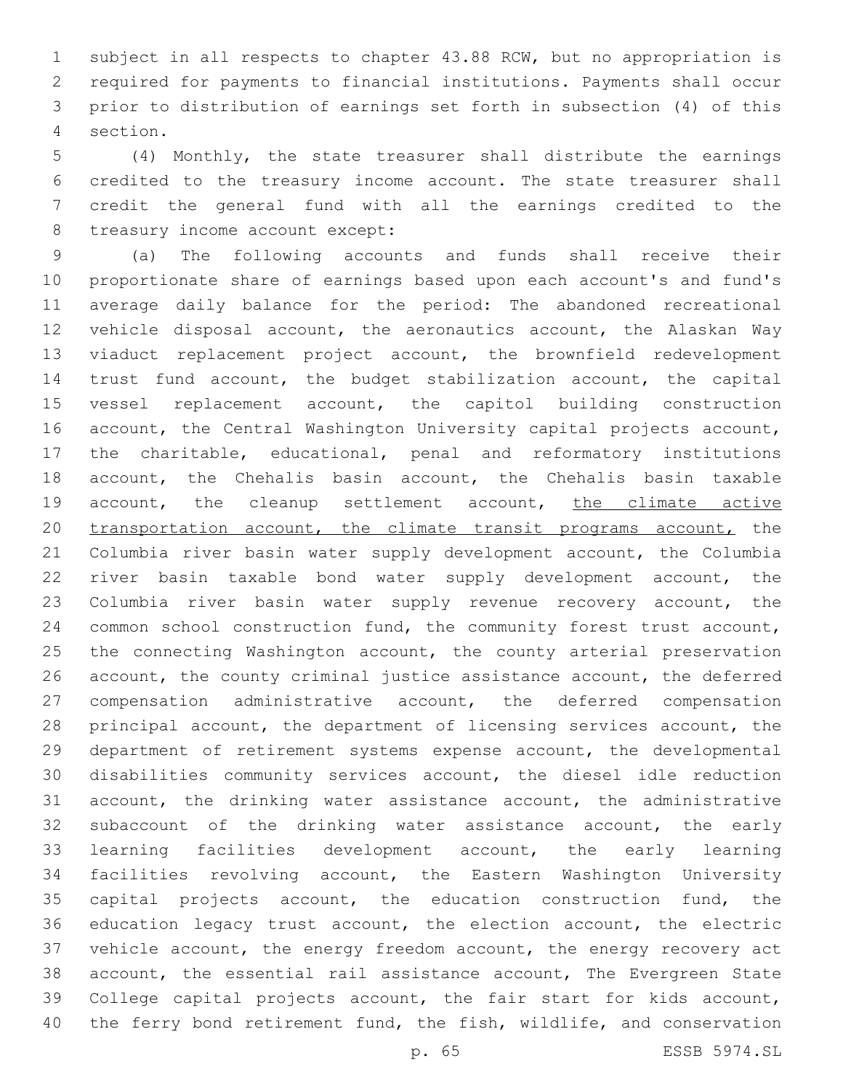subject in all respects to chapter 43.88 RCW, but no appropriation is required for payments to financial institutions. Payments shall occur prior to distribution of earnings set forth in subsection (4) of this section.4

 (4) Monthly, the state treasurer shall distribute the earnings credited to the treasury income account. The state treasurer shall credit the general fund with all the earnings credited to the 8 treasury income account except:

 (a) The following accounts and funds shall receive their proportionate share of earnings based upon each account's and fund's average daily balance for the period: The abandoned recreational vehicle disposal account, the aeronautics account, the Alaskan Way viaduct replacement project account, the brownfield redevelopment trust fund account, the budget stabilization account, the capital vessel replacement account, the capitol building construction account, the Central Washington University capital projects account, the charitable, educational, penal and reformatory institutions account, the Chehalis basin account, the Chehalis basin taxable 19 account, the cleanup settlement account, the climate active 20 transportation account, the climate transit programs account, the Columbia river basin water supply development account, the Columbia river basin taxable bond water supply development account, the Columbia river basin water supply revenue recovery account, the common school construction fund, the community forest trust account, 25 the connecting Washington account, the county arterial preservation account, the county criminal justice assistance account, the deferred compensation administrative account, the deferred compensation principal account, the department of licensing services account, the department of retirement systems expense account, the developmental disabilities community services account, the diesel idle reduction account, the drinking water assistance account, the administrative subaccount of the drinking water assistance account, the early learning facilities development account, the early learning facilities revolving account, the Eastern Washington University capital projects account, the education construction fund, the education legacy trust account, the election account, the electric vehicle account, the energy freedom account, the energy recovery act account, the essential rail assistance account, The Evergreen State College capital projects account, the fair start for kids account, 40 the ferry bond retirement fund, the fish, wildlife, and conservation

p. 65 ESSB 5974.SL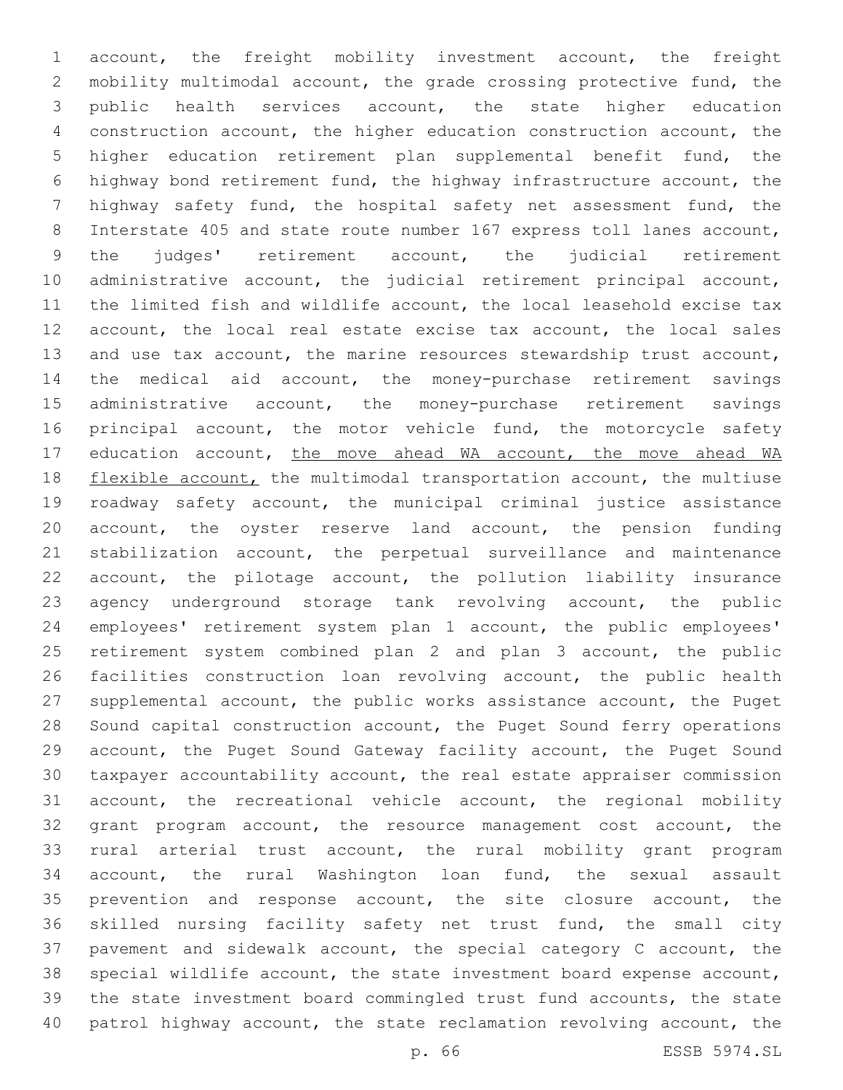account, the freight mobility investment account, the freight mobility multimodal account, the grade crossing protective fund, the public health services account, the state higher education construction account, the higher education construction account, the higher education retirement plan supplemental benefit fund, the highway bond retirement fund, the highway infrastructure account, the highway safety fund, the hospital safety net assessment fund, the Interstate 405 and state route number 167 express toll lanes account, the judges' retirement account, the judicial retirement administrative account, the judicial retirement principal account, the limited fish and wildlife account, the local leasehold excise tax account, the local real estate excise tax account, the local sales and use tax account, the marine resources stewardship trust account, the medical aid account, the money-purchase retirement savings administrative account, the money-purchase retirement savings 16 principal account, the motor vehicle fund, the motorcycle safety 17 education account, the move ahead WA account, the move ahead WA 18 flexible account, the multimodal transportation account, the multiuse roadway safety account, the municipal criminal justice assistance account, the oyster reserve land account, the pension funding stabilization account, the perpetual surveillance and maintenance account, the pilotage account, the pollution liability insurance agency underground storage tank revolving account, the public employees' retirement system plan 1 account, the public employees' retirement system combined plan 2 and plan 3 account, the public facilities construction loan revolving account, the public health supplemental account, the public works assistance account, the Puget Sound capital construction account, the Puget Sound ferry operations account, the Puget Sound Gateway facility account, the Puget Sound taxpayer accountability account, the real estate appraiser commission account, the recreational vehicle account, the regional mobility grant program account, the resource management cost account, the rural arterial trust account, the rural mobility grant program account, the rural Washington loan fund, the sexual assault prevention and response account, the site closure account, the skilled nursing facility safety net trust fund, the small city pavement and sidewalk account, the special category C account, the special wildlife account, the state investment board expense account, the state investment board commingled trust fund accounts, the state patrol highway account, the state reclamation revolving account, the

p. 66 ESSB 5974.SL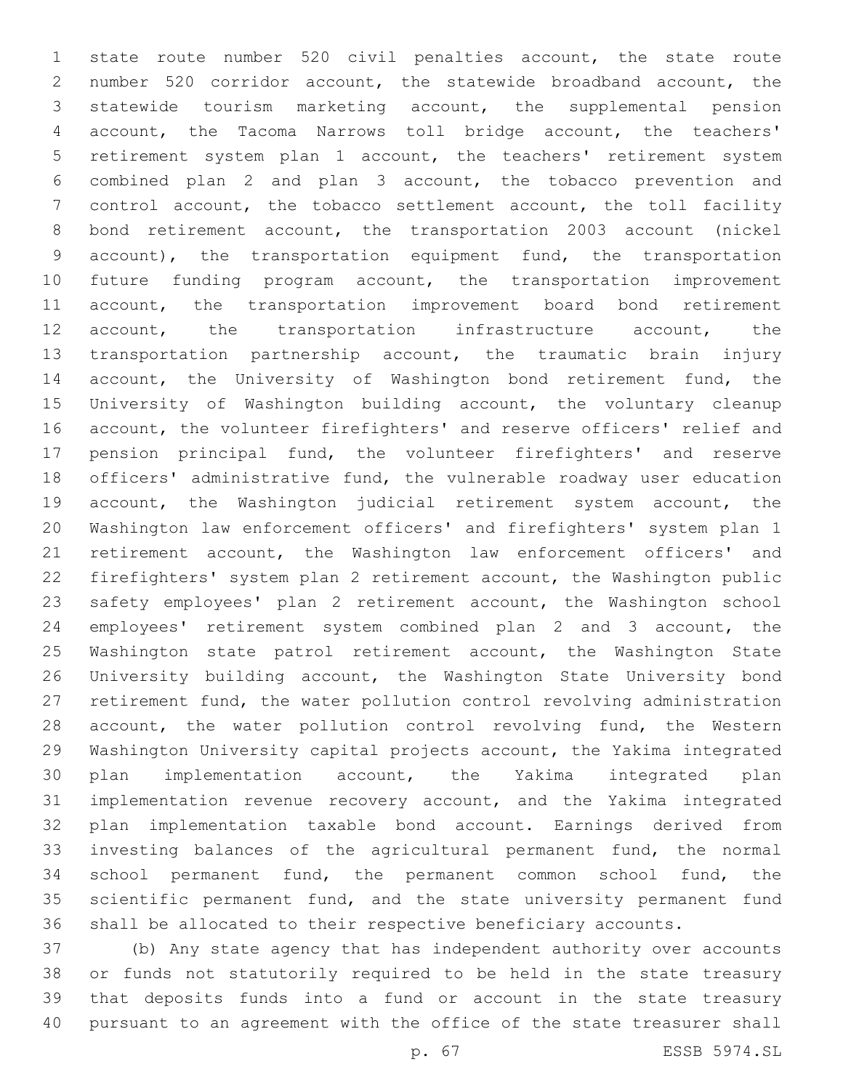state route number 520 civil penalties account, the state route number 520 corridor account, the statewide broadband account, the statewide tourism marketing account, the supplemental pension account, the Tacoma Narrows toll bridge account, the teachers' retirement system plan 1 account, the teachers' retirement system combined plan 2 and plan 3 account, the tobacco prevention and control account, the tobacco settlement account, the toll facility bond retirement account, the transportation 2003 account (nickel account), the transportation equipment fund, the transportation future funding program account, the transportation improvement account, the transportation improvement board bond retirement account, the transportation infrastructure account, the transportation partnership account, the traumatic brain injury 14 account, the University of Washington bond retirement fund, the University of Washington building account, the voluntary cleanup account, the volunteer firefighters' and reserve officers' relief and pension principal fund, the volunteer firefighters' and reserve officers' administrative fund, the vulnerable roadway user education account, the Washington judicial retirement system account, the Washington law enforcement officers' and firefighters' system plan 1 retirement account, the Washington law enforcement officers' and firefighters' system plan 2 retirement account, the Washington public safety employees' plan 2 retirement account, the Washington school employees' retirement system combined plan 2 and 3 account, the 25 Washington state patrol retirement account, the Washington State University building account, the Washington State University bond retirement fund, the water pollution control revolving administration 28 account, the water pollution control revolving fund, the Western Washington University capital projects account, the Yakima integrated plan implementation account, the Yakima integrated plan implementation revenue recovery account, and the Yakima integrated plan implementation taxable bond account. Earnings derived from investing balances of the agricultural permanent fund, the normal school permanent fund, the permanent common school fund, the scientific permanent fund, and the state university permanent fund shall be allocated to their respective beneficiary accounts.

 (b) Any state agency that has independent authority over accounts or funds not statutorily required to be held in the state treasury that deposits funds into a fund or account in the state treasury pursuant to an agreement with the office of the state treasurer shall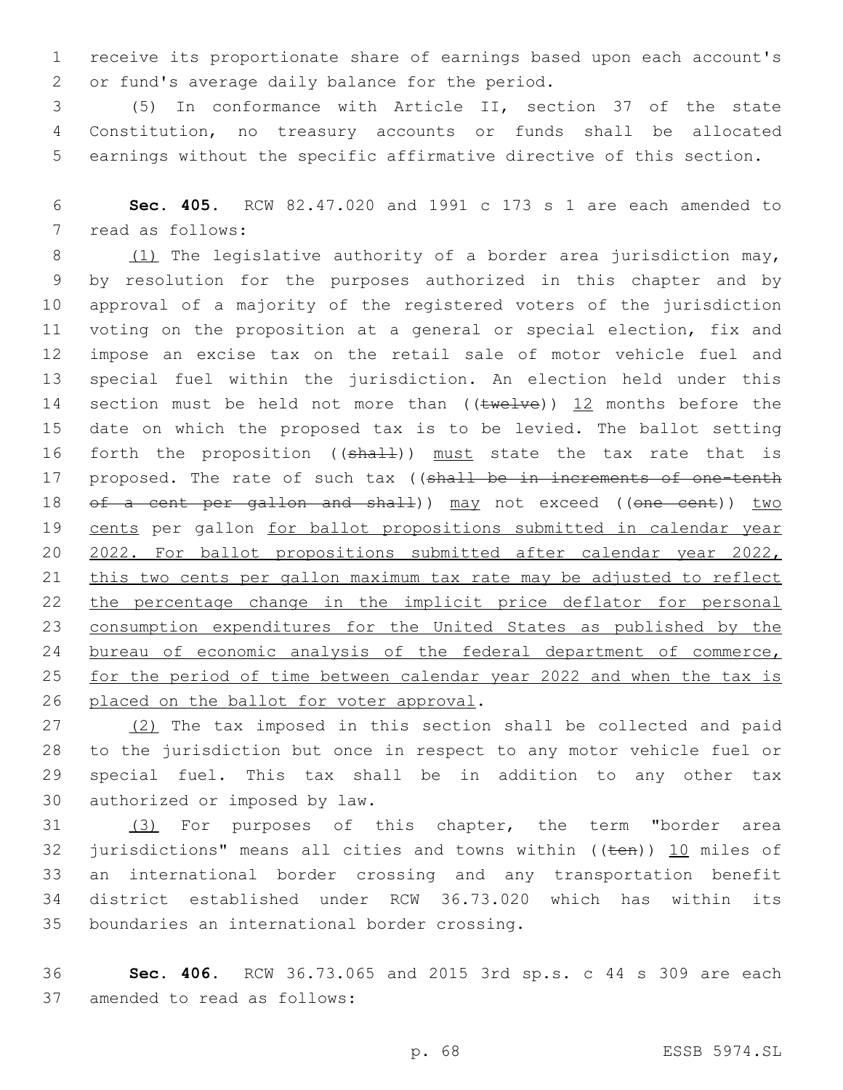1 receive its proportionate share of earnings based upon each account's 2 or fund's average daily balance for the period.

3 (5) In conformance with Article II, section 37 of the state 4 Constitution, no treasury accounts or funds shall be allocated 5 earnings without the specific affirmative directive of this section.

6 **Sec. 405.** RCW 82.47.020 and 1991 c 173 s 1 are each amended to 7 read as follows:

8 (1) The legislative authority of a border area jurisdiction may, 9 by resolution for the purposes authorized in this chapter and by 10 approval of a majority of the registered voters of the jurisdiction 11 voting on the proposition at a general or special election, fix and 12 impose an excise tax on the retail sale of motor vehicle fuel and 13 special fuel within the jurisdiction. An election held under this 14 section must be held not more than  $((\text{true}1\text{ve}))$  12 months before the 15 date on which the proposed tax is to be levied. The ballot setting 16 forth the proposition ((shall)) must state the tax rate that is 17 proposed. The rate of such tax ((shall be in increments of one-tenth 18 of a cent per gallon and shall)) may not exceed ((one cent)) two 19 cents per gallon for ballot propositions submitted in calendar year 20 2022. For ballot propositions submitted after calendar year 2022, 21 this two cents per gallon maximum tax rate may be adjusted to reflect 22 the percentage change in the implicit price deflator for personal 23 consumption expenditures for the United States as published by the 24 bureau of economic analysis of the federal department of commerce, 25 for the period of time between calendar year 2022 and when the tax is 26 placed on the ballot for voter approval.

27 (2) The tax imposed in this section shall be collected and paid 28 to the jurisdiction but once in respect to any motor vehicle fuel or 29 special fuel. This tax shall be in addition to any other tax 30 authorized or imposed by law.

31 (3) For purposes of this chapter, the term "border area 32 jurisdictions" means all cities and towns within  $($ ( $t$ en))  $\underline{10}$  miles of 33 an international border crossing and any transportation benefit 34 district established under RCW 36.73.020 which has within its 35 boundaries an international border crossing.

36 **Sec. 406.** RCW 36.73.065 and 2015 3rd sp.s. c 44 s 309 are each 37 amended to read as follows: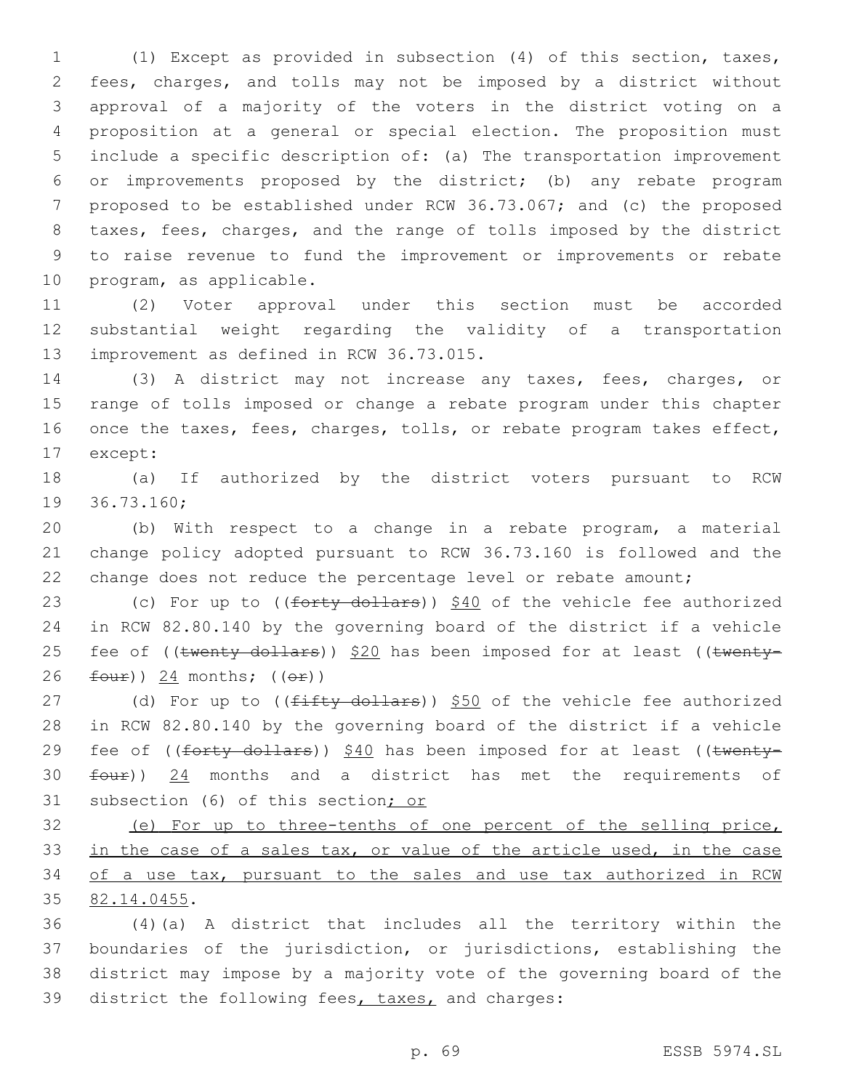(1) Except as provided in subsection (4) of this section, taxes, fees, charges, and tolls may not be imposed by a district without approval of a majority of the voters in the district voting on a proposition at a general or special election. The proposition must include a specific description of: (a) The transportation improvement or improvements proposed by the district; (b) any rebate program proposed to be established under RCW 36.73.067; and (c) the proposed taxes, fees, charges, and the range of tolls imposed by the district to raise revenue to fund the improvement or improvements or rebate 10 program, as applicable.

11 (2) Voter approval under this section must be accorded 12 substantial weight regarding the validity of a transportation 13 improvement as defined in RCW 36.73.015.

14 (3) A district may not increase any taxes, fees, charges, or 15 range of tolls imposed or change a rebate program under this chapter 16 once the taxes, fees, charges, tolls, or rebate program takes effect, 17 except:

18 (a) If authorized by the district voters pursuant to RCW 19 36.73.160;

20 (b) With respect to a change in a rebate program, a material 21 change policy adopted pursuant to RCW 36.73.160 is followed and the 22 change does not reduce the percentage level or rebate amount;

23 (c) For up to ((forty dollars)) \$40 of the vehicle fee authorized 24 in RCW 82.80.140 by the governing board of the district if a vehicle 25 fee of ((twenty dollars)) \$20 has been imposed for at least ((twenty- $26$   $four)$ ) 24 months;  $((er))$ 

27 (d) For up to ((fifty dollars)) \$50 of the vehicle fee authorized 28 in RCW 82.80.140 by the governing board of the district if a vehicle 29 fee of ((forty dollars)) \$40 has been imposed for at least ((twenty-30  $four)$ )  $24$  months and a district has met the requirements of 31 subsection (6) of this section; or

32 (e) For up to three-tenths of one percent of the selling price, 33 in the case of a sales tax, or value of the article used, in the case 34 of a use tax, pursuant to the sales and use tax authorized in RCW 35 82.14.0455.

 (4)(a) A district that includes all the territory within the boundaries of the jurisdiction, or jurisdictions, establishing the district may impose by a majority vote of the governing board of the 39 district the following fees, taxes, and charges: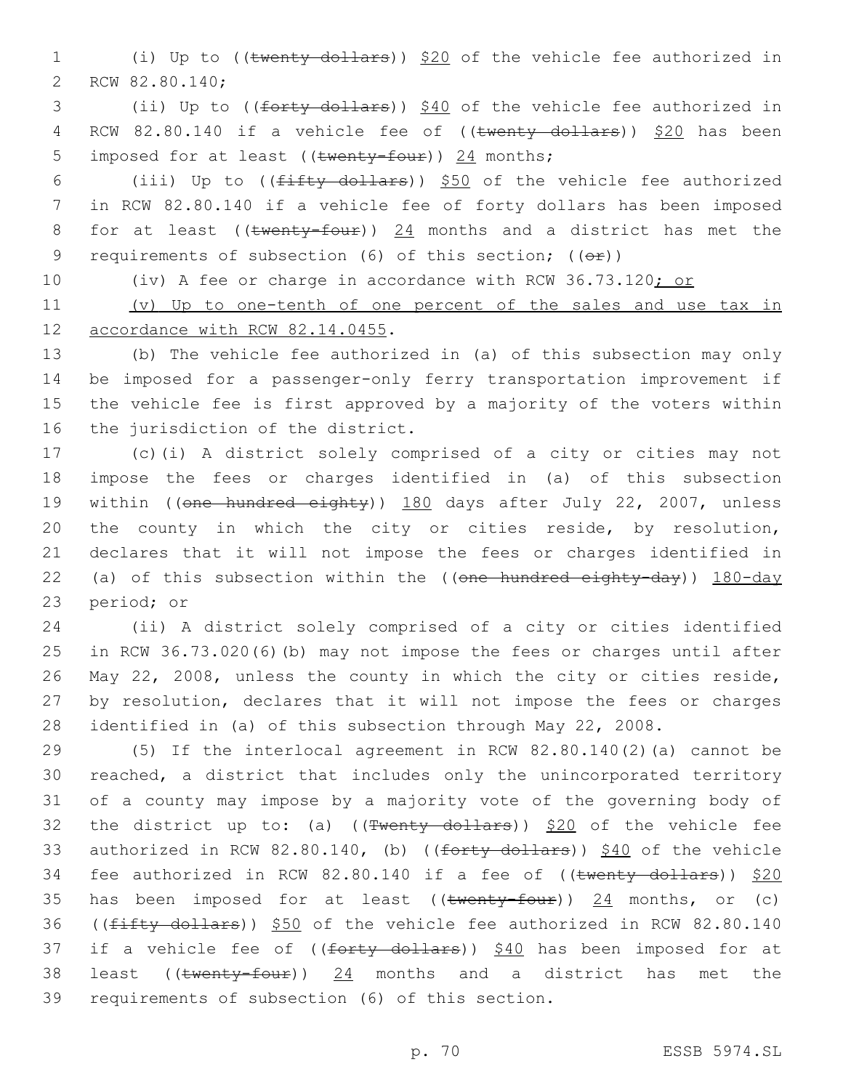1 (i) Up to ((twenty dollars)) \$20 of the vehicle fee authorized in 2 RCW 82.80.140;

3 (ii) Up to ((forty dollars)) \$40 of the vehicle fee authorized in 4 RCW 82.80.140 if a vehicle fee of ((twenty dollars)) \$20 has been 5 imposed for at least (( $t$ wenty-four)) 24 months;

6 (iii) Up to (( $f$ ifty dollars))  $$50$  of the vehicle fee authorized 7 in RCW 82.80.140 if a vehicle fee of forty dollars has been imposed 8 for at least (( $t$ wenty-four))  $24$  months and a district has met the 9 requirements of subsection (6) of this section; (( $\Theta$ ))

10 (iv) A fee or charge in accordance with RCW 36.73.120; or

11 (v) Up to one-tenth of one percent of the sales and use tax in 12 accordance with RCW 82.14.0455.

 (b) The vehicle fee authorized in (a) of this subsection may only be imposed for a passenger-only ferry transportation improvement if the vehicle fee is first approved by a majority of the voters within 16 the jurisdiction of the district.

17 (c)(i) A district solely comprised of a city or cities may not 18 impose the fees or charges identified in (a) of this subsection 19 within ((one hundred eighty)) 180 days after July 22, 2007, unless 20 the county in which the city or cities reside, by resolution, 21 declares that it will not impose the fees or charges identified in 22 (a) of this subsection within the ((one hundred eighty-day)) 180-day 23 period; or

 (ii) A district solely comprised of a city or cities identified in RCW 36.73.020(6)(b) may not impose the fees or charges until after May 22, 2008, unless the county in which the city or cities reside, by resolution, declares that it will not impose the fees or charges identified in (a) of this subsection through May 22, 2008.

29 (5) If the interlocal agreement in RCW 82.80.140(2)(a) cannot be 30 reached, a district that includes only the unincorporated territory 31 of a county may impose by a majority vote of the governing body of 32 the district up to: (a) ( $(\text{Fwenty-dollars})$ ) \$20 of the vehicle fee 33 authorized in RCW 82.80.140, (b) ((forty dollars)) \$40 of the vehicle 34 fee authorized in RCW 82.80.140 if a fee of ((twenty dollars)) \$20 35 has been imposed for at least  $((\text{twenty-four}))$  24 months, or (c) 36 ((fifty dollars)) \$50 of the vehicle fee authorized in RCW 82.80.140 37 if a vehicle fee of ((forty dollars)) \$40 has been imposed for at 38 least ((twenty-four)) 24 months and a district has met the 39 requirements of subsection (6) of this section.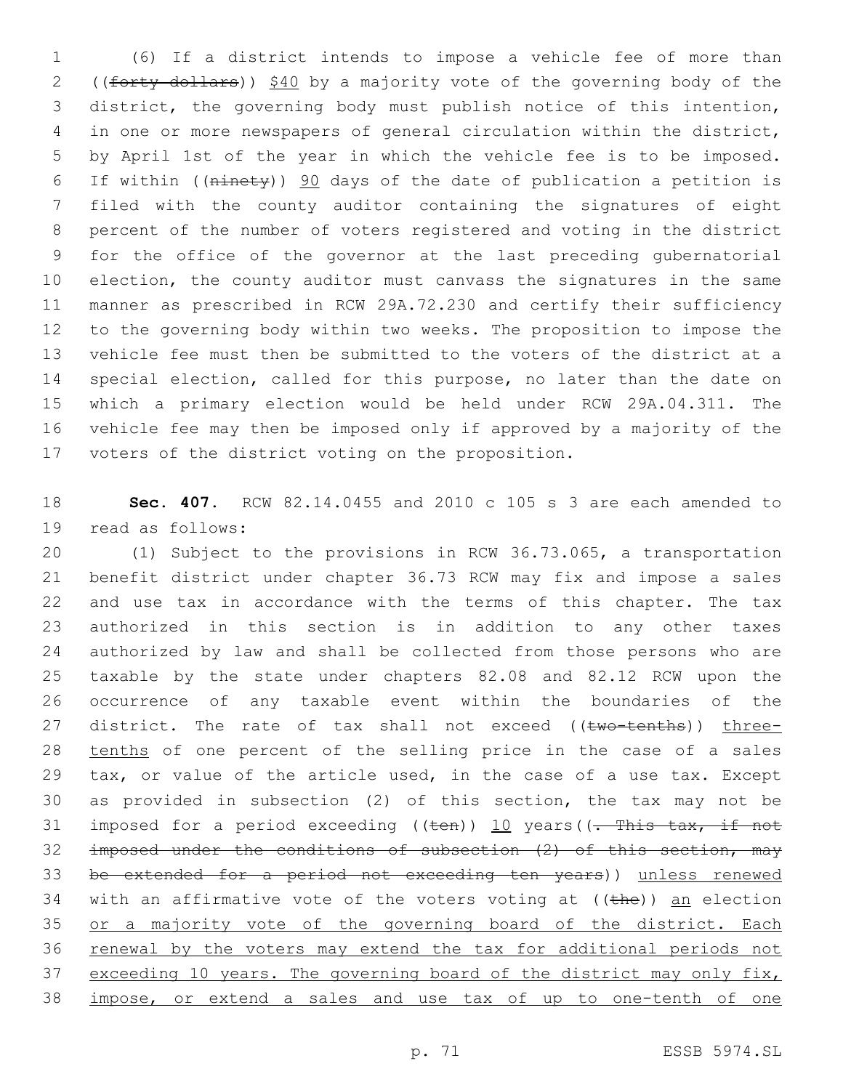(6) If a district intends to impose a vehicle fee of more than 2 ((forty dollars)) \$40 by a majority vote of the governing body of the district, the governing body must publish notice of this intention, in one or more newspapers of general circulation within the district, by April 1st of the year in which the vehicle fee is to be imposed. If within ((ninety)) 90 days of the date of publication a petition is filed with the county auditor containing the signatures of eight percent of the number of voters registered and voting in the district for the office of the governor at the last preceding gubernatorial election, the county auditor must canvass the signatures in the same manner as prescribed in RCW 29A.72.230 and certify their sufficiency to the governing body within two weeks. The proposition to impose the vehicle fee must then be submitted to the voters of the district at a special election, called for this purpose, no later than the date on which a primary election would be held under RCW 29A.04.311. The vehicle fee may then be imposed only if approved by a majority of the 17 voters of the district voting on the proposition.

 **Sec. 407.** RCW 82.14.0455 and 2010 c 105 s 3 are each amended to 19 read as follows:

 (1) Subject to the provisions in RCW 36.73.065, a transportation benefit district under chapter 36.73 RCW may fix and impose a sales and use tax in accordance with the terms of this chapter. The tax authorized in this section is in addition to any other taxes authorized by law and shall be collected from those persons who are taxable by the state under chapters 82.08 and 82.12 RCW upon the occurrence of any taxable event within the boundaries of the 27 district. The rate of tax shall not exceed ((two-tenths)) three- tenths of one percent of the selling price in the case of a sales 29 tax, or value of the article used, in the case of a use tax. Except as provided in subsection (2) of this section, the tax may not be 31 imposed for a period exceeding  $((\text{ten}))$  10 years( $(\text{--}$ This tax, if not imposed under the conditions of subsection (2) of this section, may be extended for a period not exceeding ten years)) unless renewed 34 with an affirmative vote of the voters voting at  $((the)$ ) an election 35 or a majority vote of the governing board of the district. Each 36 renewal by the voters may extend the tax for additional periods not 37 exceeding 10 years. The governing board of the district may only fix, impose, or extend a sales and use tax of up to one-tenth of one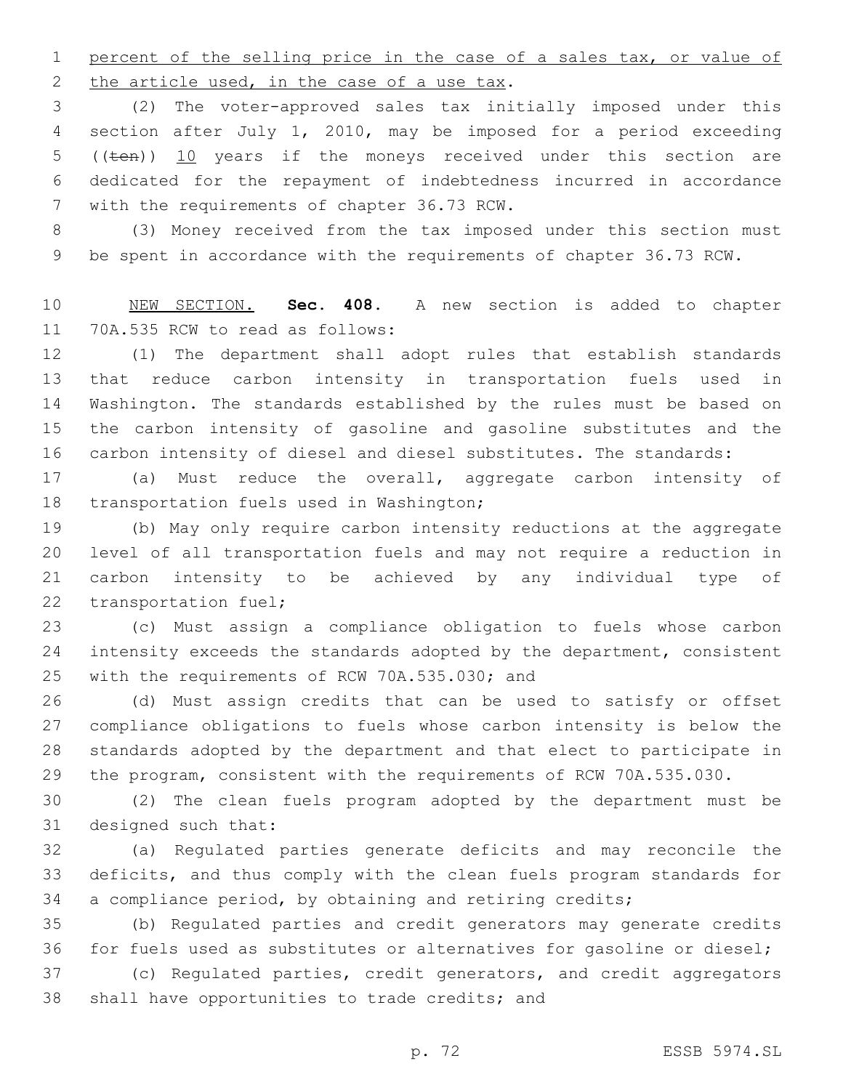percent of the selling price in the case of a sales tax, or value of 2 the article used, in the case of a use tax.

 (2) The voter-approved sales tax initially imposed under this section after July 1, 2010, may be imposed for a period exceeding 5 (( $t$ en)) 10 years if the moneys received under this section are dedicated for the repayment of indebtedness incurred in accordance 7 with the requirements of chapter 36.73 RCW.

 (3) Money received from the tax imposed under this section must be spent in accordance with the requirements of chapter 36.73 RCW.

 NEW SECTION. **Sec. 408.** A new section is added to chapter 11 70A.535 RCW to read as follows:

 (1) The department shall adopt rules that establish standards that reduce carbon intensity in transportation fuels used in Washington. The standards established by the rules must be based on the carbon intensity of gasoline and gasoline substitutes and the carbon intensity of diesel and diesel substitutes. The standards:

 (a) Must reduce the overall, aggregate carbon intensity of 18 transportation fuels used in Washington;

 (b) May only require carbon intensity reductions at the aggregate level of all transportation fuels and may not require a reduction in carbon intensity to be achieved by any individual type of 22 transportation fuel;

 (c) Must assign a compliance obligation to fuels whose carbon intensity exceeds the standards adopted by the department, consistent 25 with the requirements of RCW 70A.535.030; and

 (d) Must assign credits that can be used to satisfy or offset compliance obligations to fuels whose carbon intensity is below the standards adopted by the department and that elect to participate in the program, consistent with the requirements of RCW 70A.535.030.

 (2) The clean fuels program adopted by the department must be 31 designed such that:

 (a) Regulated parties generate deficits and may reconcile the deficits, and thus comply with the clean fuels program standards for a compliance period, by obtaining and retiring credits;

 (b) Regulated parties and credit generators may generate credits for fuels used as substitutes or alternatives for gasoline or diesel;

 (c) Regulated parties, credit generators, and credit aggregators 38 shall have opportunities to trade credits; and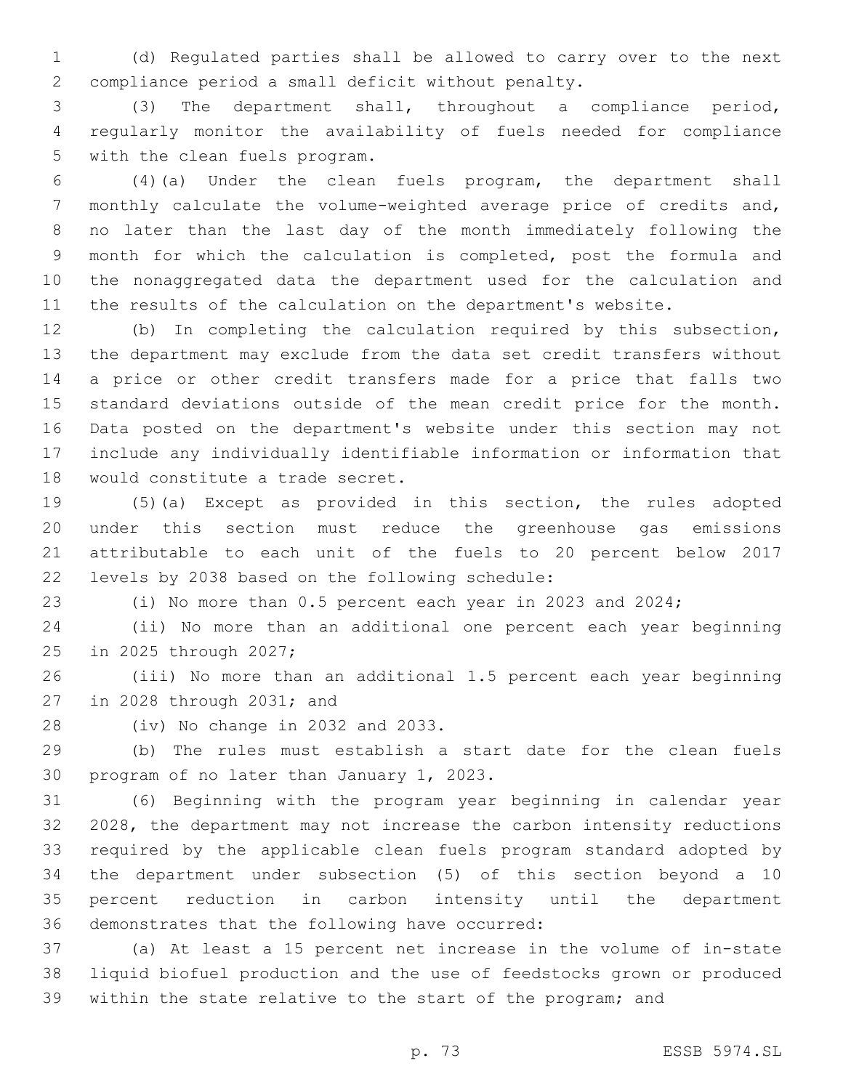(d) Regulated parties shall be allowed to carry over to the next 2 compliance period a small deficit without penalty.

 (3) The department shall, throughout a compliance period, regularly monitor the availability of fuels needed for compliance 5 with the clean fuels program.

 (4)(a) Under the clean fuels program, the department shall monthly calculate the volume-weighted average price of credits and, no later than the last day of the month immediately following the month for which the calculation is completed, post the formula and the nonaggregated data the department used for the calculation and the results of the calculation on the department's website.

 (b) In completing the calculation required by this subsection, the department may exclude from the data set credit transfers without a price or other credit transfers made for a price that falls two standard deviations outside of the mean credit price for the month. Data posted on the department's website under this section may not include any individually identifiable information or information that 18 would constitute a trade secret.

 (5)(a) Except as provided in this section, the rules adopted under this section must reduce the greenhouse gas emissions attributable to each unit of the fuels to 20 percent below 2017 levels by 2038 based on the following schedule:22

(i) No more than 0.5 percent each year in 2023 and 2024;

 (ii) No more than an additional one percent each year beginning 25 in 2025 through 2027;

 (iii) No more than an additional 1.5 percent each year beginning 27 in 2028 through 2031; and

28 (iv) No change in 2032 and 2033.

 (b) The rules must establish a start date for the clean fuels 30 program of no later than January 1, 2023.

 (6) Beginning with the program year beginning in calendar year 2028, the department may not increase the carbon intensity reductions required by the applicable clean fuels program standard adopted by the department under subsection (5) of this section beyond a 10 percent reduction in carbon intensity until the department 36 demonstrates that the following have occurred:

 (a) At least a 15 percent net increase in the volume of in-state liquid biofuel production and the use of feedstocks grown or produced within the state relative to the start of the program; and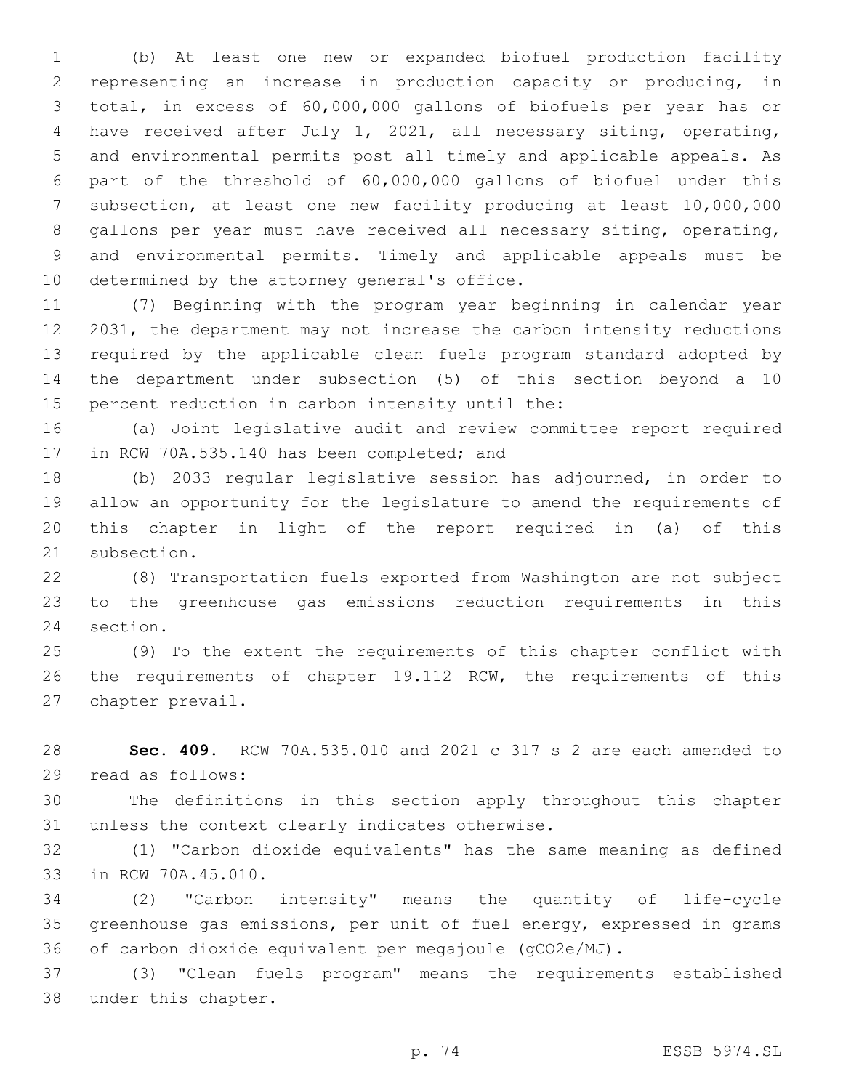(b) At least one new or expanded biofuel production facility representing an increase in production capacity or producing, in total, in excess of 60,000,000 gallons of biofuels per year has or have received after July 1, 2021, all necessary siting, operating, and environmental permits post all timely and applicable appeals. As part of the threshold of 60,000,000 gallons of biofuel under this subsection, at least one new facility producing at least 10,000,000 gallons per year must have received all necessary siting, operating, and environmental permits. Timely and applicable appeals must be 10 determined by the attorney general's office.

 (7) Beginning with the program year beginning in calendar year 2031, the department may not increase the carbon intensity reductions required by the applicable clean fuels program standard adopted by the department under subsection (5) of this section beyond a 10 15 percent reduction in carbon intensity until the:

 (a) Joint legislative audit and review committee report required 17 in RCW 70A.535.140 has been completed; and

 (b) 2033 regular legislative session has adjourned, in order to allow an opportunity for the legislature to amend the requirements of this chapter in light of the report required in (a) of this 21 subsection.

 (8) Transportation fuels exported from Washington are not subject to the greenhouse gas emissions reduction requirements in this 24 section.

 (9) To the extent the requirements of this chapter conflict with 26 the requirements of chapter 19.112 RCW, the requirements of this 27 chapter prevail.

 **Sec. 409.** RCW 70A.535.010 and 2021 c 317 s 2 are each amended to 29 read as follows:

 The definitions in this section apply throughout this chapter 31 unless the context clearly indicates otherwise.

 (1) "Carbon dioxide equivalents" has the same meaning as defined 33 in RCW 70A.45.010.

 (2) "Carbon intensity" means the quantity of life-cycle greenhouse gas emissions, per unit of fuel energy, expressed in grams of carbon dioxide equivalent per megajoule (gCO2e/MJ).

 (3) "Clean fuels program" means the requirements established 38 under this chapter.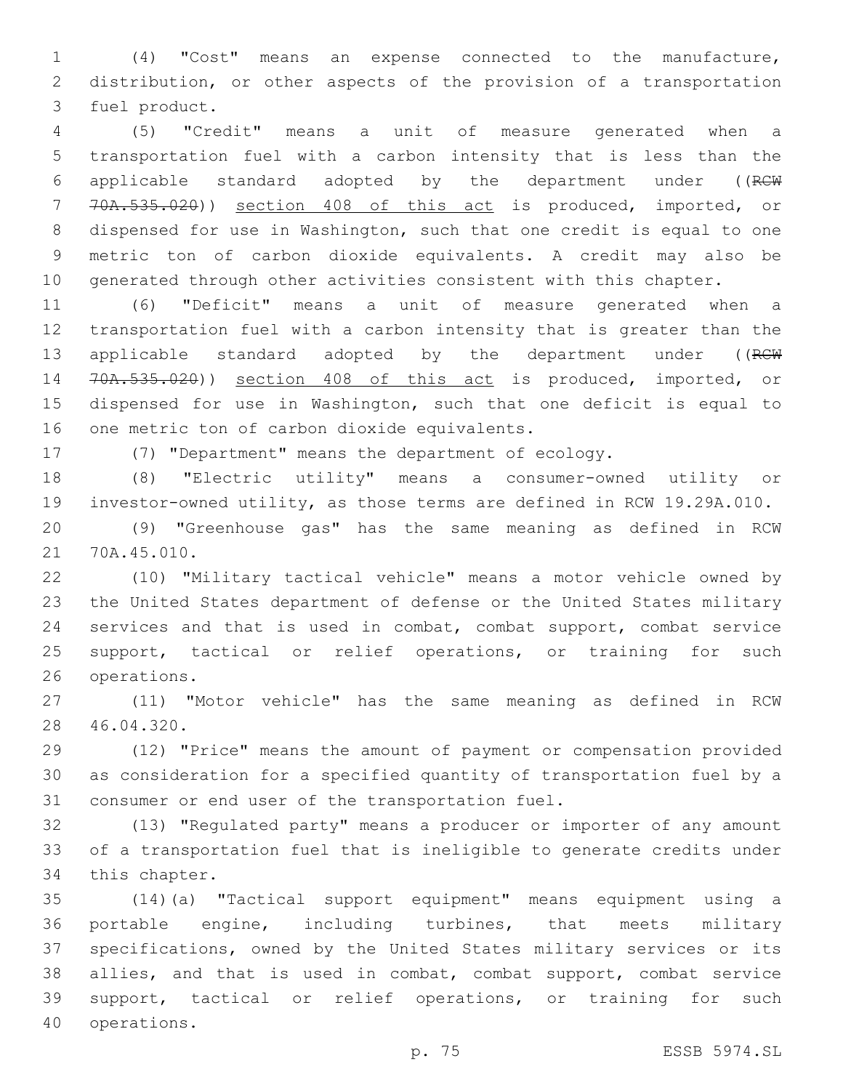(4) "Cost" means an expense connected to the manufacture, distribution, or other aspects of the provision of a transportation 3 fuel product.

 (5) "Credit" means a unit of measure generated when a transportation fuel with a carbon intensity that is less than the applicable standard adopted by the department under ((RCW 70A.535.020)) section 408 of this act is produced, imported, or dispensed for use in Washington, such that one credit is equal to one metric ton of carbon dioxide equivalents. A credit may also be generated through other activities consistent with this chapter.

 (6) "Deficit" means a unit of measure generated when a transportation fuel with a carbon intensity that is greater than the 13 applicable standard adopted by the department under ((RCW 70A.535.020)) section 408 of this act is produced, imported, or dispensed for use in Washington, such that one deficit is equal to 16 one metric ton of carbon dioxide equivalents.

(7) "Department" means the department of ecology.

 (8) "Electric utility" means a consumer-owned utility or investor-owned utility, as those terms are defined in RCW 19.29A.010.

 (9) "Greenhouse gas" has the same meaning as defined in RCW 21 70A.45.010.

 (10) "Military tactical vehicle" means a motor vehicle owned by the United States department of defense or the United States military services and that is used in combat, combat support, combat service 25 support, tactical or relief operations, or training for such 26 operations.

 (11) "Motor vehicle" has the same meaning as defined in RCW 46.04.320.28

 (12) "Price" means the amount of payment or compensation provided as consideration for a specified quantity of transportation fuel by a 31 consumer or end user of the transportation fuel.

 (13) "Regulated party" means a producer or importer of any amount of a transportation fuel that is ineligible to generate credits under 34 this chapter.

 (14)(a) "Tactical support equipment" means equipment using a portable engine, including turbines, that meets military specifications, owned by the United States military services or its allies, and that is used in combat, combat support, combat service support, tactical or relief operations, or training for such 40 operations.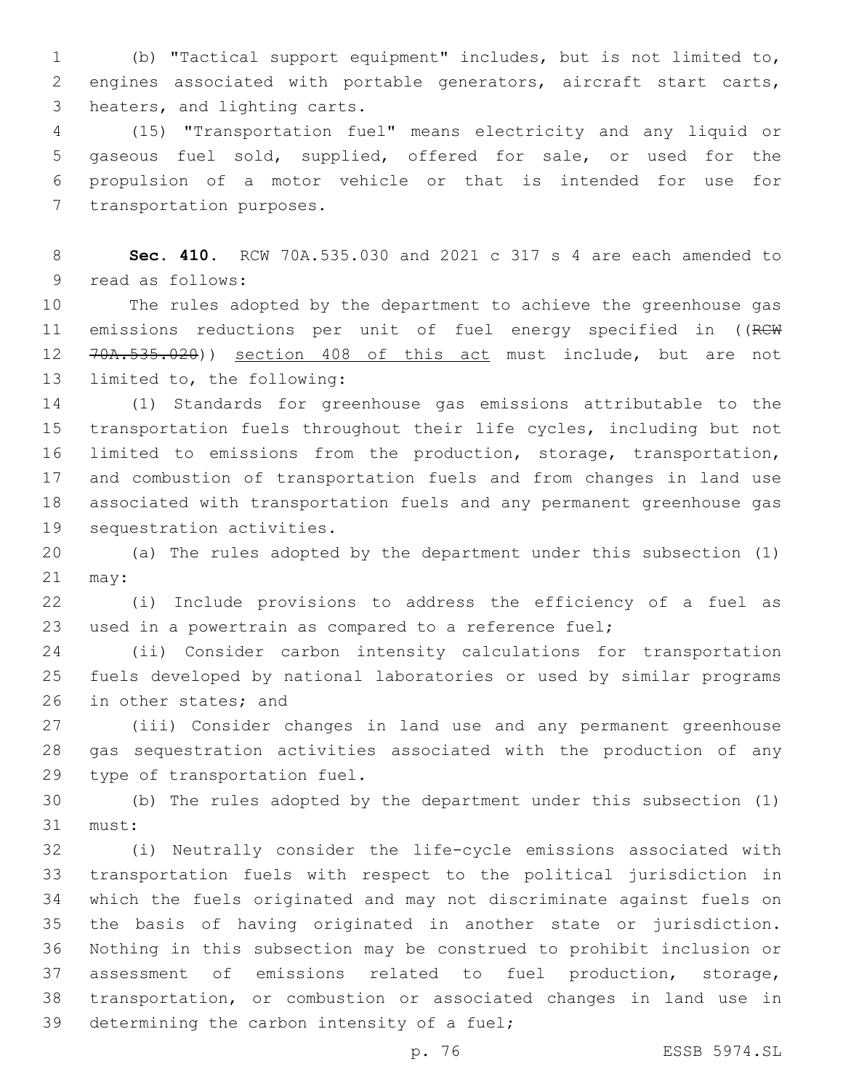(b) "Tactical support equipment" includes, but is not limited to, engines associated with portable generators, aircraft start carts, 3 heaters, and lighting carts.

 (15) "Transportation fuel" means electricity and any liquid or gaseous fuel sold, supplied, offered for sale, or used for the propulsion of a motor vehicle or that is intended for use for 7 transportation purposes.

 **Sec. 410.** RCW 70A.535.030 and 2021 c 317 s 4 are each amended to 9 read as follows:

 The rules adopted by the department to achieve the greenhouse gas 11 emissions reductions per unit of fuel energy specified in ((RCW 70A.535.020)) section 408 of this act must include, but are not 13 limited to, the following:

 (1) Standards for greenhouse gas emissions attributable to the transportation fuels throughout their life cycles, including but not limited to emissions from the production, storage, transportation, and combustion of transportation fuels and from changes in land use associated with transportation fuels and any permanent greenhouse gas 19 sequestration activities.

 (a) The rules adopted by the department under this subsection (1) may:

 (i) Include provisions to address the efficiency of a fuel as used in a powertrain as compared to a reference fuel;

 (ii) Consider carbon intensity calculations for transportation fuels developed by national laboratories or used by similar programs 26 in other states; and

 (iii) Consider changes in land use and any permanent greenhouse gas sequestration activities associated with the production of any 29 type of transportation fuel.

 (b) The rules adopted by the department under this subsection (1) 31 must:

 (i) Neutrally consider the life-cycle emissions associated with transportation fuels with respect to the political jurisdiction in which the fuels originated and may not discriminate against fuels on the basis of having originated in another state or jurisdiction. Nothing in this subsection may be construed to prohibit inclusion or assessment of emissions related to fuel production, storage, transportation, or combustion or associated changes in land use in 39 determining the carbon intensity of a fuel;

p. 76 ESSB 5974.SL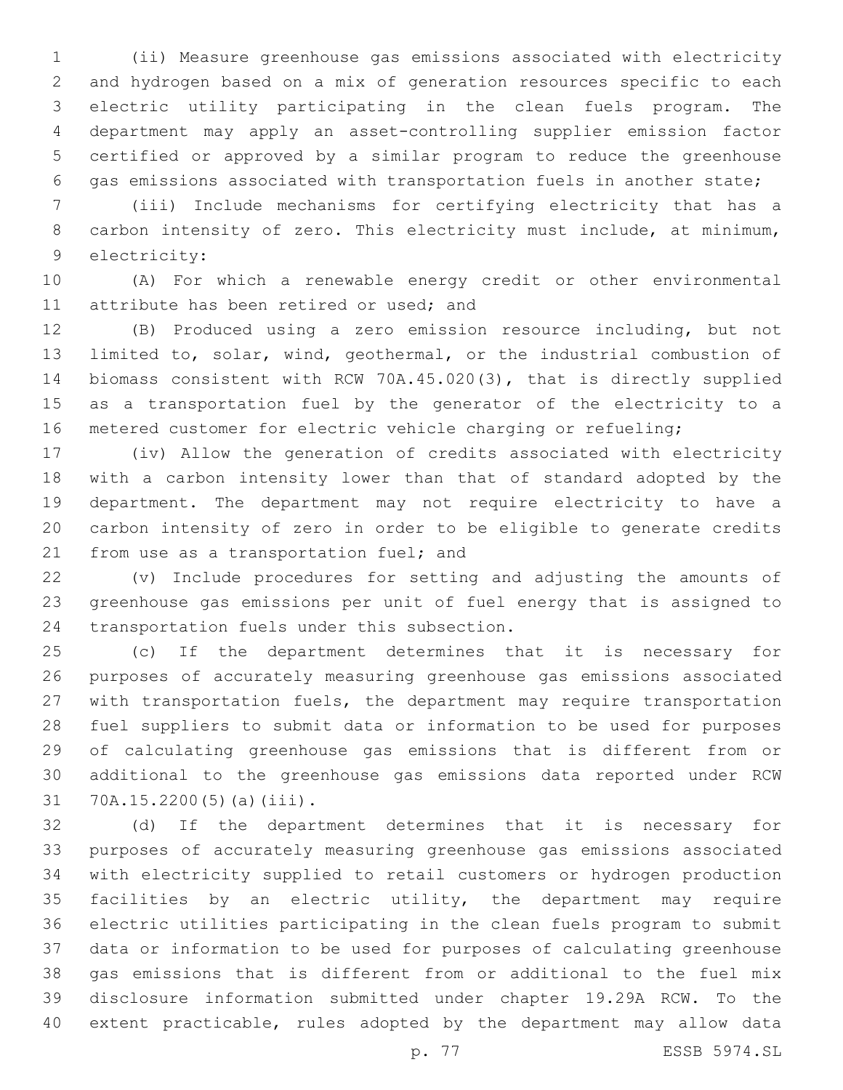(ii) Measure greenhouse gas emissions associated with electricity and hydrogen based on a mix of generation resources specific to each electric utility participating in the clean fuels program. The department may apply an asset-controlling supplier emission factor certified or approved by a similar program to reduce the greenhouse gas emissions associated with transportation fuels in another state;

 (iii) Include mechanisms for certifying electricity that has a carbon intensity of zero. This electricity must include, at minimum, 9 electricity:

 (A) For which a renewable energy credit or other environmental 11 attribute has been retired or used; and

 (B) Produced using a zero emission resource including, but not limited to, solar, wind, geothermal, or the industrial combustion of biomass consistent with RCW 70A.45.020(3), that is directly supplied as a transportation fuel by the generator of the electricity to a metered customer for electric vehicle charging or refueling;

 (iv) Allow the generation of credits associated with electricity with a carbon intensity lower than that of standard adopted by the department. The department may not require electricity to have a carbon intensity of zero in order to be eligible to generate credits 21 from use as a transportation fuel; and

 (v) Include procedures for setting and adjusting the amounts of greenhouse gas emissions per unit of fuel energy that is assigned to 24 transportation fuels under this subsection.

 (c) If the department determines that it is necessary for purposes of accurately measuring greenhouse gas emissions associated with transportation fuels, the department may require transportation fuel suppliers to submit data or information to be used for purposes of calculating greenhouse gas emissions that is different from or additional to the greenhouse gas emissions data reported under RCW  $70A.15.2200(5)(a)(iii)$ .

 (d) If the department determines that it is necessary for purposes of accurately measuring greenhouse gas emissions associated with electricity supplied to retail customers or hydrogen production facilities by an electric utility, the department may require electric utilities participating in the clean fuels program to submit data or information to be used for purposes of calculating greenhouse gas emissions that is different from or additional to the fuel mix disclosure information submitted under chapter 19.29A RCW. To the extent practicable, rules adopted by the department may allow data

p. 77 ESSB 5974.SL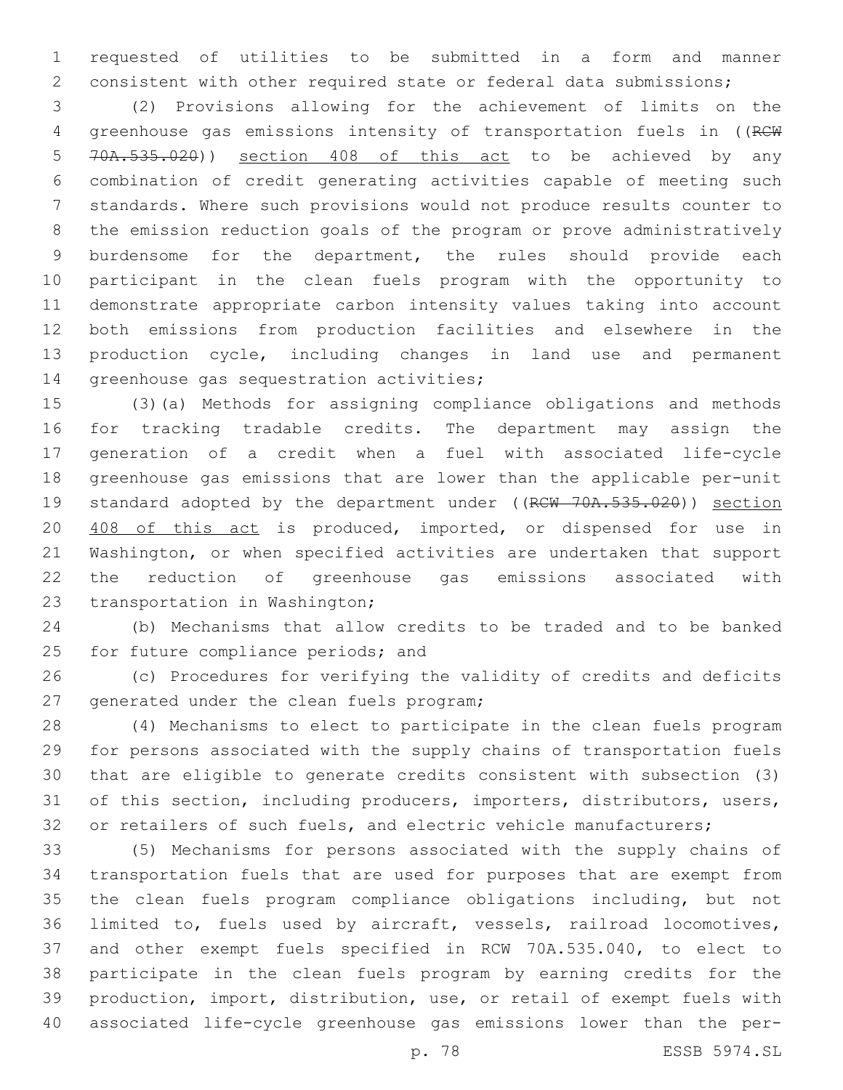requested of utilities to be submitted in a form and manner consistent with other required state or federal data submissions;

 (2) Provisions allowing for the achievement of limits on the 4 greenhouse gas emissions intensity of transportation fuels in ((RCW 70A.535.020)) section 408 of this act to be achieved by any combination of credit generating activities capable of meeting such standards. Where such provisions would not produce results counter to the emission reduction goals of the program or prove administratively burdensome for the department, the rules should provide each participant in the clean fuels program with the opportunity to demonstrate appropriate carbon intensity values taking into account both emissions from production facilities and elsewhere in the production cycle, including changes in land use and permanent 14 greenhouse gas sequestration activities;

 (3)(a) Methods for assigning compliance obligations and methods for tracking tradable credits. The department may assign the generation of a credit when a fuel with associated life-cycle greenhouse gas emissions that are lower than the applicable per-unit 19 standard adopted by the department under ((RCW 70A.535.020)) section 408 of this act is produced, imported, or dispensed for use in Washington, or when specified activities are undertaken that support the reduction of greenhouse gas emissions associated with 23 transportation in Washington;

 (b) Mechanisms that allow credits to be traded and to be banked 25 for future compliance periods; and

 (c) Procedures for verifying the validity of credits and deficits 27 generated under the clean fuels program;

 (4) Mechanisms to elect to participate in the clean fuels program for persons associated with the supply chains of transportation fuels that are eligible to generate credits consistent with subsection (3) of this section, including producers, importers, distributors, users, 32 or retailers of such fuels, and electric vehicle manufacturers;

 (5) Mechanisms for persons associated with the supply chains of transportation fuels that are used for purposes that are exempt from the clean fuels program compliance obligations including, but not limited to, fuels used by aircraft, vessels, railroad locomotives, and other exempt fuels specified in RCW 70A.535.040, to elect to participate in the clean fuels program by earning credits for the production, import, distribution, use, or retail of exempt fuels with associated life-cycle greenhouse gas emissions lower than the per-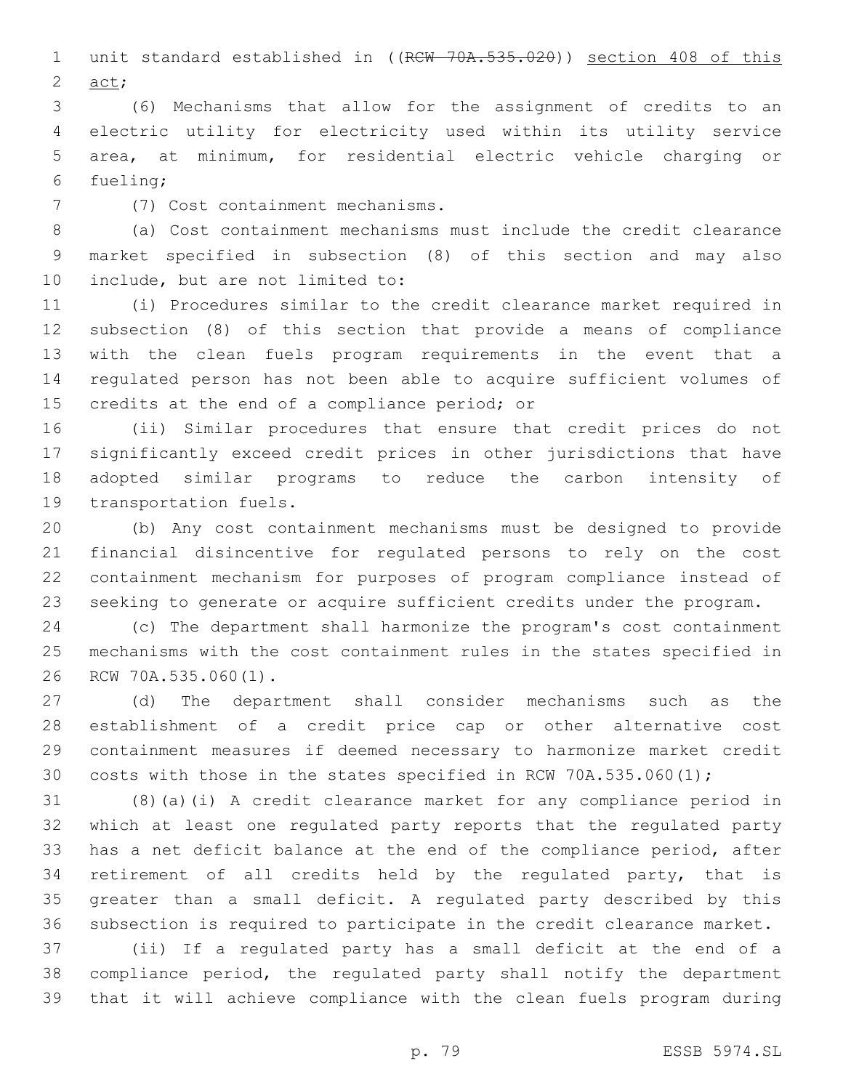1 unit standard established in ((RCW 70A.535.020)) section 408 of this  $act;$ 

 (6) Mechanisms that allow for the assignment of credits to an electric utility for electricity used within its utility service area, at minimum, for residential electric vehicle charging or 6 fueling;

(7) Cost containment mechanisms.7

 (a) Cost containment mechanisms must include the credit clearance market specified in subsection (8) of this section and may also 10 include, but are not limited to:

 (i) Procedures similar to the credit clearance market required in subsection (8) of this section that provide a means of compliance with the clean fuels program requirements in the event that a regulated person has not been able to acquire sufficient volumes of 15 credits at the end of a compliance period; or

 (ii) Similar procedures that ensure that credit prices do not significantly exceed credit prices in other jurisdictions that have adopted similar programs to reduce the carbon intensity of 19 transportation fuels.

 (b) Any cost containment mechanisms must be designed to provide financial disincentive for regulated persons to rely on the cost containment mechanism for purposes of program compliance instead of seeking to generate or acquire sufficient credits under the program.

 (c) The department shall harmonize the program's cost containment mechanisms with the cost containment rules in the states specified in 26 RCW 70A.535.060(1).

 (d) The department shall consider mechanisms such as the establishment of a credit price cap or other alternative cost containment measures if deemed necessary to harmonize market credit costs with those in the states specified in RCW 70A.535.060(1);

 (8)(a)(i) A credit clearance market for any compliance period in which at least one regulated party reports that the regulated party has a net deficit balance at the end of the compliance period, after retirement of all credits held by the regulated party, that is greater than a small deficit. A regulated party described by this subsection is required to participate in the credit clearance market.

 (ii) If a regulated party has a small deficit at the end of a compliance period, the regulated party shall notify the department that it will achieve compliance with the clean fuels program during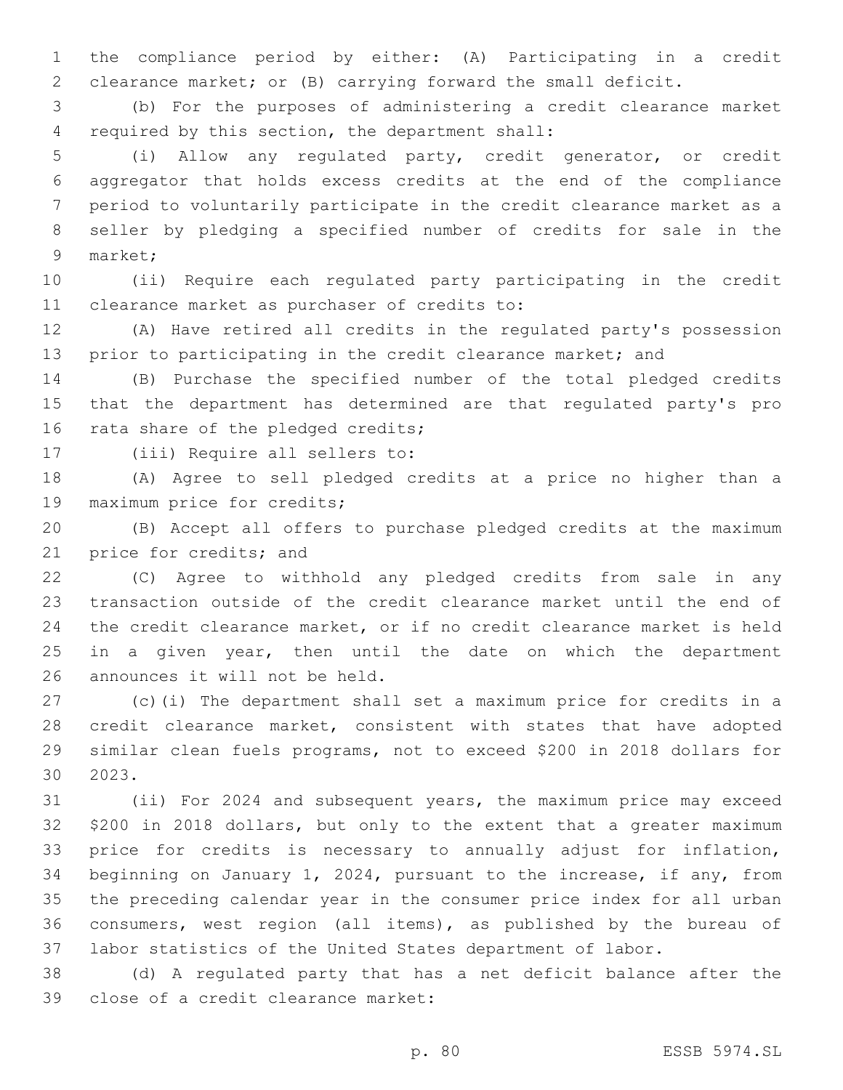the compliance period by either: (A) Participating in a credit clearance market; or (B) carrying forward the small deficit.

 (b) For the purposes of administering a credit clearance market 4 required by this section, the department shall:

 (i) Allow any regulated party, credit generator, or credit aggregator that holds excess credits at the end of the compliance period to voluntarily participate in the credit clearance market as a seller by pledging a specified number of credits for sale in the 9 market;

 (ii) Require each regulated party participating in the credit 11 clearance market as purchaser of credits to:

 (A) Have retired all credits in the regulated party's possession 13 prior to participating in the credit clearance market; and

 (B) Purchase the specified number of the total pledged credits that the department has determined are that regulated party's pro 16 rata share of the pledged credits;

17 (iii) Require all sellers to:

 (A) Agree to sell pledged credits at a price no higher than a 19 maximum price for credits;

 (B) Accept all offers to purchase pledged credits at the maximum 21 price for credits; and

 (C) Agree to withhold any pledged credits from sale in any transaction outside of the credit clearance market until the end of the credit clearance market, or if no credit clearance market is held 25 in a given year, then until the date on which the department 26 announces it will not be held.

 (c)(i) The department shall set a maximum price for credits in a credit clearance market, consistent with states that have adopted similar clean fuels programs, not to exceed \$200 in 2018 dollars for 30 2023.

 (ii) For 2024 and subsequent years, the maximum price may exceed \$200 in 2018 dollars, but only to the extent that a greater maximum price for credits is necessary to annually adjust for inflation, beginning on January 1, 2024, pursuant to the increase, if any, from the preceding calendar year in the consumer price index for all urban consumers, west region (all items), as published by the bureau of labor statistics of the United States department of labor.

 (d) A regulated party that has a net deficit balance after the 39 close of a credit clearance market:

p. 80 ESSB 5974.SL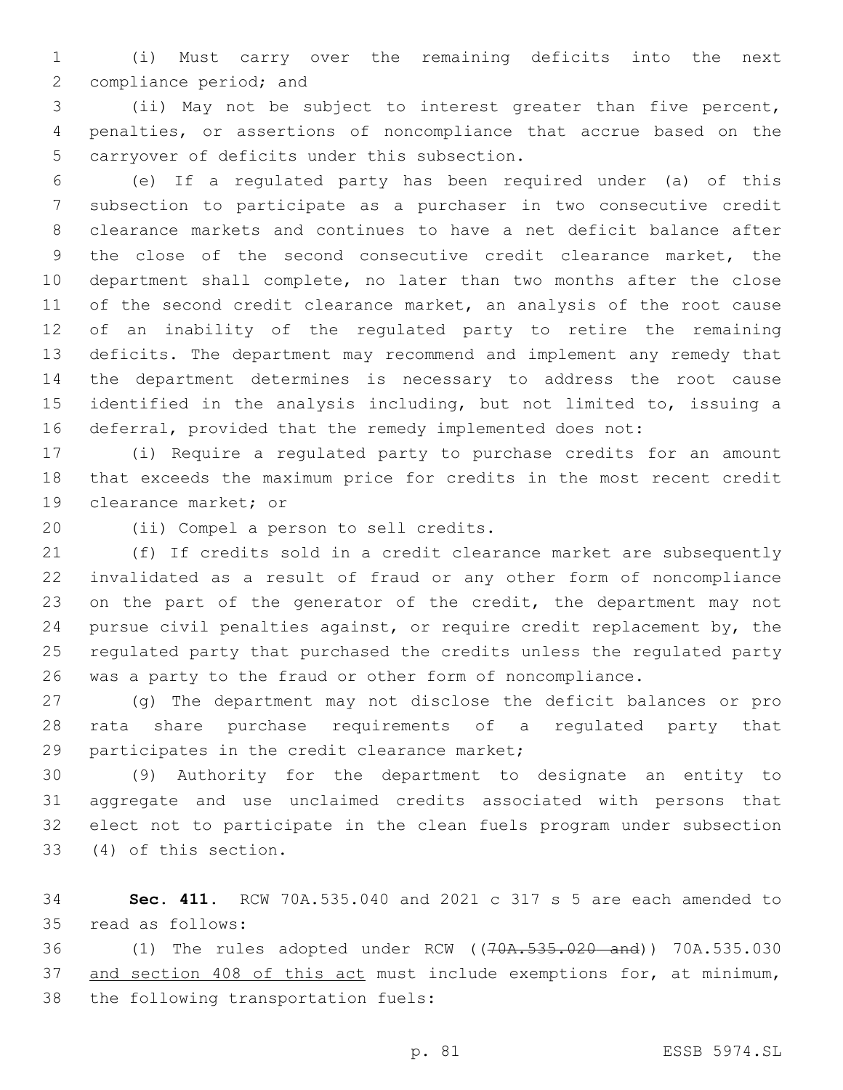(i) Must carry over the remaining deficits into the next 2 compliance period; and

 (ii) May not be subject to interest greater than five percent, penalties, or assertions of noncompliance that accrue based on the 5 carryover of deficits under this subsection.

 (e) If a regulated party has been required under (a) of this subsection to participate as a purchaser in two consecutive credit clearance markets and continues to have a net deficit balance after the close of the second consecutive credit clearance market, the department shall complete, no later than two months after the close of the second credit clearance market, an analysis of the root cause of an inability of the regulated party to retire the remaining deficits. The department may recommend and implement any remedy that the department determines is necessary to address the root cause identified in the analysis including, but not limited to, issuing a deferral, provided that the remedy implemented does not:

 (i) Require a regulated party to purchase credits for an amount that exceeds the maximum price for credits in the most recent credit 19 clearance market; or

20 (ii) Compel a person to sell credits.

 (f) If credits sold in a credit clearance market are subsequently invalidated as a result of fraud or any other form of noncompliance 23 on the part of the generator of the credit, the department may not pursue civil penalties against, or require credit replacement by, the regulated party that purchased the credits unless the regulated party was a party to the fraud or other form of noncompliance.

 (g) The department may not disclose the deficit balances or pro rata share purchase requirements of a regulated party that 29 participates in the credit clearance market;

 (9) Authority for the department to designate an entity to aggregate and use unclaimed credits associated with persons that elect not to participate in the clean fuels program under subsection (4) of this section.33

 **Sec. 411.** RCW 70A.535.040 and 2021 c 317 s 5 are each amended to 35 read as follows:

 (1) The rules adopted under RCW ((70A.535.020 and)) 70A.535.030 37 and section 408 of this act must include exemptions for, at minimum, 38 the following transportation fuels: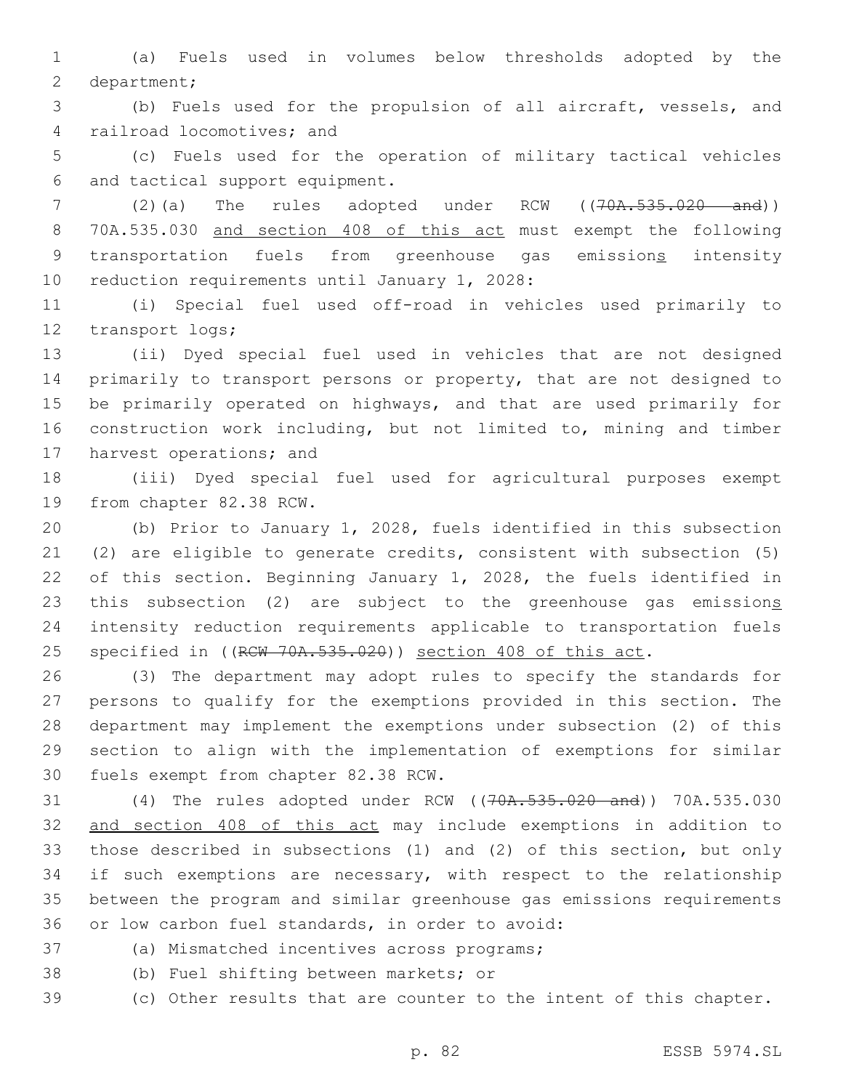1 (a) Fuels used in volumes below thresholds adopted by the 2 department;

3 (b) Fuels used for the propulsion of all aircraft, vessels, and 4 railroad locomotives; and

5 (c) Fuels used for the operation of military tactical vehicles 6 and tactical support equipment.

7 (2)(a) The rules adopted under RCW ((70A.535.020 and)) 8 70A.535.030 and section 408 of this act must exempt the following 9 transportation fuels from greenhouse gas emissions intensity 10 reduction requirements until January 1, 2028:

11 (i) Special fuel used off-road in vehicles used primarily to 12 transport logs;

 (ii) Dyed special fuel used in vehicles that are not designed primarily to transport persons or property, that are not designed to be primarily operated on highways, and that are used primarily for construction work including, but not limited to, mining and timber 17 harvest operations; and

18 (iii) Dyed special fuel used for agricultural purposes exempt 19 from chapter 82.38 RCW.

 (b) Prior to January 1, 2028, fuels identified in this subsection (2) are eligible to generate credits, consistent with subsection (5) of this section. Beginning January 1, 2028, the fuels identified in 23 this subsection (2) are subject to the greenhouse gas emissions intensity reduction requirements applicable to transportation fuels 25 specified in ((RCW 70A.535.020)) section 408 of this act.

 (3) The department may adopt rules to specify the standards for persons to qualify for the exemptions provided in this section. The department may implement the exemptions under subsection (2) of this section to align with the implementation of exemptions for similar 30 fuels exempt from chapter 82.38 RCW.

31 (4) The rules adopted under RCW ((70A.535.020 and)) 70A.535.030 32 and section 408 of this act may include exemptions in addition to 33 those described in subsections (1) and (2) of this section, but only 34 if such exemptions are necessary, with respect to the relationship 35 between the program and similar greenhouse gas emissions requirements 36 or low carbon fuel standards, in order to avoid:

37 (a) Mismatched incentives across programs;

38 (b) Fuel shifting between markets; or

39 (c) Other results that are counter to the intent of this chapter.

p. 82 ESSB 5974.SL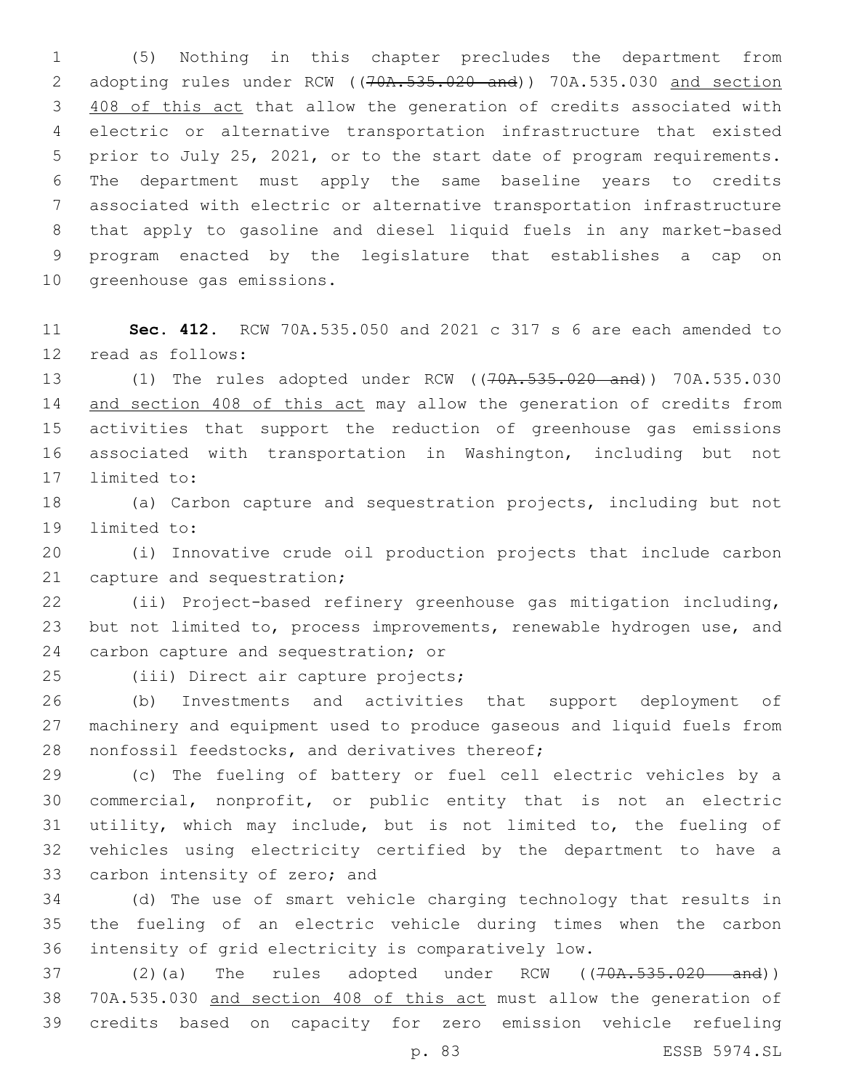(5) Nothing in this chapter precludes the department from 2 adopting rules under RCW ((70A.535.020 and)) 70A.535.030 and section 408 of this act that allow the generation of credits associated with electric or alternative transportation infrastructure that existed prior to July 25, 2021, or to the start date of program requirements. The department must apply the same baseline years to credits associated with electric or alternative transportation infrastructure that apply to gasoline and diesel liquid fuels in any market-based program enacted by the legislature that establishes a cap on 10 greenhouse gas emissions.

 **Sec. 412.** RCW 70A.535.050 and 2021 c 317 s 6 are each amended to 12 read as follows:

 (1) The rules adopted under RCW ((70A.535.020 and)) 70A.535.030 14 and section 408 of this act may allow the generation of credits from activities that support the reduction of greenhouse gas emissions associated with transportation in Washington, including but not 17 limited to:

 (a) Carbon capture and sequestration projects, including but not 19 limited to:

 (i) Innovative crude oil production projects that include carbon 21 capture and sequestration;

 (ii) Project-based refinery greenhouse gas mitigation including, but not limited to, process improvements, renewable hydrogen use, and 24 carbon capture and sequestration; or

25 (iii) Direct air capture projects;

 (b) Investments and activities that support deployment of machinery and equipment used to produce gaseous and liquid fuels from 28 nonfossil feedstocks, and derivatives thereof;

 (c) The fueling of battery or fuel cell electric vehicles by a commercial, nonprofit, or public entity that is not an electric utility, which may include, but is not limited to, the fueling of vehicles using electricity certified by the department to have a 33 carbon intensity of zero; and

 (d) The use of smart vehicle charging technology that results in the fueling of an electric vehicle during times when the carbon intensity of grid electricity is comparatively low.

37 (2)(a) The rules adopted under RCW ((70A.535.020 and)) 70A.535.030 and section 408 of this act must allow the generation of credits based on capacity for zero emission vehicle refueling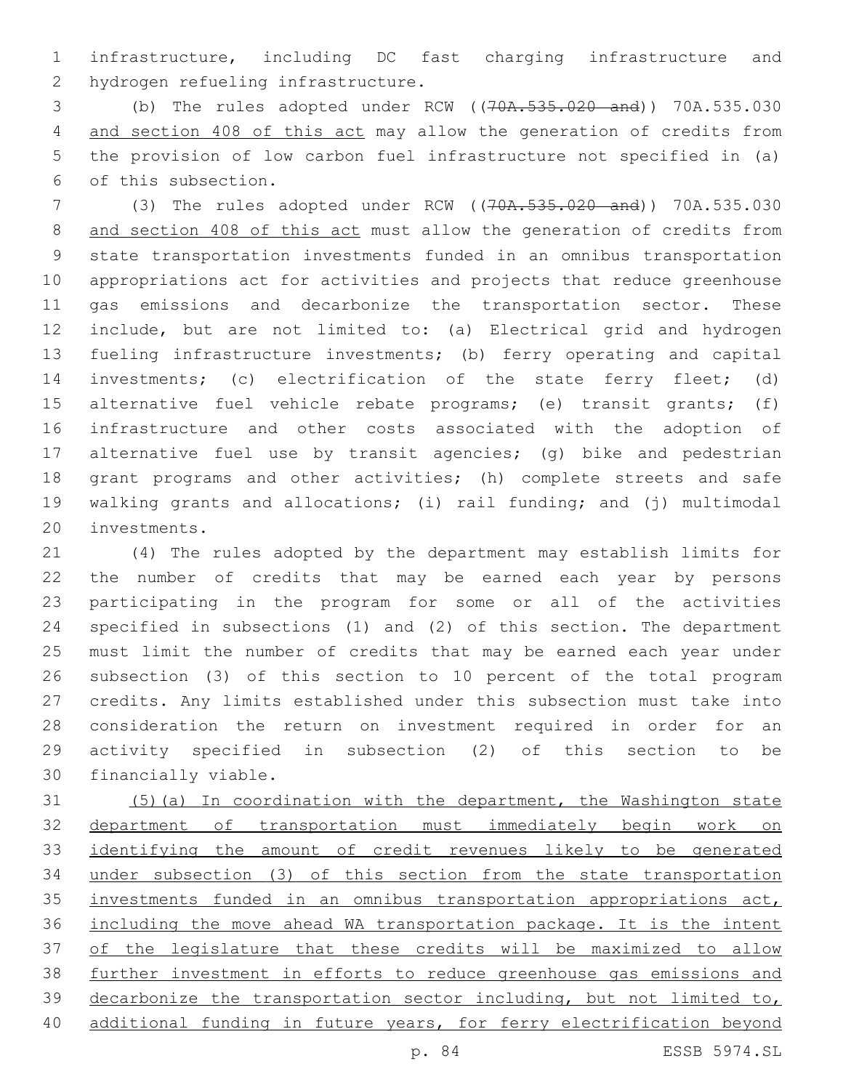infrastructure, including DC fast charging infrastructure and 2 hydrogen refueling infrastructure.

 (b) The rules adopted under RCW ((70A.535.020 and)) 70A.535.030 and section 408 of this act may allow the generation of credits from the provision of low carbon fuel infrastructure not specified in (a) 6 of this subsection.

 (3) The rules adopted under RCW ((70A.535.020 and)) 70A.535.030 and section 408 of this act must allow the generation of credits from state transportation investments funded in an omnibus transportation appropriations act for activities and projects that reduce greenhouse gas emissions and decarbonize the transportation sector. These include, but are not limited to: (a) Electrical grid and hydrogen fueling infrastructure investments; (b) ferry operating and capital investments; (c) electrification of the state ferry fleet; (d) alternative fuel vehicle rebate programs; (e) transit grants; (f) infrastructure and other costs associated with the adoption of alternative fuel use by transit agencies; (g) bike and pedestrian grant programs and other activities; (h) complete streets and safe walking grants and allocations; (i) rail funding; and (j) multimodal 20 investments.

 (4) The rules adopted by the department may establish limits for the number of credits that may be earned each year by persons participating in the program for some or all of the activities specified in subsections (1) and (2) of this section. The department must limit the number of credits that may be earned each year under subsection (3) of this section to 10 percent of the total program credits. Any limits established under this subsection must take into consideration the return on investment required in order for an activity specified in subsection (2) of this section to be 30 financially viable.

 (5)(a) In coordination with the department, the Washington state department of transportation must immediately begin work on identifying the amount of credit revenues likely to be generated under subsection (3) of this section from the state transportation 35 investments funded in an omnibus transportation appropriations act, including the move ahead WA transportation package. It is the intent of the legislature that these credits will be maximized to allow further investment in efforts to reduce greenhouse gas emissions and decarbonize the transportation sector including, but not limited to, additional funding in future years, for ferry electrification beyond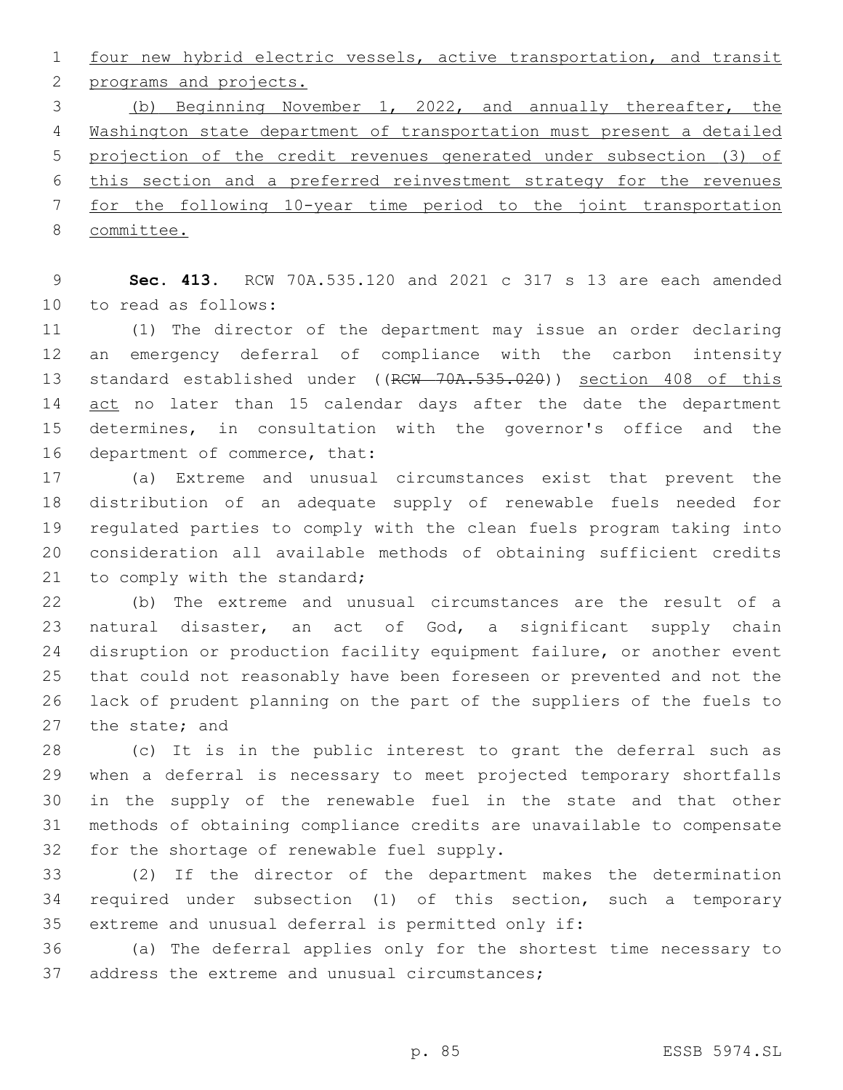four new hybrid electric vessels, active transportation, and transit 2 programs and projects.

 (b) Beginning November 1, 2022, and annually thereafter, the Washington state department of transportation must present a detailed projection of the credit revenues generated under subsection (3) of this section and a preferred reinvestment strategy for the revenues for the following 10-year time period to the joint transportation committee.

 **Sec. 413.** RCW 70A.535.120 and 2021 c 317 s 13 are each amended 10 to read as follows:

 (1) The director of the department may issue an order declaring an emergency deferral of compliance with the carbon intensity 13 standard established under ((RCW 70A.535.020)) section 408 of this 14 act no later than 15 calendar days after the date the department determines, in consultation with the governor's office and the 16 department of commerce, that:

 (a) Extreme and unusual circumstances exist that prevent the distribution of an adequate supply of renewable fuels needed for regulated parties to comply with the clean fuels program taking into consideration all available methods of obtaining sufficient credits 21 to comply with the standard;

 (b) The extreme and unusual circumstances are the result of a natural disaster, an act of God, a significant supply chain disruption or production facility equipment failure, or another event that could not reasonably have been foreseen or prevented and not the lack of prudent planning on the part of the suppliers of the fuels to 27 the state; and

 (c) It is in the public interest to grant the deferral such as when a deferral is necessary to meet projected temporary shortfalls in the supply of the renewable fuel in the state and that other methods of obtaining compliance credits are unavailable to compensate 32 for the shortage of renewable fuel supply.

 (2) If the director of the department makes the determination required under subsection (1) of this section, such a temporary extreme and unusual deferral is permitted only if:

 (a) The deferral applies only for the shortest time necessary to 37 address the extreme and unusual circumstances;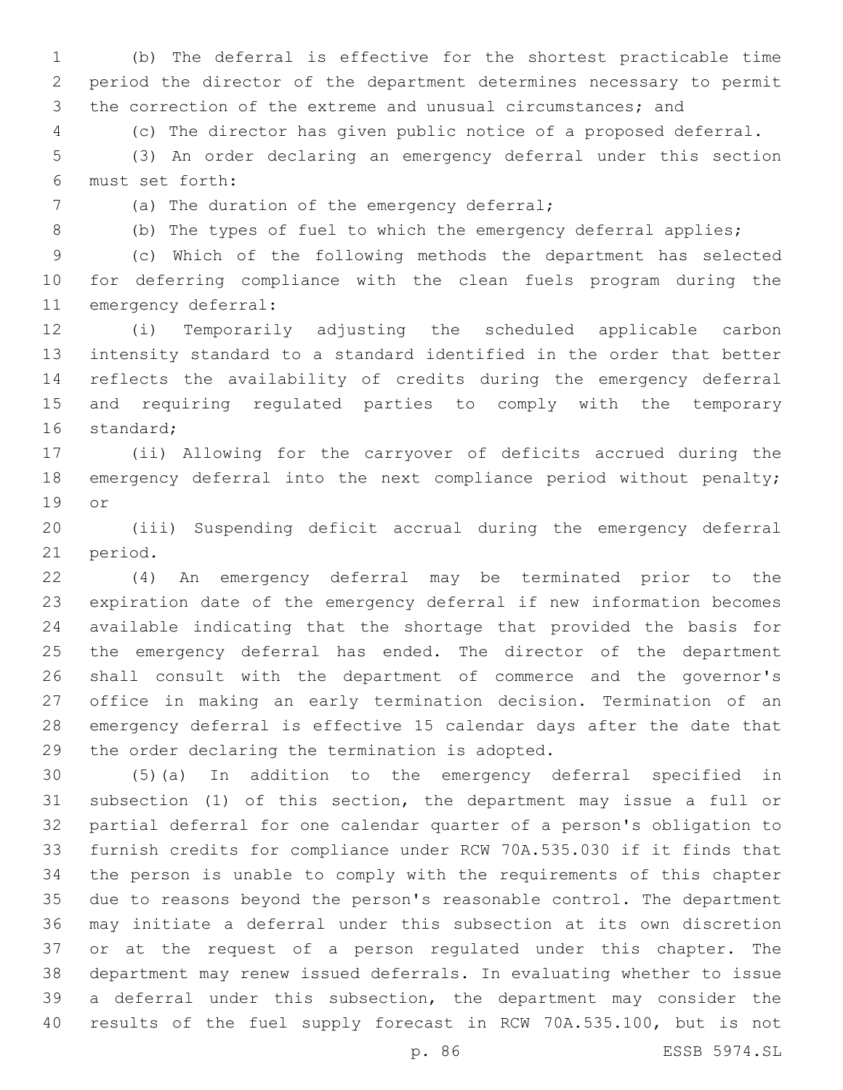(b) The deferral is effective for the shortest practicable time period the director of the department determines necessary to permit the correction of the extreme and unusual circumstances; and

(c) The director has given public notice of a proposed deferral.

 (3) An order declaring an emergency deferral under this section must set forth:6

(a) The duration of the emergency deferral;

(b) The types of fuel to which the emergency deferral applies;

 (c) Which of the following methods the department has selected for deferring compliance with the clean fuels program during the 11 emergency deferral:

 (i) Temporarily adjusting the scheduled applicable carbon intensity standard to a standard identified in the order that better reflects the availability of credits during the emergency deferral and requiring regulated parties to comply with the temporary 16 standard;

 (ii) Allowing for the carryover of deficits accrued during the 18 emergency deferral into the next compliance period without penalty; 19 or

 (iii) Suspending deficit accrual during the emergency deferral 21 period.

 (4) An emergency deferral may be terminated prior to the expiration date of the emergency deferral if new information becomes available indicating that the shortage that provided the basis for 25 the emergency deferral has ended. The director of the department shall consult with the department of commerce and the governor's office in making an early termination decision. Termination of an emergency deferral is effective 15 calendar days after the date that 29 the order declaring the termination is adopted.

 (5)(a) In addition to the emergency deferral specified in subsection (1) of this section, the department may issue a full or partial deferral for one calendar quarter of a person's obligation to furnish credits for compliance under RCW 70A.535.030 if it finds that the person is unable to comply with the requirements of this chapter due to reasons beyond the person's reasonable control. The department may initiate a deferral under this subsection at its own discretion or at the request of a person regulated under this chapter. The department may renew issued deferrals. In evaluating whether to issue a deferral under this subsection, the department may consider the results of the fuel supply forecast in RCW 70A.535.100, but is not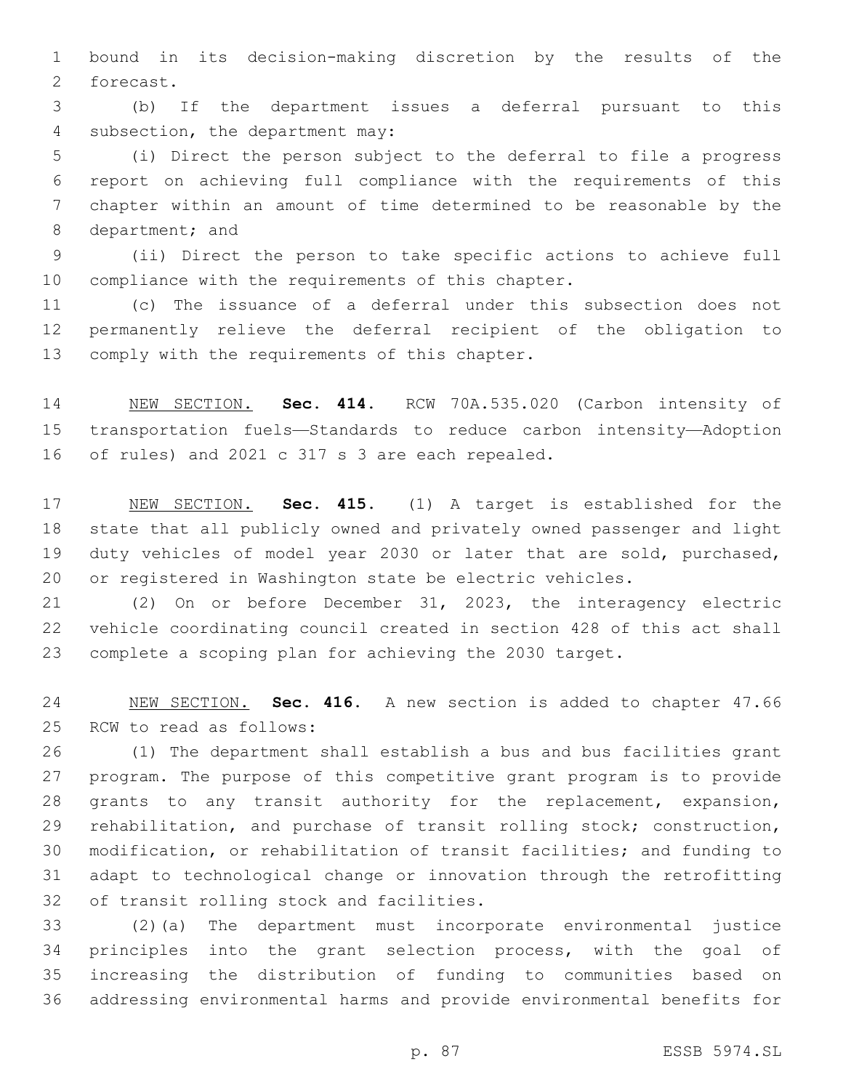bound in its decision-making discretion by the results of the 2 forecast.

 (b) If the department issues a deferral pursuant to this 4 subsection, the department may:

 (i) Direct the person subject to the deferral to file a progress report on achieving full compliance with the requirements of this chapter within an amount of time determined to be reasonable by the 8 department; and

 (ii) Direct the person to take specific actions to achieve full 10 compliance with the requirements of this chapter.

 (c) The issuance of a deferral under this subsection does not permanently relieve the deferral recipient of the obligation to 13 comply with the requirements of this chapter.

 NEW SECTION. **Sec. 414.** RCW 70A.535.020 (Carbon intensity of transportation fuels—Standards to reduce carbon intensity—Adoption of rules) and 2021 c 317 s 3 are each repealed.

 NEW SECTION. **Sec. 415.** (1) A target is established for the state that all publicly owned and privately owned passenger and light duty vehicles of model year 2030 or later that are sold, purchased, or registered in Washington state be electric vehicles.

 (2) On or before December 31, 2023, the interagency electric vehicle coordinating council created in section 428 of this act shall complete a scoping plan for achieving the 2030 target.

 NEW SECTION. **Sec. 416.** A new section is added to chapter 47.66 25 RCW to read as follows:

 (1) The department shall establish a bus and bus facilities grant program. The purpose of this competitive grant program is to provide grants to any transit authority for the replacement, expansion, rehabilitation, and purchase of transit rolling stock; construction, modification, or rehabilitation of transit facilities; and funding to adapt to technological change or innovation through the retrofitting 32 of transit rolling stock and facilities.

 (2)(a) The department must incorporate environmental justice principles into the grant selection process, with the goal of increasing the distribution of funding to communities based on addressing environmental harms and provide environmental benefits for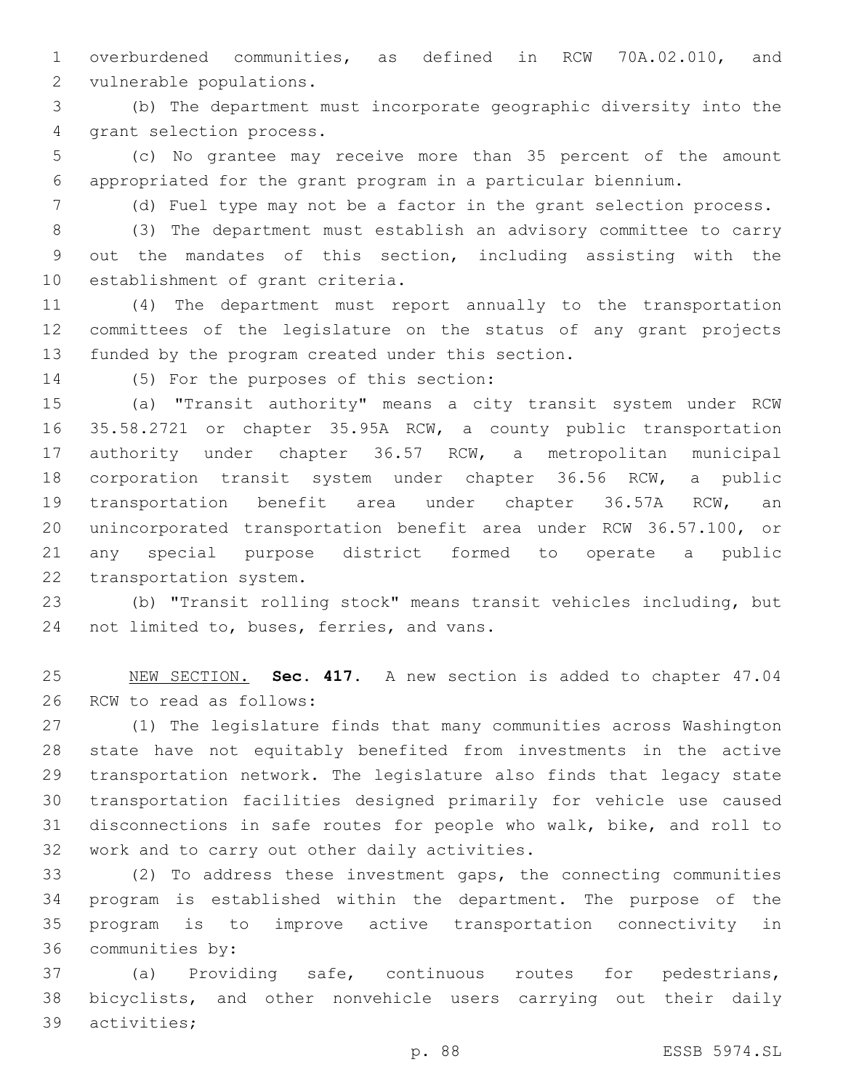overburdened communities, as defined in RCW 70A.02.010, and 2 vulnerable populations.

 (b) The department must incorporate geographic diversity into the 4 grant selection process.

 (c) No grantee may receive more than 35 percent of the amount appropriated for the grant program in a particular biennium.

(d) Fuel type may not be a factor in the grant selection process.

 (3) The department must establish an advisory committee to carry out the mandates of this section, including assisting with the 10 establishment of grant criteria.

 (4) The department must report annually to the transportation committees of the legislature on the status of any grant projects 13 funded by the program created under this section.

14 (5) For the purposes of this section:

 (a) "Transit authority" means a city transit system under RCW 35.58.2721 or chapter 35.95A RCW, a county public transportation authority under chapter 36.57 RCW, a metropolitan municipal corporation transit system under chapter 36.56 RCW, a public transportation benefit area under chapter 36.57A RCW, an unincorporated transportation benefit area under RCW 36.57.100, or any special purpose district formed to operate a public 22 transportation system.

 (b) "Transit rolling stock" means transit vehicles including, but 24 not limited to, buses, ferries, and vans.

 NEW SECTION. **Sec. 417.** A new section is added to chapter 47.04 26 RCW to read as follows:

 (1) The legislature finds that many communities across Washington state have not equitably benefited from investments in the active transportation network. The legislature also finds that legacy state transportation facilities designed primarily for vehicle use caused disconnections in safe routes for people who walk, bike, and roll to 32 work and to carry out other daily activities.

 (2) To address these investment gaps, the connecting communities program is established within the department. The purpose of the program is to improve active transportation connectivity in 36 communities by:

 (a) Providing safe, continuous routes for pedestrians, bicyclists, and other nonvehicle users carrying out their daily 39 activities;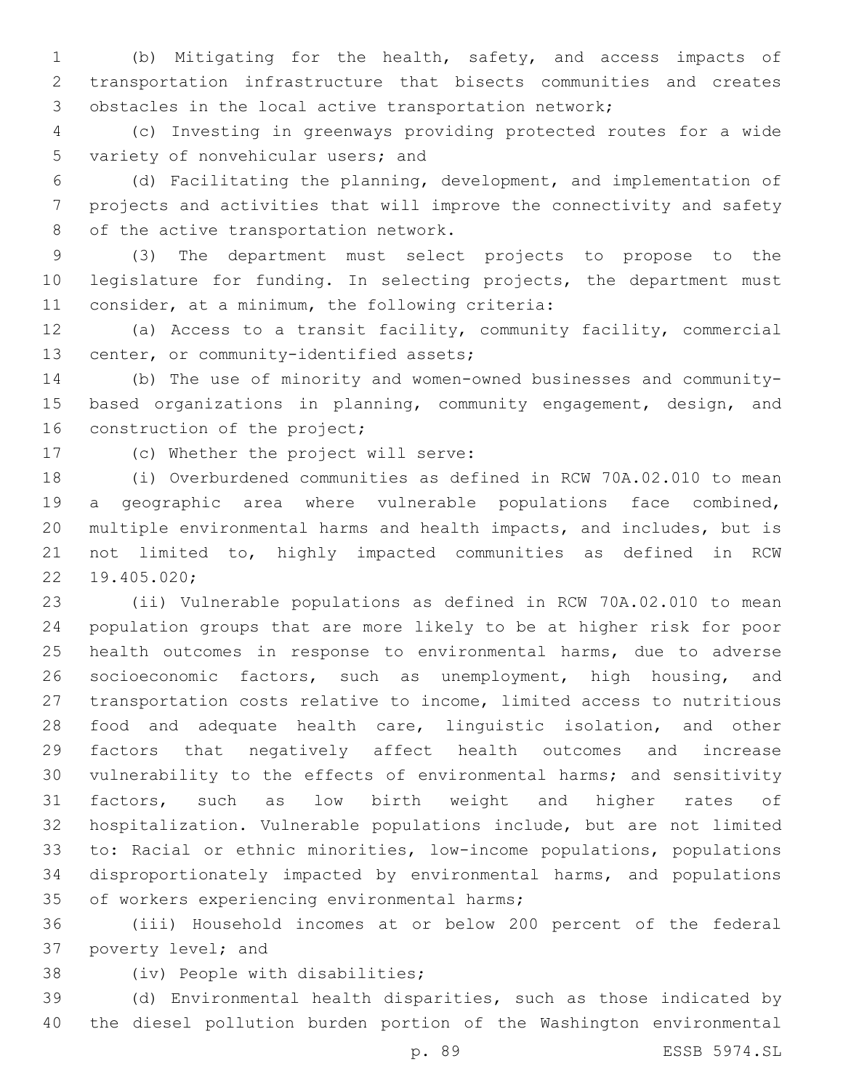(b) Mitigating for the health, safety, and access impacts of transportation infrastructure that bisects communities and creates obstacles in the local active transportation network;

 (c) Investing in greenways providing protected routes for a wide 5 variety of nonvehicular users; and

 (d) Facilitating the planning, development, and implementation of projects and activities that will improve the connectivity and safety 8 of the active transportation network.

 (3) The department must select projects to propose to the legislature for funding. In selecting projects, the department must 11 consider, at a minimum, the following criteria:

 (a) Access to a transit facility, community facility, commercial 13 center, or community-identified assets;

 (b) The use of minority and women-owned businesses and community- based organizations in planning, community engagement, design, and 16 construction of the project;

17 (c) Whether the project will serve:

 (i) Overburdened communities as defined in RCW 70A.02.010 to mean a geographic area where vulnerable populations face combined, multiple environmental harms and health impacts, and includes, but is not limited to, highly impacted communities as defined in RCW 19.405.020;22

 (ii) Vulnerable populations as defined in RCW 70A.02.010 to mean population groups that are more likely to be at higher risk for poor health outcomes in response to environmental harms, due to adverse socioeconomic factors, such as unemployment, high housing, and transportation costs relative to income, limited access to nutritious food and adequate health care, linguistic isolation, and other factors that negatively affect health outcomes and increase vulnerability to the effects of environmental harms; and sensitivity factors, such as low birth weight and higher rates of hospitalization. Vulnerable populations include, but are not limited to: Racial or ethnic minorities, low-income populations, populations disproportionately impacted by environmental harms, and populations 35 of workers experiencing environmental harms;

 (iii) Household incomes at or below 200 percent of the federal 37 poverty level; and

38 (iv) People with disabilities;

 (d) Environmental health disparities, such as those indicated by the diesel pollution burden portion of the Washington environmental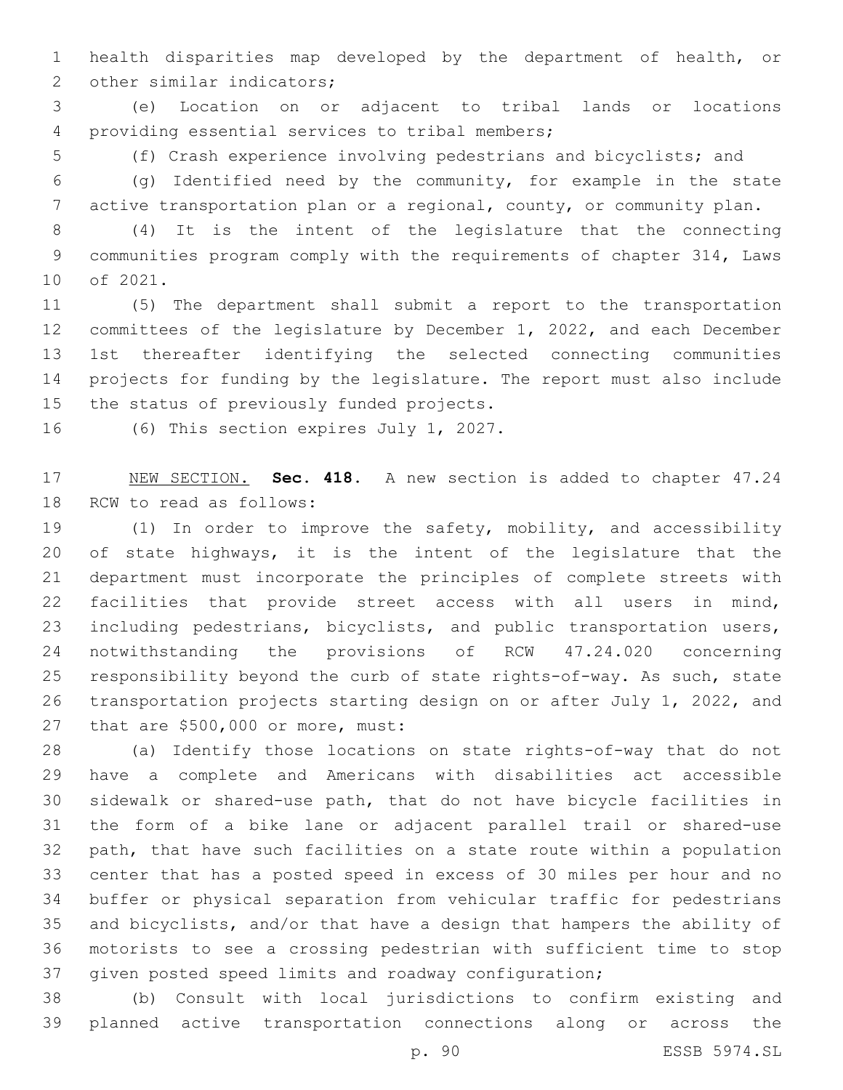health disparities map developed by the department of health, or 2 other similar indicators;

 (e) Location on or adjacent to tribal lands or locations 4 providing essential services to tribal members;

(f) Crash experience involving pedestrians and bicyclists; and

 (g) Identified need by the community, for example in the state active transportation plan or a regional, county, or community plan.

 (4) It is the intent of the legislature that the connecting communities program comply with the requirements of chapter 314, Laws 10 of 2021.

 (5) The department shall submit a report to the transportation committees of the legislature by December 1, 2022, and each December 1st thereafter identifying the selected connecting communities projects for funding by the legislature. The report must also include 15 the status of previously funded projects.

16 (6) This section expires July 1, 2027.

 NEW SECTION. **Sec. 418.** A new section is added to chapter 47.24 18 RCW to read as follows:

 (1) In order to improve the safety, mobility, and accessibility of state highways, it is the intent of the legislature that the department must incorporate the principles of complete streets with facilities that provide street access with all users in mind, including pedestrians, bicyclists, and public transportation users, notwithstanding the provisions of RCW 47.24.020 concerning responsibility beyond the curb of state rights-of-way. As such, state transportation projects starting design on or after July 1, 2022, and 27 that are \$500,000 or more, must:

 (a) Identify those locations on state rights-of-way that do not have a complete and Americans with disabilities act accessible sidewalk or shared-use path, that do not have bicycle facilities in the form of a bike lane or adjacent parallel trail or shared-use path, that have such facilities on a state route within a population center that has a posted speed in excess of 30 miles per hour and no buffer or physical separation from vehicular traffic for pedestrians and bicyclists, and/or that have a design that hampers the ability of motorists to see a crossing pedestrian with sufficient time to stop given posted speed limits and roadway configuration;

 (b) Consult with local jurisdictions to confirm existing and planned active transportation connections along or across the

p. 90 ESSB 5974.SL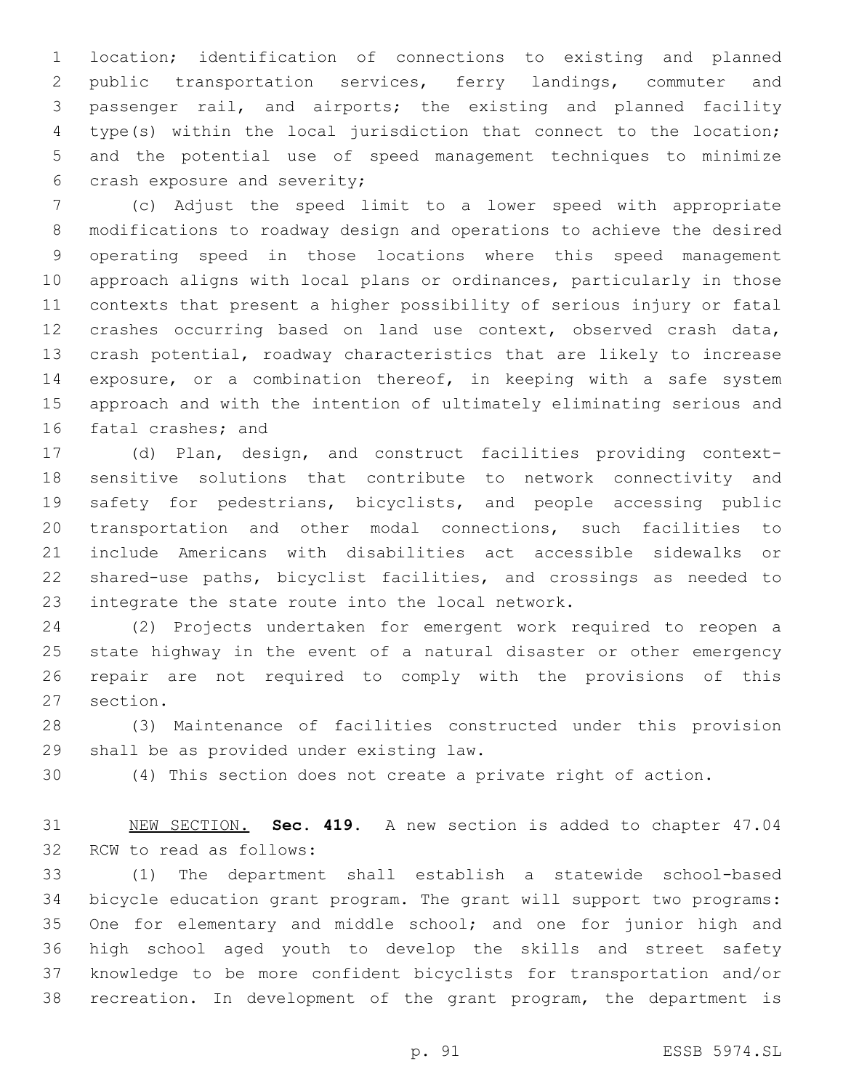location; identification of connections to existing and planned public transportation services, ferry landings, commuter and passenger rail, and airports; the existing and planned facility type(s) within the local jurisdiction that connect to the location; and the potential use of speed management techniques to minimize 6 crash exposure and severity;

 (c) Adjust the speed limit to a lower speed with appropriate modifications to roadway design and operations to achieve the desired operating speed in those locations where this speed management approach aligns with local plans or ordinances, particularly in those contexts that present a higher possibility of serious injury or fatal crashes occurring based on land use context, observed crash data, crash potential, roadway characteristics that are likely to increase exposure, or a combination thereof, in keeping with a safe system approach and with the intention of ultimately eliminating serious and 16 fatal crashes; and

 (d) Plan, design, and construct facilities providing context- sensitive solutions that contribute to network connectivity and safety for pedestrians, bicyclists, and people accessing public transportation and other modal connections, such facilities to include Americans with disabilities act accessible sidewalks or shared-use paths, bicyclist facilities, and crossings as needed to 23 integrate the state route into the local network.

 (2) Projects undertaken for emergent work required to reopen a state highway in the event of a natural disaster or other emergency repair are not required to comply with the provisions of this 27 section.

 (3) Maintenance of facilities constructed under this provision 29 shall be as provided under existing law.

(4) This section does not create a private right of action.

 NEW SECTION. **Sec. 419.** A new section is added to chapter 47.04 32 RCW to read as follows:

 (1) The department shall establish a statewide school-based bicycle education grant program. The grant will support two programs: 35 One for elementary and middle school; and one for junior high and high school aged youth to develop the skills and street safety knowledge to be more confident bicyclists for transportation and/or recreation. In development of the grant program, the department is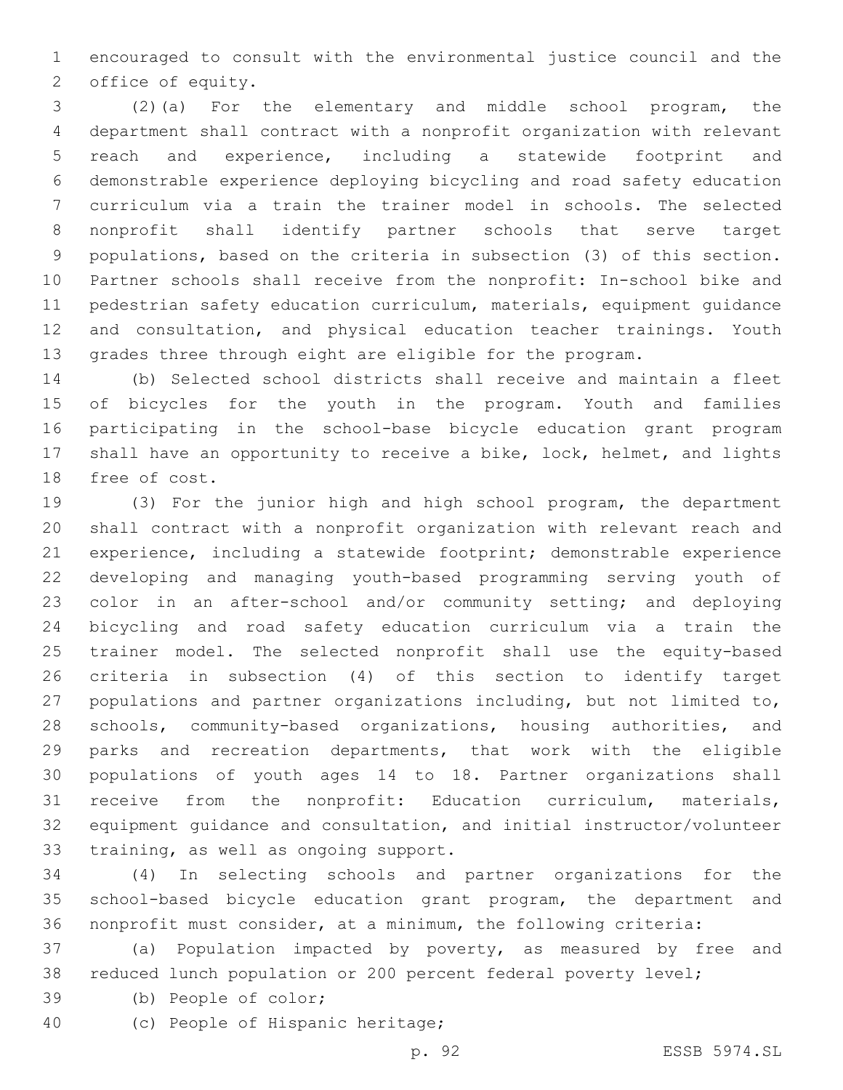encouraged to consult with the environmental justice council and the 2 office of equity.

 (2)(a) For the elementary and middle school program, the department shall contract with a nonprofit organization with relevant reach and experience, including a statewide footprint and demonstrable experience deploying bicycling and road safety education curriculum via a train the trainer model in schools. The selected nonprofit shall identify partner schools that serve target populations, based on the criteria in subsection (3) of this section. Partner schools shall receive from the nonprofit: In-school bike and pedestrian safety education curriculum, materials, equipment guidance and consultation, and physical education teacher trainings. Youth grades three through eight are eligible for the program.

 (b) Selected school districts shall receive and maintain a fleet of bicycles for the youth in the program. Youth and families participating in the school-base bicycle education grant program shall have an opportunity to receive a bike, lock, helmet, and lights 18 free of cost.

 (3) For the junior high and high school program, the department shall contract with a nonprofit organization with relevant reach and experience, including a statewide footprint; demonstrable experience developing and managing youth-based programming serving youth of color in an after-school and/or community setting; and deploying bicycling and road safety education curriculum via a train the trainer model. The selected nonprofit shall use the equity-based criteria in subsection (4) of this section to identify target populations and partner organizations including, but not limited to, schools, community-based organizations, housing authorities, and parks and recreation departments, that work with the eligible populations of youth ages 14 to 18. Partner organizations shall receive from the nonprofit: Education curriculum, materials, equipment guidance and consultation, and initial instructor/volunteer 33 training, as well as ongoing support.

 (4) In selecting schools and partner organizations for the school-based bicycle education grant program, the department and nonprofit must consider, at a minimum, the following criteria:

 (a) Population impacted by poverty, as measured by free and reduced lunch population or 200 percent federal poverty level;

- 39 (b) People of color;
- 40 (c) People of Hispanic heritage;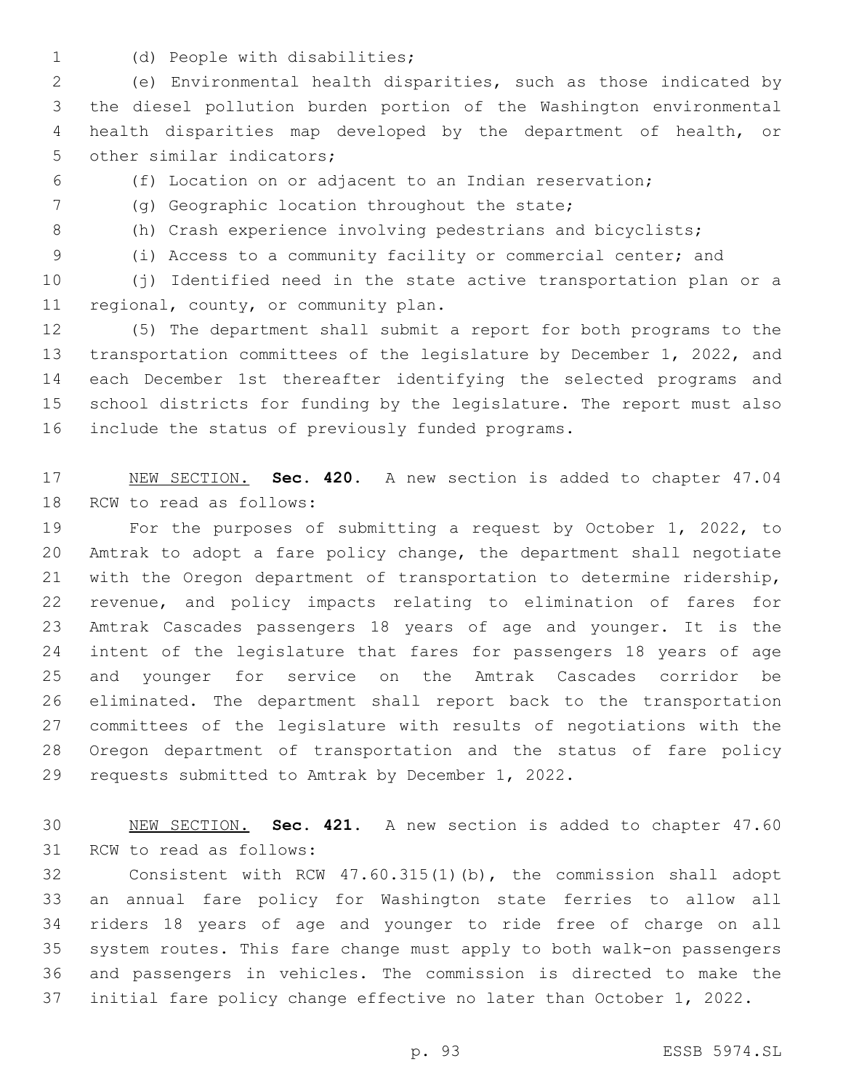1 (d) People with disabilities;

 (e) Environmental health disparities, such as those indicated by the diesel pollution burden portion of the Washington environmental health disparities map developed by the department of health, or 5 other similar indicators;

- 
- (f) Location on or adjacent to an Indian reservation;
- (g) Geographic location throughout the state;7
- (h) Crash experience involving pedestrians and bicyclists;
- 

(i) Access to a community facility or commercial center; and

 (j) Identified need in the state active transportation plan or a 11 regional, county, or community plan.

 (5) The department shall submit a report for both programs to the transportation committees of the legislature by December 1, 2022, and each December 1st thereafter identifying the selected programs and school districts for funding by the legislature. The report must also 16 include the status of previously funded programs.

 NEW SECTION. **Sec. 420.** A new section is added to chapter 47.04 18 RCW to read as follows:

 For the purposes of submitting a request by October 1, 2022, to Amtrak to adopt a fare policy change, the department shall negotiate with the Oregon department of transportation to determine ridership, revenue, and policy impacts relating to elimination of fares for Amtrak Cascades passengers 18 years of age and younger. It is the intent of the legislature that fares for passengers 18 years of age and younger for service on the Amtrak Cascades corridor be eliminated. The department shall report back to the transportation committees of the legislature with results of negotiations with the Oregon department of transportation and the status of fare policy 29 requests submitted to Amtrak by December 1, 2022.

 NEW SECTION. **Sec. 421.** A new section is added to chapter 47.60 31 RCW to read as follows:

 Consistent with RCW 47.60.315(1)(b), the commission shall adopt an annual fare policy for Washington state ferries to allow all riders 18 years of age and younger to ride free of charge on all system routes. This fare change must apply to both walk-on passengers and passengers in vehicles. The commission is directed to make the initial fare policy change effective no later than October 1, 2022.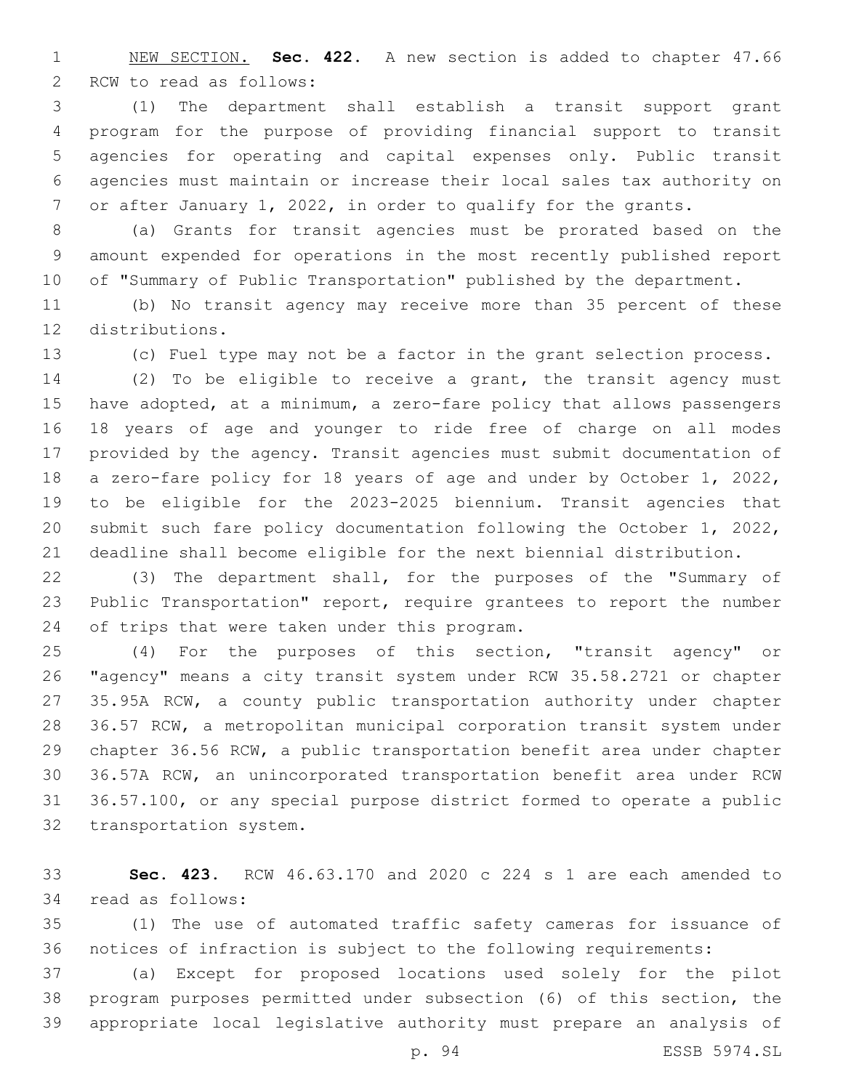NEW SECTION. **Sec. 422.** A new section is added to chapter 47.66 2 RCW to read as follows:

 (1) The department shall establish a transit support grant program for the purpose of providing financial support to transit agencies for operating and capital expenses only. Public transit agencies must maintain or increase their local sales tax authority on or after January 1, 2022, in order to qualify for the grants.

 (a) Grants for transit agencies must be prorated based on the amount expended for operations in the most recently published report 10 of "Summary of Public Transportation" published by the department.

 (b) No transit agency may receive more than 35 percent of these 12 distributions.

(c) Fuel type may not be a factor in the grant selection process.

 (2) To be eligible to receive a grant, the transit agency must have adopted, at a minimum, a zero-fare policy that allows passengers 18 years of age and younger to ride free of charge on all modes provided by the agency. Transit agencies must submit documentation of a zero-fare policy for 18 years of age and under by October 1, 2022, to be eligible for the 2023-2025 biennium. Transit agencies that submit such fare policy documentation following the October 1, 2022, deadline shall become eligible for the next biennial distribution.

 (3) The department shall, for the purposes of the "Summary of Public Transportation" report, require grantees to report the number 24 of trips that were taken under this program.

 (4) For the purposes of this section, "transit agency" or "agency" means a city transit system under RCW 35.58.2721 or chapter 35.95A RCW, a county public transportation authority under chapter 36.57 RCW, a metropolitan municipal corporation transit system under chapter 36.56 RCW, a public transportation benefit area under chapter 36.57A RCW, an unincorporated transportation benefit area under RCW 36.57.100, or any special purpose district formed to operate a public 32 transportation system.

 **Sec. 423.** RCW 46.63.170 and 2020 c 224 s 1 are each amended to 34 read as follows:

 (1) The use of automated traffic safety cameras for issuance of notices of infraction is subject to the following requirements:

 (a) Except for proposed locations used solely for the pilot program purposes permitted under subsection (6) of this section, the appropriate local legislative authority must prepare an analysis of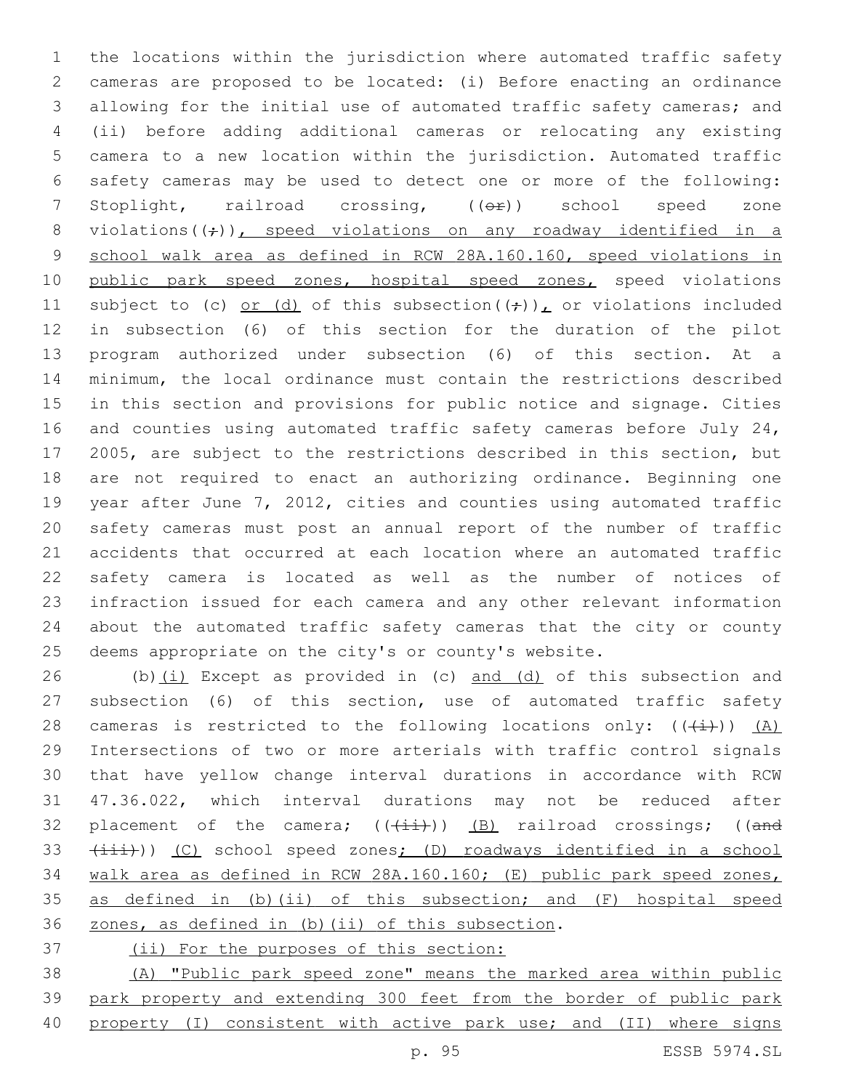the locations within the jurisdiction where automated traffic safety cameras are proposed to be located: (i) Before enacting an ordinance allowing for the initial use of automated traffic safety cameras; and (ii) before adding additional cameras or relocating any existing camera to a new location within the jurisdiction. Automated traffic safety cameras may be used to detect one or more of the following: 7 Stoplight, railroad crossing, (( $\Theta$ ) school speed zone 8 violations( $(\div)$ ), speed violations on any roadway identified in a school walk area as defined in RCW 28A.160.160, speed violations in 10 public park speed zones, hospital speed zones, speed violations 11 subject to (c) or (d) of this subsection( $(\frac{1}{r})$ ), or violations included in subsection (6) of this section for the duration of the pilot program authorized under subsection (6) of this section. At a minimum, the local ordinance must contain the restrictions described in this section and provisions for public notice and signage. Cities and counties using automated traffic safety cameras before July 24, 2005, are subject to the restrictions described in this section, but are not required to enact an authorizing ordinance. Beginning one year after June 7, 2012, cities and counties using automated traffic safety cameras must post an annual report of the number of traffic accidents that occurred at each location where an automated traffic safety camera is located as well as the number of notices of infraction issued for each camera and any other relevant information about the automated traffic safety cameras that the city or county deems appropriate on the city's or county's website.

26 (b) $(i)$  Except as provided in (c) and (d) of this subsection and subsection (6) of this section, use of automated traffic safety 28 cameras is restricted to the following locations only:  $((+i))$  (A) Intersections of two or more arterials with traffic control signals that have yellow change interval durations in accordance with RCW 47.36.022, which interval durations may not be reduced after 32 placement of the camera;  $((+i+1)(n-1)(k+1))$  (B) railroad crossings; ((and 33 (iii))) (C) school speed zones; (D) roadways identified in a school walk area as defined in RCW 28A.160.160; (E) public park speed zones, as defined in (b)(ii) of this subsection; and (F) hospital speed 36 zones, as defined in (b)(ii) of this subsection.

(ii) For the purposes of this section:

 (A) "Public park speed zone" means the marked area within public park property and extending 300 feet from the border of public park property (I) consistent with active park use; and (II) where signs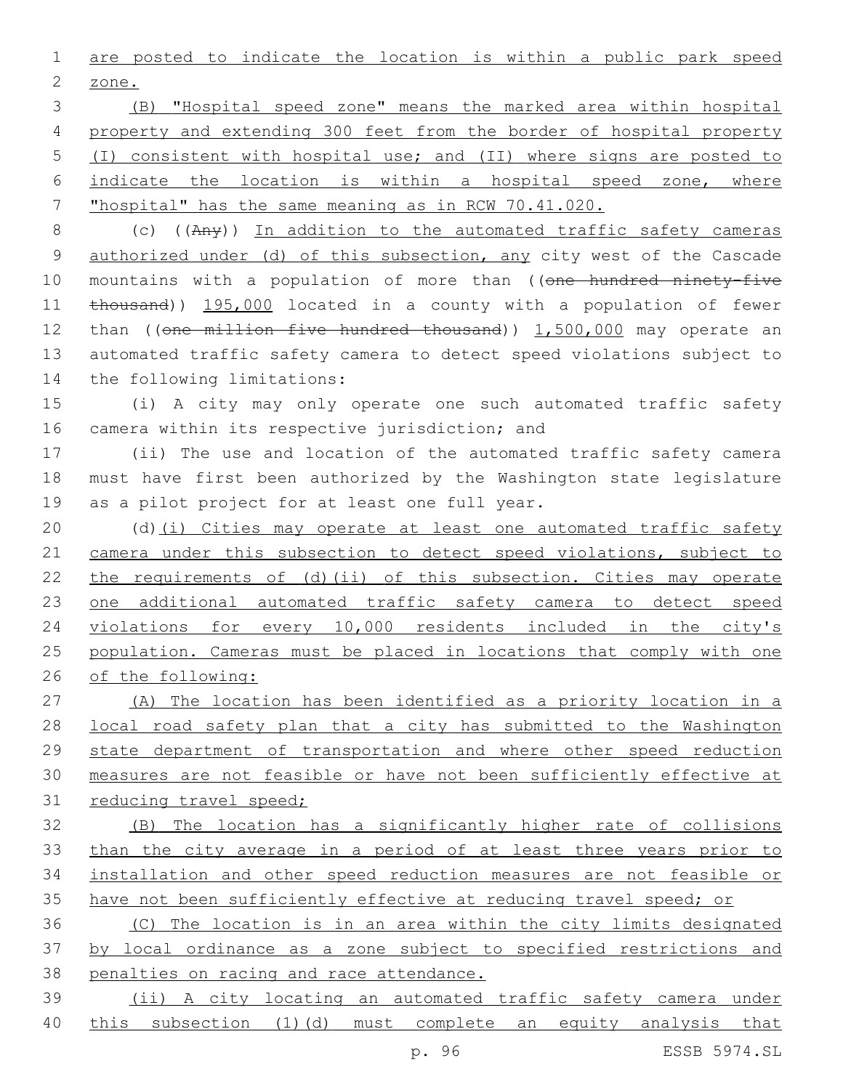are posted to indicate the location is within a public park speed 2 zone.

 (B) "Hospital speed zone" means the marked area within hospital property and extending 300 feet from the border of hospital property (I) consistent with hospital use; and (II) where signs are posted to indicate the location is within a hospital speed zone, where "hospital" has the same meaning as in RCW 70.41.020.

 (c) ((Any)) In addition to the automated traffic safety cameras authorized under (d) of this subsection, any city west of the Cascade 10 mountains with a population of more than ((one hundred ninety-five 11 thousand)) 195,000 located in a county with a population of fewer 12 than ((one million five hundred thousand)) 1,500,000 may operate an automated traffic safety camera to detect speed violations subject to 14 the following limitations:

 (i) A city may only operate one such automated traffic safety 16 camera within its respective jurisdiction; and

 (ii) The use and location of the automated traffic safety camera must have first been authorized by the Washington state legislature 19 as a pilot project for at least one full year.

 (d)(i) Cities may operate at least one automated traffic safety 21 camera under this subsection to detect speed violations, subject to the requirements of (d)(ii) of this subsection. Cities may operate 23 one additional automated traffic safety camera to detect speed violations for every 10,000 residents included in the city's population. Cameras must be placed in locations that comply with one of the following:

 (A) The location has been identified as a priority location in a local road safety plan that a city has submitted to the Washington state department of transportation and where other speed reduction measures are not feasible or have not been sufficiently effective at reducing travel speed;

 (B) The location has a significantly higher rate of collisions than the city average in a period of at least three years prior to installation and other speed reduction measures are not feasible or have not been sufficiently effective at reducing travel speed; or

 (C) The location is in an area within the city limits designated by local ordinance as a zone subject to specified restrictions and penalties on racing and race attendance.

 (ii) A city locating an automated traffic safety camera under this subsection (1)(d) must complete an equity analysis that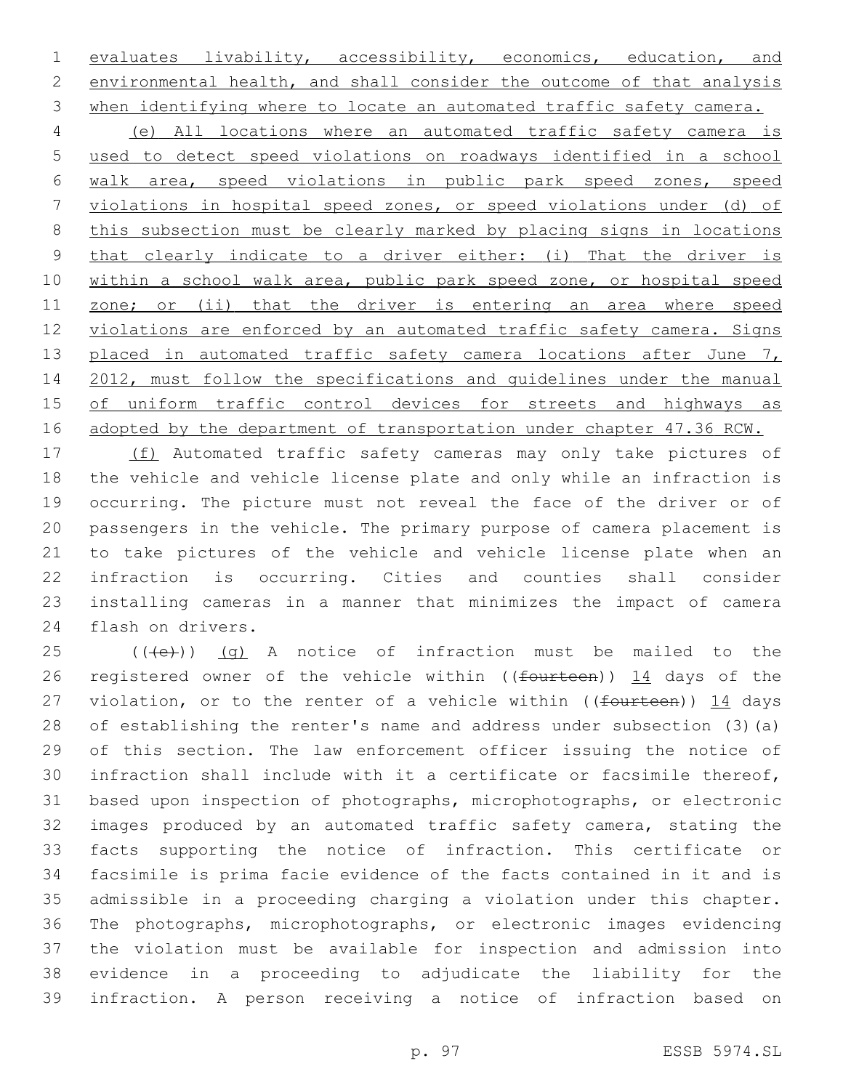evaluates livability, accessibility, economics, education, and environmental health, and shall consider the outcome of that analysis when identifying where to locate an automated traffic safety camera.

 (e) All locations where an automated traffic safety camera is used to detect speed violations on roadways identified in a school walk area, speed violations in public park speed zones, speed violations in hospital speed zones, or speed violations under (d) of this subsection must be clearly marked by placing signs in locations that clearly indicate to a driver either: (i) That the driver is within a school walk area, public park speed zone, or hospital speed 11 zone; or (ii) that the driver is entering an area where speed violations are enforced by an automated traffic safety camera. Signs 13 placed in automated traffic safety camera locations after June 7, 2012, must follow the specifications and guidelines under the manual of uniform traffic control devices for streets and highways as 16 adopted by the department of transportation under chapter 47.36 RCW.

 (f) Automated traffic safety cameras may only take pictures of the vehicle and vehicle license plate and only while an infraction is occurring. The picture must not reveal the face of the driver or of passengers in the vehicle. The primary purpose of camera placement is to take pictures of the vehicle and vehicle license plate when an infraction is occurring. Cities and counties shall consider installing cameras in a manner that minimizes the impact of camera 24 flash on drivers.

 (( $\left(\frac{1}{12}\right)$ ) (g) A notice of infraction must be mailed to the 26 registered owner of the vehicle within ((fourteen)) 14 days of the 27 violation, or to the renter of a vehicle within (( $f$ ourteen)) 14 days of establishing the renter's name and address under subsection (3)(a) of this section. The law enforcement officer issuing the notice of infraction shall include with it a certificate or facsimile thereof, based upon inspection of photographs, microphotographs, or electronic images produced by an automated traffic safety camera, stating the facts supporting the notice of infraction. This certificate or facsimile is prima facie evidence of the facts contained in it and is admissible in a proceeding charging a violation under this chapter. The photographs, microphotographs, or electronic images evidencing the violation must be available for inspection and admission into evidence in a proceeding to adjudicate the liability for the infraction. A person receiving a notice of infraction based on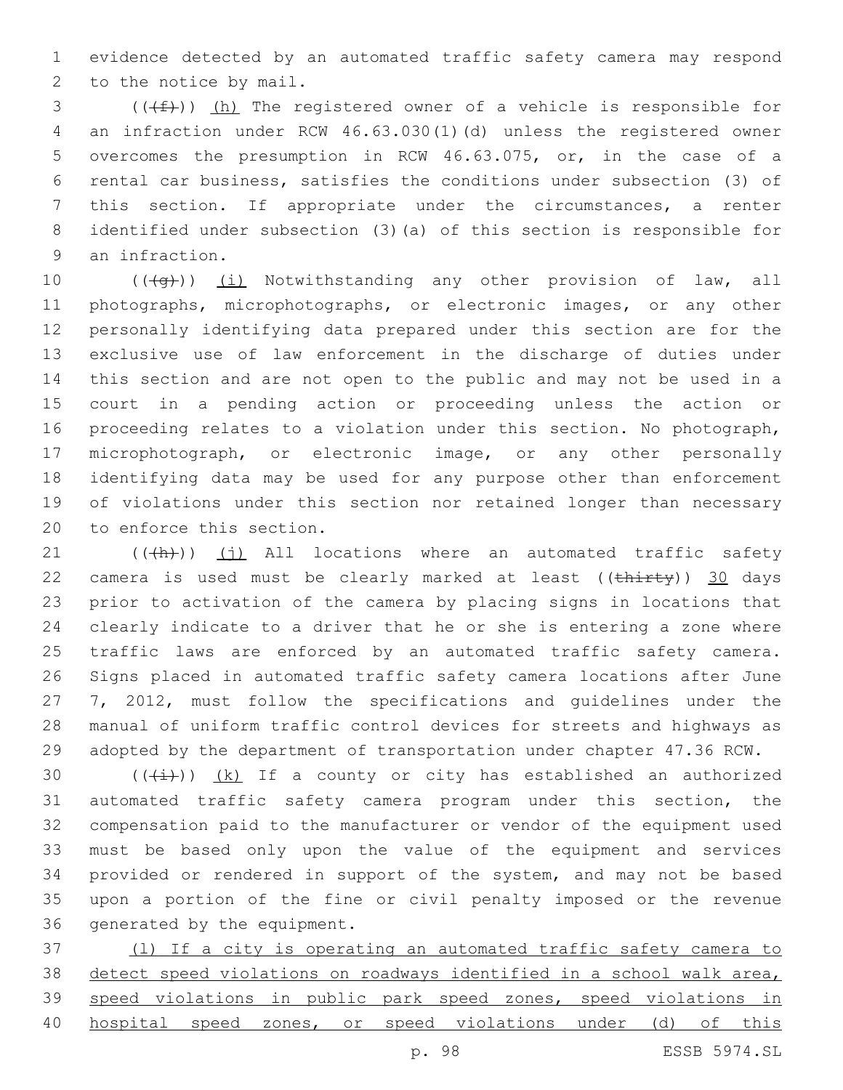evidence detected by an automated traffic safety camera may respond 2 to the notice by mail.

 (( $(f)$ )) (h) The registered owner of a vehicle is responsible for an infraction under RCW 46.63.030(1)(d) unless the registered owner overcomes the presumption in RCW 46.63.075, or, in the case of a rental car business, satisfies the conditions under subsection (3) of this section. If appropriate under the circumstances, a renter identified under subsection (3)(a) of this section is responsible for 9 an infraction.

10 (((+q))) (i) Notwithstanding any other provision of law, all photographs, microphotographs, or electronic images, or any other personally identifying data prepared under this section are for the exclusive use of law enforcement in the discharge of duties under this section and are not open to the public and may not be used in a court in a pending action or proceeding unless the action or proceeding relates to a violation under this section. No photograph, microphotograph, or electronic image, or any other personally identifying data may be used for any purpose other than enforcement of violations under this section nor retained longer than necessary 20 to enforce this section.

 (( $\left(\frac{h}{h}\right)$ ) (j) All locations where an automated traffic safety 22 camera is used must be clearly marked at least  $((\text{thirty}))$  30 days prior to activation of the camera by placing signs in locations that clearly indicate to a driver that he or she is entering a zone where 25 traffic laws are enforced by an automated traffic safety camera. Signs placed in automated traffic safety camera locations after June 7, 2012, must follow the specifications and guidelines under the manual of uniform traffic control devices for streets and highways as adopted by the department of transportation under chapter 47.36 RCW.

 $((+i+))$   $(k)$  If a county or city has established an authorized automated traffic safety camera program under this section, the compensation paid to the manufacturer or vendor of the equipment used must be based only upon the value of the equipment and services provided or rendered in support of the system, and may not be based upon a portion of the fine or civil penalty imposed or the revenue 36 generated by the equipment.

 (l) If a city is operating an automated traffic safety camera to detect speed violations on roadways identified in a school walk area, speed violations in public park speed zones, speed violations in 40 hospital speed zones, or speed violations under (d) of this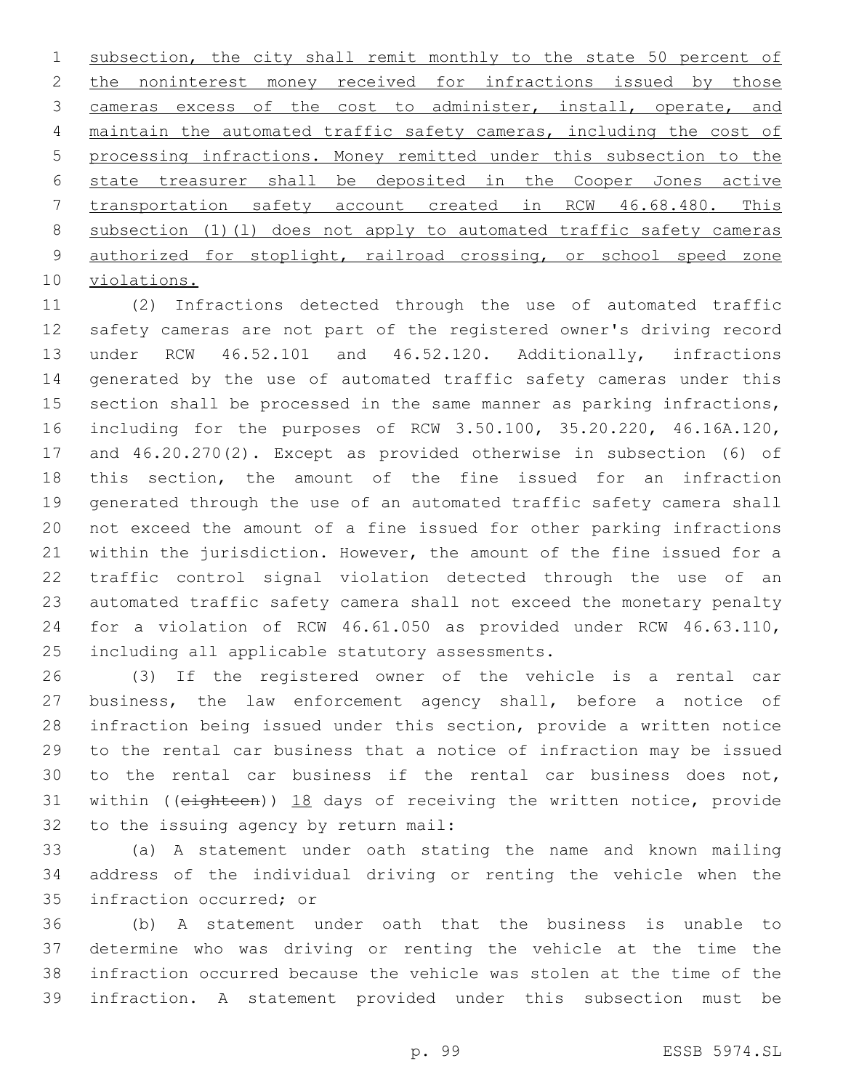1 subsection, the city shall remit monthly to the state 50 percent of 2 the noninterest money received for infractions issued by those cameras excess of the cost to administer, install, operate, and maintain the automated traffic safety cameras, including the cost of processing infractions. Money remitted under this subsection to the state treasurer shall be deposited in the Cooper Jones active transportation safety account created in RCW 46.68.480. This subsection (1)(l) does not apply to automated traffic safety cameras authorized for stoplight, railroad crossing, or school speed zone 10 violations.

 (2) Infractions detected through the use of automated traffic safety cameras are not part of the registered owner's driving record under RCW 46.52.101 and 46.52.120. Additionally, infractions generated by the use of automated traffic safety cameras under this section shall be processed in the same manner as parking infractions, including for the purposes of RCW 3.50.100, 35.20.220, 46.16A.120, and 46.20.270(2). Except as provided otherwise in subsection (6) of this section, the amount of the fine issued for an infraction generated through the use of an automated traffic safety camera shall not exceed the amount of a fine issued for other parking infractions within the jurisdiction. However, the amount of the fine issued for a traffic control signal violation detected through the use of an automated traffic safety camera shall not exceed the monetary penalty for a violation of RCW 46.61.050 as provided under RCW 46.63.110, 25 including all applicable statutory assessments.

 (3) If the registered owner of the vehicle is a rental car business, the law enforcement agency shall, before a notice of infraction being issued under this section, provide a written notice to the rental car business that a notice of infraction may be issued to the rental car business if the rental car business does not, within ((eighteen)) 18 days of receiving the written notice, provide 32 to the issuing agency by return mail:

 (a) A statement under oath stating the name and known mailing address of the individual driving or renting the vehicle when the 35 infraction occurred; or

 (b) A statement under oath that the business is unable to determine who was driving or renting the vehicle at the time the infraction occurred because the vehicle was stolen at the time of the infraction. A statement provided under this subsection must be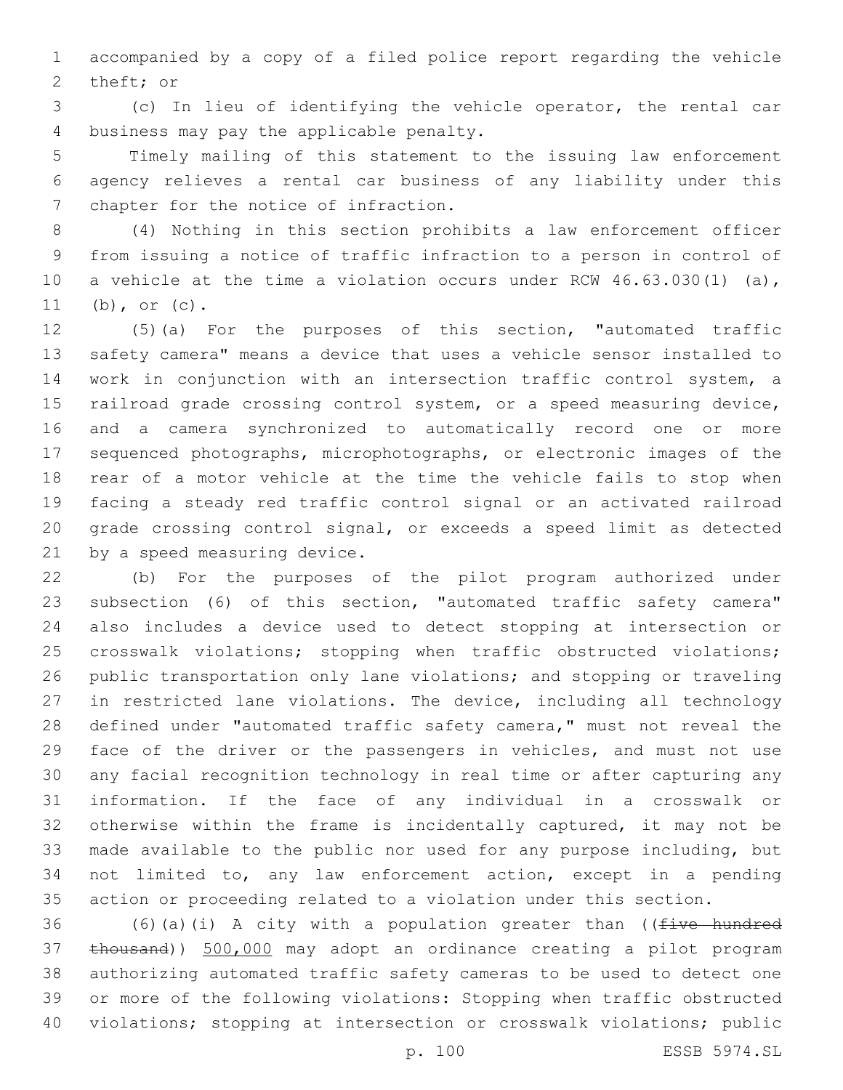accompanied by a copy of a filed police report regarding the vehicle 2 theft; or

 (c) In lieu of identifying the vehicle operator, the rental car 4 business may pay the applicable penalty.

 Timely mailing of this statement to the issuing law enforcement agency relieves a rental car business of any liability under this 7 chapter for the notice of infraction.

 (4) Nothing in this section prohibits a law enforcement officer from issuing a notice of traffic infraction to a person in control of a vehicle at the time a violation occurs under RCW 46.63.030(1) (a), (b), or (c).

 (5)(a) For the purposes of this section, "automated traffic safety camera" means a device that uses a vehicle sensor installed to work in conjunction with an intersection traffic control system, a railroad grade crossing control system, or a speed measuring device, and a camera synchronized to automatically record one or more sequenced photographs, microphotographs, or electronic images of the rear of a motor vehicle at the time the vehicle fails to stop when facing a steady red traffic control signal or an activated railroad grade crossing control signal, or exceeds a speed limit as detected 21 by a speed measuring device.

 (b) For the purposes of the pilot program authorized under subsection (6) of this section, "automated traffic safety camera" also includes a device used to detect stopping at intersection or crosswalk violations; stopping when traffic obstructed violations; public transportation only lane violations; and stopping or traveling in restricted lane violations. The device, including all technology 28 defined under "automated traffic safety camera," must not reveal the face of the driver or the passengers in vehicles, and must not use any facial recognition technology in real time or after capturing any information. If the face of any individual in a crosswalk or otherwise within the frame is incidentally captured, it may not be made available to the public nor used for any purpose including, but not limited to, any law enforcement action, except in a pending action or proceeding related to a violation under this section.

36 (6)(a)(i) A city with a population greater than (( $f$ ive hundred thousand)) 500,000 may adopt an ordinance creating a pilot program authorizing automated traffic safety cameras to be used to detect one or more of the following violations: Stopping when traffic obstructed violations; stopping at intersection or crosswalk violations; public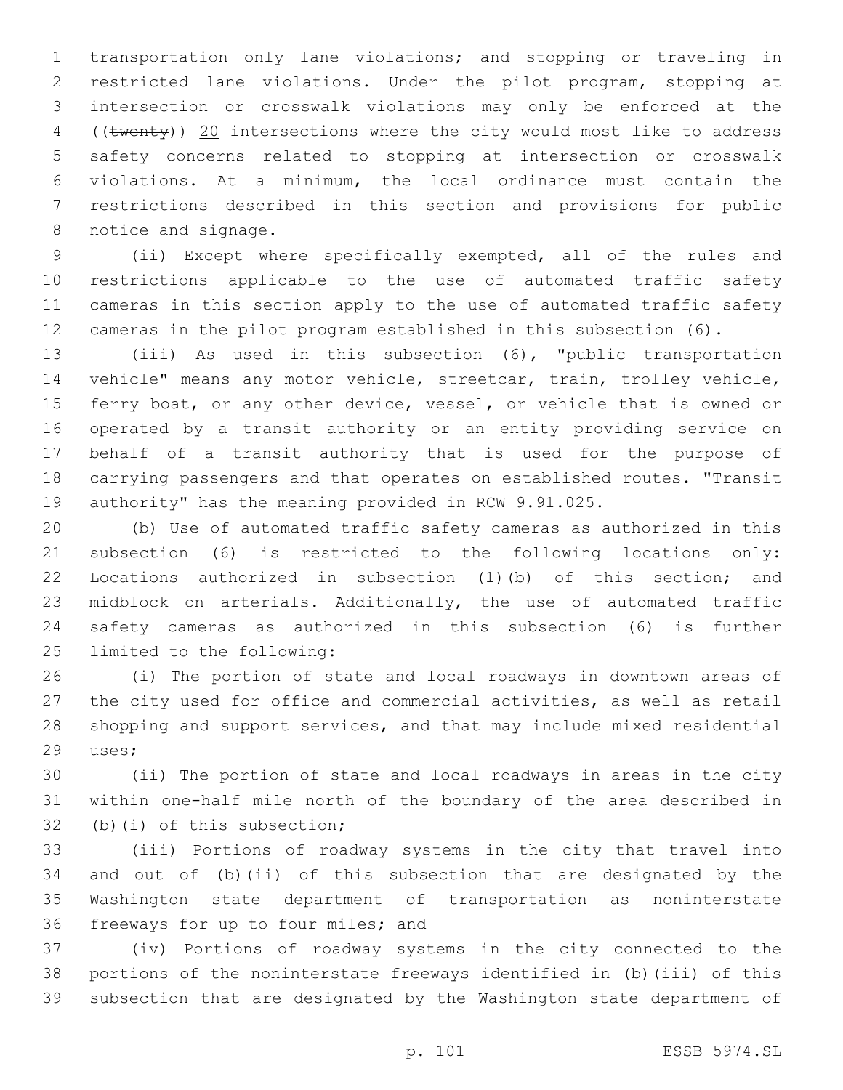transportation only lane violations; and stopping or traveling in restricted lane violations. Under the pilot program, stopping at intersection or crosswalk violations may only be enforced at the 4 ((twenty)) 20 intersections where the city would most like to address safety concerns related to stopping at intersection or crosswalk violations. At a minimum, the local ordinance must contain the restrictions described in this section and provisions for public 8 notice and signage.

 (ii) Except where specifically exempted, all of the rules and restrictions applicable to the use of automated traffic safety cameras in this section apply to the use of automated traffic safety cameras in the pilot program established in this subsection (6).

 (iii) As used in this subsection (6), "public transportation vehicle" means any motor vehicle, streetcar, train, trolley vehicle, 15 ferry boat, or any other device, vessel, or vehicle that is owned or operated by a transit authority or an entity providing service on behalf of a transit authority that is used for the purpose of carrying passengers and that operates on established routes. "Transit authority" has the meaning provided in RCW 9.91.025.

 (b) Use of automated traffic safety cameras as authorized in this subsection (6) is restricted to the following locations only: Locations authorized in subsection (1)(b) of this section; and midblock on arterials. Additionally, the use of automated traffic safety cameras as authorized in this subsection (6) is further 25 limited to the following:

 (i) The portion of state and local roadways in downtown areas of the city used for office and commercial activities, as well as retail shopping and support services, and that may include mixed residential 29 uses;

 (ii) The portion of state and local roadways in areas in the city within one-half mile north of the boundary of the area described in 32 (b)(i) of this subsection;

 (iii) Portions of roadway systems in the city that travel into and out of (b)(ii) of this subsection that are designated by the Washington state department of transportation as noninterstate 36 freeways for up to four miles; and

 (iv) Portions of roadway systems in the city connected to the portions of the noninterstate freeways identified in (b)(iii) of this subsection that are designated by the Washington state department of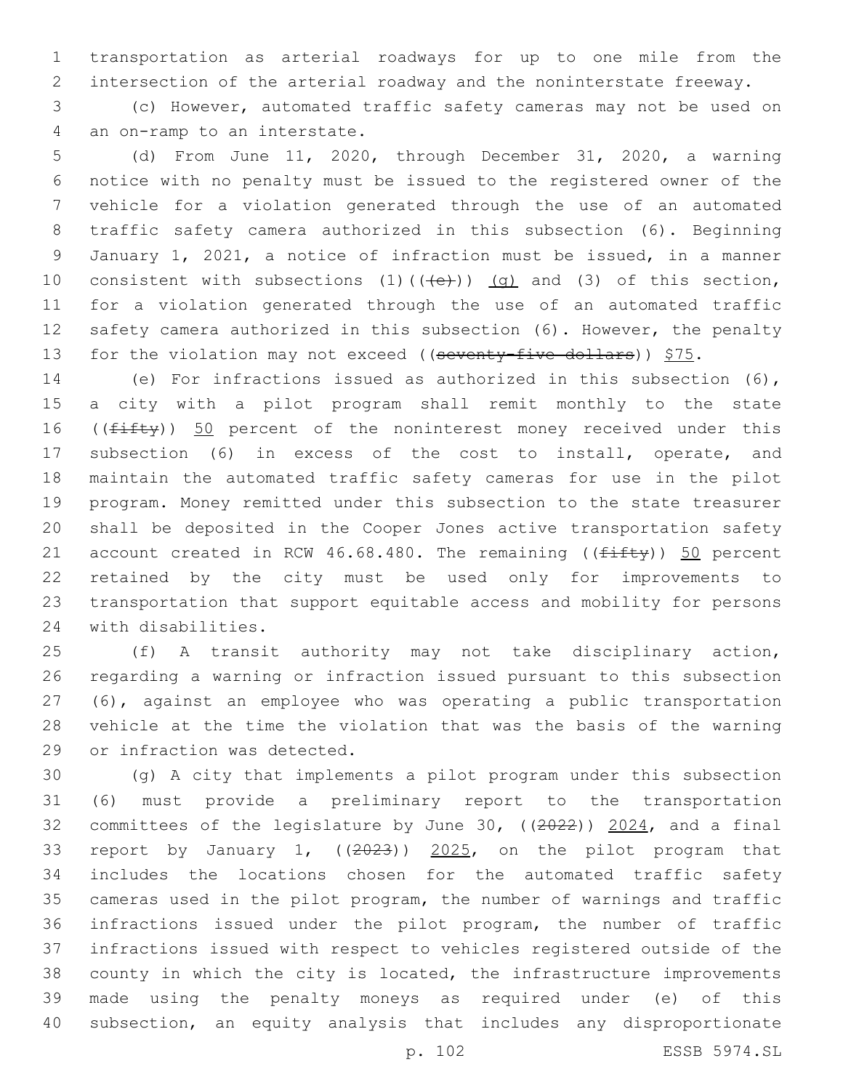transportation as arterial roadways for up to one mile from the intersection of the arterial roadway and the noninterstate freeway.

 (c) However, automated traffic safety cameras may not be used on 4 an on-ramp to an interstate.

 (d) From June 11, 2020, through December 31, 2020, a warning notice with no penalty must be issued to the registered owner of the vehicle for a violation generated through the use of an automated traffic safety camera authorized in this subsection (6). Beginning January 1, 2021, a notice of infraction must be issued, in a manner 10 consistent with subsections  $(1)$   $((+e))$   $(g)$  and  $(3)$  of this section, for a violation generated through the use of an automated traffic safety camera authorized in this subsection (6). However, the penalty 13 for the violation may not exceed ((seventy-five dollars))  $$75.$ 

 (e) For infractions issued as authorized in this subsection (6), a city with a pilot program shall remit monthly to the state 16 ((fifty)) 50 percent of the noninterest money received under this subsection (6) in excess of the cost to install, operate, and maintain the automated traffic safety cameras for use in the pilot program. Money remitted under this subsection to the state treasurer shall be deposited in the Cooper Jones active transportation safety 21 account created in RCW 46.68.480. The remaining ( $(f$ ifty)) 50 percent retained by the city must be used only for improvements to transportation that support equitable access and mobility for persons 24 with disabilities.

 (f) A transit authority may not take disciplinary action, regarding a warning or infraction issued pursuant to this subsection (6), against an employee who was operating a public transportation vehicle at the time the violation that was the basis of the warning 29 or infraction was detected.

 (g) A city that implements a pilot program under this subsection (6) must provide a preliminary report to the transportation committees of the legislature by June 30, ((2022)) 2024, and a final report by January 1, ((2023)) 2025, on the pilot program that includes the locations chosen for the automated traffic safety cameras used in the pilot program, the number of warnings and traffic infractions issued under the pilot program, the number of traffic infractions issued with respect to vehicles registered outside of the county in which the city is located, the infrastructure improvements made using the penalty moneys as required under (e) of this subsection, an equity analysis that includes any disproportionate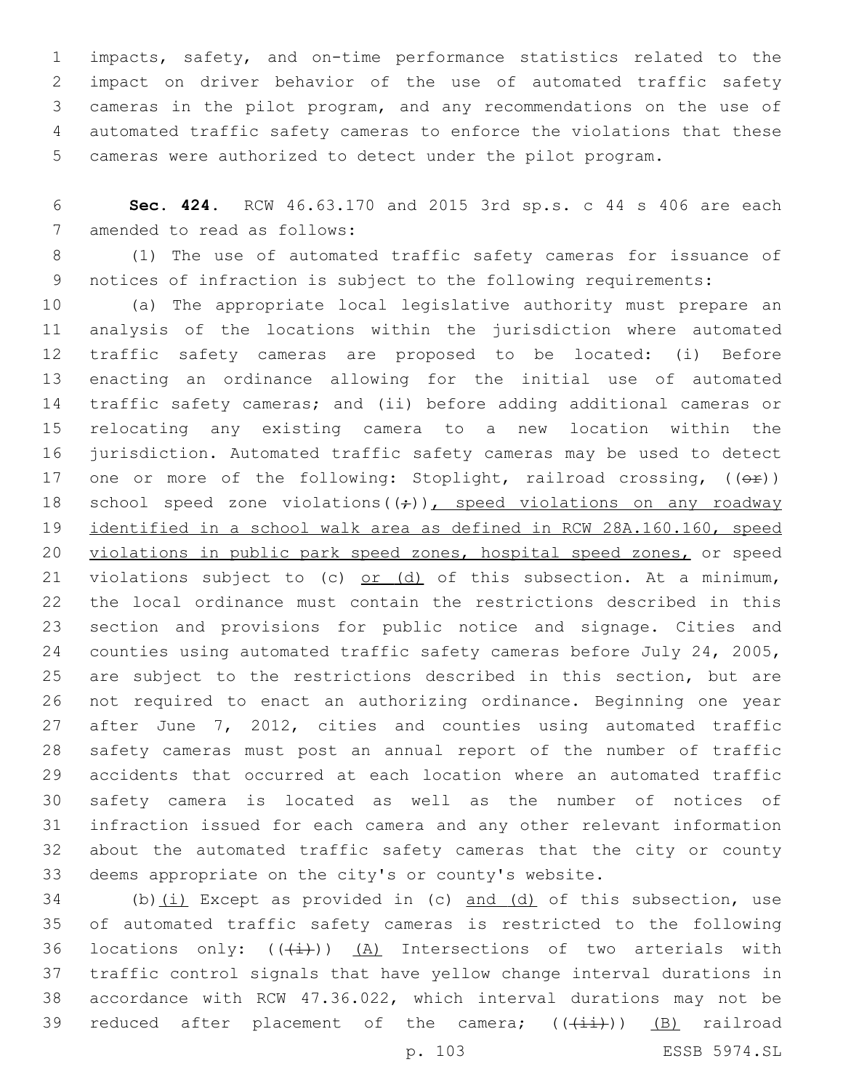impacts, safety, and on-time performance statistics related to the impact on driver behavior of the use of automated traffic safety cameras in the pilot program, and any recommendations on the use of automated traffic safety cameras to enforce the violations that these cameras were authorized to detect under the pilot program.

 **Sec. 424.** RCW 46.63.170 and 2015 3rd sp.s. c 44 s 406 are each 7 amended to read as follows:

 (1) The use of automated traffic safety cameras for issuance of notices of infraction is subject to the following requirements:

 (a) The appropriate local legislative authority must prepare an analysis of the locations within the jurisdiction where automated traffic safety cameras are proposed to be located: (i) Before enacting an ordinance allowing for the initial use of automated traffic safety cameras; and (ii) before adding additional cameras or relocating any existing camera to a new location within the jurisdiction. Automated traffic safety cameras may be used to detect 17 one or more of the following: Stoplight, railroad crossing,  $(\overline{e^*})$ 18 school speed zone violations( $(\div)$ ), speed violations on any roadway identified in a school walk area as defined in RCW 28A.160.160, speed 20 violations in public park speed zones, hospital speed zones, or speed 21 violations subject to (c)  $or$  (d) of this subsection. At a minimum, the local ordinance must contain the restrictions described in this section and provisions for public notice and signage. Cities and counties using automated traffic safety cameras before July 24, 2005, are subject to the restrictions described in this section, but are not required to enact an authorizing ordinance. Beginning one year 27 after June 7, 2012, cities and counties using automated traffic safety cameras must post an annual report of the number of traffic accidents that occurred at each location where an automated traffic safety camera is located as well as the number of notices of infraction issued for each camera and any other relevant information about the automated traffic safety cameras that the city or county deems appropriate on the city's or county's website.

 (b)(i) Except as provided in (c) and (d) of this subsection, use of automated traffic safety cameras is restricted to the following 36 locations only:  $((+i))$   $(A)$  Intersections of two arterials with traffic control signals that have yellow change interval durations in accordance with RCW 47.36.022, which interval durations may not be 39 reduced after placement of the camera;  $((+i+1))$  (B) railroad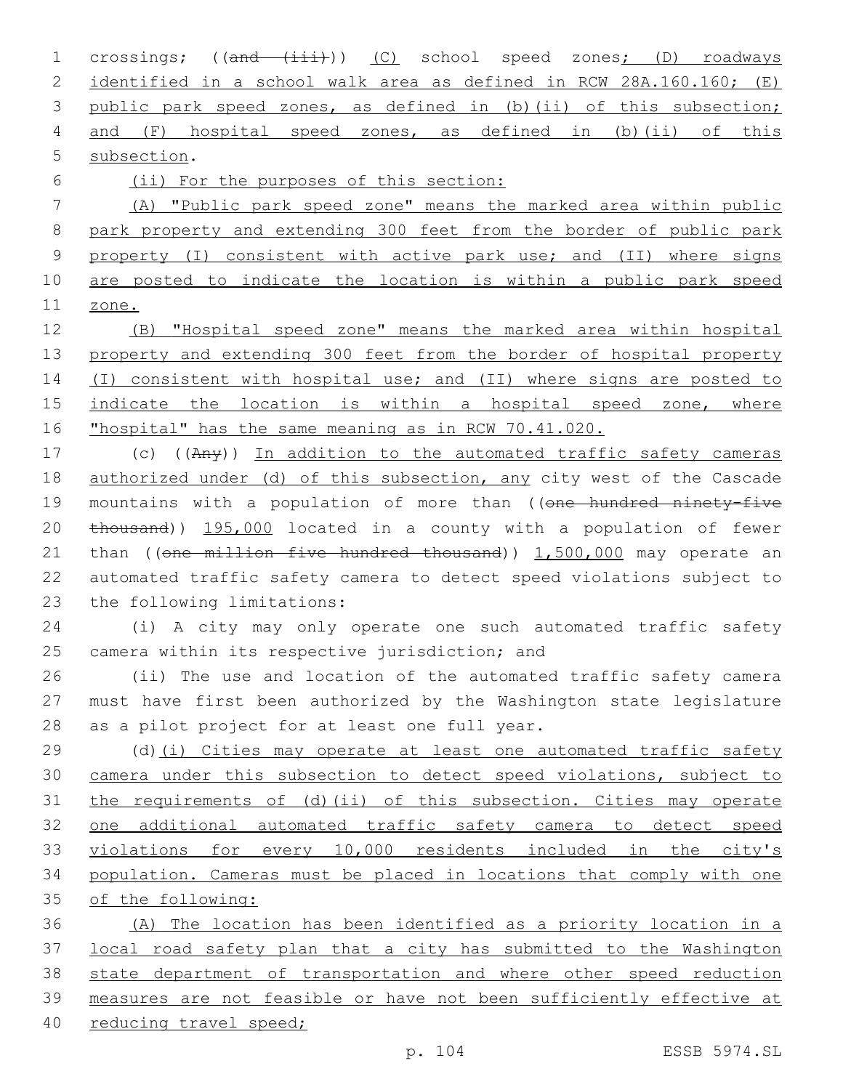1 crossings; ((and (iii))) (C) school speed zones; (D) roadways identified in a school walk area as defined in RCW 28A.160.160; (E) public park speed zones, as defined in (b)(ii) of this subsection; and (F) hospital speed zones, as defined in (b)(ii) of this 5 subsection.

(ii) For the purposes of this section:

 (A) "Public park speed zone" means the marked area within public park property and extending 300 feet from the border of public park 9 property (I) consistent with active park use; and (II) where signs are posted to indicate the location is within a public park speed zone.

 (B) "Hospital speed zone" means the marked area within hospital property and extending 300 feet from the border of hospital property 14 (I) consistent with hospital use; and (II) where signs are posted to indicate the location is within a hospital speed zone, where "hospital" has the same meaning as in RCW 70.41.020.

 (c) ((Any)) In addition to the automated traffic safety cameras 18 authorized under (d) of this subsection, any city west of the Cascade 19 mountains with a population of more than ((one hundred ninety-five thousand)) 195,000 located in a county with a population of fewer 21 than (( $one$  million five hundred thousand))  $1,500,000$  may operate an automated traffic safety camera to detect speed violations subject to 23 the following limitations:

 (i) A city may only operate one such automated traffic safety 25 camera within its respective jurisdiction; and

 (ii) The use and location of the automated traffic safety camera must have first been authorized by the Washington state legislature 28 as a pilot project for at least one full year.

 (d)(i) Cities may operate at least one automated traffic safety camera under this subsection to detect speed violations, subject to the requirements of (d)(ii) of this subsection. Cities may operate one additional automated traffic safety camera to detect speed violations for every 10,000 residents included in the city's population. Cameras must be placed in locations that comply with one of the following:

 (A) The location has been identified as a priority location in a local road safety plan that a city has submitted to the Washington state department of transportation and where other speed reduction measures are not feasible or have not been sufficiently effective at reducing travel speed;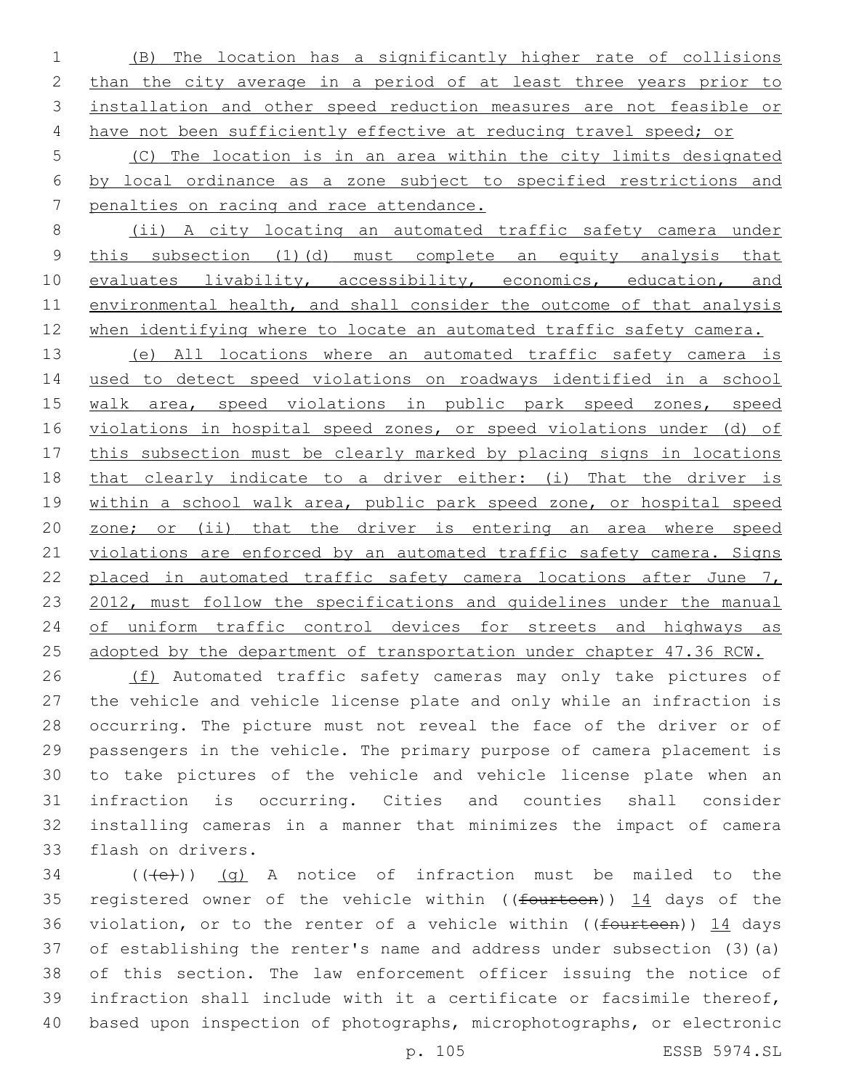(B) The location has a significantly higher rate of collisions 2 than the city average in a period of at least three years prior to installation and other speed reduction measures are not feasible or 4 have not been sufficiently effective at reducing travel speed; or

 (C) The location is in an area within the city limits designated by local ordinance as a zone subject to specified restrictions and penalties on racing and race attendance.

 (ii) A city locating an automated traffic safety camera under this subsection (1)(d) must complete an equity analysis that 10 evaluates livability, accessibility, economics, education, and environmental health, and shall consider the outcome of that analysis 12 when identifying where to locate an automated traffic safety camera.

 (e) All locations where an automated traffic safety camera is used to detect speed violations on roadways identified in a school walk area, speed violations in public park speed zones, speed violations in hospital speed zones, or speed violations under (d) of this subsection must be clearly marked by placing signs in locations that clearly indicate to a driver either: (i) That the driver is within a school walk area, public park speed zone, or hospital speed zone; or (ii) that the driver is entering an area where speed 21 violations are enforced by an automated traffic safety camera. Signs 22 placed in automated traffic safety camera locations after June 7, 23 2012, must follow the specifications and quidelines under the manual of uniform traffic control devices for streets and highways as 25 adopted by the department of transportation under chapter 47.36 RCW.

26 (f) Automated traffic safety cameras may only take pictures of the vehicle and vehicle license plate and only while an infraction is occurring. The picture must not reveal the face of the driver or of passengers in the vehicle. The primary purpose of camera placement is to take pictures of the vehicle and vehicle license plate when an infraction is occurring. Cities and counties shall consider installing cameras in a manner that minimizes the impact of camera 33 flash on drivers.

 (( $\left(\frac{1}{10}\right)$ ) (q) A notice of infraction must be mailed to the 35 registered owner of the vehicle within ((fourteen)) 14 days of the 36 violation, or to the renter of a vehicle within ((fourteen)) 14 days of establishing the renter's name and address under subsection (3)(a) of this section. The law enforcement officer issuing the notice of infraction shall include with it a certificate or facsimile thereof, based upon inspection of photographs, microphotographs, or electronic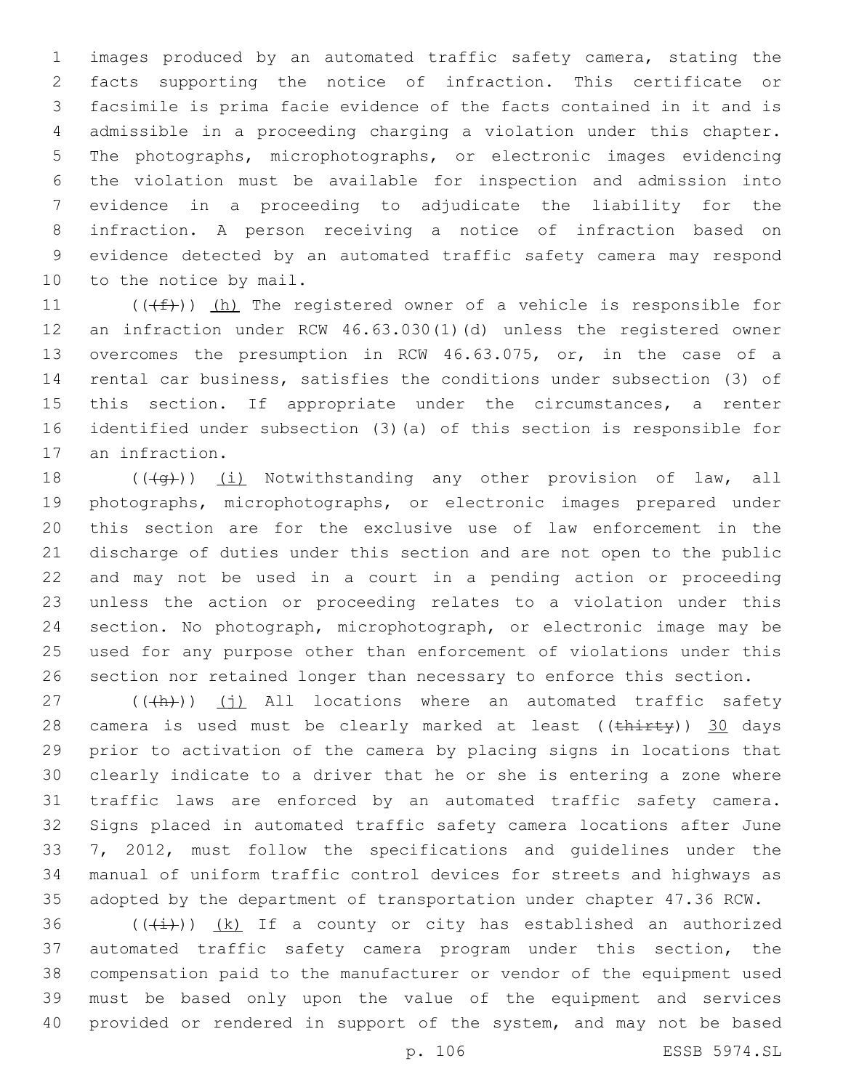images produced by an automated traffic safety camera, stating the facts supporting the notice of infraction. This certificate or facsimile is prima facie evidence of the facts contained in it and is admissible in a proceeding charging a violation under this chapter. The photographs, microphotographs, or electronic images evidencing the violation must be available for inspection and admission into evidence in a proceeding to adjudicate the liability for the infraction. A person receiving a notice of infraction based on evidence detected by an automated traffic safety camera may respond 10 to the notice by mail.

 $((\text{#}))$  (h) The registered owner of a vehicle is responsible for an infraction under RCW 46.63.030(1)(d) unless the registered owner overcomes the presumption in RCW 46.63.075, or, in the case of a rental car business, satisfies the conditions under subsection (3) of 15 this section. If appropriate under the circumstances, a renter identified under subsection (3)(a) of this section is responsible for 17 an infraction.

 $((+q))$   $(i)$  Notwithstanding any other provision of law, all photographs, microphotographs, or electronic images prepared under this section are for the exclusive use of law enforcement in the discharge of duties under this section and are not open to the public and may not be used in a court in a pending action or proceeding unless the action or proceeding relates to a violation under this section. No photograph, microphotograph, or electronic image may be used for any purpose other than enforcement of violations under this section nor retained longer than necessary to enforce this section.

 (( $\frac{h}{h}$ )) (j) All locations where an automated traffic safety 28 camera is used must be clearly marked at least ((thirty)) 30 days prior to activation of the camera by placing signs in locations that clearly indicate to a driver that he or she is entering a zone where traffic laws are enforced by an automated traffic safety camera. Signs placed in automated traffic safety camera locations after June 7, 2012, must follow the specifications and guidelines under the manual of uniform traffic control devices for streets and highways as adopted by the department of transportation under chapter 47.36 RCW.

 $((\overline{(\dagger)}))$   $(k)$  If a county or city has established an authorized automated traffic safety camera program under this section, the compensation paid to the manufacturer or vendor of the equipment used must be based only upon the value of the equipment and services provided or rendered in support of the system, and may not be based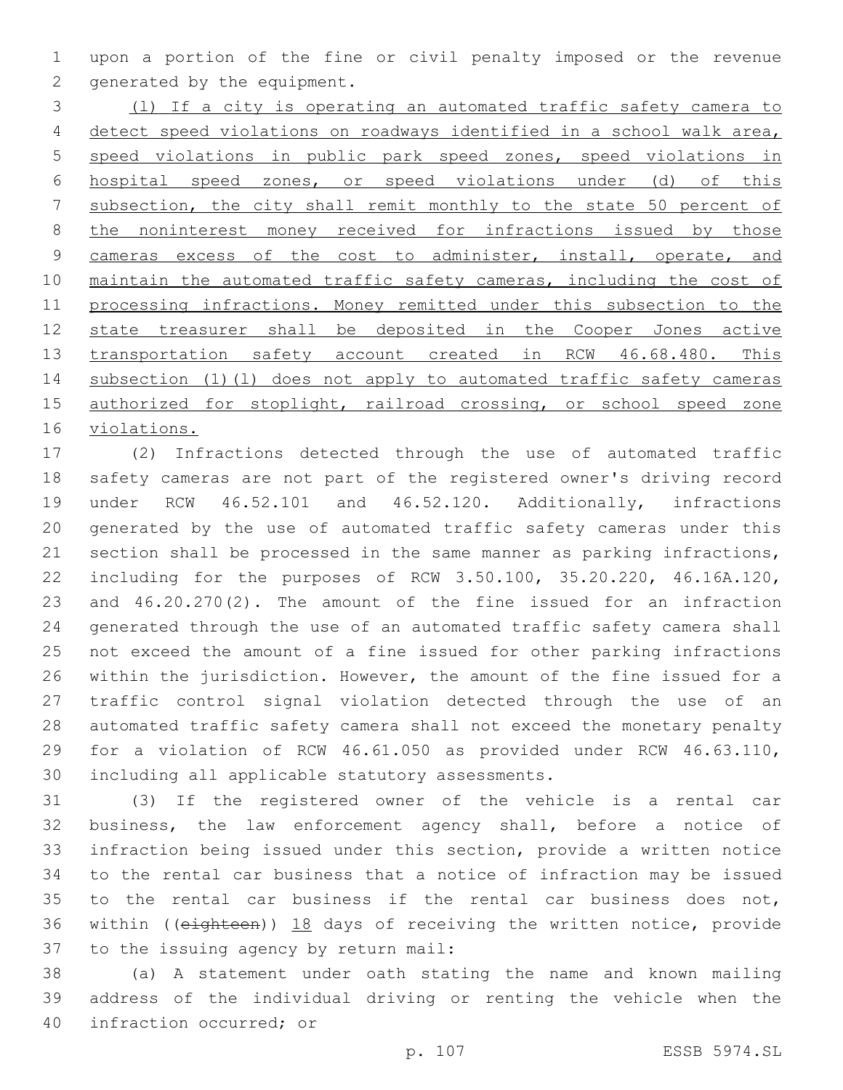upon a portion of the fine or civil penalty imposed or the revenue 2 generated by the equipment.

 (l) If a city is operating an automated traffic safety camera to detect speed violations on roadways identified in a school walk area, speed violations in public park speed zones, speed violations in hospital speed zones, or speed violations under (d) of this subsection, the city shall remit monthly to the state 50 percent of 8 the noninterest money received for infractions issued by those 9 cameras excess of the cost to administer, install, operate, and 10 maintain the automated traffic safety cameras, including the cost of processing infractions. Money remitted under this subsection to the state treasurer shall be deposited in the Cooper Jones active 13 transportation safety account created in RCW 46.68.480. This subsection (1)(l) does not apply to automated traffic safety cameras 15 authorized for stoplight, railroad crossing, or school speed zone violations.

 (2) Infractions detected through the use of automated traffic safety cameras are not part of the registered owner's driving record under RCW 46.52.101 and 46.52.120. Additionally, infractions generated by the use of automated traffic safety cameras under this section shall be processed in the same manner as parking infractions, including for the purposes of RCW 3.50.100, 35.20.220, 46.16A.120, and 46.20.270(2). The amount of the fine issued for an infraction generated through the use of an automated traffic safety camera shall not exceed the amount of a fine issued for other parking infractions within the jurisdiction. However, the amount of the fine issued for a traffic control signal violation detected through the use of an automated traffic safety camera shall not exceed the monetary penalty for a violation of RCW 46.61.050 as provided under RCW 46.63.110, 30 including all applicable statutory assessments.

 (3) If the registered owner of the vehicle is a rental car business, the law enforcement agency shall, before a notice of infraction being issued under this section, provide a written notice to the rental car business that a notice of infraction may be issued to the rental car business if the rental car business does not, within ((eighteen)) 18 days of receiving the written notice, provide 37 to the issuing agency by return mail:

 (a) A statement under oath stating the name and known mailing address of the individual driving or renting the vehicle when the 40 infraction occurred; or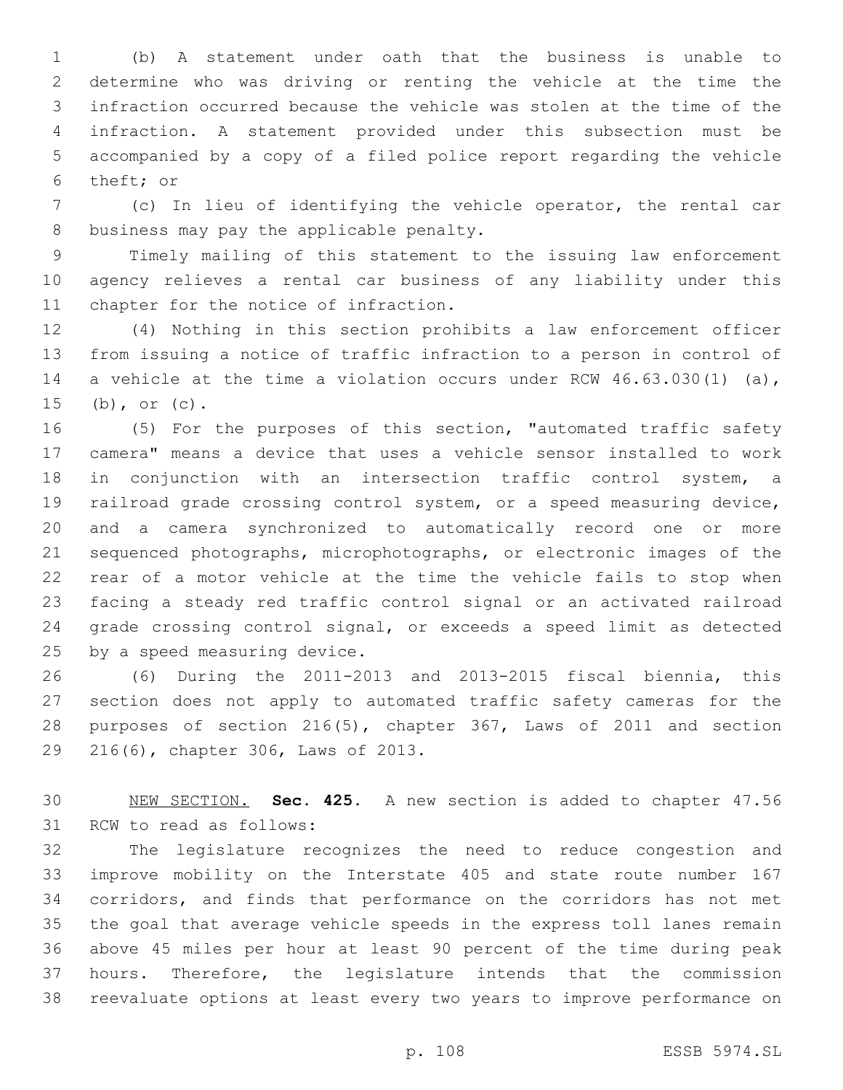(b) A statement under oath that the business is unable to determine who was driving or renting the vehicle at the time the infraction occurred because the vehicle was stolen at the time of the infraction. A statement provided under this subsection must be accompanied by a copy of a filed police report regarding the vehicle 6 theft; or

 (c) In lieu of identifying the vehicle operator, the rental car 8 business may pay the applicable penalty.

 Timely mailing of this statement to the issuing law enforcement agency relieves a rental car business of any liability under this 11 chapter for the notice of infraction.

 (4) Nothing in this section prohibits a law enforcement officer from issuing a notice of traffic infraction to a person in control of a vehicle at the time a violation occurs under RCW 46.63.030(1) (a), (b), or (c).

 (5) For the purposes of this section, "automated traffic safety camera" means a device that uses a vehicle sensor installed to work in conjunction with an intersection traffic control system, a railroad grade crossing control system, or a speed measuring device, and a camera synchronized to automatically record one or more sequenced photographs, microphotographs, or electronic images of the rear of a motor vehicle at the time the vehicle fails to stop when facing a steady red traffic control signal or an activated railroad grade crossing control signal, or exceeds a speed limit as detected 25 by a speed measuring device.

 (6) During the 2011-2013 and 2013-2015 fiscal biennia, this section does not apply to automated traffic safety cameras for the purposes of section 216(5), chapter 367, Laws of 2011 and section 29 216(6), chapter 306, Laws of 2013.

 NEW SECTION. **Sec. 425.** A new section is added to chapter 47.56 31 RCW to read as follows:

 The legislature recognizes the need to reduce congestion and improve mobility on the Interstate 405 and state route number 167 corridors, and finds that performance on the corridors has not met the goal that average vehicle speeds in the express toll lanes remain above 45 miles per hour at least 90 percent of the time during peak hours. Therefore, the legislature intends that the commission reevaluate options at least every two years to improve performance on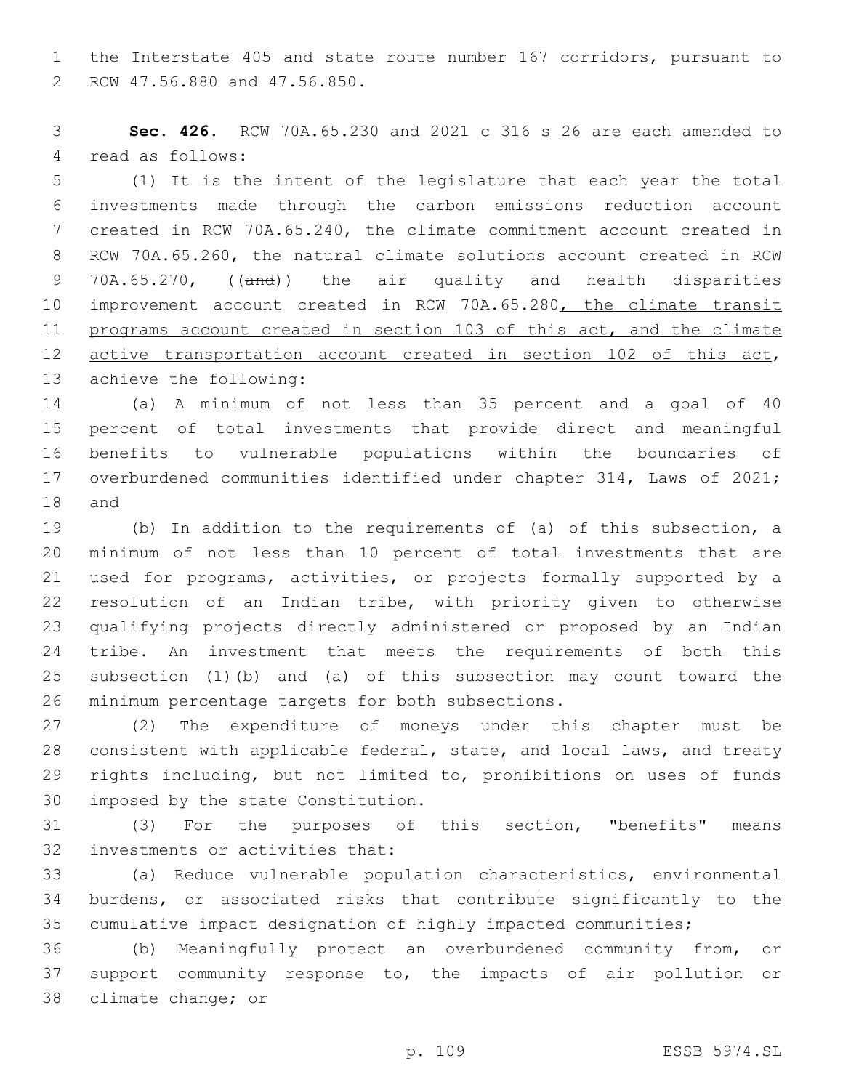the Interstate 405 and state route number 167 corridors, pursuant to 2 RCW 47.56.880 and 47.56.850.

 **Sec. 426.** RCW 70A.65.230 and 2021 c 316 s 26 are each amended to 4 read as follows:

 (1) It is the intent of the legislature that each year the total investments made through the carbon emissions reduction account created in RCW 70A.65.240, the climate commitment account created in RCW 70A.65.260, the natural climate solutions account created in RCW 9 70A.65.270, ((and)) the air quality and health disparities 10 improvement account created in RCW 70A.65.280, the climate transit programs account created in section 103 of this act, and the climate 12 active transportation account created in section 102 of this act, 13 achieve the following:

 (a) A minimum of not less than 35 percent and a goal of 40 percent of total investments that provide direct and meaningful benefits to vulnerable populations within the boundaries of overburdened communities identified under chapter 314, Laws of 2021; 18 and

 (b) In addition to the requirements of (a) of this subsection, a minimum of not less than 10 percent of total investments that are used for programs, activities, or projects formally supported by a resolution of an Indian tribe, with priority given to otherwise qualifying projects directly administered or proposed by an Indian tribe. An investment that meets the requirements of both this subsection (1)(b) and (a) of this subsection may count toward the 26 minimum percentage targets for both subsections.

 (2) The expenditure of moneys under this chapter must be consistent with applicable federal, state, and local laws, and treaty rights including, but not limited to, prohibitions on uses of funds 30 imposed by the state Constitution.

 (3) For the purposes of this section, "benefits" means 32 investments or activities that:

 (a) Reduce vulnerable population characteristics, environmental burdens, or associated risks that contribute significantly to the cumulative impact designation of highly impacted communities;

 (b) Meaningfully protect an overburdened community from, or support community response to, the impacts of air pollution or 38 climate change; or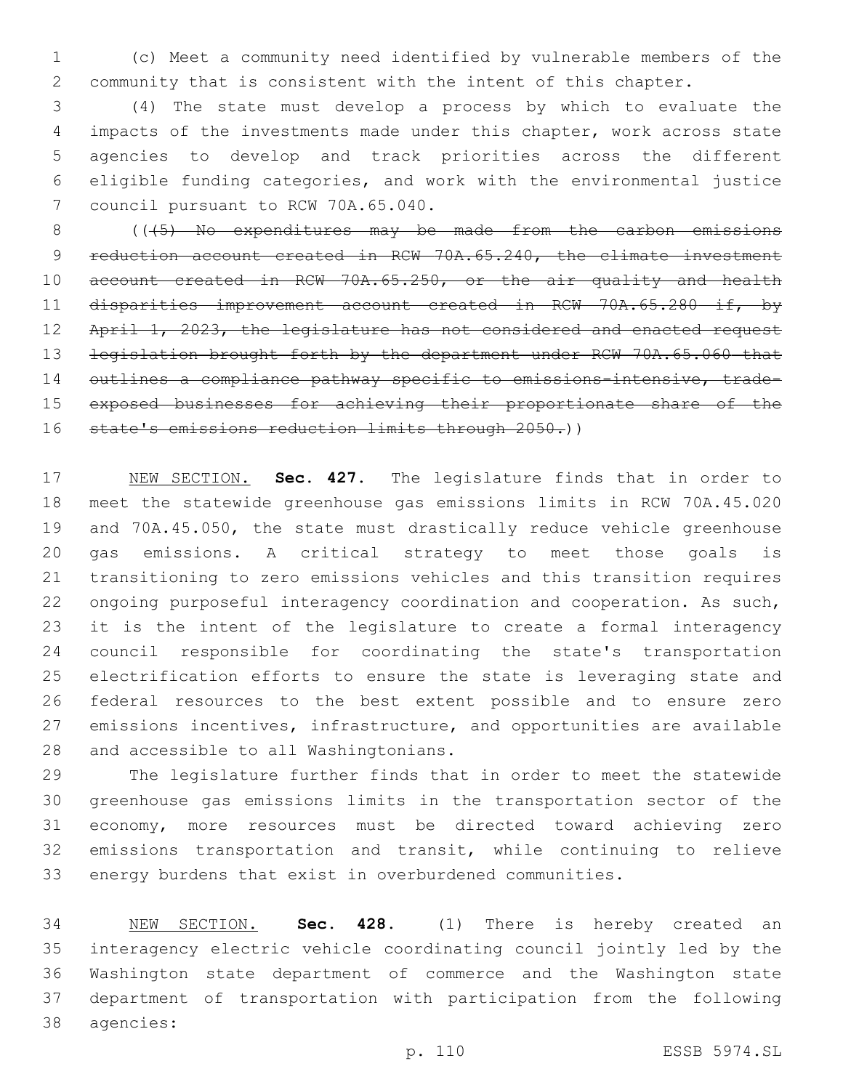(c) Meet a community need identified by vulnerable members of the community that is consistent with the intent of this chapter.

 (4) The state must develop a process by which to evaluate the impacts of the investments made under this chapter, work across state agencies to develop and track priorities across the different eligible funding categories, and work with the environmental justice 7 council pursuant to RCW 70A.65.040.

8 (( $\left($  ( $\left($   $\left\langle$   $\right\langle$   $\right\rangle$   $\right)$  No expenditures may be made from the carbon emissions 9 reduction account created in RCW 70A.65.240, the climate investment 10 account created in RCW 70A.65.250, or the air quality and health disparities improvement account created in RCW 70A.65.280 if, by 12 April 1, 2023, the legislature has not considered and enacted request 13 legislation brought forth by the department under RCW 70A.65.060 that 14 outlines a compliance pathway specific to emissions-intensive, trade- exposed businesses for achieving their proportionate share of the 16 state's emissions reduction limits through 2050.))

 NEW SECTION. **Sec. 427.** The legislature finds that in order to meet the statewide greenhouse gas emissions limits in RCW 70A.45.020 and 70A.45.050, the state must drastically reduce vehicle greenhouse gas emissions. A critical strategy to meet those goals is transitioning to zero emissions vehicles and this transition requires ongoing purposeful interagency coordination and cooperation. As such, it is the intent of the legislature to create a formal interagency council responsible for coordinating the state's transportation electrification efforts to ensure the state is leveraging state and federal resources to the best extent possible and to ensure zero emissions incentives, infrastructure, and opportunities are available and accessible to all Washingtonians.

 The legislature further finds that in order to meet the statewide greenhouse gas emissions limits in the transportation sector of the economy, more resources must be directed toward achieving zero emissions transportation and transit, while continuing to relieve energy burdens that exist in overburdened communities.

 NEW SECTION. **Sec. 428.** (1) There is hereby created an interagency electric vehicle coordinating council jointly led by the Washington state department of commerce and the Washington state department of transportation with participation from the following agencies: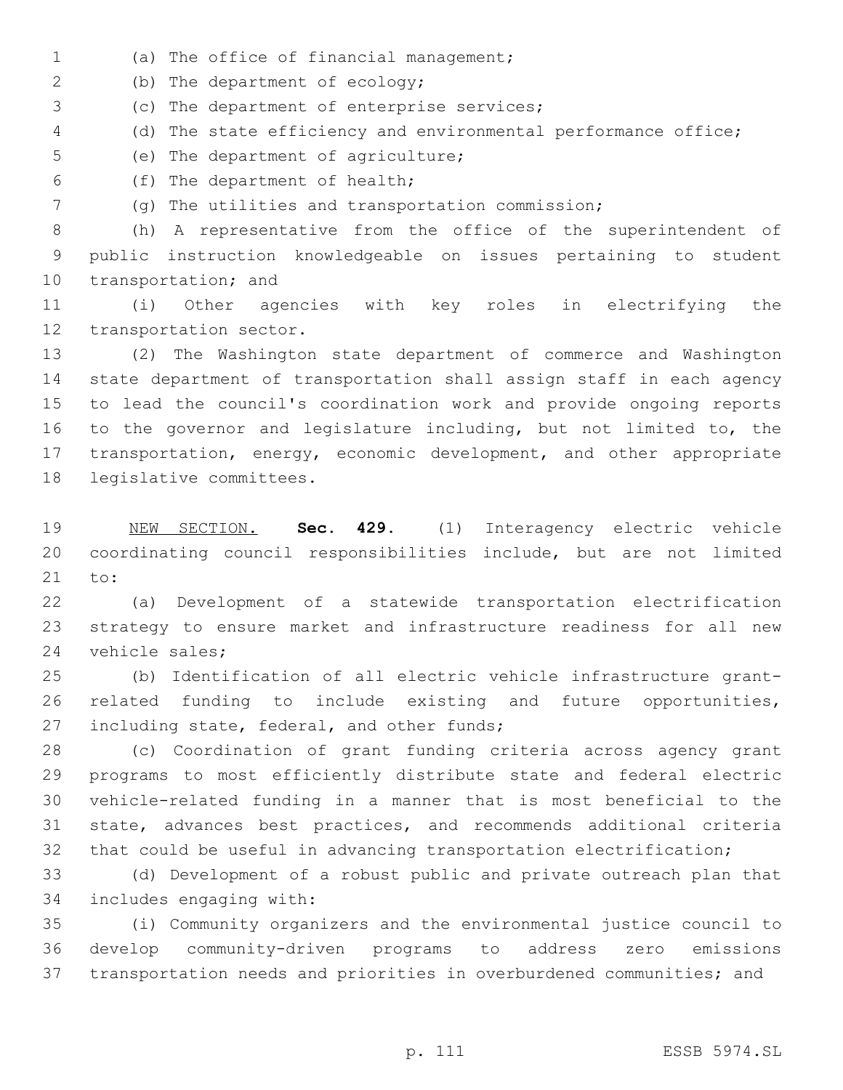- (a) The office of financial management;1
- 2 (b) The department of ecology;
- 3 (c) The department of enterprise services;
- (d) The state efficiency and environmental performance office;
- 5 (e) The department of agriculture;
- (f) The department of health;6
- (g) The utilities and transportation commission;

 (h) A representative from the office of the superintendent of public instruction knowledgeable on issues pertaining to student 10 transportation; and

 (i) Other agencies with key roles in electrifying the 12 transportation sector.

 (2) The Washington state department of commerce and Washington state department of transportation shall assign staff in each agency to lead the council's coordination work and provide ongoing reports to the governor and legislature including, but not limited to, the transportation, energy, economic development, and other appropriate 18 legislative committees.

 NEW SECTION. **Sec. 429.** (1) Interagency electric vehicle coordinating council responsibilities include, but are not limited to:

 (a) Development of a statewide transportation electrification strategy to ensure market and infrastructure readiness for all new 24 vehicle sales;

 (b) Identification of all electric vehicle infrastructure grant- related funding to include existing and future opportunities, 27 including state, federal, and other funds;

 (c) Coordination of grant funding criteria across agency grant programs to most efficiently distribute state and federal electric vehicle-related funding in a manner that is most beneficial to the state, advances best practices, and recommends additional criteria that could be useful in advancing transportation electrification;

 (d) Development of a robust public and private outreach plan that 34 includes engaging with:

 (i) Community organizers and the environmental justice council to develop community-driven programs to address zero emissions transportation needs and priorities in overburdened communities; and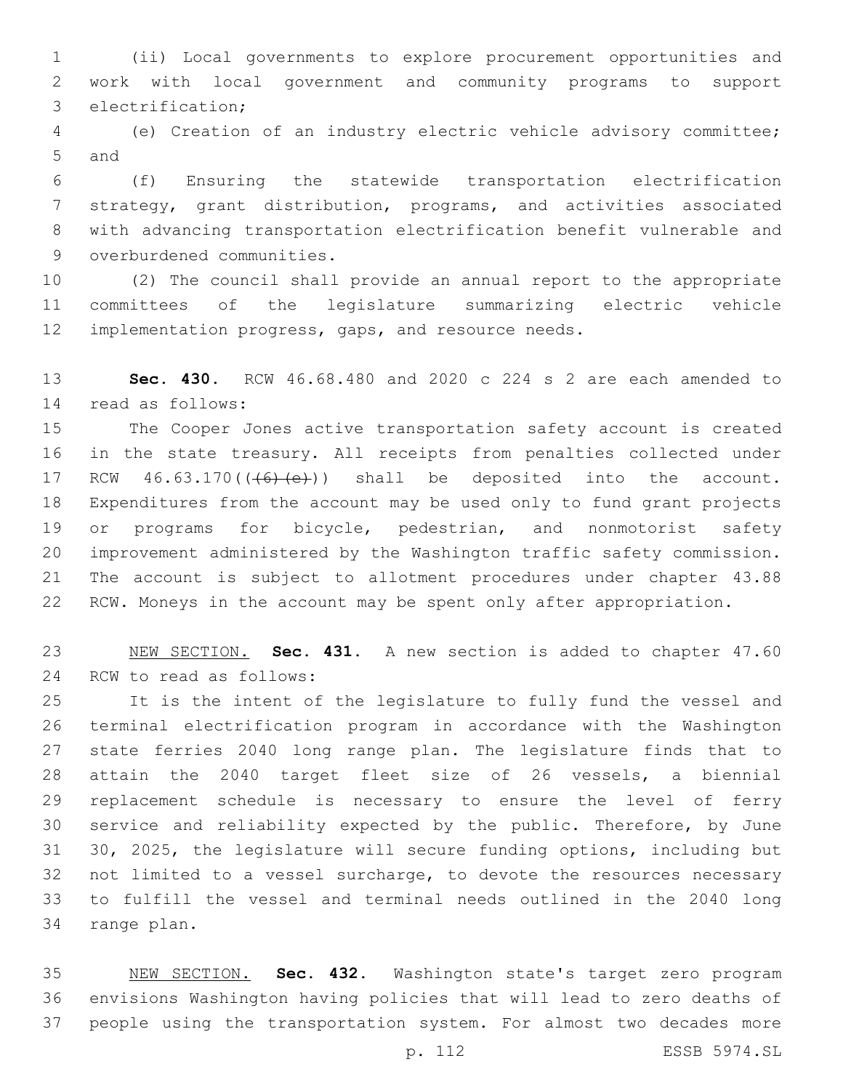(ii) Local governments to explore procurement opportunities and work with local government and community programs to support 3 electrification;

 (e) Creation of an industry electric vehicle advisory committee; 5 and

 (f) Ensuring the statewide transportation electrification strategy, grant distribution, programs, and activities associated with advancing transportation electrification benefit vulnerable and 9 overburdened communities.

 (2) The council shall provide an annual report to the appropriate committees of the legislature summarizing electric vehicle implementation progress, gaps, and resource needs.

 **Sec. 430.** RCW 46.68.480 and 2020 c 224 s 2 are each amended to read as follows:14

 The Cooper Jones active transportation safety account is created in the state treasury. All receipts from penalties collected under 17 RCW  $46.63.170$  ( $(46)$   $(e)$ )) shall be deposited into the account. Expenditures from the account may be used only to fund grant projects 19 or programs for bicycle, pedestrian, and nonmotorist safety improvement administered by the Washington traffic safety commission. The account is subject to allotment procedures under chapter 43.88 RCW. Moneys in the account may be spent only after appropriation.

 NEW SECTION. **Sec. 431.** A new section is added to chapter 47.60 24 RCW to read as follows:

 It is the intent of the legislature to fully fund the vessel and terminal electrification program in accordance with the Washington state ferries 2040 long range plan. The legislature finds that to attain the 2040 target fleet size of 26 vessels, a biennial replacement schedule is necessary to ensure the level of ferry service and reliability expected by the public. Therefore, by June 30, 2025, the legislature will secure funding options, including but not limited to a vessel surcharge, to devote the resources necessary to fulfill the vessel and terminal needs outlined in the 2040 long 34 range plan.

 NEW SECTION. **Sec. 432.** Washington state's target zero program envisions Washington having policies that will lead to zero deaths of people using the transportation system. For almost two decades more

p. 112 ESSB 5974.SL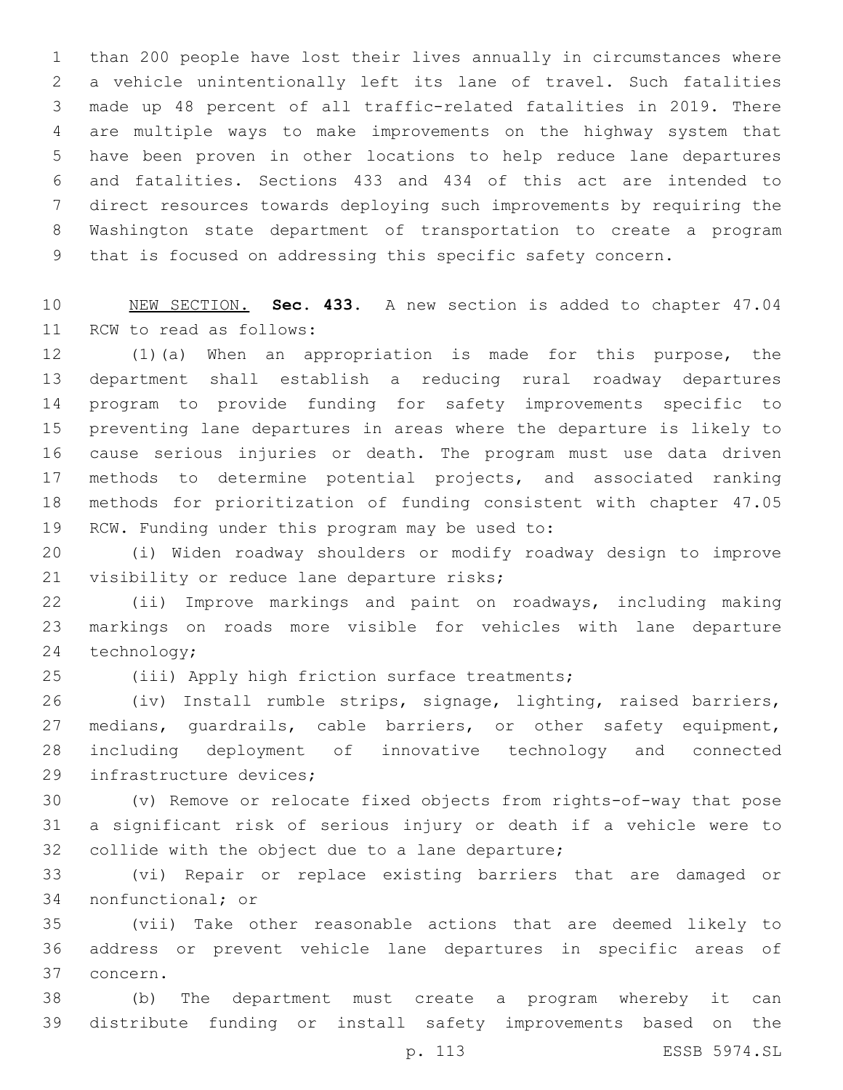than 200 people have lost their lives annually in circumstances where a vehicle unintentionally left its lane of travel. Such fatalities made up 48 percent of all traffic-related fatalities in 2019. There are multiple ways to make improvements on the highway system that have been proven in other locations to help reduce lane departures and fatalities. Sections 433 and 434 of this act are intended to direct resources towards deploying such improvements by requiring the Washington state department of transportation to create a program that is focused on addressing this specific safety concern.

 NEW SECTION. **Sec. 433.** A new section is added to chapter 47.04 11 RCW to read as follows:

 (1)(a) When an appropriation is made for this purpose, the department shall establish a reducing rural roadway departures program to provide funding for safety improvements specific to preventing lane departures in areas where the departure is likely to cause serious injuries or death. The program must use data driven methods to determine potential projects, and associated ranking methods for prioritization of funding consistent with chapter 47.05 19 RCW. Funding under this program may be used to:

 (i) Widen roadway shoulders or modify roadway design to improve 21 visibility or reduce lane departure risks;

 (ii) Improve markings and paint on roadways, including making markings on roads more visible for vehicles with lane departure 24 technology;

25 (iii) Apply high friction surface treatments;

 (iv) Install rumble strips, signage, lighting, raised barriers, 27 medians, guardrails, cable barriers, or other safety equipment, including deployment of innovative technology and connected 29 infrastructure devices;

 (v) Remove or relocate fixed objects from rights-of-way that pose a significant risk of serious injury or death if a vehicle were to 32 collide with the object due to a lane departure;

 (vi) Repair or replace existing barriers that are damaged or 34 nonfunctional; or

 (vii) Take other reasonable actions that are deemed likely to address or prevent vehicle lane departures in specific areas of 37 concern.

 (b) The department must create a program whereby it can distribute funding or install safety improvements based on the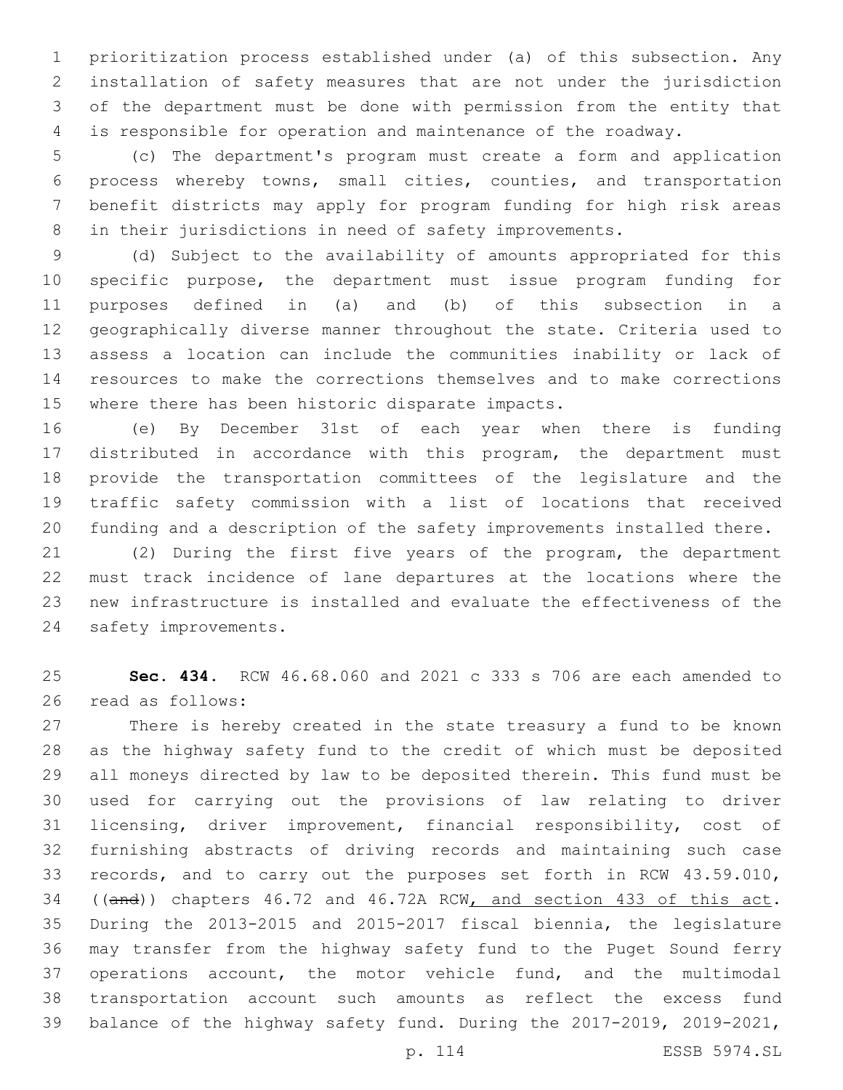prioritization process established under (a) of this subsection. Any installation of safety measures that are not under the jurisdiction of the department must be done with permission from the entity that is responsible for operation and maintenance of the roadway.

 (c) The department's program must create a form and application process whereby towns, small cities, counties, and transportation benefit districts may apply for program funding for high risk areas in their jurisdictions in need of safety improvements.

 (d) Subject to the availability of amounts appropriated for this specific purpose, the department must issue program funding for purposes defined in (a) and (b) of this subsection in a geographically diverse manner throughout the state. Criteria used to assess a location can include the communities inability or lack of resources to make the corrections themselves and to make corrections 15 where there has been historic disparate impacts.

 (e) By December 31st of each year when there is funding distributed in accordance with this program, the department must provide the transportation committees of the legislature and the traffic safety commission with a list of locations that received funding and a description of the safety improvements installed there.

 (2) During the first five years of the program, the department must track incidence of lane departures at the locations where the new infrastructure is installed and evaluate the effectiveness of the 24 safety improvements.

 **Sec. 434.** RCW 46.68.060 and 2021 c 333 s 706 are each amended to 26 read as follows:

 There is hereby created in the state treasury a fund to be known as the highway safety fund to the credit of which must be deposited all moneys directed by law to be deposited therein. This fund must be used for carrying out the provisions of law relating to driver licensing, driver improvement, financial responsibility, cost of furnishing abstracts of driving records and maintaining such case records, and to carry out the purposes set forth in RCW 43.59.010, ((and)) chapters 46.72 and 46.72A RCW, and section 433 of this act. During the 2013-2015 and 2015-2017 fiscal biennia, the legislature may transfer from the highway safety fund to the Puget Sound ferry operations account, the motor vehicle fund, and the multimodal transportation account such amounts as reflect the excess fund balance of the highway safety fund. During the 2017-2019, 2019-2021,

p. 114 ESSB 5974.SL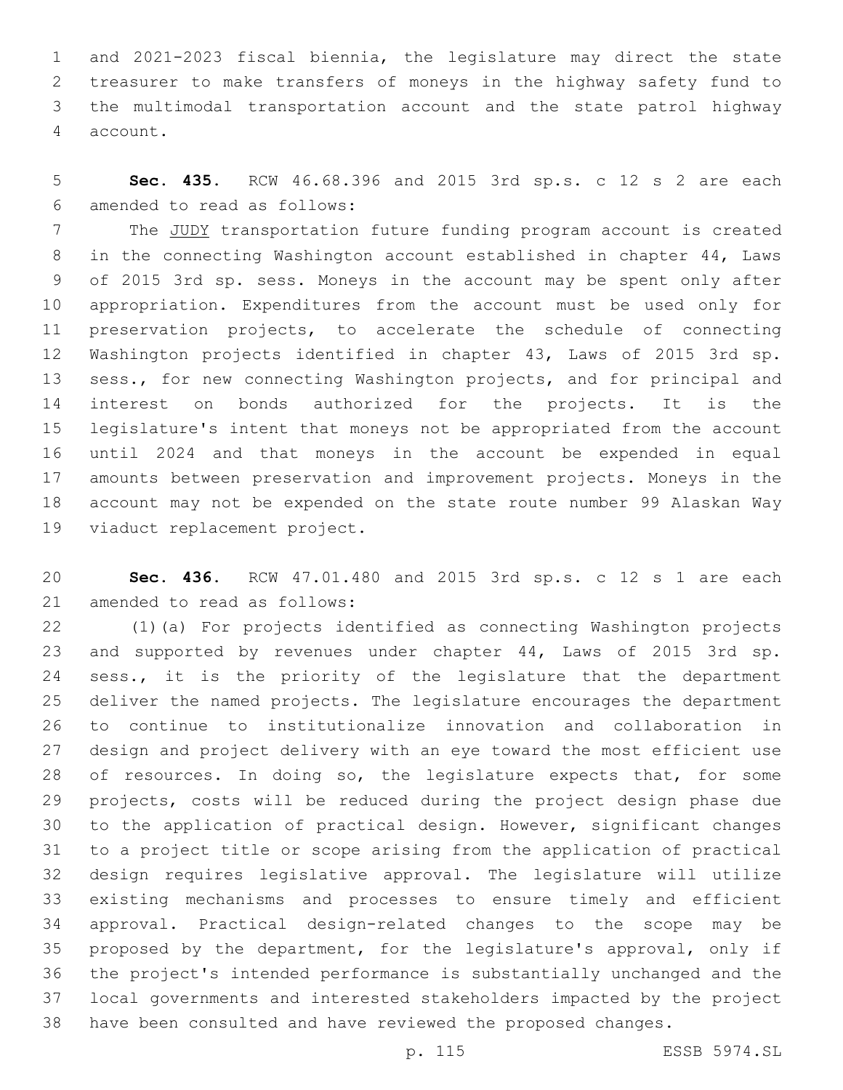and 2021-2023 fiscal biennia, the legislature may direct the state treasurer to make transfers of moneys in the highway safety fund to the multimodal transportation account and the state patrol highway 4 account.

 **Sec. 435.** RCW 46.68.396 and 2015 3rd sp.s. c 12 s 2 are each amended to read as follows:6

 The JUDY transportation future funding program account is created in the connecting Washington account established in chapter 44, Laws of 2015 3rd sp. sess. Moneys in the account may be spent only after appropriation. Expenditures from the account must be used only for preservation projects, to accelerate the schedule of connecting Washington projects identified in chapter 43, Laws of 2015 3rd sp. sess., for new connecting Washington projects, and for principal and interest on bonds authorized for the projects. It is the legislature's intent that moneys not be appropriated from the account until 2024 and that moneys in the account be expended in equal amounts between preservation and improvement projects. Moneys in the account may not be expended on the state route number 99 Alaskan Way 19 viaduct replacement project.

 **Sec. 436.** RCW 47.01.480 and 2015 3rd sp.s. c 12 s 1 are each 21 amended to read as follows:

 (1)(a) For projects identified as connecting Washington projects 23 and supported by revenues under chapter 44, Laws of 2015 3rd sp. 24 sess., it is the priority of the legislature that the department deliver the named projects. The legislature encourages the department to continue to institutionalize innovation and collaboration in design and project delivery with an eye toward the most efficient use 28 of resources. In doing so, the legislature expects that, for some projects, costs will be reduced during the project design phase due to the application of practical design. However, significant changes to a project title or scope arising from the application of practical design requires legislative approval. The legislature will utilize existing mechanisms and processes to ensure timely and efficient approval. Practical design-related changes to the scope may be proposed by the department, for the legislature's approval, only if the project's intended performance is substantially unchanged and the local governments and interested stakeholders impacted by the project have been consulted and have reviewed the proposed changes.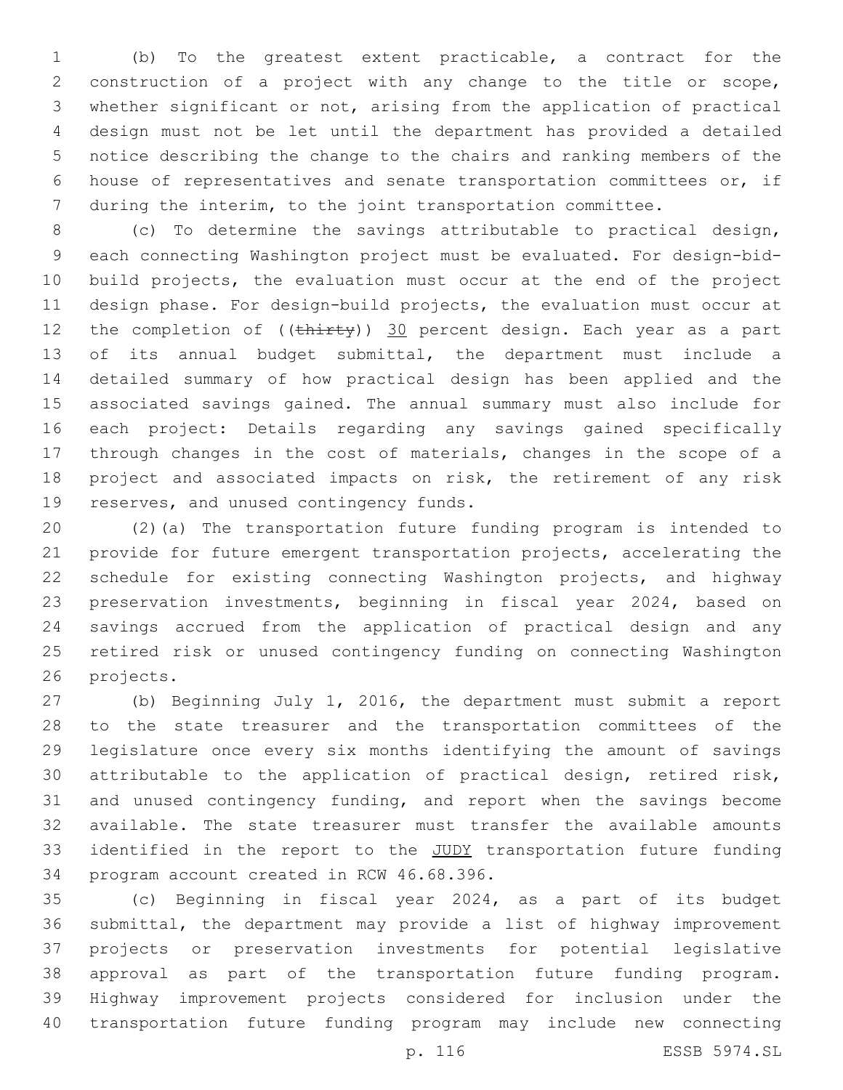(b) To the greatest extent practicable, a contract for the construction of a project with any change to the title or scope, whether significant or not, arising from the application of practical design must not be let until the department has provided a detailed notice describing the change to the chairs and ranking members of the house of representatives and senate transportation committees or, if during the interim, to the joint transportation committee.

 (c) To determine the savings attributable to practical design, each connecting Washington project must be evaluated. For design-bid- build projects, the evaluation must occur at the end of the project design phase. For design-build projects, the evaluation must occur at 12 the completion of ((thirty)) 30 percent design. Each year as a part of its annual budget submittal, the department must include a detailed summary of how practical design has been applied and the associated savings gained. The annual summary must also include for each project: Details regarding any savings gained specifically through changes in the cost of materials, changes in the scope of a project and associated impacts on risk, the retirement of any risk 19 reserves, and unused contingency funds.

 (2)(a) The transportation future funding program is intended to provide for future emergent transportation projects, accelerating the schedule for existing connecting Washington projects, and highway preservation investments, beginning in fiscal year 2024, based on savings accrued from the application of practical design and any retired risk or unused contingency funding on connecting Washington 26 projects.

 (b) Beginning July 1, 2016, the department must submit a report to the state treasurer and the transportation committees of the legislature once every six months identifying the amount of savings attributable to the application of practical design, retired risk, and unused contingency funding, and report when the savings become available. The state treasurer must transfer the available amounts 33 identified in the report to the JUDY transportation future funding 34 program account created in RCW 46.68.396.

 (c) Beginning in fiscal year 2024, as a part of its budget submittal, the department may provide a list of highway improvement projects or preservation investments for potential legislative approval as part of the transportation future funding program. Highway improvement projects considered for inclusion under the transportation future funding program may include new connecting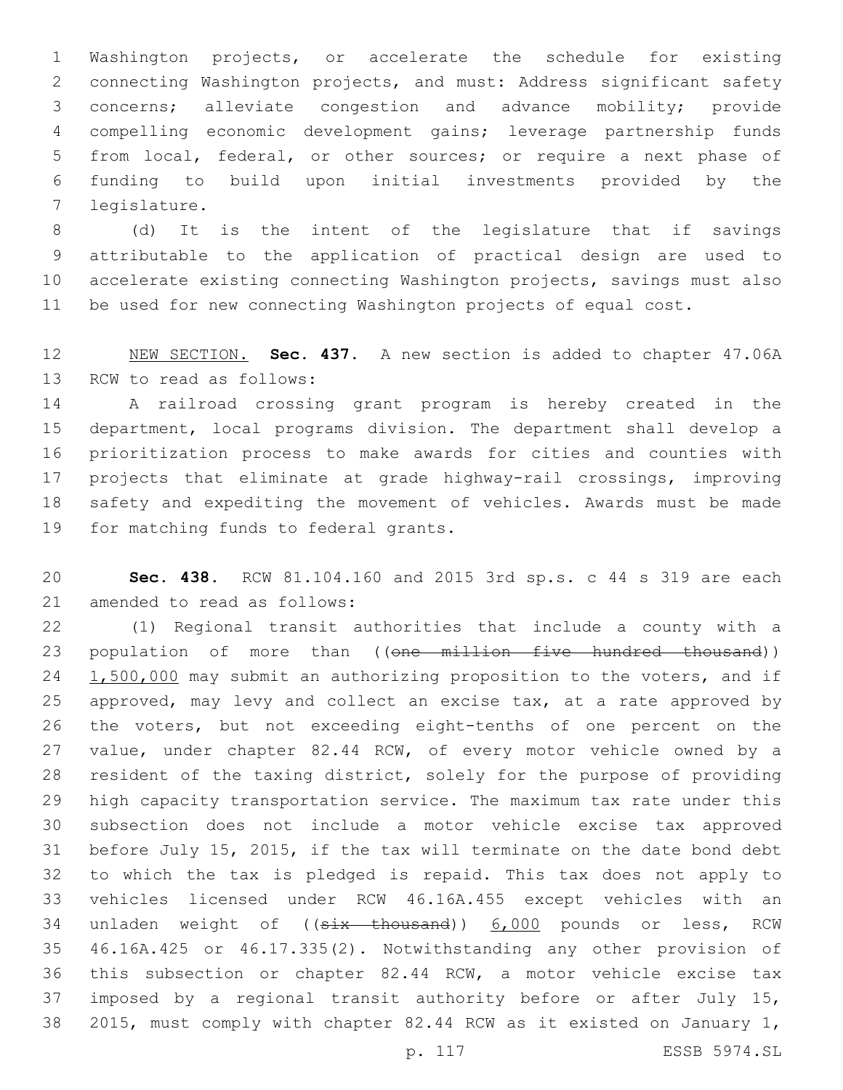Washington projects, or accelerate the schedule for existing connecting Washington projects, and must: Address significant safety concerns; alleviate congestion and advance mobility; provide compelling economic development gains; leverage partnership funds from local, federal, or other sources; or require a next phase of funding to build upon initial investments provided by the 7 legislature.

 (d) It is the intent of the legislature that if savings attributable to the application of practical design are used to accelerate existing connecting Washington projects, savings must also be used for new connecting Washington projects of equal cost.

 NEW SECTION. **Sec. 437.** A new section is added to chapter 47.06A 13 RCW to read as follows:

 A railroad crossing grant program is hereby created in the department, local programs division. The department shall develop a prioritization process to make awards for cities and counties with projects that eliminate at grade highway-rail crossings, improving safety and expediting the movement of vehicles. Awards must be made 19 for matching funds to federal grants.

 **Sec. 438.** RCW 81.104.160 and 2015 3rd sp.s. c 44 s 319 are each 21 amended to read as follows:

 (1) Regional transit authorities that include a county with a 23 population of more than ((one million five hundred thousand)) 24 1,500,000 may submit an authorizing proposition to the voters, and if approved, may levy and collect an excise tax, at a rate approved by the voters, but not exceeding eight-tenths of one percent on the value, under chapter 82.44 RCW, of every motor vehicle owned by a resident of the taxing district, solely for the purpose of providing high capacity transportation service. The maximum tax rate under this subsection does not include a motor vehicle excise tax approved before July 15, 2015, if the tax will terminate on the date bond debt to which the tax is pledged is repaid. This tax does not apply to vehicles licensed under RCW 46.16A.455 except vehicles with an 34 unladen weight of ((six thousand)) 6,000 pounds or less, RCW 46.16A.425 or 46.17.335(2). Notwithstanding any other provision of this subsection or chapter 82.44 RCW, a motor vehicle excise tax imposed by a regional transit authority before or after July 15, 2015, must comply with chapter 82.44 RCW as it existed on January 1,

p. 117 ESSB 5974.SL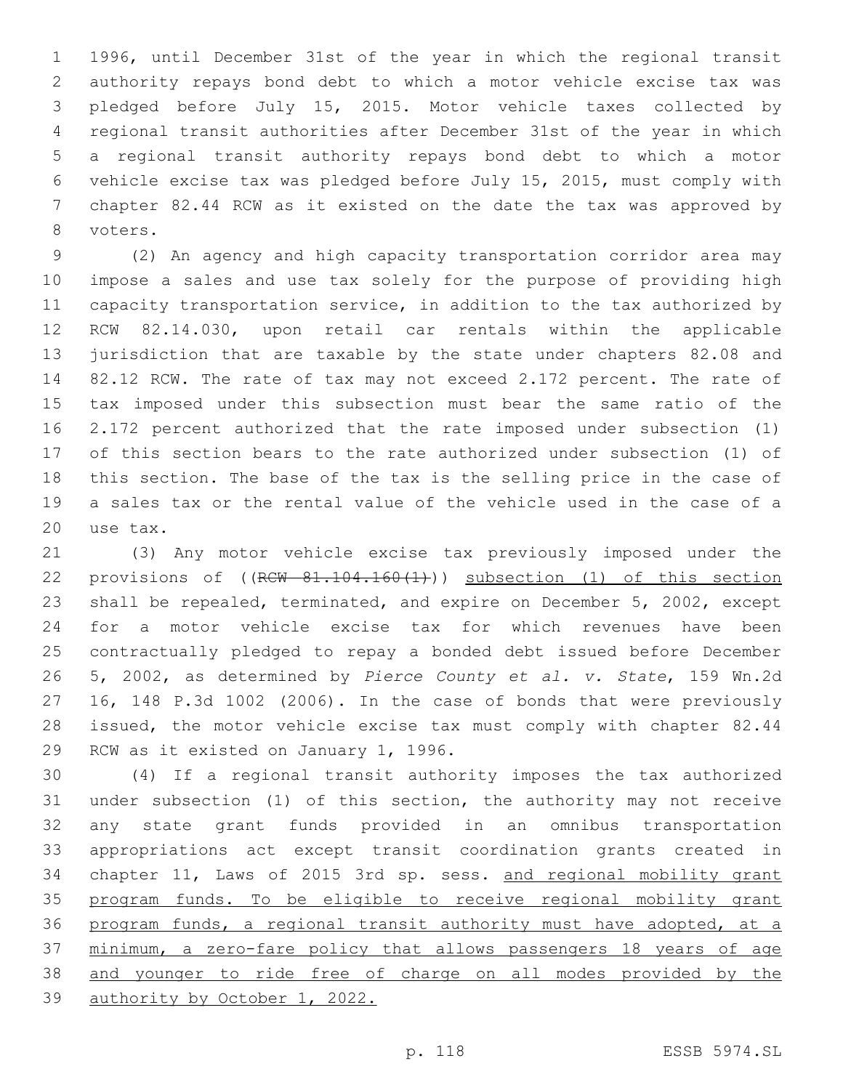1996, until December 31st of the year in which the regional transit authority repays bond debt to which a motor vehicle excise tax was pledged before July 15, 2015. Motor vehicle taxes collected by regional transit authorities after December 31st of the year in which a regional transit authority repays bond debt to which a motor vehicle excise tax was pledged before July 15, 2015, must comply with chapter 82.44 RCW as it existed on the date the tax was approved by 8 voters.

 (2) An agency and high capacity transportation corridor area may impose a sales and use tax solely for the purpose of providing high capacity transportation service, in addition to the tax authorized by RCW 82.14.030, upon retail car rentals within the applicable jurisdiction that are taxable by the state under chapters 82.08 and 82.12 RCW. The rate of tax may not exceed 2.172 percent. The rate of tax imposed under this subsection must bear the same ratio of the 2.172 percent authorized that the rate imposed under subsection (1) of this section bears to the rate authorized under subsection (1) of this section. The base of the tax is the selling price in the case of a sales tax or the rental value of the vehicle used in the case of a 20 use tax.

 (3) Any motor vehicle excise tax previously imposed under the 22 provisions of ((RCW 81.104.160(1))) subsection (1) of this section shall be repealed, terminated, and expire on December 5, 2002, except for a motor vehicle excise tax for which revenues have been contractually pledged to repay a bonded debt issued before December 5, 2002, as determined by *Pierce County et al. v. State*, 159 Wn.2d 16, 148 P.3d 1002 (2006). In the case of bonds that were previously issued, the motor vehicle excise tax must comply with chapter 82.44 29 RCW as it existed on January 1, 1996.

 (4) If a regional transit authority imposes the tax authorized under subsection (1) of this section, the authority may not receive any state grant funds provided in an omnibus transportation appropriations act except transit coordination grants created in chapter 11, Laws of 2015 3rd sp. sess. and regional mobility grant program funds. To be eligible to receive regional mobility grant 36 program funds, a regional transit authority must have adopted, at a minimum, a zero-fare policy that allows passengers 18 years of age and younger to ride free of charge on all modes provided by the authority by October 1, 2022.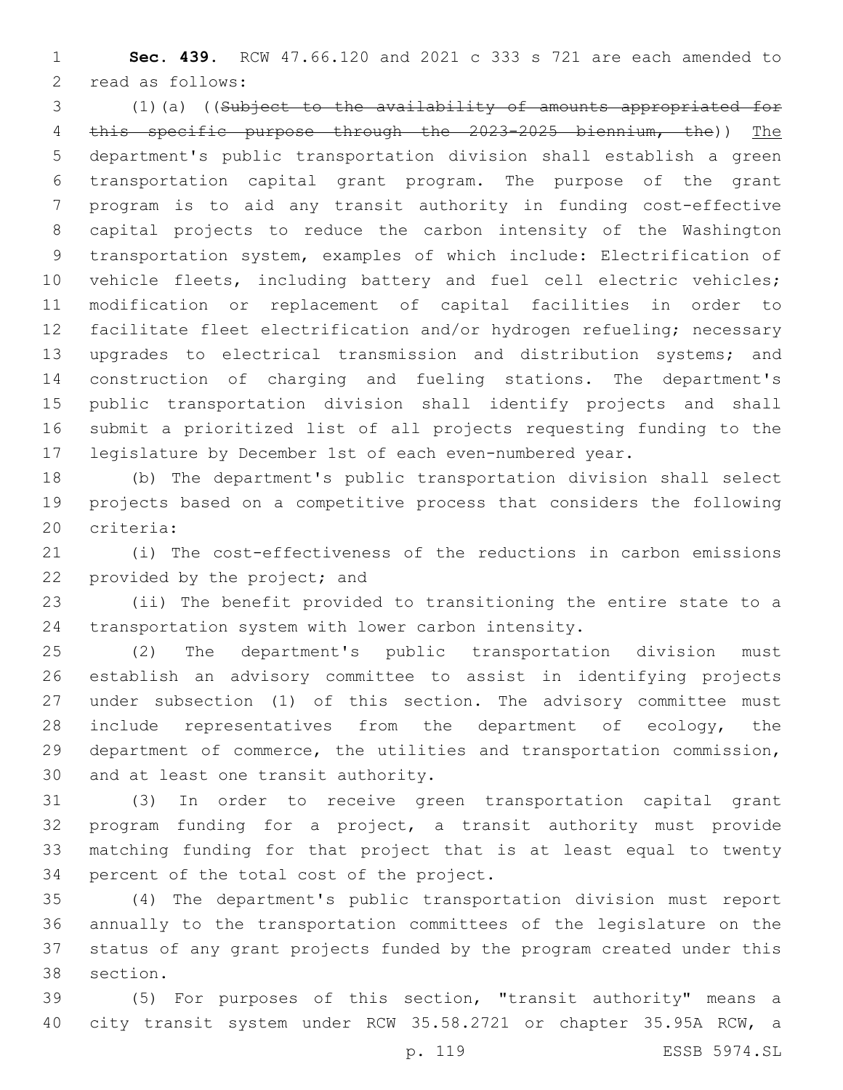**Sec. 439.** RCW 47.66.120 and 2021 c 333 s 721 are each amended to 2 read as follows:

 (1)(a) ((Subject to the availability of amounts appropriated for this specific purpose through the 2023-2025 biennium, the)) The department's public transportation division shall establish a green transportation capital grant program. The purpose of the grant program is to aid any transit authority in funding cost-effective capital projects to reduce the carbon intensity of the Washington transportation system, examples of which include: Electrification of vehicle fleets, including battery and fuel cell electric vehicles; modification or replacement of capital facilities in order to facilitate fleet electrification and/or hydrogen refueling; necessary upgrades to electrical transmission and distribution systems; and construction of charging and fueling stations. The department's public transportation division shall identify projects and shall submit a prioritized list of all projects requesting funding to the legislature by December 1st of each even-numbered year.

 (b) The department's public transportation division shall select projects based on a competitive process that considers the following 20 criteria:

 (i) The cost-effectiveness of the reductions in carbon emissions 22 provided by the project; and

 (ii) The benefit provided to transitioning the entire state to a transportation system with lower carbon intensity.

 (2) The department's public transportation division must establish an advisory committee to assist in identifying projects under subsection (1) of this section. The advisory committee must 28 include representatives from the department of ecology, the department of commerce, the utilities and transportation commission, 30 and at least one transit authority.

 (3) In order to receive green transportation capital grant program funding for a project, a transit authority must provide matching funding for that project that is at least equal to twenty 34 percent of the total cost of the project.

 (4) The department's public transportation division must report annually to the transportation committees of the legislature on the status of any grant projects funded by the program created under this 38 section.

 (5) For purposes of this section, "transit authority" means a city transit system under RCW 35.58.2721 or chapter 35.95A RCW, a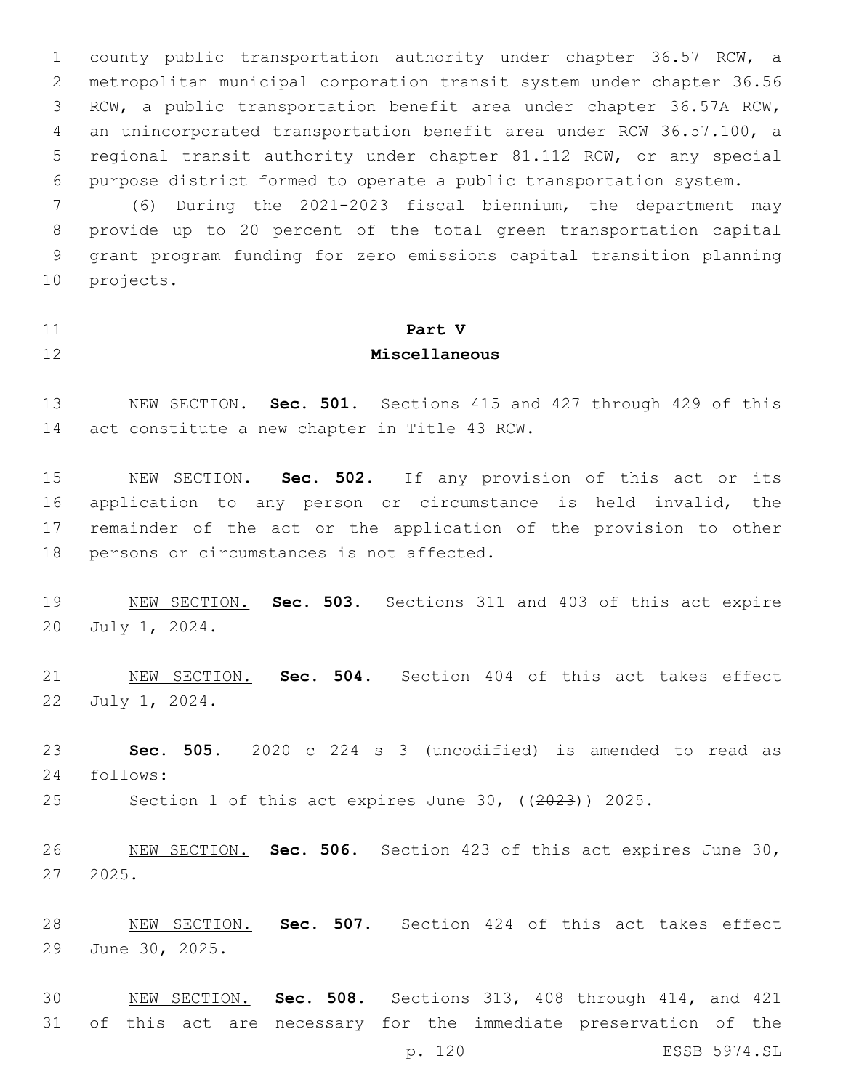county public transportation authority under chapter 36.57 RCW, a metropolitan municipal corporation transit system under chapter 36.56 RCW, a public transportation benefit area under chapter 36.57A RCW, an unincorporated transportation benefit area under RCW 36.57.100, a regional transit authority under chapter 81.112 RCW, or any special purpose district formed to operate a public transportation system.

 (6) During the 2021-2023 fiscal biennium, the department may provide up to 20 percent of the total green transportation capital grant program funding for zero emissions capital transition planning 10 projects.

## **Part V**

## **Miscellaneous**

 NEW SECTION. **Sec. 501.** Sections 415 and 427 through 429 of this act constitute a new chapter in Title 43 RCW.

 NEW SECTION. **Sec. 502.** If any provision of this act or its application to any person or circumstance is held invalid, the remainder of the act or the application of the provision to other persons or circumstances is not affected.

 NEW SECTION. **Sec. 503.** Sections 311 and 403 of this act expire July 1, 2024.

 NEW SECTION. **Sec. 504.** Section 404 of this act takes effect 22 July 1, 2024.

 **Sec. 505.** 2020 c 224 s 3 (uncodified) is amended to read as 24 follows:

25 Section 1 of this act expires June 30, ((2023)) 2025.

 NEW SECTION. **Sec. 506.** Section 423 of this act expires June 30, 2025.

 NEW SECTION. **Sec. 507.** Section 424 of this act takes effect June 30, 2025.

 NEW SECTION. **Sec. 508.** Sections 313, 408 through 414, and 421 of this act are necessary for the immediate preservation of the p. 120 ESSB 5974.SL